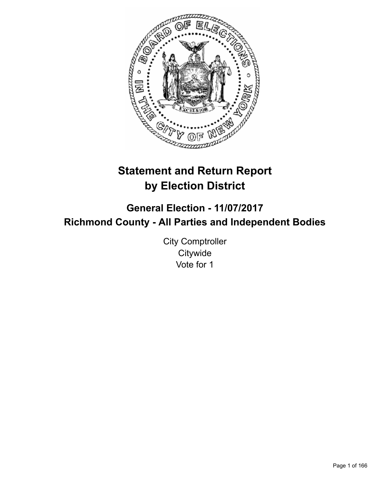

# **Statement and Return Report by Election District**

**General Election - 11/07/2017 Richmond County - All Parties and Independent Bodies**

> City Comptroller **Citywide** Vote for 1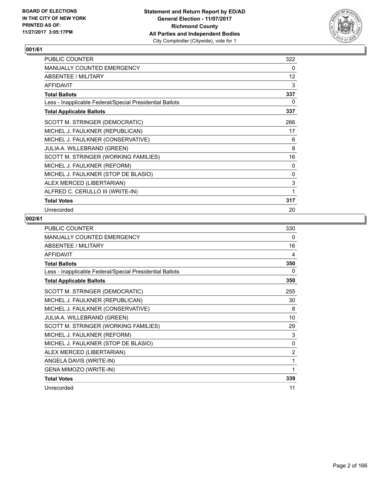

| PUBLIC COUNTER                                           | 322      |
|----------------------------------------------------------|----------|
| <b>MANUALLY COUNTED EMERGENCY</b>                        | 0        |
| ABSENTEE / MILITARY                                      | 12       |
| <b>AFFIDAVIT</b>                                         | 3        |
| <b>Total Ballots</b>                                     | 337      |
| Less - Inapplicable Federal/Special Presidential Ballots | 0        |
| <b>Total Applicable Ballots</b>                          | 337      |
| SCOTT M. STRINGER (DEMOCRATIC)                           | 266      |
| MICHEL J. FAULKNER (REPUBLICAN)                          | 17       |
| MICHEL J. FAULKNER (CONSERVATIVE)                        | 6        |
| <b>JULIA A. WILLEBRAND (GREEN)</b>                       | 8        |
| SCOTT M. STRINGER (WORKING FAMILIES)                     | 16       |
| MICHEL J. FAULKNER (REFORM)                              | $\Omega$ |
| MICHEL J. FAULKNER (STOP DE BLASIO)                      | 0        |
| ALEX MERCED (LIBERTARIAN)                                | 3        |
| ALFRED C. CERULLO III (WRITE-IN)                         | 1        |
| <b>Total Votes</b>                                       | 317      |
| Unrecorded                                               | 20       |

| <b>PUBLIC COUNTER</b>                                    | 330            |
|----------------------------------------------------------|----------------|
| MANUALLY COUNTED EMERGENCY                               | 0              |
| <b>ABSENTEE / MILITARY</b>                               | 16             |
| <b>AFFIDAVIT</b>                                         | 4              |
| <b>Total Ballots</b>                                     | 350            |
| Less - Inapplicable Federal/Special Presidential Ballots | 0              |
| <b>Total Applicable Ballots</b>                          | 350            |
| SCOTT M. STRINGER (DEMOCRATIC)                           | 255            |
| MICHEL J. FAULKNER (REPUBLICAN)                          | 30             |
| MICHEL J. FAULKNER (CONSERVATIVE)                        | 8              |
| JULIA A. WILLEBRAND (GREEN)                              | 10             |
| SCOTT M. STRINGER (WORKING FAMILIES)                     | 29             |
| MICHEL J. FAULKNER (REFORM)                              | 3              |
| MICHEL J. FAULKNER (STOP DE BLASIO)                      | 0              |
| ALEX MERCED (LIBERTARIAN)                                | $\overline{2}$ |
| ANGELA DAVIS (WRITE-IN)                                  | 1              |
| GENA MIMOZO (WRITE-IN)                                   | 1              |
| <b>Total Votes</b>                                       | 339            |
| Unrecorded                                               | 11             |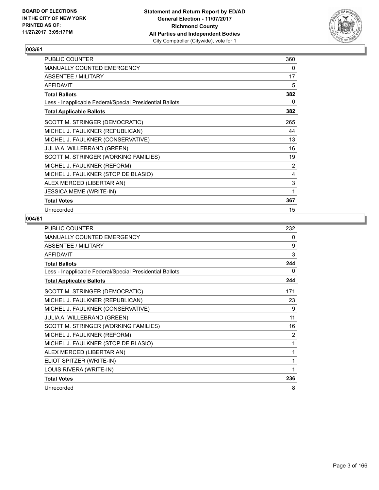

| <b>PUBLIC COUNTER</b>                                    | 360            |
|----------------------------------------------------------|----------------|
| MANUALLY COUNTED EMERGENCY                               | 0              |
| ABSENTEE / MILITARY                                      | 17             |
| <b>AFFIDAVIT</b>                                         | 5              |
| <b>Total Ballots</b>                                     | 382            |
| Less - Inapplicable Federal/Special Presidential Ballots | 0              |
| <b>Total Applicable Ballots</b>                          | 382            |
| SCOTT M. STRINGER (DEMOCRATIC)                           | 265            |
| MICHEL J. FAULKNER (REPUBLICAN)                          | 44             |
| MICHEL J. FAULKNER (CONSERVATIVE)                        | 13             |
| JULIA A. WILLEBRAND (GREEN)                              | 16             |
| SCOTT M. STRINGER (WORKING FAMILIES)                     | 19             |
| MICHEL J. FAULKNER (REFORM)                              | $\overline{2}$ |
| MICHEL J. FAULKNER (STOP DE BLASIO)                      | 4              |
| ALEX MERCED (LIBERTARIAN)                                | 3              |
| <b>JESSICA MEME (WRITE-IN)</b>                           | 1              |
| <b>Total Votes</b>                                       | 367            |
| Unrecorded                                               | 15             |

| <b>PUBLIC COUNTER</b>                                    | 232 |
|----------------------------------------------------------|-----|
| <b>MANUALLY COUNTED EMERGENCY</b>                        | 0   |
| ABSENTEE / MILITARY                                      | 9   |
| <b>AFFIDAVIT</b>                                         | 3   |
| <b>Total Ballots</b>                                     | 244 |
| Less - Inapplicable Federal/Special Presidential Ballots | 0   |
| <b>Total Applicable Ballots</b>                          | 244 |
| SCOTT M. STRINGER (DEMOCRATIC)                           | 171 |
| MICHEL J. FAULKNER (REPUBLICAN)                          | 23  |
| MICHEL J. FAULKNER (CONSERVATIVE)                        | 9   |
| JULIA A. WILLEBRAND (GREEN)                              | 11  |
| SCOTT M. STRINGER (WORKING FAMILIES)                     | 16  |
| MICHEL J. FAULKNER (REFORM)                              | 2   |
| MICHEL J. FAULKNER (STOP DE BLASIO)                      | 1   |
| ALEX MERCED (LIBERTARIAN)                                | 1   |
| ELIOT SPITZER (WRITE-IN)                                 | 1   |
| LOUIS RIVERA (WRITE-IN)                                  | 1   |
| <b>Total Votes</b>                                       | 236 |
| Unrecorded                                               | 8   |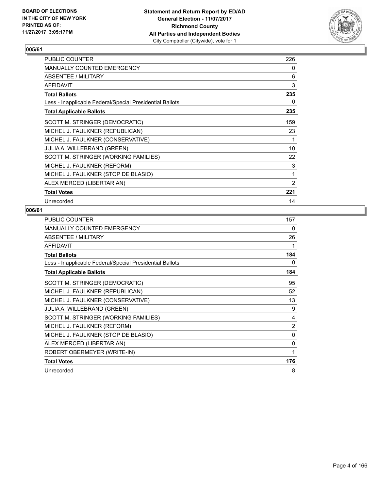

| <b>PUBLIC COUNTER</b>                                    | 226 |
|----------------------------------------------------------|-----|
| <b>MANUALLY COUNTED EMERGENCY</b>                        | 0   |
| ABSENTEE / MILITARY                                      | 6   |
| <b>AFFIDAVIT</b>                                         | 3   |
| <b>Total Ballots</b>                                     | 235 |
| Less - Inapplicable Federal/Special Presidential Ballots | 0   |
| <b>Total Applicable Ballots</b>                          | 235 |
| SCOTT M. STRINGER (DEMOCRATIC)                           | 159 |
| MICHEL J. FAULKNER (REPUBLICAN)                          | 23  |
| MICHEL J. FAULKNER (CONSERVATIVE)                        | 1   |
| JULIA A. WILLEBRAND (GREEN)                              | 10  |
| SCOTT M. STRINGER (WORKING FAMILIES)                     | 22  |
| MICHEL J. FAULKNER (REFORM)                              | 3   |
| MICHEL J. FAULKNER (STOP DE BLASIO)                      | 1   |
| ALEX MERCED (LIBERTARIAN)                                | 2   |
| <b>Total Votes</b>                                       | 221 |
| Unrecorded                                               | 14  |

| PUBLIC COUNTER                                           | 157 |
|----------------------------------------------------------|-----|
| MANUALLY COUNTED EMERGENCY                               | 0   |
| ABSENTEE / MILITARY                                      | 26  |
| <b>AFFIDAVIT</b>                                         | 1   |
| <b>Total Ballots</b>                                     | 184 |
| Less - Inapplicable Federal/Special Presidential Ballots | 0   |
| <b>Total Applicable Ballots</b>                          | 184 |
| SCOTT M. STRINGER (DEMOCRATIC)                           | 95  |
| MICHEL J. FAULKNER (REPUBLICAN)                          | 52  |
| MICHEL J. FAULKNER (CONSERVATIVE)                        | 13  |
| <b>JULIA A. WILLEBRAND (GREEN)</b>                       | 9   |
| SCOTT M. STRINGER (WORKING FAMILIES)                     | 4   |
| MICHEL J. FAULKNER (REFORM)                              | 2   |
| MICHEL J. FAULKNER (STOP DE BLASIO)                      | 0   |
| ALEX MERCED (LIBERTARIAN)                                | 0   |
| ROBERT OBERMEYER (WRITE-IN)                              | 1   |
| <b>Total Votes</b>                                       | 176 |
| Unrecorded                                               | 8   |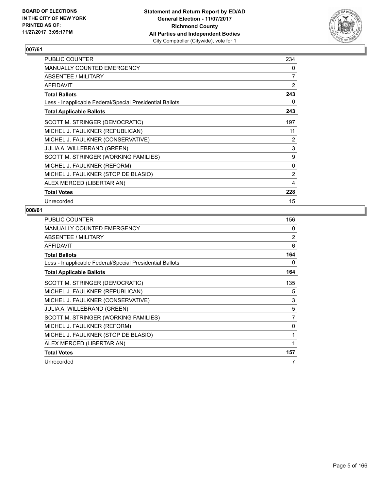

| PUBLIC COUNTER                                           | 234 |
|----------------------------------------------------------|-----|
| <b>MANUALLY COUNTED EMERGENCY</b>                        | 0   |
| ABSENTEE / MILITARY                                      | 7   |
| <b>AFFIDAVIT</b>                                         | 2   |
| <b>Total Ballots</b>                                     | 243 |
| Less - Inapplicable Federal/Special Presidential Ballots | 0   |
| <b>Total Applicable Ballots</b>                          | 243 |
| SCOTT M. STRINGER (DEMOCRATIC)                           | 197 |
| MICHEL J. FAULKNER (REPUBLICAN)                          | 11  |
| MICHEL J. FAULKNER (CONSERVATIVE)                        | 2   |
| JULIA A. WILLEBRAND (GREEN)                              | 3   |
| SCOTT M. STRINGER (WORKING FAMILIES)                     | 9   |
| MICHEL J. FAULKNER (REFORM)                              | 0   |
| MICHEL J. FAULKNER (STOP DE BLASIO)                      | 2   |
| ALEX MERCED (LIBERTARIAN)                                | 4   |
| <b>Total Votes</b>                                       | 228 |
| Unrecorded                                               | 15  |

| <b>PUBLIC COUNTER</b>                                    | 156 |
|----------------------------------------------------------|-----|
| <b>MANUALLY COUNTED EMERGENCY</b>                        | 0   |
| ABSENTEE / MILITARY                                      | 2   |
| <b>AFFIDAVIT</b>                                         | 6   |
| <b>Total Ballots</b>                                     | 164 |
| Less - Inapplicable Federal/Special Presidential Ballots | 0   |
| <b>Total Applicable Ballots</b>                          | 164 |
| SCOTT M. STRINGER (DEMOCRATIC)                           | 135 |
| MICHEL J. FAULKNER (REPUBLICAN)                          | 5   |
| MICHEL J. FAULKNER (CONSERVATIVE)                        | 3   |
| <b>JULIA A. WILLEBRAND (GREEN)</b>                       | 5   |
| SCOTT M. STRINGER (WORKING FAMILIES)                     | 7   |
| MICHEL J. FAULKNER (REFORM)                              | 0   |
| MICHEL J. FAULKNER (STOP DE BLASIO)                      | 1   |
| ALEX MERCED (LIBERTARIAN)                                | 1   |
| <b>Total Votes</b>                                       | 157 |
| Unrecorded                                               | 7   |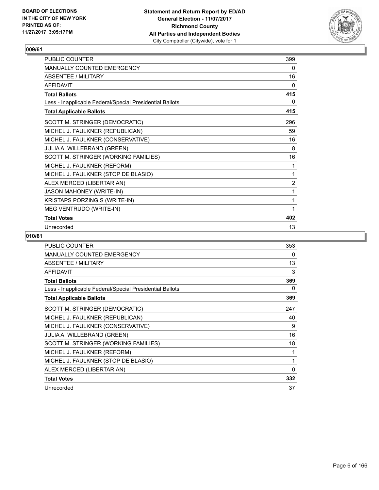

| PUBLIC COUNTER                                           | 399            |
|----------------------------------------------------------|----------------|
| <b>MANUALLY COUNTED EMERGENCY</b>                        | $\mathbf{0}$   |
| <b>ABSENTEE / MILITARY</b>                               | 16             |
| <b>AFFIDAVIT</b>                                         | 0              |
| <b>Total Ballots</b>                                     | 415            |
| Less - Inapplicable Federal/Special Presidential Ballots | 0              |
| <b>Total Applicable Ballots</b>                          | 415            |
| SCOTT M. STRINGER (DEMOCRATIC)                           | 296            |
| MICHEL J. FAULKNER (REPUBLICAN)                          | 59             |
| MICHEL J. FAULKNER (CONSERVATIVE)                        | 16             |
| JULIA A. WILLEBRAND (GREEN)                              | 8              |
| SCOTT M. STRINGER (WORKING FAMILIES)                     | 16             |
| MICHEL J. FAULKNER (REFORM)                              | 1              |
| MICHEL J. FAULKNER (STOP DE BLASIO)                      | 1              |
| ALEX MERCED (LIBERTARIAN)                                | $\overline{2}$ |
| <b>JASON MAHONEY (WRITE-IN)</b>                          | 1              |
| KRISTAPS PORZINGIS (WRITE-IN)                            | 1              |
| MEG VENTRUDO (WRITE-IN)                                  | 1              |
| <b>Total Votes</b>                                       | 402            |
| Unrecorded                                               | 13             |

| <b>PUBLIC COUNTER</b>                                    | 353          |
|----------------------------------------------------------|--------------|
| <b>MANUALLY COUNTED EMERGENCY</b>                        | 0            |
| <b>ABSENTEE / MILITARY</b>                               | 13           |
| <b>AFFIDAVIT</b>                                         | 3            |
| <b>Total Ballots</b>                                     | 369          |
| Less - Inapplicable Federal/Special Presidential Ballots | 0            |
| <b>Total Applicable Ballots</b>                          | 369          |
| SCOTT M. STRINGER (DEMOCRATIC)                           | 247          |
| MICHEL J. FAULKNER (REPUBLICAN)                          | 40           |
| MICHEL J. FAULKNER (CONSERVATIVE)                        | 9            |
| <b>JULIA A. WILLEBRAND (GREEN)</b>                       | 16           |
| SCOTT M. STRINGER (WORKING FAMILIES)                     | 18           |
| MICHEL J. FAULKNER (REFORM)                              | 1            |
| MICHEL J. FAULKNER (STOP DE BLASIO)                      | 1            |
| ALEX MERCED (LIBERTARIAN)                                | $\mathbf{0}$ |
| <b>Total Votes</b>                                       | 332          |
| Unrecorded                                               | 37           |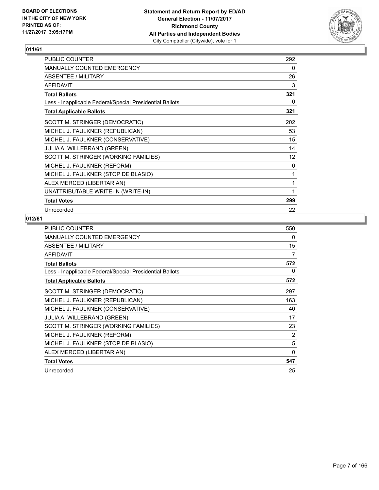

| PUBLIC COUNTER                                           | 292 |
|----------------------------------------------------------|-----|
| MANUALLY COUNTED EMERGENCY                               | 0   |
| ABSENTEE / MILITARY                                      | 26  |
| <b>AFFIDAVIT</b>                                         | 3   |
| <b>Total Ballots</b>                                     | 321 |
| Less - Inapplicable Federal/Special Presidential Ballots | 0   |
| <b>Total Applicable Ballots</b>                          | 321 |
| SCOTT M. STRINGER (DEMOCRATIC)                           | 202 |
| MICHEL J. FAULKNER (REPUBLICAN)                          | 53  |
| MICHEL J. FAULKNER (CONSERVATIVE)                        | 15  |
| JULIA A. WILLEBRAND (GREEN)                              | 14  |
| SCOTT M. STRINGER (WORKING FAMILIES)                     | 12  |
| MICHEL J. FAULKNER (REFORM)                              | 0   |
| MICHEL J. FAULKNER (STOP DE BLASIO)                      | 1   |
| ALEX MERCED (LIBERTARIAN)                                | 1   |
| UNATTRIBUTABLE WRITE-IN (WRITE-IN)                       | 1   |
| <b>Total Votes</b>                                       | 299 |
| Unrecorded                                               | 22  |

| <b>PUBLIC COUNTER</b>                                    | 550            |
|----------------------------------------------------------|----------------|
| <b>MANUALLY COUNTED EMERGENCY</b>                        | 0              |
| ABSENTEE / MILITARY                                      | 15             |
| <b>AFFIDAVIT</b>                                         | 7              |
| <b>Total Ballots</b>                                     | 572            |
| Less - Inapplicable Federal/Special Presidential Ballots | 0              |
| <b>Total Applicable Ballots</b>                          | 572            |
| SCOTT M. STRINGER (DEMOCRATIC)                           | 297            |
| MICHEL J. FAULKNER (REPUBLICAN)                          | 163            |
| MICHEL J. FAULKNER (CONSERVATIVE)                        | 40             |
| <b>JULIA A. WILLEBRAND (GREEN)</b>                       | 17             |
| SCOTT M. STRINGER (WORKING FAMILIES)                     | 23             |
| MICHEL J. FAULKNER (REFORM)                              | $\overline{2}$ |
| MICHEL J. FAULKNER (STOP DE BLASIO)                      | 5              |
| ALEX MERCED (LIBERTARIAN)                                | $\Omega$       |
| <b>Total Votes</b>                                       | 547            |
| Unrecorded                                               | 25             |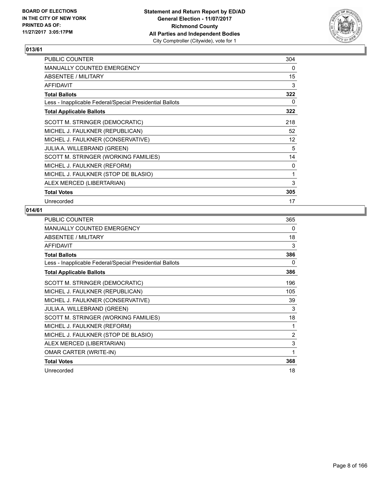

| PUBLIC COUNTER                                           | 304 |
|----------------------------------------------------------|-----|
| <b>MANUALLY COUNTED EMERGENCY</b>                        | 0   |
| <b>ABSENTEE / MILITARY</b>                               | 15  |
| <b>AFFIDAVIT</b>                                         | 3   |
| <b>Total Ballots</b>                                     | 322 |
| Less - Inapplicable Federal/Special Presidential Ballots | 0   |
| <b>Total Applicable Ballots</b>                          | 322 |
| SCOTT M. STRINGER (DEMOCRATIC)                           | 218 |
| MICHEL J. FAULKNER (REPUBLICAN)                          | 52  |
| MICHEL J. FAULKNER (CONSERVATIVE)                        | 12  |
| <b>JULIA A. WILLEBRAND (GREEN)</b>                       | 5   |
| SCOTT M. STRINGER (WORKING FAMILIES)                     | 14  |
| MICHEL J. FAULKNER (REFORM)                              | 0   |
| MICHEL J. FAULKNER (STOP DE BLASIO)                      | 1   |
| ALEX MERCED (LIBERTARIAN)                                | 3   |
| <b>Total Votes</b>                                       | 305 |
| Unrecorded                                               | 17  |

| <b>PUBLIC COUNTER</b>                                    | 365            |
|----------------------------------------------------------|----------------|
| MANUALLY COUNTED EMERGENCY                               | 0              |
| <b>ABSENTEE / MILITARY</b>                               | 18             |
| <b>AFFIDAVIT</b>                                         | 3              |
| <b>Total Ballots</b>                                     | 386            |
| Less - Inapplicable Federal/Special Presidential Ballots | 0              |
| <b>Total Applicable Ballots</b>                          | 386            |
| SCOTT M. STRINGER (DEMOCRATIC)                           | 196            |
| MICHEL J. FAULKNER (REPUBLICAN)                          | 105            |
| MICHEL J. FAULKNER (CONSERVATIVE)                        | 39             |
| JULIA A. WILLEBRAND (GREEN)                              | 3              |
| SCOTT M. STRINGER (WORKING FAMILIES)                     | 18             |
| MICHEL J. FAULKNER (REFORM)                              | 1              |
| MICHEL J. FAULKNER (STOP DE BLASIO)                      | $\overline{2}$ |
| ALEX MERCED (LIBERTARIAN)                                | 3              |
| <b>OMAR CARTER (WRITE-IN)</b>                            | 1              |
| <b>Total Votes</b>                                       | 368            |
| Unrecorded                                               | 18             |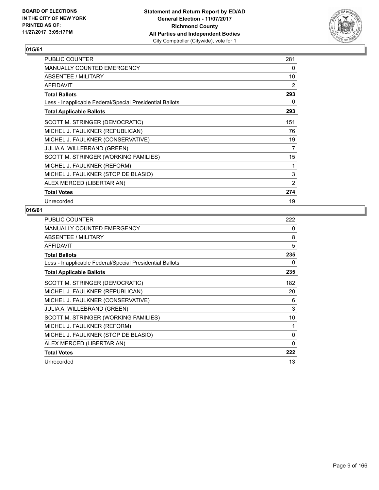

| PUBLIC COUNTER                                           | 281 |
|----------------------------------------------------------|-----|
| <b>MANUALLY COUNTED EMERGENCY</b>                        | 0   |
| ABSENTEE / MILITARY                                      | 10  |
| <b>AFFIDAVIT</b>                                         | 2   |
| <b>Total Ballots</b>                                     | 293 |
| Less - Inapplicable Federal/Special Presidential Ballots | 0   |
| <b>Total Applicable Ballots</b>                          | 293 |
| SCOTT M. STRINGER (DEMOCRATIC)                           | 151 |
| MICHEL J. FAULKNER (REPUBLICAN)                          | 76  |
| MICHEL J. FAULKNER (CONSERVATIVE)                        | 19  |
| <b>JULIA A. WILLEBRAND (GREEN)</b>                       | 7   |
| SCOTT M. STRINGER (WORKING FAMILIES)                     | 15  |
| MICHEL J. FAULKNER (REFORM)                              | 1   |
| MICHEL J. FAULKNER (STOP DE BLASIO)                      | 3   |
| ALEX MERCED (LIBERTARIAN)                                | 2   |
| <b>Total Votes</b>                                       | 274 |
| Unrecorded                                               | 19  |

| <b>PUBLIC COUNTER</b>                                    | 222 |
|----------------------------------------------------------|-----|
| <b>MANUALLY COUNTED EMERGENCY</b>                        | 0   |
| ABSENTEE / MILITARY                                      | 8   |
| <b>AFFIDAVIT</b>                                         | 5   |
| <b>Total Ballots</b>                                     | 235 |
| Less - Inapplicable Federal/Special Presidential Ballots | 0   |
| <b>Total Applicable Ballots</b>                          | 235 |
| SCOTT M. STRINGER (DEMOCRATIC)                           | 182 |
| MICHEL J. FAULKNER (REPUBLICAN)                          | 20  |
| MICHEL J. FAULKNER (CONSERVATIVE)                        | 6   |
| <b>JULIA A. WILLEBRAND (GREEN)</b>                       | 3   |
| SCOTT M. STRINGER (WORKING FAMILIES)                     | 10  |
| MICHEL J. FAULKNER (REFORM)                              | 1   |
| MICHEL J. FAULKNER (STOP DE BLASIO)                      | 0   |
| ALEX MERCED (LIBERTARIAN)                                | 0   |
| <b>Total Votes</b>                                       | 222 |
| Unrecorded                                               | 13  |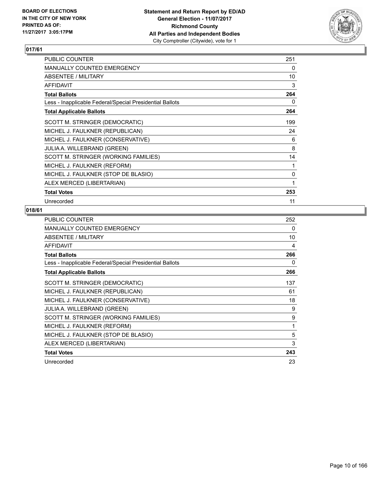

| PUBLIC COUNTER                                           | 251 |
|----------------------------------------------------------|-----|
| <b>MANUALLY COUNTED EMERGENCY</b>                        | 0   |
| ABSENTEE / MILITARY                                      | 10  |
| <b>AFFIDAVIT</b>                                         | 3   |
| <b>Total Ballots</b>                                     | 264 |
| Less - Inapplicable Federal/Special Presidential Ballots | 0   |
| <b>Total Applicable Ballots</b>                          | 264 |
| SCOTT M. STRINGER (DEMOCRATIC)                           | 199 |
| MICHEL J. FAULKNER (REPUBLICAN)                          | 24  |
| MICHEL J. FAULKNER (CONSERVATIVE)                        | 6   |
| <b>JULIA A. WILLEBRAND (GREEN)</b>                       | 8   |
| SCOTT M. STRINGER (WORKING FAMILIES)                     | 14  |
| MICHEL J. FAULKNER (REFORM)                              | 1   |
| MICHEL J. FAULKNER (STOP DE BLASIO)                      | 0   |
| ALEX MERCED (LIBERTARIAN)                                | 1   |
| <b>Total Votes</b>                                       | 253 |
| Unrecorded                                               | 11  |

| <b>PUBLIC COUNTER</b>                                    | 252 |
|----------------------------------------------------------|-----|
| <b>MANUALLY COUNTED EMERGENCY</b>                        | 0   |
| ABSENTEE / MILITARY                                      | 10  |
| <b>AFFIDAVIT</b>                                         | 4   |
| <b>Total Ballots</b>                                     | 266 |
| Less - Inapplicable Federal/Special Presidential Ballots | 0   |
| <b>Total Applicable Ballots</b>                          | 266 |
| SCOTT M. STRINGER (DEMOCRATIC)                           | 137 |
| MICHEL J. FAULKNER (REPUBLICAN)                          | 61  |
| MICHEL J. FAULKNER (CONSERVATIVE)                        | 18  |
| <b>JULIA A. WILLEBRAND (GREEN)</b>                       | 9   |
| SCOTT M. STRINGER (WORKING FAMILIES)                     | 9   |
| MICHEL J. FAULKNER (REFORM)                              | 1   |
| MICHEL J. FAULKNER (STOP DE BLASIO)                      | 5   |
| ALEX MERCED (LIBERTARIAN)                                | 3   |
| <b>Total Votes</b>                                       | 243 |
| Unrecorded                                               | 23  |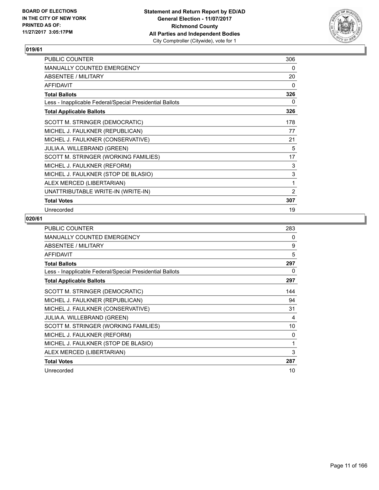

| PUBLIC COUNTER                                           | 306            |
|----------------------------------------------------------|----------------|
| MANUALLY COUNTED EMERGENCY                               | 0              |
| ABSENTEE / MILITARY                                      | 20             |
| <b>AFFIDAVIT</b>                                         | 0              |
| <b>Total Ballots</b>                                     | 326            |
| Less - Inapplicable Federal/Special Presidential Ballots | 0              |
| <b>Total Applicable Ballots</b>                          | 326            |
| SCOTT M. STRINGER (DEMOCRATIC)                           | 178            |
| MICHEL J. FAULKNER (REPUBLICAN)                          | 77             |
| MICHEL J. FAULKNER (CONSERVATIVE)                        | 21             |
| <b>JULIA A. WILLEBRAND (GREEN)</b>                       | 5              |
| SCOTT M. STRINGER (WORKING FAMILIES)                     | 17             |
| MICHEL J. FAULKNER (REFORM)                              | 3              |
| MICHEL J. FAULKNER (STOP DE BLASIO)                      | 3              |
| ALEX MERCED (LIBERTARIAN)                                | 1              |
| UNATTRIBUTABLE WRITE-IN (WRITE-IN)                       | $\overline{2}$ |
| <b>Total Votes</b>                                       | 307            |
| Unrecorded                                               | 19             |

| <b>PUBLIC COUNTER</b>                                    | 283 |
|----------------------------------------------------------|-----|
| <b>MANUALLY COUNTED EMERGENCY</b>                        | 0   |
| ABSENTEE / MILITARY                                      | 9   |
| <b>AFFIDAVIT</b>                                         | 5   |
| <b>Total Ballots</b>                                     | 297 |
| Less - Inapplicable Federal/Special Presidential Ballots | 0   |
| <b>Total Applicable Ballots</b>                          | 297 |
| SCOTT M. STRINGER (DEMOCRATIC)                           | 144 |
| MICHEL J. FAULKNER (REPUBLICAN)                          | 94  |
| MICHEL J. FAULKNER (CONSERVATIVE)                        | 31  |
| <b>JULIA A. WILLEBRAND (GREEN)</b>                       | 4   |
| SCOTT M. STRINGER (WORKING FAMILIES)                     | 10  |
| MICHEL J. FAULKNER (REFORM)                              | 0   |
| MICHEL J. FAULKNER (STOP DE BLASIO)                      | 1   |
| ALEX MERCED (LIBERTARIAN)                                | 3   |
| <b>Total Votes</b>                                       | 287 |
| Unrecorded                                               | 10  |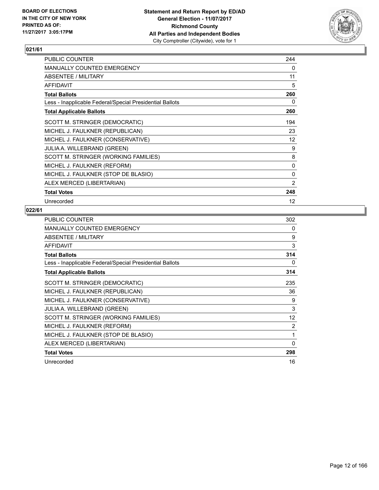

| PUBLIC COUNTER                                           | 244 |
|----------------------------------------------------------|-----|
| <b>MANUALLY COUNTED EMERGENCY</b>                        | 0   |
| <b>ABSENTEE / MILITARY</b>                               | 11  |
| <b>AFFIDAVIT</b>                                         | 5   |
| <b>Total Ballots</b>                                     | 260 |
| Less - Inapplicable Federal/Special Presidential Ballots | 0   |
| <b>Total Applicable Ballots</b>                          | 260 |
| SCOTT M. STRINGER (DEMOCRATIC)                           | 194 |
| MICHEL J. FAULKNER (REPUBLICAN)                          | 23  |
| MICHEL J. FAULKNER (CONSERVATIVE)                        | 12  |
| <b>JULIA A. WILLEBRAND (GREEN)</b>                       | 9   |
| SCOTT M. STRINGER (WORKING FAMILIES)                     | 8   |
| MICHEL J. FAULKNER (REFORM)                              | 0   |
| MICHEL J. FAULKNER (STOP DE BLASIO)                      | 0   |
| ALEX MERCED (LIBERTARIAN)                                | 2   |
| <b>Total Votes</b>                                       | 248 |
| Unrecorded                                               | 12  |

| <b>PUBLIC COUNTER</b>                                    | 302 |
|----------------------------------------------------------|-----|
| <b>MANUALLY COUNTED EMERGENCY</b>                        | 0   |
| ABSENTEE / MILITARY                                      | 9   |
| <b>AFFIDAVIT</b>                                         | 3   |
| <b>Total Ballots</b>                                     | 314 |
| Less - Inapplicable Federal/Special Presidential Ballots | 0   |
| <b>Total Applicable Ballots</b>                          | 314 |
| SCOTT M. STRINGER (DEMOCRATIC)                           | 235 |
| MICHEL J. FAULKNER (REPUBLICAN)                          | 36  |
| MICHEL J. FAULKNER (CONSERVATIVE)                        | 9   |
| <b>JULIA A. WILLEBRAND (GREEN)</b>                       | 3   |
| SCOTT M. STRINGER (WORKING FAMILIES)                     | 12  |
| MICHEL J. FAULKNER (REFORM)                              | 2   |
| MICHEL J. FAULKNER (STOP DE BLASIO)                      | 1   |
| ALEX MERCED (LIBERTARIAN)                                | 0   |
| <b>Total Votes</b>                                       | 298 |
| Unrecorded                                               | 16  |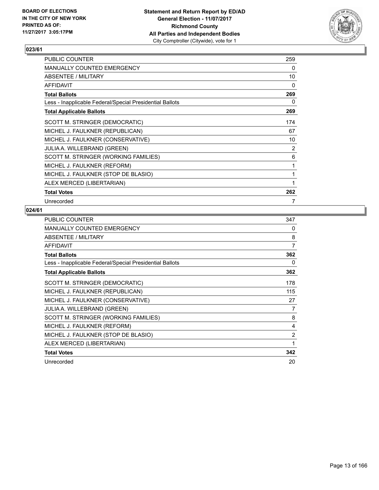

| <b>PUBLIC COUNTER</b>                                    | 259 |
|----------------------------------------------------------|-----|
| <b>MANUALLY COUNTED EMERGENCY</b>                        | 0   |
| ABSENTEE / MILITARY                                      | 10  |
| <b>AFFIDAVIT</b>                                         | 0   |
| <b>Total Ballots</b>                                     | 269 |
| Less - Inapplicable Federal/Special Presidential Ballots | 0   |
| <b>Total Applicable Ballots</b>                          | 269 |
| SCOTT M. STRINGER (DEMOCRATIC)                           | 174 |
| MICHEL J. FAULKNER (REPUBLICAN)                          | 67  |
| MICHEL J. FAULKNER (CONSERVATIVE)                        | 10  |
| <b>JULIA A. WILLEBRAND (GREEN)</b>                       | 2   |
| SCOTT M. STRINGER (WORKING FAMILIES)                     | 6   |
| MICHEL J. FAULKNER (REFORM)                              | 1   |
| MICHEL J. FAULKNER (STOP DE BLASIO)                      | 1   |
| ALEX MERCED (LIBERTARIAN)                                | 1   |
| <b>Total Votes</b>                                       | 262 |
| Unrecorded                                               | 7   |

| <b>PUBLIC COUNTER</b>                                    | 347 |
|----------------------------------------------------------|-----|
| <b>MANUALLY COUNTED EMERGENCY</b>                        | 0   |
| ABSENTEE / MILITARY                                      | 8   |
| AFFIDAVIT                                                | 7   |
| <b>Total Ballots</b>                                     | 362 |
| Less - Inapplicable Federal/Special Presidential Ballots | 0   |
| <b>Total Applicable Ballots</b>                          | 362 |
| SCOTT M. STRINGER (DEMOCRATIC)                           | 178 |
| MICHEL J. FAULKNER (REPUBLICAN)                          | 115 |
| MICHEL J. FAULKNER (CONSERVATIVE)                        | 27  |
| <b>JULIA A. WILLEBRAND (GREEN)</b>                       | 7   |
| SCOTT M. STRINGER (WORKING FAMILIES)                     | 8   |
| MICHEL J. FAULKNER (REFORM)                              | 4   |
| MICHEL J. FAULKNER (STOP DE BLASIO)                      | 2   |
| ALEX MERCED (LIBERTARIAN)                                | 1   |
| <b>Total Votes</b>                                       | 342 |
| Unrecorded                                               | 20  |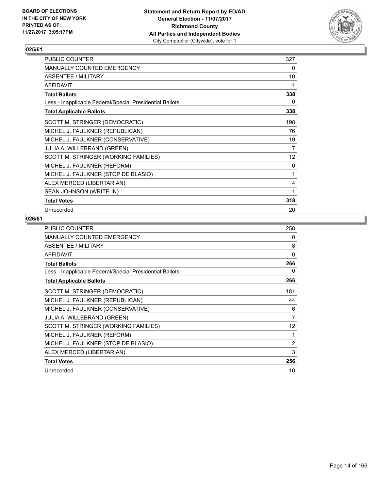

| PUBLIC COUNTER                                           | 327 |
|----------------------------------------------------------|-----|
| MANUALLY COUNTED EMERGENCY                               | 0   |
| ABSENTEE / MILITARY                                      | 10  |
| <b>AFFIDAVIT</b>                                         | 1   |
| <b>Total Ballots</b>                                     | 338 |
| Less - Inapplicable Federal/Special Presidential Ballots | 0   |
| <b>Total Applicable Ballots</b>                          | 338 |
| SCOTT M. STRINGER (DEMOCRATIC)                           | 198 |
| MICHEL J. FAULKNER (REPUBLICAN)                          | 76  |
| MICHEL J. FAULKNER (CONSERVATIVE)                        | 19  |
| JULIA A. WILLEBRAND (GREEN)                              | 7   |
| SCOTT M. STRINGER (WORKING FAMILIES)                     | 12  |
| MICHEL J. FAULKNER (REFORM)                              | 0   |
| MICHEL J. FAULKNER (STOP DE BLASIO)                      | 1   |
| ALEX MERCED (LIBERTARIAN)                                | 4   |
| SEAN JOHNSON (WRITE-IN)                                  | 1   |
| <b>Total Votes</b>                                       | 318 |
| Unrecorded                                               | 20  |

| <b>PUBLIC COUNTER</b>                                    | 258      |
|----------------------------------------------------------|----------|
| <b>MANUALLY COUNTED EMERGENCY</b>                        | 0        |
| ABSENTEE / MILITARY                                      | 8        |
| <b>AFFIDAVIT</b>                                         | $\Omega$ |
| <b>Total Ballots</b>                                     | 266      |
| Less - Inapplicable Federal/Special Presidential Ballots | 0        |
| <b>Total Applicable Ballots</b>                          | 266      |
| SCOTT M. STRINGER (DEMOCRATIC)                           | 181      |
| MICHEL J. FAULKNER (REPUBLICAN)                          | 44       |
| MICHEL J. FAULKNER (CONSERVATIVE)                        | 6        |
| <b>JULIA A. WILLEBRAND (GREEN)</b>                       | 7        |
| SCOTT M. STRINGER (WORKING FAMILIES)                     | 12       |
| MICHEL J. FAULKNER (REFORM)                              | 1        |
| MICHEL J. FAULKNER (STOP DE BLASIO)                      | 2        |
| ALEX MERCED (LIBERTARIAN)                                | 3        |
| <b>Total Votes</b>                                       | 256      |
| Unrecorded                                               | 10       |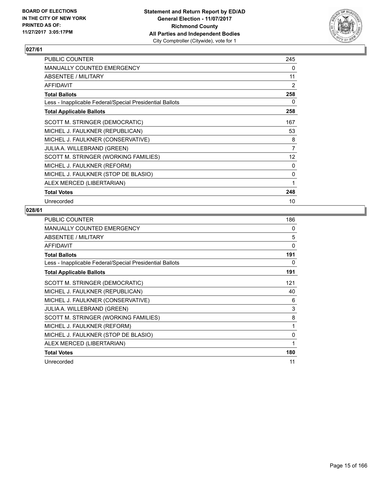

| <b>PUBLIC COUNTER</b>                                    | 245            |
|----------------------------------------------------------|----------------|
| <b>MANUALLY COUNTED EMERGENCY</b>                        | 0              |
| ABSENTEE / MILITARY                                      | 11             |
| <b>AFFIDAVIT</b>                                         | 2              |
| <b>Total Ballots</b>                                     | 258            |
| Less - Inapplicable Federal/Special Presidential Ballots | 0              |
| <b>Total Applicable Ballots</b>                          | 258            |
| SCOTT M. STRINGER (DEMOCRATIC)                           | 167            |
| MICHEL J. FAULKNER (REPUBLICAN)                          | 53             |
| MICHEL J. FAULKNER (CONSERVATIVE)                        | 8              |
| <b>JULIA A. WILLEBRAND (GREEN)</b>                       | $\overline{7}$ |
| SCOTT M. STRINGER (WORKING FAMILIES)                     | 12             |
| MICHEL J. FAULKNER (REFORM)                              | 0              |
| MICHEL J. FAULKNER (STOP DE BLASIO)                      | 0              |
| ALEX MERCED (LIBERTARIAN)                                | 1              |
| <b>Total Votes</b>                                       | 248            |
| Unrecorded                                               | 10             |

| <b>PUBLIC COUNTER</b>                                    | 186 |
|----------------------------------------------------------|-----|
| <b>MANUALLY COUNTED EMERGENCY</b>                        | 0   |
| ABSENTEE / MILITARY                                      | 5   |
| <b>AFFIDAVIT</b>                                         | 0   |
| <b>Total Ballots</b>                                     | 191 |
| Less - Inapplicable Federal/Special Presidential Ballots | 0   |
| <b>Total Applicable Ballots</b>                          | 191 |
| SCOTT M. STRINGER (DEMOCRATIC)                           | 121 |
| MICHEL J. FAULKNER (REPUBLICAN)                          | 40  |
| MICHEL J. FAULKNER (CONSERVATIVE)                        | 6   |
| <b>JULIA A. WILLEBRAND (GREEN)</b>                       | 3   |
| SCOTT M. STRINGER (WORKING FAMILIES)                     | 8   |
| MICHEL J. FAULKNER (REFORM)                              | 1   |
| MICHEL J. FAULKNER (STOP DE BLASIO)                      | 0   |
| ALEX MERCED (LIBERTARIAN)                                | 1   |
| <b>Total Votes</b>                                       | 180 |
| Unrecorded                                               | 11  |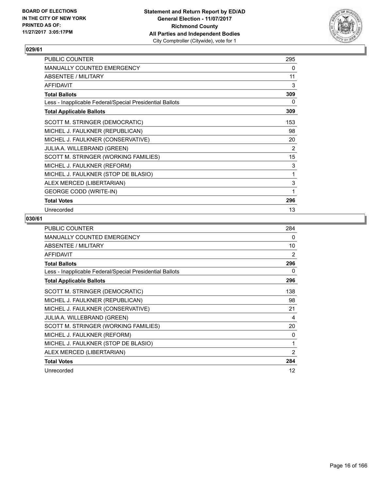

| PUBLIC COUNTER                                           | 295 |
|----------------------------------------------------------|-----|
| <b>MANUALLY COUNTED EMERGENCY</b>                        | 0   |
| ABSENTEE / MILITARY                                      | 11  |
| <b>AFFIDAVIT</b>                                         | 3   |
| <b>Total Ballots</b>                                     | 309 |
| Less - Inapplicable Federal/Special Presidential Ballots | 0   |
| <b>Total Applicable Ballots</b>                          | 309 |
| SCOTT M. STRINGER (DEMOCRATIC)                           | 153 |
| MICHEL J. FAULKNER (REPUBLICAN)                          | 98  |
| MICHEL J. FAULKNER (CONSERVATIVE)                        | 20  |
| <b>JULIA A. WILLEBRAND (GREEN)</b>                       | 2   |
| SCOTT M. STRINGER (WORKING FAMILIES)                     | 15  |
| MICHEL J. FAULKNER (REFORM)                              | 3   |
| MICHEL J. FAULKNER (STOP DE BLASIO)                      | 1   |
| ALEX MERCED (LIBERTARIAN)                                | 3   |
| <b>GEORGE CODD (WRITE-IN)</b>                            | 1   |
| <b>Total Votes</b>                                       | 296 |
| Unrecorded                                               | 13  |

| <b>PUBLIC COUNTER</b>                                    | 284            |
|----------------------------------------------------------|----------------|
| <b>MANUALLY COUNTED EMERGENCY</b>                        | 0              |
| <b>ABSENTEE / MILITARY</b>                               | 10             |
| <b>AFFIDAVIT</b>                                         | 2              |
| <b>Total Ballots</b>                                     | 296            |
| Less - Inapplicable Federal/Special Presidential Ballots | 0              |
| <b>Total Applicable Ballots</b>                          | 296            |
| SCOTT M. STRINGER (DEMOCRATIC)                           | 138            |
| MICHEL J. FAULKNER (REPUBLICAN)                          | 98             |
| MICHEL J. FAULKNER (CONSERVATIVE)                        | 21             |
| <b>JULIA A. WILLEBRAND (GREEN)</b>                       | 4              |
| SCOTT M. STRINGER (WORKING FAMILIES)                     | 20             |
| MICHEL J. FAULKNER (REFORM)                              | 0              |
| MICHEL J. FAULKNER (STOP DE BLASIO)                      | 1              |
| ALEX MERCED (LIBERTARIAN)                                | $\overline{2}$ |
| <b>Total Votes</b>                                       | 284            |
| Unrecorded                                               | 12             |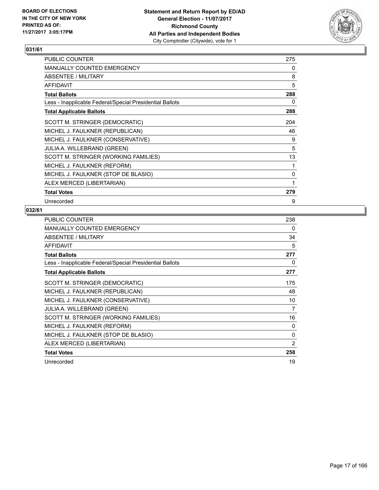

| <b>PUBLIC COUNTER</b>                                    | 275 |
|----------------------------------------------------------|-----|
| <b>MANUALLY COUNTED EMERGENCY</b>                        | 0   |
| <b>ABSENTEE / MILITARY</b>                               | 8   |
| <b>AFFIDAVIT</b>                                         | 5   |
| <b>Total Ballots</b>                                     | 288 |
| Less - Inapplicable Federal/Special Presidential Ballots | 0   |
| <b>Total Applicable Ballots</b>                          | 288 |
| SCOTT M. STRINGER (DEMOCRATIC)                           | 204 |
| MICHEL J. FAULKNER (REPUBLICAN)                          | 46  |
| MICHEL J. FAULKNER (CONSERVATIVE)                        | 9   |
| <b>JULIA A. WILLEBRAND (GREEN)</b>                       | 5   |
| SCOTT M. STRINGER (WORKING FAMILIES)                     | 13  |
| MICHEL J. FAULKNER (REFORM)                              | 1   |
| MICHEL J. FAULKNER (STOP DE BLASIO)                      | 0   |
| ALEX MERCED (LIBERTARIAN)                                | 1   |
| <b>Total Votes</b>                                       | 279 |
| Unrecorded                                               | 9   |

| <b>PUBLIC COUNTER</b>                                    | 238 |
|----------------------------------------------------------|-----|
| <b>MANUALLY COUNTED EMERGENCY</b>                        | 0   |
| ABSENTEE / MILITARY                                      | 34  |
| <b>AFFIDAVIT</b>                                         | 5   |
| <b>Total Ballots</b>                                     | 277 |
| Less - Inapplicable Federal/Special Presidential Ballots | 0   |
| <b>Total Applicable Ballots</b>                          | 277 |
| SCOTT M. STRINGER (DEMOCRATIC)                           | 175 |
| MICHEL J. FAULKNER (REPUBLICAN)                          | 48  |
| MICHEL J. FAULKNER (CONSERVATIVE)                        | 10  |
| <b>JULIA A. WILLEBRAND (GREEN)</b>                       | 7   |
| SCOTT M. STRINGER (WORKING FAMILIES)                     | 16  |
| MICHEL J. FAULKNER (REFORM)                              | 0   |
| MICHEL J. FAULKNER (STOP DE BLASIO)                      | 0   |
| ALEX MERCED (LIBERTARIAN)                                | 2   |
| <b>Total Votes</b>                                       | 258 |
| Unrecorded                                               | 19  |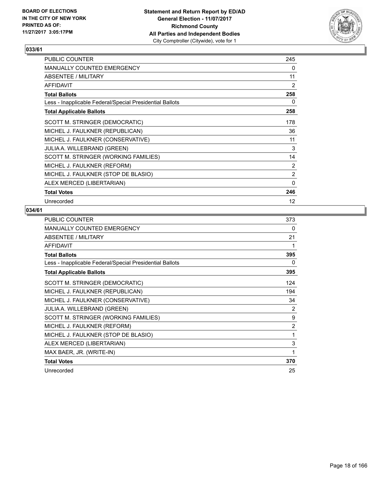

| <b>PUBLIC COUNTER</b>                                    | 245               |
|----------------------------------------------------------|-------------------|
| <b>MANUALLY COUNTED EMERGENCY</b>                        | 0                 |
| <b>ABSENTEE / MILITARY</b>                               | 11                |
| <b>AFFIDAVIT</b>                                         | 2                 |
| <b>Total Ballots</b>                                     | 258               |
| Less - Inapplicable Federal/Special Presidential Ballots | 0                 |
| <b>Total Applicable Ballots</b>                          | 258               |
| SCOTT M. STRINGER (DEMOCRATIC)                           | 178               |
| MICHEL J. FAULKNER (REPUBLICAN)                          | 36                |
| MICHEL J. FAULKNER (CONSERVATIVE)                        | 11                |
| <b>JULIA A. WILLEBRAND (GREEN)</b>                       | 3                 |
| SCOTT M. STRINGER (WORKING FAMILIES)                     | 14                |
| MICHEL J. FAULKNER (REFORM)                              | 2                 |
| MICHEL J. FAULKNER (STOP DE BLASIO)                      | 2                 |
| ALEX MERCED (LIBERTARIAN)                                | 0                 |
| <b>Total Votes</b>                                       | 246               |
| Unrecorded                                               | $12 \overline{ }$ |

| PUBLIC COUNTER                                           | 373 |
|----------------------------------------------------------|-----|
| MANUALLY COUNTED EMERGENCY                               | 0   |
| <b>ABSENTEE / MILITARY</b>                               | 21  |
| <b>AFFIDAVIT</b>                                         | 1   |
| <b>Total Ballots</b>                                     | 395 |
| Less - Inapplicable Federal/Special Presidential Ballots | 0   |
| <b>Total Applicable Ballots</b>                          | 395 |
| SCOTT M. STRINGER (DEMOCRATIC)                           | 124 |
| MICHEL J. FAULKNER (REPUBLICAN)                          | 194 |
| MICHEL J. FAULKNER (CONSERVATIVE)                        | 34  |
| <b>JULIA A. WILLEBRAND (GREEN)</b>                       | 2   |
| SCOTT M. STRINGER (WORKING FAMILIES)                     | 9   |
| MICHEL J. FAULKNER (REFORM)                              | 2   |
| MICHEL J. FAULKNER (STOP DE BLASIO)                      | 1   |
| ALEX MERCED (LIBERTARIAN)                                | 3   |
| MAX BAER, JR. (WRITE-IN)                                 | 1   |
| <b>Total Votes</b>                                       | 370 |
| Unrecorded                                               | 25  |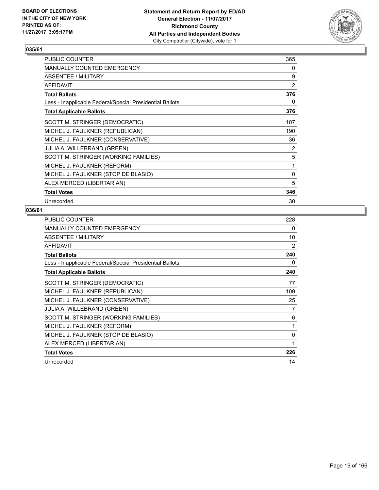

| <b>PUBLIC COUNTER</b>                                    | 365 |
|----------------------------------------------------------|-----|
| <b>MANUALLY COUNTED EMERGENCY</b>                        | 0   |
| ABSENTEE / MILITARY                                      | 9   |
| <b>AFFIDAVIT</b>                                         | 2   |
| <b>Total Ballots</b>                                     | 376 |
| Less - Inapplicable Federal/Special Presidential Ballots | 0   |
| <b>Total Applicable Ballots</b>                          | 376 |
| SCOTT M. STRINGER (DEMOCRATIC)                           | 107 |
| MICHEL J. FAULKNER (REPUBLICAN)                          | 190 |
| MICHEL J. FAULKNER (CONSERVATIVE)                        | 36  |
| <b>JULIA A. WILLEBRAND (GREEN)</b>                       | 2   |
| SCOTT M. STRINGER (WORKING FAMILIES)                     | 5   |
| MICHEL J. FAULKNER (REFORM)                              | 1   |
| MICHEL J. FAULKNER (STOP DE BLASIO)                      | 0   |
| ALEX MERCED (LIBERTARIAN)                                | 5   |
| <b>Total Votes</b>                                       | 346 |
| Unrecorded                                               | 30  |

| <b>PUBLIC COUNTER</b>                                    | 228 |
|----------------------------------------------------------|-----|
| <b>MANUALLY COUNTED EMERGENCY</b>                        | 0   |
| ABSENTEE / MILITARY                                      | 10  |
| <b>AFFIDAVIT</b>                                         | 2   |
| <b>Total Ballots</b>                                     | 240 |
| Less - Inapplicable Federal/Special Presidential Ballots | 0   |
| <b>Total Applicable Ballots</b>                          | 240 |
| SCOTT M. STRINGER (DEMOCRATIC)                           | 77  |
| MICHEL J. FAULKNER (REPUBLICAN)                          | 109 |
| MICHEL J. FAULKNER (CONSERVATIVE)                        | 25  |
| <b>JULIA A. WILLEBRAND (GREEN)</b>                       | 7   |
| SCOTT M. STRINGER (WORKING FAMILIES)                     | 6   |
| MICHEL J. FAULKNER (REFORM)                              | 1   |
| MICHEL J. FAULKNER (STOP DE BLASIO)                      | 0   |
| ALEX MERCED (LIBERTARIAN)                                | 1   |
| <b>Total Votes</b>                                       | 226 |
| Unrecorded                                               | 14  |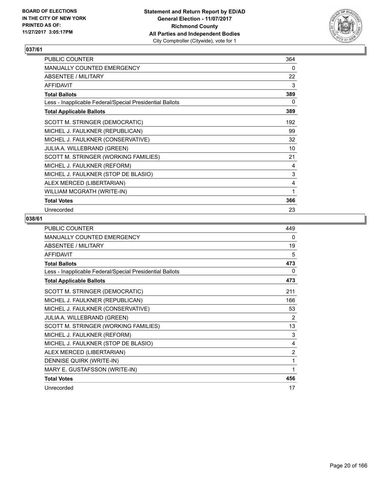

| PUBLIC COUNTER                                           | 364 |
|----------------------------------------------------------|-----|
| <b>MANUALLY COUNTED EMERGENCY</b>                        | 0   |
| ABSENTEE / MILITARY                                      | 22  |
| <b>AFFIDAVIT</b>                                         | 3   |
| <b>Total Ballots</b>                                     | 389 |
| Less - Inapplicable Federal/Special Presidential Ballots | 0   |
| <b>Total Applicable Ballots</b>                          | 389 |
| SCOTT M. STRINGER (DEMOCRATIC)                           | 192 |
| MICHEL J. FAULKNER (REPUBLICAN)                          | 99  |
| MICHEL J. FAULKNER (CONSERVATIVE)                        | 32  |
| <b>JULIA A. WILLEBRAND (GREEN)</b>                       | 10  |
| SCOTT M. STRINGER (WORKING FAMILIES)                     | 21  |
| MICHEL J. FAULKNER (REFORM)                              | 4   |
| MICHEL J. FAULKNER (STOP DE BLASIO)                      | 3   |
| ALEX MERCED (LIBERTARIAN)                                | 4   |
| WILLIAM MCGRATH (WRITE-IN)                               | 1   |
| <b>Total Votes</b>                                       | 366 |
| Unrecorded                                               | 23  |

| <b>PUBLIC COUNTER</b>                                    | 449            |
|----------------------------------------------------------|----------------|
| MANUALLY COUNTED EMERGENCY                               | 0              |
| <b>ABSENTEE / MILITARY</b>                               | 19             |
| <b>AFFIDAVIT</b>                                         | 5              |
| <b>Total Ballots</b>                                     | 473            |
| Less - Inapplicable Federal/Special Presidential Ballots | 0              |
| <b>Total Applicable Ballots</b>                          | 473            |
| SCOTT M. STRINGER (DEMOCRATIC)                           | 211            |
| MICHEL J. FAULKNER (REPUBLICAN)                          | 166            |
| MICHEL J. FAULKNER (CONSERVATIVE)                        | 53             |
| JULIA A. WILLEBRAND (GREEN)                              | 2              |
| SCOTT M. STRINGER (WORKING FAMILIES)                     | 13             |
| MICHEL J. FAULKNER (REFORM)                              | 3              |
| MICHEL J. FAULKNER (STOP DE BLASIO)                      | 4              |
| ALEX MERCED (LIBERTARIAN)                                | $\overline{2}$ |
| DENNISE QUIRK (WRITE-IN)                                 | 1              |
| MARY E. GUSTAFSSON (WRITE-IN)                            | 1              |
| <b>Total Votes</b>                                       | 456            |
| Unrecorded                                               | 17             |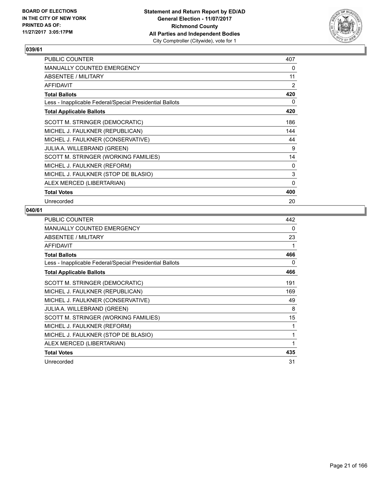

| PUBLIC COUNTER                                           | 407 |
|----------------------------------------------------------|-----|
| <b>MANUALLY COUNTED EMERGENCY</b>                        | 0   |
| <b>ABSENTEE / MILITARY</b>                               | 11  |
| <b>AFFIDAVIT</b>                                         | 2   |
| <b>Total Ballots</b>                                     | 420 |
| Less - Inapplicable Federal/Special Presidential Ballots | 0   |
| <b>Total Applicable Ballots</b>                          | 420 |
| SCOTT M. STRINGER (DEMOCRATIC)                           | 186 |
| MICHEL J. FAULKNER (REPUBLICAN)                          | 144 |
| MICHEL J. FAULKNER (CONSERVATIVE)                        | 44  |
| <b>JULIA A. WILLEBRAND (GREEN)</b>                       | 9   |
| SCOTT M. STRINGER (WORKING FAMILIES)                     | 14  |
| MICHEL J. FAULKNER (REFORM)                              | 0   |
| MICHEL J. FAULKNER (STOP DE BLASIO)                      | 3   |
| ALEX MERCED (LIBERTARIAN)                                | 0   |
| <b>Total Votes</b>                                       | 400 |
| Unrecorded                                               | 20  |

| <b>PUBLIC COUNTER</b>                                    | 442 |
|----------------------------------------------------------|-----|
| <b>MANUALLY COUNTED EMERGENCY</b>                        | 0   |
| ABSENTEE / MILITARY                                      | 23  |
| <b>AFFIDAVIT</b>                                         | 1   |
| <b>Total Ballots</b>                                     | 466 |
| Less - Inapplicable Federal/Special Presidential Ballots | 0   |
| <b>Total Applicable Ballots</b>                          | 466 |
| SCOTT M. STRINGER (DEMOCRATIC)                           | 191 |
| MICHEL J. FAULKNER (REPUBLICAN)                          | 169 |
| MICHEL J. FAULKNER (CONSERVATIVE)                        | 49  |
| JULIA A. WILLEBRAND (GREEN)                              | 8   |
| SCOTT M. STRINGER (WORKING FAMILIES)                     | 15  |
| MICHEL J. FAULKNER (REFORM)                              | 1   |
| MICHEL J. FAULKNER (STOP DE BLASIO)                      | 1   |
| ALEX MERCED (LIBERTARIAN)                                | 1   |
| <b>Total Votes</b>                                       | 435 |
| Unrecorded                                               | 31  |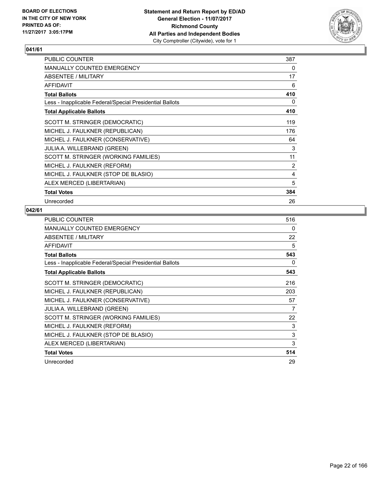

| PUBLIC COUNTER                                           | 387 |
|----------------------------------------------------------|-----|
| <b>MANUALLY COUNTED EMERGENCY</b>                        | 0   |
| <b>ABSENTEE / MILITARY</b>                               | 17  |
| <b>AFFIDAVIT</b>                                         | 6   |
| <b>Total Ballots</b>                                     | 410 |
| Less - Inapplicable Federal/Special Presidential Ballots | 0   |
| <b>Total Applicable Ballots</b>                          | 410 |
| SCOTT M. STRINGER (DEMOCRATIC)                           | 119 |
| MICHEL J. FAULKNER (REPUBLICAN)                          | 176 |
| MICHEL J. FAULKNER (CONSERVATIVE)                        | 64  |
| <b>JULIA A. WILLEBRAND (GREEN)</b>                       | 3   |
| SCOTT M. STRINGER (WORKING FAMILIES)                     | 11  |
| MICHEL J. FAULKNER (REFORM)                              | 2   |
| MICHEL J. FAULKNER (STOP DE BLASIO)                      | 4   |
| ALEX MERCED (LIBERTARIAN)                                | 5   |
| <b>Total Votes</b>                                       | 384 |
| Unrecorded                                               | 26  |

| <b>PUBLIC COUNTER</b>                                    | 516 |
|----------------------------------------------------------|-----|
| <b>MANUALLY COUNTED EMERGENCY</b>                        | 0   |
| ABSENTEE / MILITARY                                      | 22  |
| <b>AFFIDAVIT</b>                                         | 5   |
| <b>Total Ballots</b>                                     | 543 |
| Less - Inapplicable Federal/Special Presidential Ballots | 0   |
| <b>Total Applicable Ballots</b>                          | 543 |
| SCOTT M. STRINGER (DEMOCRATIC)                           | 216 |
| MICHEL J. FAULKNER (REPUBLICAN)                          | 203 |
| MICHEL J. FAULKNER (CONSERVATIVE)                        | 57  |
| <b>JULIA A. WILLEBRAND (GREEN)</b>                       | 7   |
| SCOTT M. STRINGER (WORKING FAMILIES)                     | 22  |
| MICHEL J. FAULKNER (REFORM)                              | 3   |
| MICHEL J. FAULKNER (STOP DE BLASIO)                      | 3   |
| ALEX MERCED (LIBERTARIAN)                                | 3   |
| <b>Total Votes</b>                                       | 514 |
| Unrecorded                                               | 29  |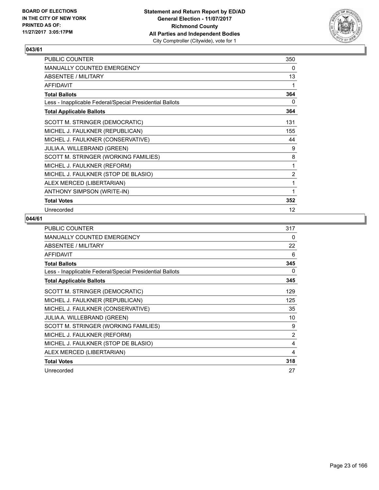

| PUBLIC COUNTER                                           | 350            |
|----------------------------------------------------------|----------------|
| <b>MANUALLY COUNTED EMERGENCY</b>                        | 0              |
| ABSENTEE / MILITARY                                      | 13             |
| <b>AFFIDAVIT</b>                                         | 1              |
| <b>Total Ballots</b>                                     | 364            |
| Less - Inapplicable Federal/Special Presidential Ballots | 0              |
| <b>Total Applicable Ballots</b>                          | 364            |
| SCOTT M. STRINGER (DEMOCRATIC)                           | 131            |
| MICHEL J. FAULKNER (REPUBLICAN)                          | 155            |
| MICHEL J. FAULKNER (CONSERVATIVE)                        | 44             |
| <b>JULIA A. WILLEBRAND (GREEN)</b>                       | 9              |
| SCOTT M. STRINGER (WORKING FAMILIES)                     | 8              |
| MICHEL J. FAULKNER (REFORM)                              | 1              |
| MICHEL J. FAULKNER (STOP DE BLASIO)                      | $\overline{2}$ |
| ALEX MERCED (LIBERTARIAN)                                | 1              |
| <b>ANTHONY SIMPSON (WRITE-IN)</b>                        | 1              |
| <b>Total Votes</b>                                       | 352            |
| Unrecorded                                               | 12             |

| <b>PUBLIC COUNTER</b>                                    | 317            |
|----------------------------------------------------------|----------------|
| <b>MANUALLY COUNTED EMERGENCY</b>                        | 0              |
| ABSENTEE / MILITARY                                      | 22             |
| <b>AFFIDAVIT</b>                                         | 6              |
| <b>Total Ballots</b>                                     | 345            |
| Less - Inapplicable Federal/Special Presidential Ballots | 0              |
| <b>Total Applicable Ballots</b>                          | 345            |
| SCOTT M. STRINGER (DEMOCRATIC)                           | 129            |
| MICHEL J. FAULKNER (REPUBLICAN)                          | 125            |
| MICHEL J. FAULKNER (CONSERVATIVE)                        | 35             |
| <b>JULIA A. WILLEBRAND (GREEN)</b>                       | 10             |
| SCOTT M. STRINGER (WORKING FAMILIES)                     | 9              |
| MICHEL J. FAULKNER (REFORM)                              | $\overline{2}$ |
| MICHEL J. FAULKNER (STOP DE BLASIO)                      | 4              |
| ALEX MERCED (LIBERTARIAN)                                | 4              |
| <b>Total Votes</b>                                       | 318            |
| Unrecorded                                               | 27             |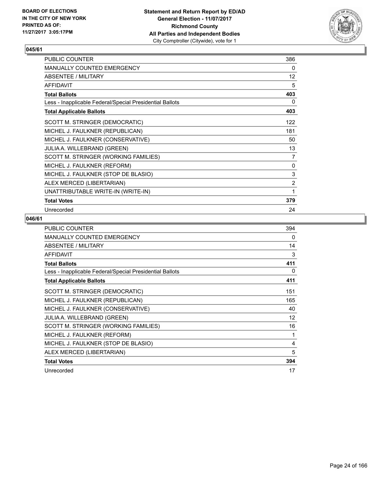

| PUBLIC COUNTER                                           | 386            |
|----------------------------------------------------------|----------------|
| <b>MANUALLY COUNTED EMERGENCY</b>                        | 0              |
| ABSENTEE / MILITARY                                      | 12             |
| <b>AFFIDAVIT</b>                                         | 5              |
| <b>Total Ballots</b>                                     | 403            |
| Less - Inapplicable Federal/Special Presidential Ballots | 0              |
| <b>Total Applicable Ballots</b>                          | 403            |
| SCOTT M. STRINGER (DEMOCRATIC)                           | 122            |
| MICHEL J. FAULKNER (REPUBLICAN)                          | 181            |
| MICHEL J. FAULKNER (CONSERVATIVE)                        | 50             |
| JULIA A. WILLEBRAND (GREEN)                              | 13             |
| SCOTT M. STRINGER (WORKING FAMILIES)                     | 7              |
| MICHEL J. FAULKNER (REFORM)                              | 0              |
| MICHEL J. FAULKNER (STOP DE BLASIO)                      | 3              |
| ALEX MERCED (LIBERTARIAN)                                | $\overline{2}$ |
| UNATTRIBUTABLE WRITE-IN (WRITE-IN)                       | 1              |
| <b>Total Votes</b>                                       | 379            |
| Unrecorded                                               | 24             |

| <b>PUBLIC COUNTER</b>                                    | 394      |
|----------------------------------------------------------|----------|
| <b>MANUALLY COUNTED EMERGENCY</b>                        | $\Omega$ |
| ABSENTEE / MILITARY                                      | 14       |
| <b>AFFIDAVIT</b>                                         | 3        |
| <b>Total Ballots</b>                                     | 411      |
| Less - Inapplicable Federal/Special Presidential Ballots | 0        |
| <b>Total Applicable Ballots</b>                          | 411      |
| SCOTT M. STRINGER (DEMOCRATIC)                           | 151      |
| MICHEL J. FAULKNER (REPUBLICAN)                          | 165      |
| MICHEL J. FAULKNER (CONSERVATIVE)                        | 40       |
| <b>JULIA A. WILLEBRAND (GREEN)</b>                       | 12       |
| SCOTT M. STRINGER (WORKING FAMILIES)                     | 16       |
| MICHEL J. FAULKNER (REFORM)                              | 1        |
| MICHEL J. FAULKNER (STOP DE BLASIO)                      | 4        |
| ALEX MERCED (LIBERTARIAN)                                | 5        |
| <b>Total Votes</b>                                       | 394      |
| Unrecorded                                               | 17       |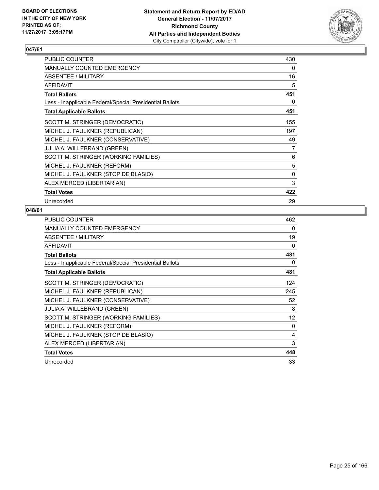

| PUBLIC COUNTER                                           | 430 |
|----------------------------------------------------------|-----|
| <b>MANUALLY COUNTED EMERGENCY</b>                        | 0   |
| <b>ABSENTEE / MILITARY</b>                               | 16  |
| <b>AFFIDAVIT</b>                                         | 5   |
| <b>Total Ballots</b>                                     | 451 |
| Less - Inapplicable Federal/Special Presidential Ballots | 0   |
| <b>Total Applicable Ballots</b>                          | 451 |
| SCOTT M. STRINGER (DEMOCRATIC)                           | 155 |
| MICHEL J. FAULKNER (REPUBLICAN)                          | 197 |
| MICHEL J. FAULKNER (CONSERVATIVE)                        | 49  |
| <b>JULIA A. WILLEBRAND (GREEN)</b>                       | 7   |
| SCOTT M. STRINGER (WORKING FAMILIES)                     | 6   |
| MICHEL J. FAULKNER (REFORM)                              | 5   |
| MICHEL J. FAULKNER (STOP DE BLASIO)                      | 0   |
| ALEX MERCED (LIBERTARIAN)                                | 3   |
| <b>Total Votes</b>                                       | 422 |
| Unrecorded                                               | 29  |

| <b>PUBLIC COUNTER</b>                                    | 462 |
|----------------------------------------------------------|-----|
| <b>MANUALLY COUNTED EMERGENCY</b>                        | 0   |
| ABSENTEE / MILITARY                                      | 19  |
| <b>AFFIDAVIT</b>                                         | 0   |
| <b>Total Ballots</b>                                     | 481 |
| Less - Inapplicable Federal/Special Presidential Ballots | 0   |
| <b>Total Applicable Ballots</b>                          | 481 |
| SCOTT M. STRINGER (DEMOCRATIC)                           | 124 |
| MICHEL J. FAULKNER (REPUBLICAN)                          | 245 |
| MICHEL J. FAULKNER (CONSERVATIVE)                        | 52  |
| <b>JULIA A. WILLEBRAND (GREEN)</b>                       | 8   |
| SCOTT M. STRINGER (WORKING FAMILIES)                     | 12  |
| MICHEL J. FAULKNER (REFORM)                              | 0   |
| MICHEL J. FAULKNER (STOP DE BLASIO)                      | 4   |
| ALEX MERCED (LIBERTARIAN)                                | 3   |
| <b>Total Votes</b>                                       | 448 |
| Unrecorded                                               | 33  |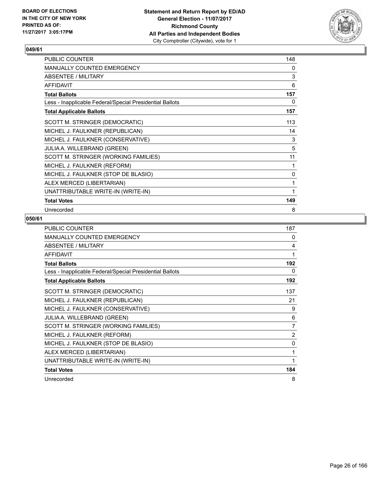

| PUBLIC COUNTER                                           | 148 |
|----------------------------------------------------------|-----|
| <b>MANUALLY COUNTED EMERGENCY</b>                        | 0   |
| ABSENTEE / MILITARY                                      | 3   |
| <b>AFFIDAVIT</b>                                         | 6   |
| <b>Total Ballots</b>                                     | 157 |
| Less - Inapplicable Federal/Special Presidential Ballots | 0   |
| <b>Total Applicable Ballots</b>                          | 157 |
| SCOTT M. STRINGER (DEMOCRATIC)                           | 113 |
| MICHEL J. FAULKNER (REPUBLICAN)                          | 14  |
| MICHEL J. FAULKNER (CONSERVATIVE)                        | 3   |
| JULIA A. WILLEBRAND (GREEN)                              | 5   |
| SCOTT M. STRINGER (WORKING FAMILIES)                     | 11  |
| MICHEL J. FAULKNER (REFORM)                              | 1   |
| MICHEL J. FAULKNER (STOP DE BLASIO)                      | 0   |
| ALEX MERCED (LIBERTARIAN)                                | 1   |
| UNATTRIBUTABLE WRITE-IN (WRITE-IN)                       | 1   |
| <b>Total Votes</b>                                       | 149 |
| Unrecorded                                               | 8   |

| <b>PUBLIC COUNTER</b>                                    | 187            |
|----------------------------------------------------------|----------------|
| MANUALLY COUNTED EMERGENCY                               | 0              |
| <b>ABSENTEE / MILITARY</b>                               | 4              |
| <b>AFFIDAVIT</b>                                         | 1              |
| <b>Total Ballots</b>                                     | 192            |
| Less - Inapplicable Federal/Special Presidential Ballots | 0              |
| <b>Total Applicable Ballots</b>                          | 192            |
| SCOTT M. STRINGER (DEMOCRATIC)                           | 137            |
| MICHEL J. FAULKNER (REPUBLICAN)                          | 21             |
| MICHEL J. FAULKNER (CONSERVATIVE)                        | 9              |
| JULIA A. WILLEBRAND (GREEN)                              | 6              |
| SCOTT M. STRINGER (WORKING FAMILIES)                     | $\overline{7}$ |
| MICHEL J. FAULKNER (REFORM)                              | $\overline{c}$ |
| MICHEL J. FAULKNER (STOP DE BLASIO)                      | 0              |
| ALEX MERCED (LIBERTARIAN)                                | 1              |
| UNATTRIBUTABLE WRITE-IN (WRITE-IN)                       | 1              |
| <b>Total Votes</b>                                       | 184            |
| Unrecorded                                               | 8              |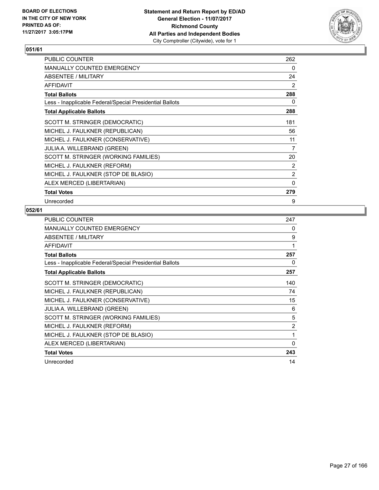

| PUBLIC COUNTER                                           | 262 |
|----------------------------------------------------------|-----|
| <b>MANUALLY COUNTED EMERGENCY</b>                        | 0   |
| ABSENTEE / MILITARY                                      | 24  |
| <b>AFFIDAVIT</b>                                         | 2   |
| <b>Total Ballots</b>                                     | 288 |
| Less - Inapplicable Federal/Special Presidential Ballots | 0   |
| <b>Total Applicable Ballots</b>                          | 288 |
| SCOTT M. STRINGER (DEMOCRATIC)                           | 181 |
| MICHEL J. FAULKNER (REPUBLICAN)                          | 56  |
| MICHEL J. FAULKNER (CONSERVATIVE)                        | 11  |
| <b>JULIA A. WILLEBRAND (GREEN)</b>                       | 7   |
| SCOTT M. STRINGER (WORKING FAMILIES)                     | 20  |
| MICHEL J. FAULKNER (REFORM)                              | 2   |
| MICHEL J. FAULKNER (STOP DE BLASIO)                      | 2   |
| ALEX MERCED (LIBERTARIAN)                                | 0   |
| <b>Total Votes</b>                                       | 279 |
| Unrecorded                                               | 9   |

| <b>PUBLIC COUNTER</b>                                    | 247 |
|----------------------------------------------------------|-----|
| <b>MANUALLY COUNTED EMERGENCY</b>                        | 0   |
| ABSENTEE / MILITARY                                      | 9   |
| <b>AFFIDAVIT</b>                                         | 1   |
| <b>Total Ballots</b>                                     | 257 |
| Less - Inapplicable Federal/Special Presidential Ballots | 0   |
| <b>Total Applicable Ballots</b>                          | 257 |
| SCOTT M. STRINGER (DEMOCRATIC)                           | 140 |
| MICHEL J. FAULKNER (REPUBLICAN)                          | 74  |
| MICHEL J. FAULKNER (CONSERVATIVE)                        | 15  |
| <b>JULIA A. WILLEBRAND (GREEN)</b>                       | 6   |
| SCOTT M. STRINGER (WORKING FAMILIES)                     | 5   |
| MICHEL J. FAULKNER (REFORM)                              | 2   |
| MICHEL J. FAULKNER (STOP DE BLASIO)                      | 1   |
| ALEX MERCED (LIBERTARIAN)                                | 0   |
| <b>Total Votes</b>                                       | 243 |
| Unrecorded                                               | 14  |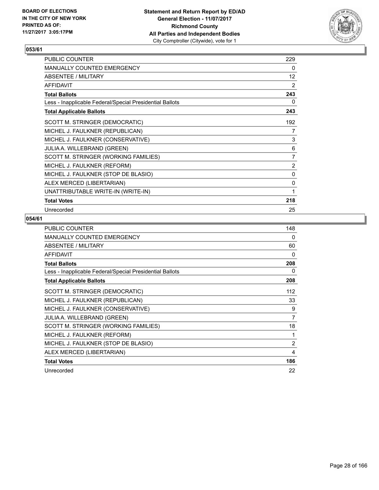

| PUBLIC COUNTER                                           | 229            |
|----------------------------------------------------------|----------------|
| MANUALLY COUNTED EMERGENCY                               | 0              |
| ABSENTEE / MILITARY                                      | 12             |
| <b>AFFIDAVIT</b>                                         | 2              |
| <b>Total Ballots</b>                                     | 243            |
| Less - Inapplicable Federal/Special Presidential Ballots | 0              |
| <b>Total Applicable Ballots</b>                          | 243            |
| SCOTT M. STRINGER (DEMOCRATIC)                           | 192            |
| MICHEL J. FAULKNER (REPUBLICAN)                          | 7              |
| MICHEL J. FAULKNER (CONSERVATIVE)                        | 3              |
| JULIA A. WILLEBRAND (GREEN)                              | 6              |
| SCOTT M. STRINGER (WORKING FAMILIES)                     | 7              |
| MICHEL J. FAULKNER (REFORM)                              | $\overline{2}$ |
| MICHEL J. FAULKNER (STOP DE BLASIO)                      | 0              |
| ALEX MERCED (LIBERTARIAN)                                | 0              |
| UNATTRIBUTABLE WRITE-IN (WRITE-IN)                       | 1              |
| <b>Total Votes</b>                                       | 218            |
| Unrecorded                                               | 25             |

| <b>PUBLIC COUNTER</b>                                    | 148 |
|----------------------------------------------------------|-----|
| MANUALLY COUNTED EMERGENCY                               | 0   |
| ABSENTEE / MILITARY                                      | 60  |
| <b>AFFIDAVIT</b>                                         | 0   |
| <b>Total Ballots</b>                                     | 208 |
| Less - Inapplicable Federal/Special Presidential Ballots | 0   |
| <b>Total Applicable Ballots</b>                          | 208 |
| SCOTT M. STRINGER (DEMOCRATIC)                           | 112 |
| MICHEL J. FAULKNER (REPUBLICAN)                          | 33  |
| MICHEL J. FAULKNER (CONSERVATIVE)                        | 9   |
| <b>JULIA A. WILLEBRAND (GREEN)</b>                       | 7   |
| SCOTT M. STRINGER (WORKING FAMILIES)                     | 18  |
| MICHEL J. FAULKNER (REFORM)                              | 1   |
| MICHEL J. FAULKNER (STOP DE BLASIO)                      | 2   |
| ALEX MERCED (LIBERTARIAN)                                | 4   |
| <b>Total Votes</b>                                       | 186 |
| Unrecorded                                               | 22  |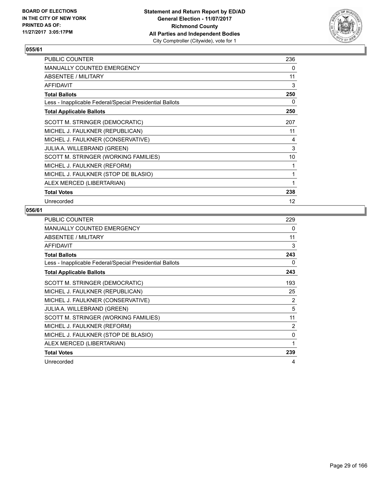

| <b>PUBLIC COUNTER</b>                                    | 236 |
|----------------------------------------------------------|-----|
| <b>MANUALLY COUNTED EMERGENCY</b>                        | 0   |
| <b>ABSENTEE / MILITARY</b>                               | 11  |
| <b>AFFIDAVIT</b>                                         | 3   |
| <b>Total Ballots</b>                                     | 250 |
| Less - Inapplicable Federal/Special Presidential Ballots | 0   |
| <b>Total Applicable Ballots</b>                          | 250 |
| SCOTT M. STRINGER (DEMOCRATIC)                           | 207 |
| MICHEL J. FAULKNER (REPUBLICAN)                          | 11  |
| MICHEL J. FAULKNER (CONSERVATIVE)                        | 4   |
| <b>JULIA A. WILLEBRAND (GREEN)</b>                       | 3   |
| SCOTT M. STRINGER (WORKING FAMILIES)                     | 10  |
| MICHEL J. FAULKNER (REFORM)                              | 1   |
| MICHEL J. FAULKNER (STOP DE BLASIO)                      | 1   |
| ALEX MERCED (LIBERTARIAN)                                | 1   |
| <b>Total Votes</b>                                       | 238 |
| Unrecorded                                               | 12  |

| <b>PUBLIC COUNTER</b>                                    | 229 |
|----------------------------------------------------------|-----|
| <b>MANUALLY COUNTED EMERGENCY</b>                        | 0   |
| ABSENTEE / MILITARY                                      | 11  |
| <b>AFFIDAVIT</b>                                         | 3   |
| <b>Total Ballots</b>                                     | 243 |
| Less - Inapplicable Federal/Special Presidential Ballots | 0   |
| <b>Total Applicable Ballots</b>                          | 243 |
| SCOTT M. STRINGER (DEMOCRATIC)                           | 193 |
| MICHEL J. FAULKNER (REPUBLICAN)                          | 25  |
| MICHEL J. FAULKNER (CONSERVATIVE)                        | 2   |
| <b>JULIA A. WILLEBRAND (GREEN)</b>                       | 5   |
| SCOTT M. STRINGER (WORKING FAMILIES)                     | 11  |
| MICHEL J. FAULKNER (REFORM)                              | 2   |
| MICHEL J. FAULKNER (STOP DE BLASIO)                      | 0   |
| ALEX MERCED (LIBERTARIAN)                                | 1   |
| <b>Total Votes</b>                                       | 239 |
| Unrecorded                                               | 4   |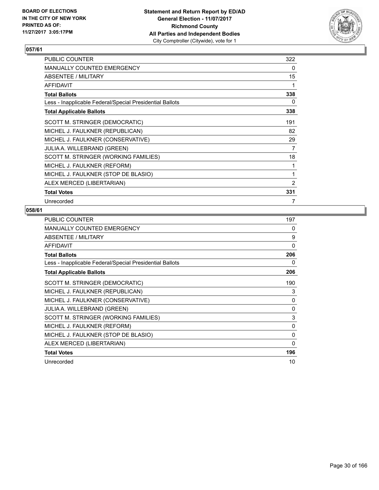

| PUBLIC COUNTER                                           | 322 |
|----------------------------------------------------------|-----|
| <b>MANUALLY COUNTED EMERGENCY</b>                        | 0   |
| ABSENTEE / MILITARY                                      | 15  |
| <b>AFFIDAVIT</b>                                         | 1   |
| <b>Total Ballots</b>                                     | 338 |
| Less - Inapplicable Federal/Special Presidential Ballots | 0   |
| <b>Total Applicable Ballots</b>                          | 338 |
| SCOTT M. STRINGER (DEMOCRATIC)                           | 191 |
| MICHEL J. FAULKNER (REPUBLICAN)                          | 82  |
| MICHEL J. FAULKNER (CONSERVATIVE)                        | 29  |
| JULIA A. WILLEBRAND (GREEN)                              | 7   |
| SCOTT M. STRINGER (WORKING FAMILIES)                     | 18  |
| MICHEL J. FAULKNER (REFORM)                              | 1   |
| MICHEL J. FAULKNER (STOP DE BLASIO)                      | 1   |
| ALEX MERCED (LIBERTARIAN)                                | 2   |
| <b>Total Votes</b>                                       | 331 |
| Unrecorded                                               | 7   |

| <b>PUBLIC COUNTER</b>                                    | 197      |
|----------------------------------------------------------|----------|
| <b>MANUALLY COUNTED EMERGENCY</b>                        | 0        |
| ABSENTEE / MILITARY                                      | 9        |
| <b>AFFIDAVIT</b>                                         | 0        |
| <b>Total Ballots</b>                                     | 206      |
| Less - Inapplicable Federal/Special Presidential Ballots | 0        |
| <b>Total Applicable Ballots</b>                          | 206      |
| SCOTT M. STRINGER (DEMOCRATIC)                           | 190      |
| MICHEL J. FAULKNER (REPUBLICAN)                          | 3        |
| MICHEL J. FAULKNER (CONSERVATIVE)                        | $\Omega$ |
| <b>JULIA A. WILLEBRAND (GREEN)</b>                       | 0        |
| SCOTT M. STRINGER (WORKING FAMILIES)                     | 3        |
| MICHEL J. FAULKNER (REFORM)                              | 0        |
| MICHEL J. FAULKNER (STOP DE BLASIO)                      | $\Omega$ |
| ALEX MERCED (LIBERTARIAN)                                | 0        |
| <b>Total Votes</b>                                       | 196      |
| Unrecorded                                               | 10       |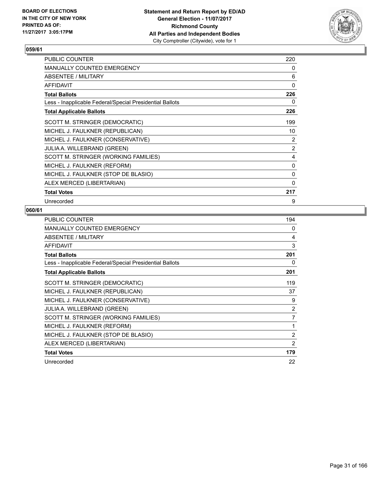

| <b>PUBLIC COUNTER</b>                                    | 220      |
|----------------------------------------------------------|----------|
| <b>MANUALLY COUNTED EMERGENCY</b>                        | 0        |
| ABSENTEE / MILITARY                                      | 6        |
| <b>AFFIDAVIT</b>                                         | 0        |
| <b>Total Ballots</b>                                     | 226      |
| Less - Inapplicable Federal/Special Presidential Ballots | 0        |
| <b>Total Applicable Ballots</b>                          | 226      |
| SCOTT M. STRINGER (DEMOCRATIC)                           | 199      |
| MICHEL J. FAULKNER (REPUBLICAN)                          | 10       |
| MICHEL J. FAULKNER (CONSERVATIVE)                        | 2        |
| <b>JULIA A. WILLEBRAND (GREEN)</b>                       | 2        |
| SCOTT M. STRINGER (WORKING FAMILIES)                     | 4        |
| MICHEL J. FAULKNER (REFORM)                              | 0        |
| MICHEL J. FAULKNER (STOP DE BLASIO)                      | 0        |
| ALEX MERCED (LIBERTARIAN)                                | $\Omega$ |
| <b>Total Votes</b>                                       | 217      |
| Unrecorded                                               | 9        |

| <b>PUBLIC COUNTER</b>                                    | 194            |
|----------------------------------------------------------|----------------|
| <b>MANUALLY COUNTED EMERGENCY</b>                        | 0              |
| ABSENTEE / MILITARY                                      | 4              |
| <b>AFFIDAVIT</b>                                         | 3              |
| <b>Total Ballots</b>                                     | 201            |
| Less - Inapplicable Federal/Special Presidential Ballots | 0              |
| <b>Total Applicable Ballots</b>                          | 201            |
| SCOTT M. STRINGER (DEMOCRATIC)                           | 119            |
| MICHEL J. FAULKNER (REPUBLICAN)                          | 37             |
| MICHEL J. FAULKNER (CONSERVATIVE)                        | 9              |
| <b>JULIA A. WILLEBRAND (GREEN)</b>                       | 2              |
| SCOTT M. STRINGER (WORKING FAMILIES)                     | 7              |
| MICHEL J. FAULKNER (REFORM)                              | 1              |
| MICHEL J. FAULKNER (STOP DE BLASIO)                      | $\overline{2}$ |
| ALEX MERCED (LIBERTARIAN)                                | 2              |
| <b>Total Votes</b>                                       | 179            |
| Unrecorded                                               | 22             |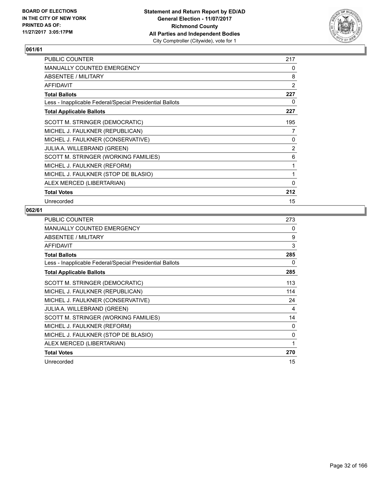

| <b>PUBLIC COUNTER</b>                                    | 217            |
|----------------------------------------------------------|----------------|
| <b>MANUALLY COUNTED EMERGENCY</b>                        | 0              |
| ABSENTEE / MILITARY                                      | 8              |
| <b>AFFIDAVIT</b>                                         | $\overline{2}$ |
| <b>Total Ballots</b>                                     | 227            |
| Less - Inapplicable Federal/Special Presidential Ballots | 0              |
| <b>Total Applicable Ballots</b>                          | 227            |
| SCOTT M. STRINGER (DEMOCRATIC)                           | 195            |
| MICHEL J. FAULKNER (REPUBLICAN)                          | 7              |
| MICHEL J. FAULKNER (CONSERVATIVE)                        | 0              |
| <b>JULIA A. WILLEBRAND (GREEN)</b>                       | $\overline{2}$ |
| SCOTT M. STRINGER (WORKING FAMILIES)                     | 6              |
| MICHEL J. FAULKNER (REFORM)                              | 1              |
| MICHEL J. FAULKNER (STOP DE BLASIO)                      | 1              |
| ALEX MERCED (LIBERTARIAN)                                | $\Omega$       |
| <b>Total Votes</b>                                       | 212            |
| Unrecorded                                               | 15             |

| <b>PUBLIC COUNTER</b>                                    | 273 |
|----------------------------------------------------------|-----|
| <b>MANUALLY COUNTED EMERGENCY</b>                        | 0   |
| ABSENTEE / MILITARY                                      | 9   |
| <b>AFFIDAVIT</b>                                         | 3   |
| <b>Total Ballots</b>                                     | 285 |
| Less - Inapplicable Federal/Special Presidential Ballots | 0   |
| <b>Total Applicable Ballots</b>                          | 285 |
| SCOTT M. STRINGER (DEMOCRATIC)                           | 113 |
| MICHEL J. FAULKNER (REPUBLICAN)                          | 114 |
| MICHEL J. FAULKNER (CONSERVATIVE)                        | 24  |
| <b>JULIA A. WILLEBRAND (GREEN)</b>                       | 4   |
| SCOTT M. STRINGER (WORKING FAMILIES)                     | 14  |
| MICHEL J. FAULKNER (REFORM)                              | 0   |
| MICHEL J. FAULKNER (STOP DE BLASIO)                      | 0   |
| ALEX MERCED (LIBERTARIAN)                                | 1   |
| <b>Total Votes</b>                                       | 270 |
| Unrecorded                                               | 15  |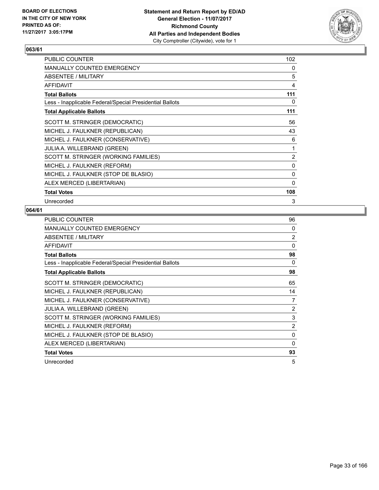

| PUBLIC COUNTER                                           | 102            |
|----------------------------------------------------------|----------------|
| <b>MANUALLY COUNTED EMERGENCY</b>                        | 0              |
| ABSENTEE / MILITARY                                      | 5              |
| <b>AFFIDAVIT</b>                                         | 4              |
| <b>Total Ballots</b>                                     | 111            |
| Less - Inapplicable Federal/Special Presidential Ballots | 0              |
| <b>Total Applicable Ballots</b>                          | 111            |
| SCOTT M. STRINGER (DEMOCRATIC)                           | 56             |
| MICHEL J. FAULKNER (REPUBLICAN)                          | 43             |
| MICHEL J. FAULKNER (CONSERVATIVE)                        | 6              |
| <b>JULIA A. WILLEBRAND (GREEN)</b>                       | 1              |
| SCOTT M. STRINGER (WORKING FAMILIES)                     | $\overline{2}$ |
| MICHEL J. FAULKNER (REFORM)                              | 0              |
| MICHEL J. FAULKNER (STOP DE BLASIO)                      | 0              |
| ALEX MERCED (LIBERTARIAN)                                | 0              |
| <b>Total Votes</b>                                       | 108            |
| Unrecorded                                               | 3              |

| PUBLIC COUNTER                                           | 96             |
|----------------------------------------------------------|----------------|
| <b>MANUALLY COUNTED EMERGENCY</b>                        | 0              |
| ABSENTEE / MILITARY                                      | $\overline{2}$ |
| <b>AFFIDAVIT</b>                                         | 0              |
| <b>Total Ballots</b>                                     | 98             |
| Less - Inapplicable Federal/Special Presidential Ballots | 0              |
| <b>Total Applicable Ballots</b>                          | 98             |
| SCOTT M. STRINGER (DEMOCRATIC)                           | 65             |
| MICHEL J. FAULKNER (REPUBLICAN)                          | 14             |
| MICHEL J. FAULKNER (CONSERVATIVE)                        | 7              |
| JULIA A. WILLEBRAND (GREEN)                              | 2              |
| SCOTT M. STRINGER (WORKING FAMILIES)                     | 3              |
| MICHEL J. FAULKNER (REFORM)                              | $\overline{2}$ |
| MICHEL J. FAULKNER (STOP DE BLASIO)                      | 0              |
| ALEX MERCED (LIBERTARIAN)                                | 0              |
| <b>Total Votes</b>                                       | 93             |
| Unrecorded                                               | 5              |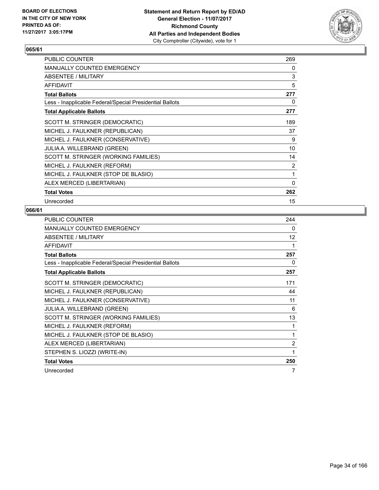

| <b>PUBLIC COUNTER</b>                                    | 269 |
|----------------------------------------------------------|-----|
| <b>MANUALLY COUNTED EMERGENCY</b>                        | 0   |
| ABSENTEE / MILITARY                                      | 3   |
| <b>AFFIDAVIT</b>                                         | 5   |
| <b>Total Ballots</b>                                     | 277 |
| Less - Inapplicable Federal/Special Presidential Ballots | 0   |
| <b>Total Applicable Ballots</b>                          | 277 |
| SCOTT M. STRINGER (DEMOCRATIC)                           | 189 |
| MICHEL J. FAULKNER (REPUBLICAN)                          | 37  |
| MICHEL J. FAULKNER (CONSERVATIVE)                        | 9   |
| JULIA A. WILLEBRAND (GREEN)                              | 10  |
| SCOTT M. STRINGER (WORKING FAMILIES)                     | 14  |
| MICHEL J. FAULKNER (REFORM)                              | 2   |
| MICHEL J. FAULKNER (STOP DE BLASIO)                      | 1   |
| ALEX MERCED (LIBERTARIAN)                                | 0   |
| <b>Total Votes</b>                                       | 262 |
| Unrecorded                                               | 15  |

| <b>PUBLIC COUNTER</b>                                    | 244 |
|----------------------------------------------------------|-----|
| <b>MANUALLY COUNTED EMERGENCY</b>                        | 0   |
| <b>ABSENTEE / MILITARY</b>                               | 12  |
| <b>AFFIDAVIT</b>                                         | 1   |
| <b>Total Ballots</b>                                     | 257 |
| Less - Inapplicable Federal/Special Presidential Ballots | 0   |
| <b>Total Applicable Ballots</b>                          | 257 |
| SCOTT M. STRINGER (DEMOCRATIC)                           | 171 |
| MICHEL J. FAULKNER (REPUBLICAN)                          | 44  |
| MICHEL J. FAULKNER (CONSERVATIVE)                        | 11  |
| JULIA A. WILLEBRAND (GREEN)                              | 6   |
| SCOTT M. STRINGER (WORKING FAMILIES)                     | 13  |
| MICHEL J. FAULKNER (REFORM)                              | 1   |
| MICHEL J. FAULKNER (STOP DE BLASIO)                      | 1   |
| ALEX MERCED (LIBERTARIAN)                                | 2   |
| STEPHEN S. LIOZZI (WRITE-IN)                             | 1   |
| <b>Total Votes</b>                                       | 250 |
| Unrecorded                                               | 7   |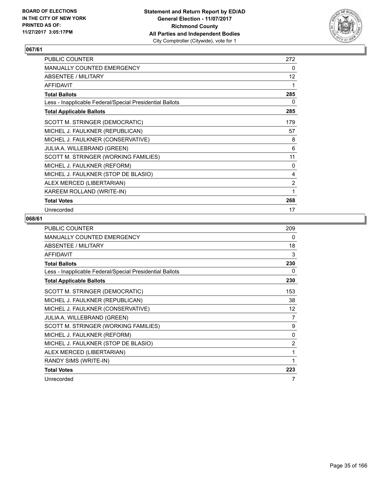

| <b>PUBLIC COUNTER</b>                                    | 272 |
|----------------------------------------------------------|-----|
| <b>MANUALLY COUNTED EMERGENCY</b>                        | 0   |
| ABSENTEE / MILITARY                                      | 12  |
| <b>AFFIDAVIT</b>                                         | 1   |
| <b>Total Ballots</b>                                     | 285 |
| Less - Inapplicable Federal/Special Presidential Ballots | 0   |
| <b>Total Applicable Ballots</b>                          | 285 |
| SCOTT M. STRINGER (DEMOCRATIC)                           | 179 |
| MICHEL J. FAULKNER (REPUBLICAN)                          | 57  |
| MICHEL J. FAULKNER (CONSERVATIVE)                        | 8   |
| JULIA A. WILLEBRAND (GREEN)                              | 6   |
| SCOTT M. STRINGER (WORKING FAMILIES)                     | 11  |
| MICHEL J. FAULKNER (REFORM)                              | 0   |
| MICHEL J. FAULKNER (STOP DE BLASIO)                      | 4   |
| ALEX MERCED (LIBERTARIAN)                                | 2   |
| KAREEM ROLLAND (WRITE-IN)                                | 1   |
| <b>Total Votes</b>                                       | 268 |
| Unrecorded                                               | 17  |

| <b>PUBLIC COUNTER</b>                                    | 209               |
|----------------------------------------------------------|-------------------|
| MANUALLY COUNTED EMERGENCY                               | 0                 |
| <b>ABSENTEE / MILITARY</b>                               | 18                |
| <b>AFFIDAVIT</b>                                         | 3                 |
| <b>Total Ballots</b>                                     | 230               |
| Less - Inapplicable Federal/Special Presidential Ballots | 0                 |
| <b>Total Applicable Ballots</b>                          | 230               |
| SCOTT M. STRINGER (DEMOCRATIC)                           | 153               |
| MICHEL J. FAULKNER (REPUBLICAN)                          | 38                |
| MICHEL J. FAULKNER (CONSERVATIVE)                        | $12 \overline{ }$ |
| JULIA A. WILLEBRAND (GREEN)                              | 7                 |
| SCOTT M. STRINGER (WORKING FAMILIES)                     | 9                 |
| MICHEL J. FAULKNER (REFORM)                              | 0                 |
| MICHEL J. FAULKNER (STOP DE BLASIO)                      | 2                 |
| ALEX MERCED (LIBERTARIAN)                                | 1                 |
| RANDY SIMS (WRITE-IN)                                    | 1                 |
| <b>Total Votes</b>                                       | 223               |
| Unrecorded                                               | 7                 |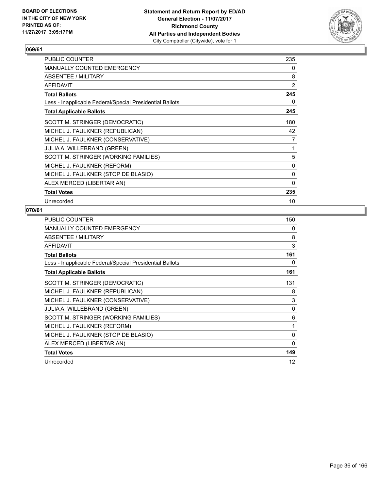

| <b>PUBLIC COUNTER</b>                                    | 235            |
|----------------------------------------------------------|----------------|
| <b>MANUALLY COUNTED EMERGENCY</b>                        | 0              |
| ABSENTEE / MILITARY                                      | 8              |
| <b>AFFIDAVIT</b>                                         | $\overline{2}$ |
| <b>Total Ballots</b>                                     | 245            |
| Less - Inapplicable Federal/Special Presidential Ballots | 0              |
| <b>Total Applicable Ballots</b>                          | 245            |
| SCOTT M. STRINGER (DEMOCRATIC)                           | 180            |
| MICHEL J. FAULKNER (REPUBLICAN)                          | 42             |
| MICHEL J. FAULKNER (CONSERVATIVE)                        | 7              |
| <b>JULIA A. WILLEBRAND (GREEN)</b>                       | 1              |
| SCOTT M. STRINGER (WORKING FAMILIES)                     | 5              |
| MICHEL J. FAULKNER (REFORM)                              | 0              |
| MICHEL J. FAULKNER (STOP DE BLASIO)                      | 0              |
| ALEX MERCED (LIBERTARIAN)                                | $\Omega$       |
| <b>Total Votes</b>                                       | 235            |
| Unrecorded                                               | 10             |

| <b>PUBLIC COUNTER</b>                                    | 150 |
|----------------------------------------------------------|-----|
| MANUALLY COUNTED EMERGENCY                               | 0   |
| ABSENTEE / MILITARY                                      | 8   |
| <b>AFFIDAVIT</b>                                         | 3   |
| <b>Total Ballots</b>                                     | 161 |
| Less - Inapplicable Federal/Special Presidential Ballots | 0   |
| <b>Total Applicable Ballots</b>                          | 161 |
| SCOTT M. STRINGER (DEMOCRATIC)                           | 131 |
| MICHEL J. FAULKNER (REPUBLICAN)                          | 8   |
| MICHEL J. FAULKNER (CONSERVATIVE)                        | 3   |
| JULIA A. WILLEBRAND (GREEN)                              | 0   |
| SCOTT M. STRINGER (WORKING FAMILIES)                     | 6   |
| MICHEL J. FAULKNER (REFORM)                              | 1   |
| MICHEL J. FAULKNER (STOP DE BLASIO)                      | 0   |
| ALEX MERCED (LIBERTARIAN)                                | 0   |
| <b>Total Votes</b>                                       | 149 |
| Unrecorded                                               | 12  |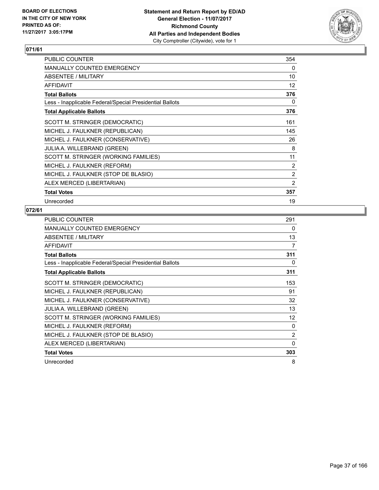

| PUBLIC COUNTER                                           | 354             |
|----------------------------------------------------------|-----------------|
| <b>MANUALLY COUNTED EMERGENCY</b>                        | 0               |
| <b>ABSENTEE / MILITARY</b>                               | 10              |
| <b>AFFIDAVIT</b>                                         | 12 <sup>°</sup> |
| <b>Total Ballots</b>                                     | 376             |
| Less - Inapplicable Federal/Special Presidential Ballots | 0               |
| <b>Total Applicable Ballots</b>                          | 376             |
| SCOTT M. STRINGER (DEMOCRATIC)                           | 161             |
| MICHEL J. FAULKNER (REPUBLICAN)                          | 145             |
| MICHEL J. FAULKNER (CONSERVATIVE)                        | 26              |
| <b>JULIA A. WILLEBRAND (GREEN)</b>                       | 8               |
| SCOTT M. STRINGER (WORKING FAMILIES)                     | 11              |
| MICHEL J. FAULKNER (REFORM)                              | 2               |
| MICHEL J. FAULKNER (STOP DE BLASIO)                      | 2               |
| ALEX MERCED (LIBERTARIAN)                                | $\overline{2}$  |
| <b>Total Votes</b>                                       | 357             |
| Unrecorded                                               | 19              |

| <b>PUBLIC COUNTER</b>                                    | 291            |
|----------------------------------------------------------|----------------|
| <b>MANUALLY COUNTED EMERGENCY</b>                        | 0              |
| ABSENTEE / MILITARY                                      | 13             |
| <b>AFFIDAVIT</b>                                         | 7              |
| <b>Total Ballots</b>                                     | 311            |
| Less - Inapplicable Federal/Special Presidential Ballots | 0              |
| <b>Total Applicable Ballots</b>                          | 311            |
| SCOTT M. STRINGER (DEMOCRATIC)                           | 153            |
| MICHEL J. FAULKNER (REPUBLICAN)                          | 91             |
| MICHEL J. FAULKNER (CONSERVATIVE)                        | 32             |
| <b>JULIA A. WILLEBRAND (GREEN)</b>                       | 13             |
| SCOTT M. STRINGER (WORKING FAMILIES)                     | 12             |
| MICHEL J. FAULKNER (REFORM)                              | 0              |
| MICHEL J. FAULKNER (STOP DE BLASIO)                      | $\overline{2}$ |
| ALEX MERCED (LIBERTARIAN)                                | 0              |
| <b>Total Votes</b>                                       | 303            |
| Unrecorded                                               | 8              |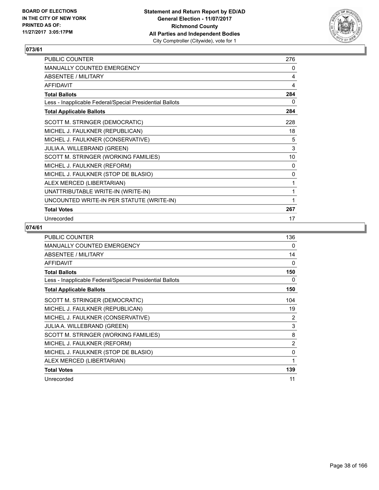

| PUBLIC COUNTER                                           | 276 |
|----------------------------------------------------------|-----|
| MANUALLY COUNTED EMERGENCY                               | 0   |
| <b>ABSENTEE / MILITARY</b>                               | 4   |
| <b>AFFIDAVIT</b>                                         | 4   |
| <b>Total Ballots</b>                                     | 284 |
| Less - Inapplicable Federal/Special Presidential Ballots | 0   |
| <b>Total Applicable Ballots</b>                          | 284 |
| SCOTT M. STRINGER (DEMOCRATIC)                           | 228 |
| MICHEL J. FAULKNER (REPUBLICAN)                          | 18  |
| MICHEL J. FAULKNER (CONSERVATIVE)                        | 5   |
| JULIA A. WILLEBRAND (GREEN)                              | 3   |
| SCOTT M. STRINGER (WORKING FAMILIES)                     | 10  |
| MICHEL J. FAULKNER (REFORM)                              | 0   |
| MICHEL J. FAULKNER (STOP DE BLASIO)                      | 0   |
| ALEX MERCED (LIBERTARIAN)                                | 1   |
| UNATTRIBUTABLE WRITE-IN (WRITE-IN)                       | 1   |
| UNCOUNTED WRITE-IN PER STATUTE (WRITE-IN)                | 1   |
| <b>Total Votes</b>                                       | 267 |
| Unrecorded                                               | 17  |

| <b>PUBLIC COUNTER</b>                                    | 136      |
|----------------------------------------------------------|----------|
| <b>MANUALLY COUNTED EMERGENCY</b>                        | 0        |
| ABSENTEE / MILITARY                                      | 14       |
| <b>AFFIDAVIT</b>                                         | 0        |
| <b>Total Ballots</b>                                     | 150      |
| Less - Inapplicable Federal/Special Presidential Ballots | 0        |
| <b>Total Applicable Ballots</b>                          | 150      |
| SCOTT M. STRINGER (DEMOCRATIC)                           | 104      |
| MICHEL J. FAULKNER (REPUBLICAN)                          | 19       |
| MICHEL J. FAULKNER (CONSERVATIVE)                        | 2        |
| JULIA A. WILLEBRAND (GREEN)                              | 3        |
| SCOTT M. STRINGER (WORKING FAMILIES)                     | 8        |
| MICHEL J. FAULKNER (REFORM)                              | 2        |
| MICHEL J. FAULKNER (STOP DE BLASIO)                      | $\Omega$ |
| ALEX MERCED (LIBERTARIAN)                                | 1        |
| <b>Total Votes</b>                                       | 139      |
| Unrecorded                                               | 11       |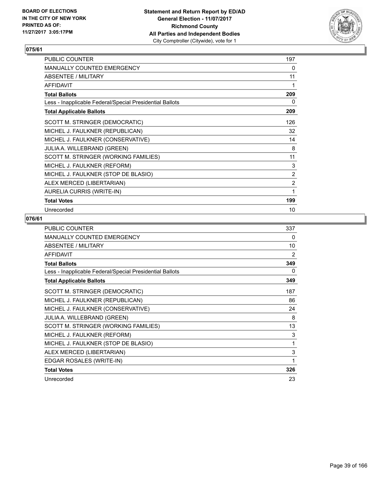

| PUBLIC COUNTER                                           | 197            |
|----------------------------------------------------------|----------------|
| <b>MANUALLY COUNTED EMERGENCY</b>                        | 0              |
| ABSENTEE / MILITARY                                      | 11             |
| <b>AFFIDAVIT</b>                                         | 1              |
| <b>Total Ballots</b>                                     | 209            |
| Less - Inapplicable Federal/Special Presidential Ballots | 0              |
| <b>Total Applicable Ballots</b>                          | 209            |
| SCOTT M. STRINGER (DEMOCRATIC)                           | 126            |
| MICHEL J. FAULKNER (REPUBLICAN)                          | 32             |
| MICHEL J. FAULKNER (CONSERVATIVE)                        | 14             |
| <b>JULIA A. WILLEBRAND (GREEN)</b>                       | 8              |
| SCOTT M. STRINGER (WORKING FAMILIES)                     | 11             |
| MICHEL J. FAULKNER (REFORM)                              | 3              |
| MICHEL J. FAULKNER (STOP DE BLASIO)                      | 2              |
| ALEX MERCED (LIBERTARIAN)                                | $\overline{2}$ |
| AURELIA CURRIS (WRITE-IN)                                | 1              |
| <b>Total Votes</b>                                       | 199            |
| Unrecorded                                               | 10             |

| <b>PUBLIC COUNTER</b>                                    | 337            |
|----------------------------------------------------------|----------------|
| <b>MANUALLY COUNTED EMERGENCY</b>                        | 0              |
| <b>ABSENTEE / MILITARY</b>                               | 10             |
| <b>AFFIDAVIT</b>                                         | $\overline{2}$ |
| <b>Total Ballots</b>                                     | 349            |
| Less - Inapplicable Federal/Special Presidential Ballots | 0              |
| <b>Total Applicable Ballots</b>                          | 349            |
| SCOTT M. STRINGER (DEMOCRATIC)                           | 187            |
| MICHEL J. FAULKNER (REPUBLICAN)                          | 86             |
| MICHEL J. FAULKNER (CONSERVATIVE)                        | 24             |
| <b>JULIA A. WILLEBRAND (GREEN)</b>                       | 8              |
| SCOTT M. STRINGER (WORKING FAMILIES)                     | 13             |
| MICHEL J. FAULKNER (REFORM)                              | 3              |
| MICHEL J. FAULKNER (STOP DE BLASIO)                      | 1              |
| ALEX MERCED (LIBERTARIAN)                                | 3              |
| EDGAR ROSALES (WRITE-IN)                                 | 1              |
| <b>Total Votes</b>                                       | 326            |
| Unrecorded                                               | 23             |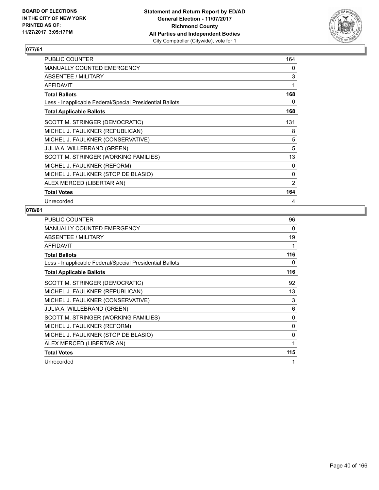

| PUBLIC COUNTER                                           | 164            |
|----------------------------------------------------------|----------------|
| <b>MANUALLY COUNTED EMERGENCY</b>                        | 0              |
| ABSENTEE / MILITARY                                      | 3              |
| <b>AFFIDAVIT</b>                                         | 1              |
| <b>Total Ballots</b>                                     | 168            |
| Less - Inapplicable Federal/Special Presidential Ballots | 0              |
| <b>Total Applicable Ballots</b>                          | 168            |
| SCOTT M. STRINGER (DEMOCRATIC)                           | 131            |
| MICHEL J. FAULKNER (REPUBLICAN)                          | 8              |
| MICHEL J. FAULKNER (CONSERVATIVE)                        | 5              |
| JULIA A. WILLEBRAND (GREEN)                              | 5              |
| SCOTT M. STRINGER (WORKING FAMILIES)                     | 13             |
| MICHEL J. FAULKNER (REFORM)                              | 0              |
| MICHEL J. FAULKNER (STOP DE BLASIO)                      | 0              |
| ALEX MERCED (LIBERTARIAN)                                | $\overline{2}$ |
| <b>Total Votes</b>                                       | 164            |
| Unrecorded                                               | 4              |

| <b>PUBLIC COUNTER</b>                                    | 96  |
|----------------------------------------------------------|-----|
| <b>MANUALLY COUNTED EMERGENCY</b>                        | 0   |
| ABSENTEE / MILITARY                                      | 19  |
| <b>AFFIDAVIT</b>                                         |     |
| <b>Total Ballots</b>                                     | 116 |
| Less - Inapplicable Federal/Special Presidential Ballots | 0   |
| <b>Total Applicable Ballots</b>                          | 116 |
| SCOTT M. STRINGER (DEMOCRATIC)                           | 92  |
| MICHEL J. FAULKNER (REPUBLICAN)                          | 13  |
| MICHEL J. FAULKNER (CONSERVATIVE)                        | 3   |
| JULIA A. WILLEBRAND (GREEN)                              | 6   |
| SCOTT M. STRINGER (WORKING FAMILIES)                     | 0   |
| MICHEL J. FAULKNER (REFORM)                              | 0   |
| MICHEL J. FAULKNER (STOP DE BLASIO)                      | 0   |
| ALEX MERCED (LIBERTARIAN)                                | 1   |
| <b>Total Votes</b>                                       | 115 |
| Unrecorded                                               | 1   |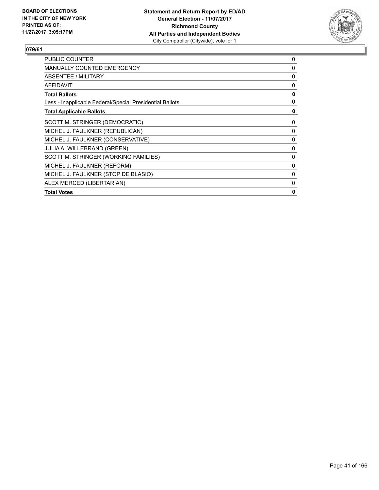

| <b>PUBLIC COUNTER</b>                                    | 0 |
|----------------------------------------------------------|---|
| MANUALLY COUNTED EMERGENCY                               | 0 |
| <b>ABSENTEE / MILITARY</b>                               | 0 |
| <b>AFFIDAVIT</b>                                         | 0 |
| <b>Total Ballots</b>                                     | 0 |
| Less - Inapplicable Federal/Special Presidential Ballots | 0 |
| <b>Total Applicable Ballots</b>                          | 0 |
| SCOTT M. STRINGER (DEMOCRATIC)                           | 0 |
| MICHEL J. FAULKNER (REPUBLICAN)                          | 0 |
| MICHEL J. FAULKNER (CONSERVATIVE)                        | 0 |
| <b>JULIA A. WILLEBRAND (GREEN)</b>                       | 0 |
| SCOTT M. STRINGER (WORKING FAMILIES)                     | 0 |
| MICHEL J. FAULKNER (REFORM)                              | 0 |
| MICHEL J. FAULKNER (STOP DE BLASIO)                      | 0 |
| ALEX MERCED (LIBERTARIAN)                                | 0 |
| <b>Total Votes</b>                                       | 0 |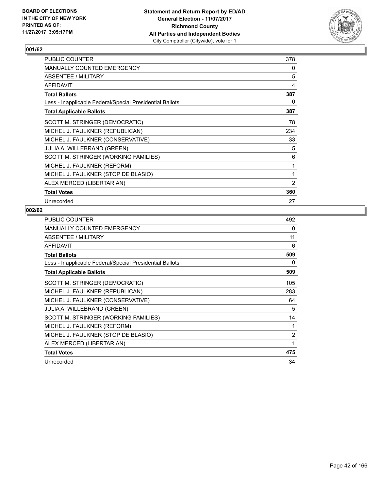

| PUBLIC COUNTER                                           | 378 |
|----------------------------------------------------------|-----|
| <b>MANUALLY COUNTED EMERGENCY</b>                        | 0   |
| ABSENTEE / MILITARY                                      | 5   |
| <b>AFFIDAVIT</b>                                         | 4   |
| <b>Total Ballots</b>                                     | 387 |
| Less - Inapplicable Federal/Special Presidential Ballots | 0   |
| <b>Total Applicable Ballots</b>                          | 387 |
| SCOTT M. STRINGER (DEMOCRATIC)                           | 78  |
| MICHEL J. FAULKNER (REPUBLICAN)                          | 234 |
| MICHEL J. FAULKNER (CONSERVATIVE)                        | 33  |
| <b>JULIA A. WILLEBRAND (GREEN)</b>                       | 5   |
| SCOTT M. STRINGER (WORKING FAMILIES)                     | 6   |
| MICHEL J. FAULKNER (REFORM)                              | 1   |
| MICHEL J. FAULKNER (STOP DE BLASIO)                      | 1   |
| ALEX MERCED (LIBERTARIAN)                                | 2   |
| <b>Total Votes</b>                                       | 360 |
| Unrecorded                                               | 27  |

| <b>PUBLIC COUNTER</b>                                    | 492 |
|----------------------------------------------------------|-----|
| <b>MANUALLY COUNTED EMERGENCY</b>                        | 0   |
| ABSENTEE / MILITARY                                      | 11  |
| <b>AFFIDAVIT</b>                                         | 6   |
| <b>Total Ballots</b>                                     | 509 |
| Less - Inapplicable Federal/Special Presidential Ballots | 0   |
| <b>Total Applicable Ballots</b>                          | 509 |
| SCOTT M. STRINGER (DEMOCRATIC)                           | 105 |
| MICHEL J. FAULKNER (REPUBLICAN)                          | 283 |
| MICHEL J. FAULKNER (CONSERVATIVE)                        | 64  |
| <b>JULIA A. WILLEBRAND (GREEN)</b>                       | 5   |
| SCOTT M. STRINGER (WORKING FAMILIES)                     | 14  |
| MICHEL J. FAULKNER (REFORM)                              | 1   |
| MICHEL J. FAULKNER (STOP DE BLASIO)                      | 2   |
| ALEX MERCED (LIBERTARIAN)                                | 1   |
| <b>Total Votes</b>                                       | 475 |
| Unrecorded                                               | 34  |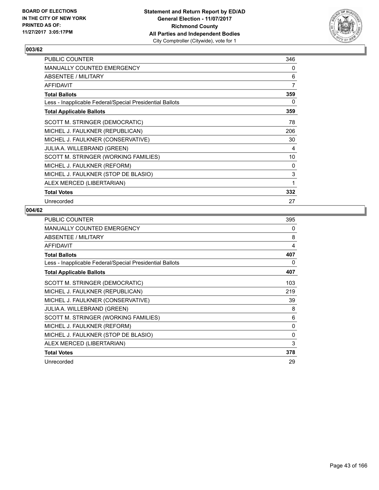

| <b>PUBLIC COUNTER</b>                                    | 346 |
|----------------------------------------------------------|-----|
| <b>MANUALLY COUNTED EMERGENCY</b>                        | 0   |
| ABSENTEE / MILITARY                                      | 6   |
| <b>AFFIDAVIT</b>                                         | 7   |
| <b>Total Ballots</b>                                     | 359 |
| Less - Inapplicable Federal/Special Presidential Ballots | 0   |
| <b>Total Applicable Ballots</b>                          | 359 |
| SCOTT M. STRINGER (DEMOCRATIC)                           | 78  |
| MICHEL J. FAULKNER (REPUBLICAN)                          | 206 |
| MICHEL J. FAULKNER (CONSERVATIVE)                        | 30  |
| <b>JULIA A. WILLEBRAND (GREEN)</b>                       | 4   |
| SCOTT M. STRINGER (WORKING FAMILIES)                     | 10  |
| MICHEL J. FAULKNER (REFORM)                              | 0   |
| MICHEL J. FAULKNER (STOP DE BLASIO)                      | 3   |
| ALEX MERCED (LIBERTARIAN)                                | 1   |
| <b>Total Votes</b>                                       | 332 |
| Unrecorded                                               | 27  |

| <b>PUBLIC COUNTER</b>                                    | 395 |
|----------------------------------------------------------|-----|
| <b>MANUALLY COUNTED EMERGENCY</b>                        | 0   |
| ABSENTEE / MILITARY                                      | 8   |
| <b>AFFIDAVIT</b>                                         | 4   |
| <b>Total Ballots</b>                                     | 407 |
| Less - Inapplicable Federal/Special Presidential Ballots | 0   |
| <b>Total Applicable Ballots</b>                          | 407 |
| SCOTT M. STRINGER (DEMOCRATIC)                           | 103 |
| MICHEL J. FAULKNER (REPUBLICAN)                          | 219 |
| MICHEL J. FAULKNER (CONSERVATIVE)                        | 39  |
| <b>JULIA A. WILLEBRAND (GREEN)</b>                       | 8   |
| SCOTT M. STRINGER (WORKING FAMILIES)                     | 6   |
| MICHEL J. FAULKNER (REFORM)                              | 0   |
| MICHEL J. FAULKNER (STOP DE BLASIO)                      | 0   |
| ALEX MERCED (LIBERTARIAN)                                | 3   |
| <b>Total Votes</b>                                       | 378 |
| Unrecorded                                               | 29  |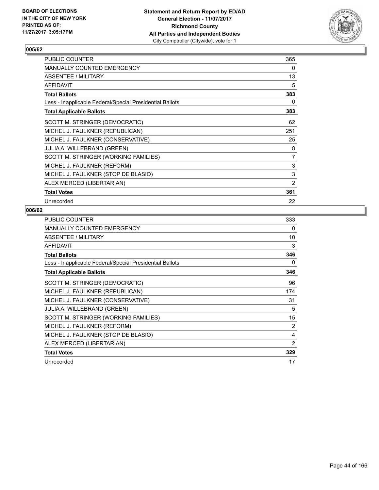

| PUBLIC COUNTER                                           | 365            |
|----------------------------------------------------------|----------------|
| <b>MANUALLY COUNTED EMERGENCY</b>                        | 0              |
| ABSENTEE / MILITARY                                      | 13             |
| <b>AFFIDAVIT</b>                                         | 5              |
| <b>Total Ballots</b>                                     | 383            |
| Less - Inapplicable Federal/Special Presidential Ballots | 0              |
| <b>Total Applicable Ballots</b>                          | 383            |
| SCOTT M. STRINGER (DEMOCRATIC)                           | 62             |
| MICHEL J. FAULKNER (REPUBLICAN)                          | 251            |
| MICHEL J. FAULKNER (CONSERVATIVE)                        | 25             |
| <b>JULIA A. WILLEBRAND (GREEN)</b>                       | 8              |
| SCOTT M. STRINGER (WORKING FAMILIES)                     | $\overline{7}$ |
| MICHEL J. FAULKNER (REFORM)                              | 3              |
| MICHEL J. FAULKNER (STOP DE BLASIO)                      | 3              |
| ALEX MERCED (LIBERTARIAN)                                | $\overline{2}$ |
| <b>Total Votes</b>                                       | 361            |
| Unrecorded                                               | 22             |

| <b>PUBLIC COUNTER</b>                                    | 333 |
|----------------------------------------------------------|-----|
| <b>MANUALLY COUNTED EMERGENCY</b>                        | 0   |
| ABSENTEE / MILITARY                                      | 10  |
| <b>AFFIDAVIT</b>                                         | 3   |
| <b>Total Ballots</b>                                     | 346 |
| Less - Inapplicable Federal/Special Presidential Ballots | 0   |
| <b>Total Applicable Ballots</b>                          | 346 |
| SCOTT M. STRINGER (DEMOCRATIC)                           | 96  |
| MICHEL J. FAULKNER (REPUBLICAN)                          | 174 |
| MICHEL J. FAULKNER (CONSERVATIVE)                        | 31  |
| <b>JULIA A. WILLEBRAND (GREEN)</b>                       | 5   |
| SCOTT M. STRINGER (WORKING FAMILIES)                     | 15  |
| MICHEL J. FAULKNER (REFORM)                              | 2   |
| MICHEL J. FAULKNER (STOP DE BLASIO)                      | 4   |
| ALEX MERCED (LIBERTARIAN)                                | 2   |
| <b>Total Votes</b>                                       | 329 |
| Unrecorded                                               | 17  |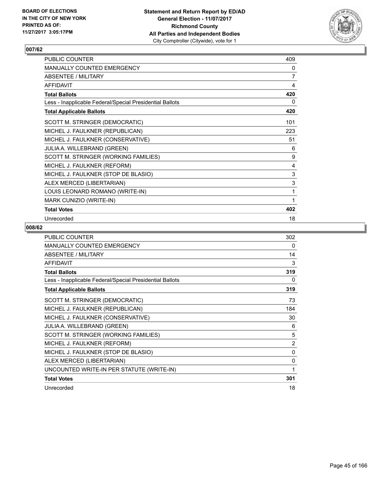

| PUBLIC COUNTER                                           | 409            |
|----------------------------------------------------------|----------------|
| MANUALLY COUNTED EMERGENCY                               | 0              |
| <b>ABSENTEE / MILITARY</b>                               | $\overline{7}$ |
| <b>AFFIDAVIT</b>                                         | 4              |
| <b>Total Ballots</b>                                     | 420            |
| Less - Inapplicable Federal/Special Presidential Ballots | 0              |
| <b>Total Applicable Ballots</b>                          | 420            |
| SCOTT M. STRINGER (DEMOCRATIC)                           | 101            |
| MICHEL J. FAULKNER (REPUBLICAN)                          | 223            |
| MICHEL J. FAULKNER (CONSERVATIVE)                        | 51             |
| JULIA A. WILLEBRAND (GREEN)                              | 6              |
| SCOTT M. STRINGER (WORKING FAMILIES)                     | 9              |
| MICHEL J. FAULKNER (REFORM)                              | 4              |
| MICHEL J. FAULKNER (STOP DE BLASIO)                      | $\mathsf 3$    |
| ALEX MERCED (LIBERTARIAN)                                | $\mathsf 3$    |
| LOUIS LEONARD ROMANO (WRITE-IN)                          | 1              |
| MARK CUNIZIO (WRITE-IN)                                  | 1              |
| <b>Total Votes</b>                                       | 402            |
| Unrecorded                                               | 18             |

| <b>PUBLIC COUNTER</b>                                    | 302            |
|----------------------------------------------------------|----------------|
| <b>MANUALLY COUNTED EMERGENCY</b>                        | 0              |
| ABSENTEE / MILITARY                                      | 14             |
| <b>AFFIDAVIT</b>                                         | 3              |
| <b>Total Ballots</b>                                     | 319            |
| Less - Inapplicable Federal/Special Presidential Ballots | 0              |
| <b>Total Applicable Ballots</b>                          | 319            |
| SCOTT M. STRINGER (DEMOCRATIC)                           | 73             |
| MICHEL J. FAULKNER (REPUBLICAN)                          | 184            |
| MICHEL J. FAULKNER (CONSERVATIVE)                        | 30             |
| <b>JULIA A. WILLEBRAND (GREEN)</b>                       | 6              |
| SCOTT M. STRINGER (WORKING FAMILIES)                     | 5              |
| MICHEL J. FAULKNER (REFORM)                              | $\overline{2}$ |
| MICHEL J. FAULKNER (STOP DE BLASIO)                      | 0              |
| ALEX MERCED (LIBERTARIAN)                                | 0              |
| UNCOUNTED WRITE-IN PER STATUTE (WRITE-IN)                | 1              |
| <b>Total Votes</b>                                       | 301            |
| Unrecorded                                               | 18             |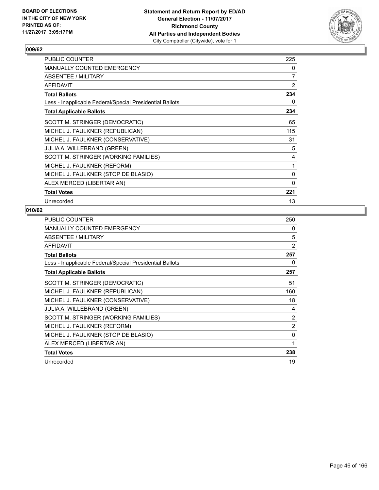

| <b>PUBLIC COUNTER</b>                                    | 225            |
|----------------------------------------------------------|----------------|
| <b>MANUALLY COUNTED EMERGENCY</b>                        | 0              |
| ABSENTEE / MILITARY                                      | $\overline{7}$ |
| <b>AFFIDAVIT</b>                                         | 2              |
| <b>Total Ballots</b>                                     | 234            |
| Less - Inapplicable Federal/Special Presidential Ballots | 0              |
| <b>Total Applicable Ballots</b>                          | 234            |
| SCOTT M. STRINGER (DEMOCRATIC)                           | 65             |
| MICHEL J. FAULKNER (REPUBLICAN)                          | 115            |
| MICHEL J. FAULKNER (CONSERVATIVE)                        | 31             |
| <b>JULIA A. WILLEBRAND (GREEN)</b>                       | 5              |
| SCOTT M. STRINGER (WORKING FAMILIES)                     | 4              |
| MICHEL J. FAULKNER (REFORM)                              | 1              |
| MICHEL J. FAULKNER (STOP DE BLASIO)                      | 0              |
| ALEX MERCED (LIBERTARIAN)                                | $\Omega$       |
| <b>Total Votes</b>                                       | 221            |
| Unrecorded                                               | 13             |

| <b>PUBLIC COUNTER</b>                                    | 250 |
|----------------------------------------------------------|-----|
| <b>MANUALLY COUNTED EMERGENCY</b>                        | 0   |
| ABSENTEE / MILITARY                                      | 5   |
| <b>AFFIDAVIT</b>                                         | 2   |
| <b>Total Ballots</b>                                     | 257 |
| Less - Inapplicable Federal/Special Presidential Ballots | 0   |
| <b>Total Applicable Ballots</b>                          | 257 |
| SCOTT M. STRINGER (DEMOCRATIC)                           | 51  |
| MICHEL J. FAULKNER (REPUBLICAN)                          | 160 |
| MICHEL J. FAULKNER (CONSERVATIVE)                        | 18  |
| <b>JULIA A. WILLEBRAND (GREEN)</b>                       | 4   |
| SCOTT M. STRINGER (WORKING FAMILIES)                     | 2   |
| MICHEL J. FAULKNER (REFORM)                              | 2   |
| MICHEL J. FAULKNER (STOP DE BLASIO)                      | 0   |
| ALEX MERCED (LIBERTARIAN)                                | 1   |
| <b>Total Votes</b>                                       | 238 |
| Unrecorded                                               | 19  |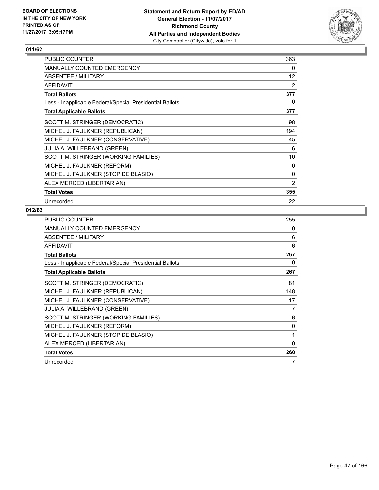

| PUBLIC COUNTER                                           | 363 |
|----------------------------------------------------------|-----|
| <b>MANUALLY COUNTED EMERGENCY</b>                        | 0   |
| ABSENTEE / MILITARY                                      | 12  |
| <b>AFFIDAVIT</b>                                         | 2   |
| <b>Total Ballots</b>                                     | 377 |
| Less - Inapplicable Federal/Special Presidential Ballots | 0   |
| <b>Total Applicable Ballots</b>                          | 377 |
| SCOTT M. STRINGER (DEMOCRATIC)                           | 98  |
| MICHEL J. FAULKNER (REPUBLICAN)                          | 194 |
| MICHEL J. FAULKNER (CONSERVATIVE)                        | 45  |
| <b>JULIA A. WILLEBRAND (GREEN)</b>                       | 6   |
| SCOTT M. STRINGER (WORKING FAMILIES)                     | 10  |
| MICHEL J. FAULKNER (REFORM)                              | 0   |
| MICHEL J. FAULKNER (STOP DE BLASIO)                      | 0   |
| ALEX MERCED (LIBERTARIAN)                                | 2   |
| <b>Total Votes</b>                                       | 355 |
| Unrecorded                                               | 22  |

| <b>PUBLIC COUNTER</b>                                    | 255          |
|----------------------------------------------------------|--------------|
| <b>MANUALLY COUNTED EMERGENCY</b>                        | 0            |
| ABSENTEE / MILITARY                                      | 6            |
| <b>AFFIDAVIT</b>                                         | 6            |
| <b>Total Ballots</b>                                     | 267          |
| Less - Inapplicable Federal/Special Presidential Ballots | 0            |
| <b>Total Applicable Ballots</b>                          | 267          |
| SCOTT M. STRINGER (DEMOCRATIC)                           | 81           |
| MICHEL J. FAULKNER (REPUBLICAN)                          | 148          |
| MICHEL J. FAULKNER (CONSERVATIVE)                        | 17           |
| JULIA A. WILLEBRAND (GREEN)                              | 7            |
| SCOTT M. STRINGER (WORKING FAMILIES)                     | 6            |
| MICHEL J. FAULKNER (REFORM)                              | 0            |
| MICHEL J. FAULKNER (STOP DE BLASIO)                      | 1            |
| ALEX MERCED (LIBERTARIAN)                                | $\mathbf{0}$ |
| <b>Total Votes</b>                                       | 260          |
| Unrecorded                                               | 7            |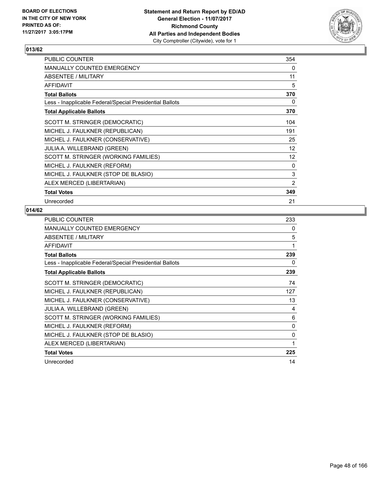

| PUBLIC COUNTER                                           | 354            |
|----------------------------------------------------------|----------------|
| <b>MANUALLY COUNTED EMERGENCY</b>                        | 0              |
| ABSENTEE / MILITARY                                      | 11             |
| <b>AFFIDAVIT</b>                                         | 5              |
| <b>Total Ballots</b>                                     | 370            |
| Less - Inapplicable Federal/Special Presidential Ballots | 0              |
| <b>Total Applicable Ballots</b>                          | 370            |
| SCOTT M. STRINGER (DEMOCRATIC)                           | 104            |
| MICHEL J. FAULKNER (REPUBLICAN)                          | 191            |
| MICHEL J. FAULKNER (CONSERVATIVE)                        | 25             |
| <b>JULIA A. WILLEBRAND (GREEN)</b>                       | 12             |
| SCOTT M. STRINGER (WORKING FAMILIES)                     | 12             |
| MICHEL J. FAULKNER (REFORM)                              | 0              |
| MICHEL J. FAULKNER (STOP DE BLASIO)                      | 3              |
| ALEX MERCED (LIBERTARIAN)                                | $\overline{2}$ |
| <b>Total Votes</b>                                       | 349            |
| Unrecorded                                               | 21             |

| <b>PUBLIC COUNTER</b>                                    | 233 |
|----------------------------------------------------------|-----|
| <b>MANUALLY COUNTED EMERGENCY</b>                        | 0   |
| ABSENTEE / MILITARY                                      | 5   |
| <b>AFFIDAVIT</b>                                         | 1   |
| <b>Total Ballots</b>                                     | 239 |
| Less - Inapplicable Federal/Special Presidential Ballots | 0   |
| <b>Total Applicable Ballots</b>                          | 239 |
| SCOTT M. STRINGER (DEMOCRATIC)                           | 74  |
| MICHEL J. FAULKNER (REPUBLICAN)                          | 127 |
| MICHEL J. FAULKNER (CONSERVATIVE)                        | 13  |
| <b>JULIA A. WILLEBRAND (GREEN)</b>                       | 4   |
| SCOTT M. STRINGER (WORKING FAMILIES)                     | 6   |
| MICHEL J. FAULKNER (REFORM)                              | 0   |
| MICHEL J. FAULKNER (STOP DE BLASIO)                      | 0   |
| ALEX MERCED (LIBERTARIAN)                                | 1   |
| <b>Total Votes</b>                                       | 225 |
| Unrecorded                                               | 14  |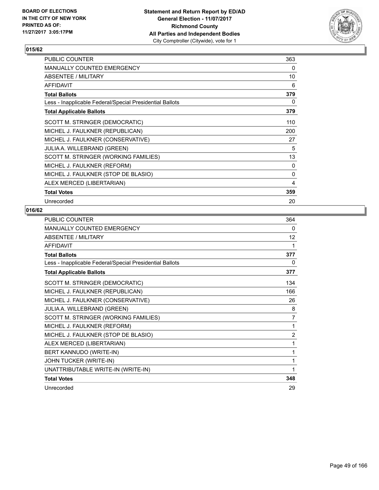

| PUBLIC COUNTER                                           | 363 |
|----------------------------------------------------------|-----|
| <b>MANUALLY COUNTED EMERGENCY</b>                        | 0   |
| <b>ABSENTEE / MILITARY</b>                               | 10  |
| <b>AFFIDAVIT</b>                                         | 6   |
| <b>Total Ballots</b>                                     | 379 |
| Less - Inapplicable Federal/Special Presidential Ballots | 0   |
| <b>Total Applicable Ballots</b>                          | 379 |
| SCOTT M. STRINGER (DEMOCRATIC)                           | 110 |
| MICHEL J. FAULKNER (REPUBLICAN)                          | 200 |
| MICHEL J. FAULKNER (CONSERVATIVE)                        | 27  |
| <b>JULIA A. WILLEBRAND (GREEN)</b>                       | 5   |
| SCOTT M. STRINGER (WORKING FAMILIES)                     | 13  |
| MICHEL J. FAULKNER (REFORM)                              | 0   |
| MICHEL J. FAULKNER (STOP DE BLASIO)                      | 0   |
| ALEX MERCED (LIBERTARIAN)                                | 4   |
| <b>Total Votes</b>                                       | 359 |
| Unrecorded                                               | 20  |

| PUBLIC COUNTER                                           | 364               |
|----------------------------------------------------------|-------------------|
| <b>MANUALLY COUNTED EMERGENCY</b>                        | 0                 |
| ABSENTEE / MILITARY                                      | $12 \overline{ }$ |
| <b>AFFIDAVIT</b>                                         | 1                 |
| <b>Total Ballots</b>                                     | 377               |
| Less - Inapplicable Federal/Special Presidential Ballots | 0                 |
| <b>Total Applicable Ballots</b>                          | 377               |
| SCOTT M. STRINGER (DEMOCRATIC)                           | 134               |
| MICHEL J. FAULKNER (REPUBLICAN)                          | 166               |
| MICHEL J. FAULKNER (CONSERVATIVE)                        | 26                |
| JULIA A. WILLEBRAND (GREEN)                              | 8                 |
| SCOTT M. STRINGER (WORKING FAMILIES)                     | $\overline{7}$    |
| MICHEL J. FAULKNER (REFORM)                              | 1                 |
| MICHEL J. FAULKNER (STOP DE BLASIO)                      | $\overline{2}$    |
| ALEX MERCED (LIBERTARIAN)                                | 1                 |
| BERT KANNUDO (WRITE-IN)                                  | 1                 |
| JOHN TUCKER (WRITE-IN)                                   | 1                 |
| UNATTRIBUTABLE WRITE-IN (WRITE-IN)                       | 1                 |
| <b>Total Votes</b>                                       | 348               |
| Unrecorded                                               | 29                |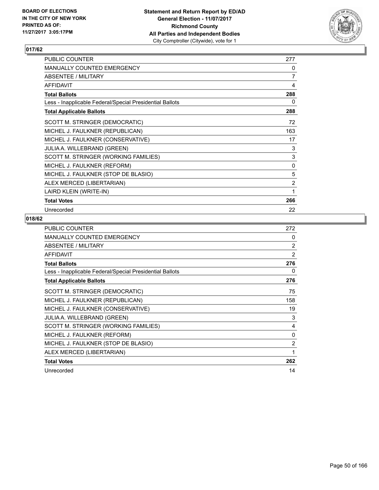

| <b>PUBLIC COUNTER</b>                                    | 277            |
|----------------------------------------------------------|----------------|
| <b>MANUALLY COUNTED EMERGENCY</b>                        | 0              |
| ABSENTEE / MILITARY                                      | 7              |
| <b>AFFIDAVIT</b>                                         | 4              |
| <b>Total Ballots</b>                                     | 288            |
| Less - Inapplicable Federal/Special Presidential Ballots | 0              |
| <b>Total Applicable Ballots</b>                          | 288            |
| SCOTT M. STRINGER (DEMOCRATIC)                           | 72             |
| MICHEL J. FAULKNER (REPUBLICAN)                          | 163            |
| MICHEL J. FAULKNER (CONSERVATIVE)                        | 17             |
| JULIA A. WILLEBRAND (GREEN)                              | 3              |
| SCOTT M. STRINGER (WORKING FAMILIES)                     | 3              |
| MICHEL J. FAULKNER (REFORM)                              | 0              |
| MICHEL J. FAULKNER (STOP DE BLASIO)                      | 5              |
| ALEX MERCED (LIBERTARIAN)                                | $\overline{2}$ |
| LAIRD KLEIN (WRITE-IN)                                   | 1              |
| <b>Total Votes</b>                                       | 266            |
| Unrecorded                                               | 22             |

| <b>PUBLIC COUNTER</b>                                    | 272            |
|----------------------------------------------------------|----------------|
| <b>MANUALLY COUNTED EMERGENCY</b>                        | 0              |
| ABSENTEE / MILITARY                                      | $\overline{2}$ |
| <b>AFFIDAVIT</b>                                         | 2              |
| <b>Total Ballots</b>                                     | 276            |
| Less - Inapplicable Federal/Special Presidential Ballots | 0              |
| <b>Total Applicable Ballots</b>                          | 276            |
| SCOTT M. STRINGER (DEMOCRATIC)                           | 75             |
| MICHEL J. FAULKNER (REPUBLICAN)                          | 158            |
| MICHEL J. FAULKNER (CONSERVATIVE)                        | 19             |
| <b>JULIA A. WILLEBRAND (GREEN)</b>                       | 3              |
| SCOTT M. STRINGER (WORKING FAMILIES)                     | 4              |
| MICHEL J. FAULKNER (REFORM)                              | 0              |
| MICHEL J. FAULKNER (STOP DE BLASIO)                      | $\overline{2}$ |
| ALEX MERCED (LIBERTARIAN)                                | 1              |
| <b>Total Votes</b>                                       | 262            |
| Unrecorded                                               | 14             |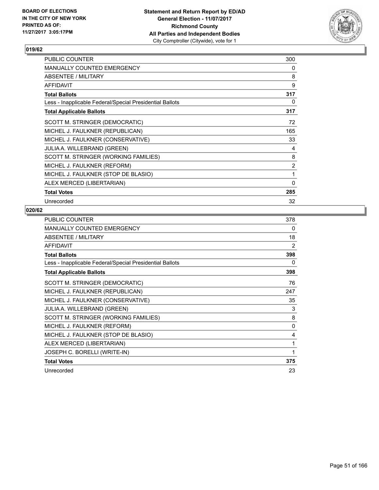

| <b>PUBLIC COUNTER</b>                                    | 300      |
|----------------------------------------------------------|----------|
| <b>MANUALLY COUNTED EMERGENCY</b>                        | 0        |
| ABSENTEE / MILITARY                                      | 8        |
| <b>AFFIDAVIT</b>                                         | 9        |
| <b>Total Ballots</b>                                     | 317      |
| Less - Inapplicable Federal/Special Presidential Ballots | 0        |
| <b>Total Applicable Ballots</b>                          | 317      |
| SCOTT M. STRINGER (DEMOCRATIC)                           | 72       |
| MICHEL J. FAULKNER (REPUBLICAN)                          | 165      |
| MICHEL J. FAULKNER (CONSERVATIVE)                        | 33       |
| <b>JULIA A. WILLEBRAND (GREEN)</b>                       | 4        |
| SCOTT M. STRINGER (WORKING FAMILIES)                     | 8        |
| MICHEL J. FAULKNER (REFORM)                              | 2        |
| MICHEL J. FAULKNER (STOP DE BLASIO)                      | 1        |
| ALEX MERCED (LIBERTARIAN)                                | $\Omega$ |
| <b>Total Votes</b>                                       | 285      |
| Unrecorded                                               | 32       |

| PUBLIC COUNTER                                           | 378 |
|----------------------------------------------------------|-----|
| MANUALLY COUNTED EMERGENCY                               | 0   |
| ABSENTEE / MILITARY                                      | 18  |
| <b>AFFIDAVIT</b>                                         | 2   |
| <b>Total Ballots</b>                                     | 398 |
| Less - Inapplicable Federal/Special Presidential Ballots | 0   |
| <b>Total Applicable Ballots</b>                          | 398 |
| SCOTT M. STRINGER (DEMOCRATIC)                           | 76  |
| MICHEL J. FAULKNER (REPUBLICAN)                          | 247 |
| MICHEL J. FAULKNER (CONSERVATIVE)                        | 35  |
| JULIA A. WILLEBRAND (GREEN)                              | 3   |
| SCOTT M. STRINGER (WORKING FAMILIES)                     | 8   |
| MICHEL J. FAULKNER (REFORM)                              | 0   |
| MICHEL J. FAULKNER (STOP DE BLASIO)                      | 4   |
| ALEX MERCED (LIBERTARIAN)                                | 1   |
| JOSEPH C. BORELLI (WRITE-IN)                             | 1   |
| <b>Total Votes</b>                                       | 375 |
| Unrecorded                                               | 23  |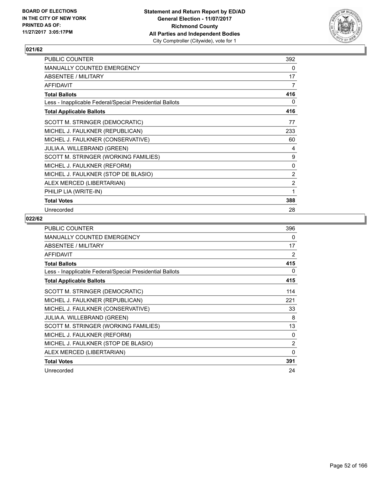

| <b>PUBLIC COUNTER</b>                                    | 392            |
|----------------------------------------------------------|----------------|
| <b>MANUALLY COUNTED EMERGENCY</b>                        | 0              |
| ABSENTEE / MILITARY                                      | 17             |
| <b>AFFIDAVIT</b>                                         | 7              |
| <b>Total Ballots</b>                                     | 416            |
| Less - Inapplicable Federal/Special Presidential Ballots | 0              |
| <b>Total Applicable Ballots</b>                          | 416            |
| SCOTT M. STRINGER (DEMOCRATIC)                           | 77             |
| MICHEL J. FAULKNER (REPUBLICAN)                          | 233            |
| MICHEL J. FAULKNER (CONSERVATIVE)                        | 60             |
| JULIA A. WILLEBRAND (GREEN)                              | 4              |
| SCOTT M. STRINGER (WORKING FAMILIES)                     | 9              |
| MICHEL J. FAULKNER (REFORM)                              | 0              |
| MICHEL J. FAULKNER (STOP DE BLASIO)                      | 2              |
| ALEX MERCED (LIBERTARIAN)                                | $\overline{2}$ |
| PHILIP LIA (WRITE-IN)                                    | 1              |
| <b>Total Votes</b>                                       | 388            |
| Unrecorded                                               | 28             |

| <b>PUBLIC COUNTER</b>                                    | 396      |
|----------------------------------------------------------|----------|
| <b>MANUALLY COUNTED EMERGENCY</b>                        | 0        |
| ABSENTEE / MILITARY                                      | 17       |
| <b>AFFIDAVIT</b>                                         | 2        |
| <b>Total Ballots</b>                                     | 415      |
| Less - Inapplicable Federal/Special Presidential Ballots | 0        |
| <b>Total Applicable Ballots</b>                          | 415      |
| SCOTT M. STRINGER (DEMOCRATIC)                           | 114      |
| MICHEL J. FAULKNER (REPUBLICAN)                          | 221      |
| MICHEL J. FAULKNER (CONSERVATIVE)                        | 33       |
| <b>JULIA A. WILLEBRAND (GREEN)</b>                       | 8        |
| SCOTT M. STRINGER (WORKING FAMILIES)                     | 13       |
| MICHEL J. FAULKNER (REFORM)                              | 0        |
| MICHEL J. FAULKNER (STOP DE BLASIO)                      | 2        |
| ALEX MERCED (LIBERTARIAN)                                | $\Omega$ |
| <b>Total Votes</b>                                       | 391      |
| Unrecorded                                               | 24       |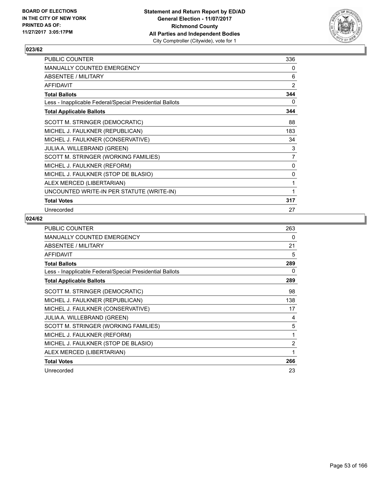

| PUBLIC COUNTER                                           | 336            |
|----------------------------------------------------------|----------------|
| MANUALLY COUNTED EMERGENCY                               | 0              |
| <b>ABSENTEE / MILITARY</b>                               | 6              |
| <b>AFFIDAVIT</b>                                         | $\overline{2}$ |
| <b>Total Ballots</b>                                     | 344            |
| Less - Inapplicable Federal/Special Presidential Ballots | 0              |
| <b>Total Applicable Ballots</b>                          | 344            |
| SCOTT M. STRINGER (DEMOCRATIC)                           | 88             |
| MICHEL J. FAULKNER (REPUBLICAN)                          | 183            |
| MICHEL J. FAULKNER (CONSERVATIVE)                        | 34             |
| JULIA A. WILLEBRAND (GREEN)                              | 3              |
| SCOTT M. STRINGER (WORKING FAMILIES)                     | 7              |
| MICHEL J. FAULKNER (REFORM)                              | 0              |
| MICHEL J. FAULKNER (STOP DE BLASIO)                      | 0              |
| ALEX MERCED (LIBERTARIAN)                                | 1              |
| UNCOUNTED WRITE-IN PER STATUTE (WRITE-IN)                | 1              |
| <b>Total Votes</b>                                       | 317            |
| Unrecorded                                               | 27             |

| <b>PUBLIC COUNTER</b>                                    | 263 |
|----------------------------------------------------------|-----|
| <b>MANUALLY COUNTED EMERGENCY</b>                        | 0   |
| ABSENTEE / MILITARY                                      | 21  |
| <b>AFFIDAVIT</b>                                         | 5   |
| <b>Total Ballots</b>                                     | 289 |
| Less - Inapplicable Federal/Special Presidential Ballots | 0   |
| <b>Total Applicable Ballots</b>                          | 289 |
| SCOTT M. STRINGER (DEMOCRATIC)                           | 98  |
| MICHEL J. FAULKNER (REPUBLICAN)                          | 138 |
| MICHEL J. FAULKNER (CONSERVATIVE)                        | 17  |
| <b>JULIA A. WILLEBRAND (GREEN)</b>                       | 4   |
| SCOTT M. STRINGER (WORKING FAMILIES)                     | 5   |
| MICHEL J. FAULKNER (REFORM)                              | 1   |
| MICHEL J. FAULKNER (STOP DE BLASIO)                      | 2   |
| ALEX MERCED (LIBERTARIAN)                                | 1   |
| <b>Total Votes</b>                                       | 266 |
| Unrecorded                                               | 23  |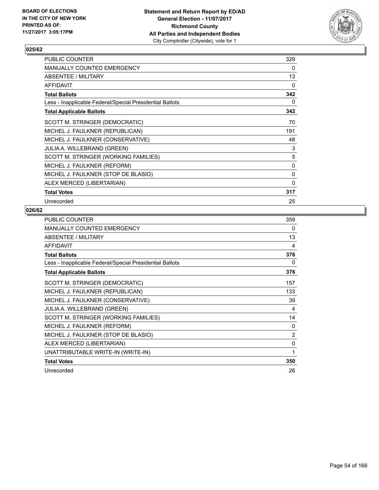

| PUBLIC COUNTER                                           | 329 |
|----------------------------------------------------------|-----|
| <b>MANUALLY COUNTED EMERGENCY</b>                        | 0   |
| <b>ABSENTEE / MILITARY</b>                               | 13  |
| <b>AFFIDAVIT</b>                                         | 0   |
| <b>Total Ballots</b>                                     | 342 |
| Less - Inapplicable Federal/Special Presidential Ballots | 0   |
| <b>Total Applicable Ballots</b>                          | 342 |
| SCOTT M. STRINGER (DEMOCRATIC)                           | 70  |
| MICHEL J. FAULKNER (REPUBLICAN)                          | 191 |
| MICHEL J. FAULKNER (CONSERVATIVE)                        | 48  |
| JULIA A. WILLEBRAND (GREEN)                              | 3   |
| SCOTT M. STRINGER (WORKING FAMILIES)                     | 5   |
| MICHEL J. FAULKNER (REFORM)                              | 0   |
| MICHEL J. FAULKNER (STOP DE BLASIO)                      | 0   |
| ALEX MERCED (LIBERTARIAN)                                | 0   |
| <b>Total Votes</b>                                       | 317 |
| Unrecorded                                               | 25  |

| <b>PUBLIC COUNTER</b>                                    | 359 |
|----------------------------------------------------------|-----|
| MANUALLY COUNTED EMERGENCY                               | 0   |
| <b>ABSENTEE / MILITARY</b>                               | 13  |
| <b>AFFIDAVIT</b>                                         | 4   |
| <b>Total Ballots</b>                                     | 376 |
| Less - Inapplicable Federal/Special Presidential Ballots | 0   |
| <b>Total Applicable Ballots</b>                          | 376 |
| SCOTT M. STRINGER (DEMOCRATIC)                           | 157 |
| MICHEL J. FAULKNER (REPUBLICAN)                          | 133 |
| MICHEL J. FAULKNER (CONSERVATIVE)                        | 39  |
| JULIA A. WILLEBRAND (GREEN)                              | 4   |
| SCOTT M. STRINGER (WORKING FAMILIES)                     | 14  |
| MICHEL J. FAULKNER (REFORM)                              | 0   |
| MICHEL J. FAULKNER (STOP DE BLASIO)                      | 2   |
| ALEX MERCED (LIBERTARIAN)                                | 0   |
| UNATTRIBUTABLE WRITE-IN (WRITE-IN)                       | 1   |
| <b>Total Votes</b>                                       | 350 |
| Unrecorded                                               | 26  |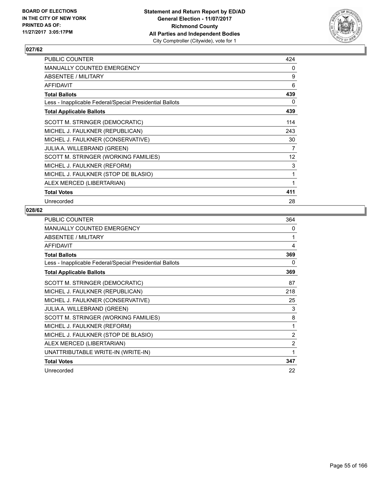

| PUBLIC COUNTER                                           | 424               |
|----------------------------------------------------------|-------------------|
| <b>MANUALLY COUNTED EMERGENCY</b>                        | 0                 |
| <b>ABSENTEE / MILITARY</b>                               | 9                 |
| <b>AFFIDAVIT</b>                                         | 6                 |
| <b>Total Ballots</b>                                     | 439               |
| Less - Inapplicable Federal/Special Presidential Ballots | 0                 |
| <b>Total Applicable Ballots</b>                          | 439               |
| SCOTT M. STRINGER (DEMOCRATIC)                           | 114               |
| MICHEL J. FAULKNER (REPUBLICAN)                          | 243               |
| MICHEL J. FAULKNER (CONSERVATIVE)                        | 30                |
| <b>JULIA A. WILLEBRAND (GREEN)</b>                       | 7                 |
| SCOTT M. STRINGER (WORKING FAMILIES)                     | $12 \overline{ }$ |
| MICHEL J. FAULKNER (REFORM)                              | 3                 |
| MICHEL J. FAULKNER (STOP DE BLASIO)                      | 1                 |
| ALEX MERCED (LIBERTARIAN)                                | 1                 |
| <b>Total Votes</b>                                       | 411               |
| Unrecorded                                               | 28                |

| <b>PUBLIC COUNTER</b>                                    | 364 |
|----------------------------------------------------------|-----|
| MANUALLY COUNTED EMERGENCY                               | 0   |
| ABSENTEE / MILITARY                                      | 1   |
| <b>AFFIDAVIT</b>                                         | 4   |
| <b>Total Ballots</b>                                     | 369 |
| Less - Inapplicable Federal/Special Presidential Ballots | 0   |
| <b>Total Applicable Ballots</b>                          | 369 |
| SCOTT M. STRINGER (DEMOCRATIC)                           | 87  |
| MICHEL J. FAULKNER (REPUBLICAN)                          | 218 |
| MICHEL J. FAULKNER (CONSERVATIVE)                        | 25  |
| JULIA A. WILLEBRAND (GREEN)                              | 3   |
| SCOTT M. STRINGER (WORKING FAMILIES)                     | 8   |
| MICHEL J. FAULKNER (REFORM)                              | 1   |
| MICHEL J. FAULKNER (STOP DE BLASIO)                      | 2   |
| ALEX MERCED (LIBERTARIAN)                                | 2   |
| UNATTRIBUTABLE WRITE-IN (WRITE-IN)                       | 1   |
| <b>Total Votes</b>                                       | 347 |
| Unrecorded                                               | 22  |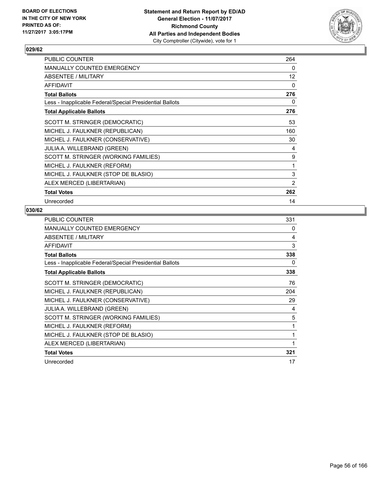

| PUBLIC COUNTER                                           | 264 |
|----------------------------------------------------------|-----|
| <b>MANUALLY COUNTED EMERGENCY</b>                        | 0   |
| <b>ABSENTEE / MILITARY</b>                               | 12  |
| <b>AFFIDAVIT</b>                                         | 0   |
| <b>Total Ballots</b>                                     | 276 |
| Less - Inapplicable Federal/Special Presidential Ballots | 0   |
| <b>Total Applicable Ballots</b>                          | 276 |
| SCOTT M. STRINGER (DEMOCRATIC)                           | 53  |
| MICHEL J. FAULKNER (REPUBLICAN)                          | 160 |
| MICHEL J. FAULKNER (CONSERVATIVE)                        | 30  |
| <b>JULIA A. WILLEBRAND (GREEN)</b>                       | 4   |
| SCOTT M. STRINGER (WORKING FAMILIES)                     | 9   |
| MICHEL J. FAULKNER (REFORM)                              | 1   |
| MICHEL J. FAULKNER (STOP DE BLASIO)                      | 3   |
| ALEX MERCED (LIBERTARIAN)                                | 2   |
| <b>Total Votes</b>                                       | 262 |
| Unrecorded                                               | 14  |

| <b>PUBLIC COUNTER</b>                                    | 331 |
|----------------------------------------------------------|-----|
| <b>MANUALLY COUNTED EMERGENCY</b>                        | 0   |
| <b>ABSENTEE / MILITARY</b>                               | 4   |
| <b>AFFIDAVIT</b>                                         | 3   |
| <b>Total Ballots</b>                                     | 338 |
| Less - Inapplicable Federal/Special Presidential Ballots | 0   |
| <b>Total Applicable Ballots</b>                          | 338 |
| SCOTT M. STRINGER (DEMOCRATIC)                           | 76  |
| MICHEL J. FAULKNER (REPUBLICAN)                          | 204 |
| MICHEL J. FAULKNER (CONSERVATIVE)                        | 29  |
| JULIA A. WILLEBRAND (GREEN)                              | 4   |
| SCOTT M. STRINGER (WORKING FAMILIES)                     | 5   |
| MICHEL J. FAULKNER (REFORM)                              | 1   |
| MICHEL J. FAULKNER (STOP DE BLASIO)                      | 1   |
| ALEX MERCED (LIBERTARIAN)                                | 1   |
| <b>Total Votes</b>                                       | 321 |
| Unrecorded                                               | 17  |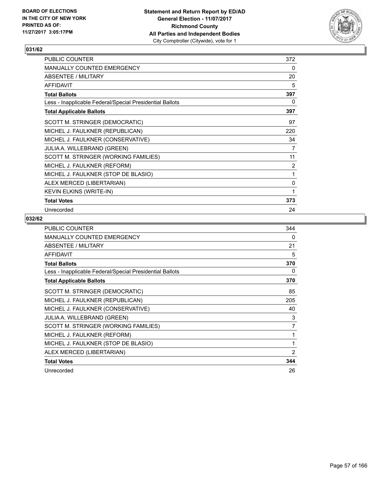

| <b>PUBLIC COUNTER</b>                                    | 372            |
|----------------------------------------------------------|----------------|
| <b>MANUALLY COUNTED EMERGENCY</b>                        | 0              |
| ABSENTEE / MILITARY                                      | 20             |
| <b>AFFIDAVIT</b>                                         | 5              |
| <b>Total Ballots</b>                                     | 397            |
| Less - Inapplicable Federal/Special Presidential Ballots | 0              |
| <b>Total Applicable Ballots</b>                          | 397            |
| SCOTT M. STRINGER (DEMOCRATIC)                           | 97             |
| MICHEL J. FAULKNER (REPUBLICAN)                          | 220            |
| MICHEL J. FAULKNER (CONSERVATIVE)                        | 34             |
| JULIA A. WILLEBRAND (GREEN)                              | 7              |
| SCOTT M. STRINGER (WORKING FAMILIES)                     | 11             |
| MICHEL J. FAULKNER (REFORM)                              | $\overline{2}$ |
| MICHEL J. FAULKNER (STOP DE BLASIO)                      | 1              |
| ALEX MERCED (LIBERTARIAN)                                | 0              |
| KEVIN ELKINS (WRITE-IN)                                  | 1              |
| <b>Total Votes</b>                                       | 373            |
| Unrecorded                                               | 24             |

| <b>PUBLIC COUNTER</b>                                    | 344            |
|----------------------------------------------------------|----------------|
| MANUALLY COUNTED EMERGENCY                               | 0              |
| ABSENTEE / MILITARY                                      | 21             |
| <b>AFFIDAVIT</b>                                         | 5              |
| <b>Total Ballots</b>                                     | 370            |
| Less - Inapplicable Federal/Special Presidential Ballots | 0              |
| <b>Total Applicable Ballots</b>                          | 370            |
| SCOTT M. STRINGER (DEMOCRATIC)                           | 85             |
| MICHEL J. FAULKNER (REPUBLICAN)                          | 205            |
| MICHEL J. FAULKNER (CONSERVATIVE)                        | 40             |
| <b>JULIA A. WILLEBRAND (GREEN)</b>                       | 3              |
| SCOTT M. STRINGER (WORKING FAMILIES)                     | 7              |
| MICHEL J. FAULKNER (REFORM)                              | 1              |
| MICHEL J. FAULKNER (STOP DE BLASIO)                      | 1              |
| ALEX MERCED (LIBERTARIAN)                                | $\overline{2}$ |
| <b>Total Votes</b>                                       | 344            |
| Unrecorded                                               | 26             |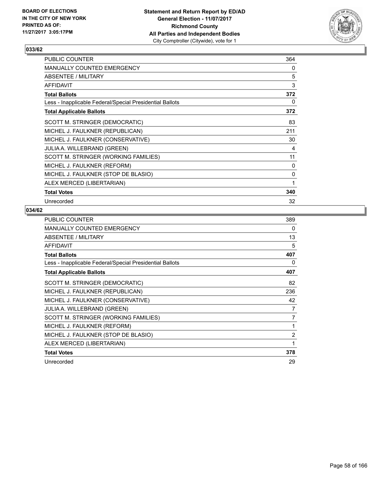

| PUBLIC COUNTER                                           | 364 |
|----------------------------------------------------------|-----|
| <b>MANUALLY COUNTED EMERGENCY</b>                        | 0   |
| <b>ABSENTEE / MILITARY</b>                               | 5   |
| <b>AFFIDAVIT</b>                                         | 3   |
| <b>Total Ballots</b>                                     | 372 |
| Less - Inapplicable Federal/Special Presidential Ballots | 0   |
| <b>Total Applicable Ballots</b>                          | 372 |
| SCOTT M. STRINGER (DEMOCRATIC)                           | 83  |
| MICHEL J. FAULKNER (REPUBLICAN)                          | 211 |
| MICHEL J. FAULKNER (CONSERVATIVE)                        | 30  |
| <b>JULIA A. WILLEBRAND (GREEN)</b>                       | 4   |
| SCOTT M. STRINGER (WORKING FAMILIES)                     | 11  |
| MICHEL J. FAULKNER (REFORM)                              | 0   |
| MICHEL J. FAULKNER (STOP DE BLASIO)                      | 0   |
| ALEX MERCED (LIBERTARIAN)                                | 1   |
| <b>Total Votes</b>                                       | 340 |
| Unrecorded                                               | 32  |

| <b>PUBLIC COUNTER</b>                                    | 389            |
|----------------------------------------------------------|----------------|
| <b>MANUALLY COUNTED EMERGENCY</b>                        | 0              |
| ABSENTEE / MILITARY                                      | 13             |
| <b>AFFIDAVIT</b>                                         | 5              |
| <b>Total Ballots</b>                                     | 407            |
| Less - Inapplicable Federal/Special Presidential Ballots | 0              |
| <b>Total Applicable Ballots</b>                          | 407            |
| SCOTT M. STRINGER (DEMOCRATIC)                           | 82             |
| MICHEL J. FAULKNER (REPUBLICAN)                          | 236            |
| MICHEL J. FAULKNER (CONSERVATIVE)                        | 42             |
| <b>JULIA A. WILLEBRAND (GREEN)</b>                       | 7              |
| SCOTT M. STRINGER (WORKING FAMILIES)                     | 7              |
| MICHEL J. FAULKNER (REFORM)                              | 1              |
| MICHEL J. FAULKNER (STOP DE BLASIO)                      | $\overline{2}$ |
| ALEX MERCED (LIBERTARIAN)                                | 1              |
| <b>Total Votes</b>                                       | 378            |
| Unrecorded                                               | 29             |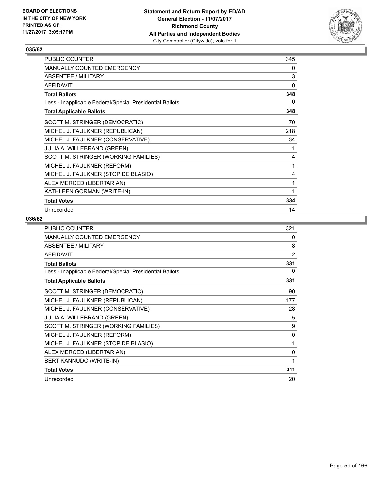

| PUBLIC COUNTER                                           | 345 |
|----------------------------------------------------------|-----|
| MANUALLY COUNTED EMERGENCY                               | 0   |
| ABSENTEE / MILITARY                                      | 3   |
| <b>AFFIDAVIT</b>                                         | 0   |
| <b>Total Ballots</b>                                     | 348 |
| Less - Inapplicable Federal/Special Presidential Ballots | 0   |
| <b>Total Applicable Ballots</b>                          | 348 |
| SCOTT M. STRINGER (DEMOCRATIC)                           | 70  |
| MICHEL J. FAULKNER (REPUBLICAN)                          | 218 |
| MICHEL J. FAULKNER (CONSERVATIVE)                        | 34  |
| JULIA A. WILLEBRAND (GREEN)                              | 1   |
| SCOTT M. STRINGER (WORKING FAMILIES)                     | 4   |
| MICHEL J. FAULKNER (REFORM)                              | 1   |
| MICHEL J. FAULKNER (STOP DE BLASIO)                      | 4   |
| ALEX MERCED (LIBERTARIAN)                                | 1   |
| KATHLEEN GORMAN (WRITE-IN)                               | 1   |
| <b>Total Votes</b>                                       | 334 |
| Unrecorded                                               | 14  |

| <b>PUBLIC COUNTER</b>                                    | 321            |
|----------------------------------------------------------|----------------|
| <b>MANUALLY COUNTED EMERGENCY</b>                        | 0              |
| <b>ABSENTEE / MILITARY</b>                               | 8              |
| <b>AFFIDAVIT</b>                                         | $\overline{2}$ |
| <b>Total Ballots</b>                                     | 331            |
| Less - Inapplicable Federal/Special Presidential Ballots | 0              |
| <b>Total Applicable Ballots</b>                          | 331            |
| SCOTT M. STRINGER (DEMOCRATIC)                           | 90             |
| MICHEL J. FAULKNER (REPUBLICAN)                          | 177            |
| MICHEL J. FAULKNER (CONSERVATIVE)                        | 28             |
| JULIA A. WILLEBRAND (GREEN)                              | 5              |
| SCOTT M. STRINGER (WORKING FAMILIES)                     | 9              |
| MICHEL J. FAULKNER (REFORM)                              | 0              |
| MICHEL J. FAULKNER (STOP DE BLASIO)                      | 1              |
| ALEX MERCED (LIBERTARIAN)                                | 0              |
| BERT KANNUDO (WRITE-IN)                                  | 1              |
| <b>Total Votes</b>                                       | 311            |
| Unrecorded                                               | 20             |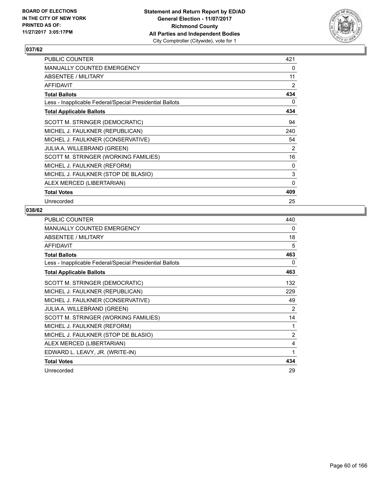

| PUBLIC COUNTER                                           | 421      |
|----------------------------------------------------------|----------|
| <b>MANUALLY COUNTED EMERGENCY</b>                        | 0        |
| <b>ABSENTEE / MILITARY</b>                               | 11       |
| <b>AFFIDAVIT</b>                                         | 2        |
| <b>Total Ballots</b>                                     | 434      |
| Less - Inapplicable Federal/Special Presidential Ballots | 0        |
| <b>Total Applicable Ballots</b>                          | 434      |
| SCOTT M. STRINGER (DEMOCRATIC)                           | 94       |
| MICHEL J. FAULKNER (REPUBLICAN)                          | 240      |
| MICHEL J. FAULKNER (CONSERVATIVE)                        | 54       |
| <b>JULIA A. WILLEBRAND (GREEN)</b>                       | 2        |
| SCOTT M. STRINGER (WORKING FAMILIES)                     | 16       |
| MICHEL J. FAULKNER (REFORM)                              | 0        |
| MICHEL J. FAULKNER (STOP DE BLASIO)                      | 3        |
| ALEX MERCED (LIBERTARIAN)                                | $\Omega$ |
| <b>Total Votes</b>                                       | 409      |
| Unrecorded                                               | 25       |

| PUBLIC COUNTER                                           | 440 |
|----------------------------------------------------------|-----|
| MANUALLY COUNTED EMERGENCY                               | 0   |
| <b>ABSENTEE / MILITARY</b>                               | 18  |
| <b>AFFIDAVIT</b>                                         | 5   |
| <b>Total Ballots</b>                                     | 463 |
| Less - Inapplicable Federal/Special Presidential Ballots | 0   |
| <b>Total Applicable Ballots</b>                          | 463 |
| SCOTT M. STRINGER (DEMOCRATIC)                           | 132 |
| MICHEL J. FAULKNER (REPUBLICAN)                          | 229 |
| MICHEL J. FAULKNER (CONSERVATIVE)                        | 49  |
| <b>JULIA A. WILLEBRAND (GREEN)</b>                       | 2   |
| SCOTT M. STRINGER (WORKING FAMILIES)                     | 14  |
| MICHEL J. FAULKNER (REFORM)                              | 1   |
| MICHEL J. FAULKNER (STOP DE BLASIO)                      | 2   |
| ALEX MERCED (LIBERTARIAN)                                | 4   |
| EDWARD L. LEAVY, JR. (WRITE-IN)                          | 1   |
| <b>Total Votes</b>                                       | 434 |
| Unrecorded                                               | 29  |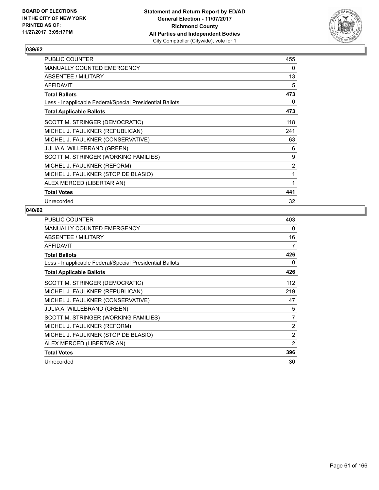

| <b>PUBLIC COUNTER</b>                                    | 455 |
|----------------------------------------------------------|-----|
| <b>MANUALLY COUNTED EMERGENCY</b>                        | 0   |
| ABSENTEE / MILITARY                                      | 13  |
| <b>AFFIDAVIT</b>                                         | 5   |
| <b>Total Ballots</b>                                     | 473 |
| Less - Inapplicable Federal/Special Presidential Ballots | 0   |
| <b>Total Applicable Ballots</b>                          | 473 |
| SCOTT M. STRINGER (DEMOCRATIC)                           | 118 |
| MICHEL J. FAULKNER (REPUBLICAN)                          | 241 |
| MICHEL J. FAULKNER (CONSERVATIVE)                        | 63  |
| <b>JULIA A. WILLEBRAND (GREEN)</b>                       | 6   |
| SCOTT M. STRINGER (WORKING FAMILIES)                     | 9   |
| MICHEL J. FAULKNER (REFORM)                              | 2   |
| MICHEL J. FAULKNER (STOP DE BLASIO)                      | 1   |
| ALEX MERCED (LIBERTARIAN)                                | 1   |
| <b>Total Votes</b>                                       | 441 |
| Unrecorded                                               | 32  |

| <b>PUBLIC COUNTER</b>                                    | 403 |
|----------------------------------------------------------|-----|
| <b>MANUALLY COUNTED EMERGENCY</b>                        | 0   |
| ABSENTEE / MILITARY                                      | 16  |
| <b>AFFIDAVIT</b>                                         | 7   |
| <b>Total Ballots</b>                                     | 426 |
| Less - Inapplicable Federal/Special Presidential Ballots | 0   |
| <b>Total Applicable Ballots</b>                          | 426 |
| SCOTT M. STRINGER (DEMOCRATIC)                           | 112 |
| MICHEL J. FAULKNER (REPUBLICAN)                          | 219 |
| MICHEL J. FAULKNER (CONSERVATIVE)                        | 47  |
| <b>JULIA A. WILLEBRAND (GREEN)</b>                       | 5   |
| SCOTT M. STRINGER (WORKING FAMILIES)                     | 7   |
| MICHEL J. FAULKNER (REFORM)                              | 2   |
| MICHEL J. FAULKNER (STOP DE BLASIO)                      | 2   |
| ALEX MERCED (LIBERTARIAN)                                | 2   |
| <b>Total Votes</b>                                       | 396 |
| Unrecorded                                               | 30  |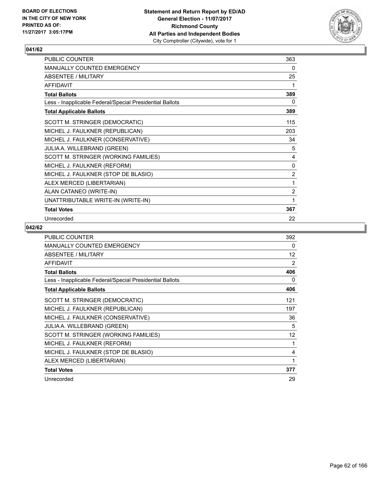

| PUBLIC COUNTER                                           | 363            |
|----------------------------------------------------------|----------------|
| MANUALLY COUNTED EMERGENCY                               | 0              |
| <b>ABSENTEE / MILITARY</b>                               | 25             |
| <b>AFFIDAVIT</b>                                         | 1              |
| <b>Total Ballots</b>                                     | 389            |
| Less - Inapplicable Federal/Special Presidential Ballots | 0              |
| <b>Total Applicable Ballots</b>                          | 389            |
| SCOTT M. STRINGER (DEMOCRATIC)                           | 115            |
| MICHEL J. FAULKNER (REPUBLICAN)                          | 203            |
| MICHEL J. FAULKNER (CONSERVATIVE)                        | 34             |
| JULIA A. WILLEBRAND (GREEN)                              | 5              |
| SCOTT M. STRINGER (WORKING FAMILIES)                     | 4              |
| MICHEL J. FAULKNER (REFORM)                              | 0              |
| MICHEL J. FAULKNER (STOP DE BLASIO)                      | $\overline{2}$ |
| ALEX MERCED (LIBERTARIAN)                                | 1              |
| ALAN CATANEO (WRITE-IN)                                  | $\overline{2}$ |
| UNATTRIBUTABLE WRITE-IN (WRITE-IN)                       | 1              |
| <b>Total Votes</b>                                       | 367            |
| Unrecorded                                               | 22             |

| <b>PUBLIC COUNTER</b>                                    | 392 |
|----------------------------------------------------------|-----|
| <b>MANUALLY COUNTED EMERGENCY</b>                        | 0   |
| ABSENTEE / MILITARY                                      | 12  |
| <b>AFFIDAVIT</b>                                         | 2   |
| <b>Total Ballots</b>                                     | 406 |
| Less - Inapplicable Federal/Special Presidential Ballots | 0   |
| <b>Total Applicable Ballots</b>                          | 406 |
| SCOTT M. STRINGER (DEMOCRATIC)                           | 121 |
| MICHEL J. FAULKNER (REPUBLICAN)                          | 197 |
| MICHEL J. FAULKNER (CONSERVATIVE)                        | 36  |
| <b>JULIA A. WILLEBRAND (GREEN)</b>                       | 5   |
| SCOTT M. STRINGER (WORKING FAMILIES)                     | 12  |
| MICHEL J. FAULKNER (REFORM)                              | 1   |
| MICHEL J. FAULKNER (STOP DE BLASIO)                      | 4   |
| ALEX MERCED (LIBERTARIAN)                                | 1   |
| <b>Total Votes</b>                                       | 377 |
| Unrecorded                                               | 29  |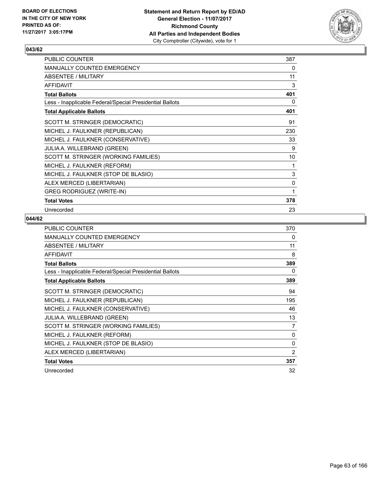

| PUBLIC COUNTER                                           | 387 |
|----------------------------------------------------------|-----|
| MANUALLY COUNTED EMERGENCY                               | 0   |
| ABSENTEE / MILITARY                                      | 11  |
| <b>AFFIDAVIT</b>                                         | 3   |
| <b>Total Ballots</b>                                     | 401 |
| Less - Inapplicable Federal/Special Presidential Ballots | 0   |
| <b>Total Applicable Ballots</b>                          | 401 |
| SCOTT M. STRINGER (DEMOCRATIC)                           | 91  |
| MICHEL J. FAULKNER (REPUBLICAN)                          | 230 |
| MICHEL J. FAULKNER (CONSERVATIVE)                        | 33  |
| JULIA A. WILLEBRAND (GREEN)                              | 9   |
| SCOTT M. STRINGER (WORKING FAMILIES)                     | 10  |
| MICHEL J. FAULKNER (REFORM)                              | 1   |
| MICHEL J. FAULKNER (STOP DE BLASIO)                      | 3   |
| ALEX MERCED (LIBERTARIAN)                                | 0   |
| <b>GREG RODRIGUEZ (WRITE-IN)</b>                         | 1   |
| <b>Total Votes</b>                                       | 378 |
| Unrecorded                                               | 23  |

| <b>PUBLIC COUNTER</b>                                    | 370            |
|----------------------------------------------------------|----------------|
| <b>MANUALLY COUNTED EMERGENCY</b>                        | 0              |
| ABSENTEE / MILITARY                                      | 11             |
| <b>AFFIDAVIT</b>                                         | 8              |
| <b>Total Ballots</b>                                     | 389            |
| Less - Inapplicable Federal/Special Presidential Ballots | 0              |
| <b>Total Applicable Ballots</b>                          | 389            |
| SCOTT M. STRINGER (DEMOCRATIC)                           | 94             |
| MICHEL J. FAULKNER (REPUBLICAN)                          | 195            |
| MICHEL J. FAULKNER (CONSERVATIVE)                        | 46             |
| <b>JULIA A. WILLEBRAND (GREEN)</b>                       | 13             |
| SCOTT M. STRINGER (WORKING FAMILIES)                     | 7              |
| MICHEL J. FAULKNER (REFORM)                              | 0              |
| MICHEL J. FAULKNER (STOP DE BLASIO)                      | 0              |
| ALEX MERCED (LIBERTARIAN)                                | $\overline{2}$ |
| <b>Total Votes</b>                                       | 357            |
| Unrecorded                                               | 32             |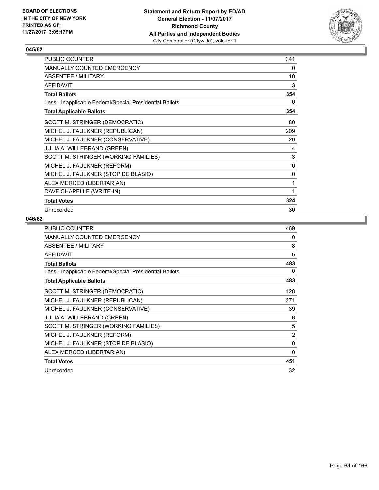

| PUBLIC COUNTER                                           | 341 |
|----------------------------------------------------------|-----|
| MANUALLY COUNTED EMERGENCY                               | 0   |
| ABSENTEE / MILITARY                                      | 10  |
| <b>AFFIDAVIT</b>                                         | 3   |
| <b>Total Ballots</b>                                     | 354 |
| Less - Inapplicable Federal/Special Presidential Ballots | 0   |
| <b>Total Applicable Ballots</b>                          | 354 |
| SCOTT M. STRINGER (DEMOCRATIC)                           | 80  |
| MICHEL J. FAULKNER (REPUBLICAN)                          | 209 |
| MICHEL J. FAULKNER (CONSERVATIVE)                        | 26  |
| JULIA A. WILLEBRAND (GREEN)                              | 4   |
| SCOTT M. STRINGER (WORKING FAMILIES)                     | 3   |
| MICHEL J. FAULKNER (REFORM)                              | 0   |
| MICHEL J. FAULKNER (STOP DE BLASIO)                      | 0   |
| ALEX MERCED (LIBERTARIAN)                                | 1   |
| DAVE CHAPELLE (WRITE-IN)                                 | 1   |
| <b>Total Votes</b>                                       | 324 |
| Unrecorded                                               | 30  |

| <b>PUBLIC COUNTER</b>                                    | 469            |
|----------------------------------------------------------|----------------|
| <b>MANUALLY COUNTED EMERGENCY</b>                        | 0              |
| ABSENTEE / MILITARY                                      | 8              |
| <b>AFFIDAVIT</b>                                         | 6              |
| <b>Total Ballots</b>                                     | 483            |
| Less - Inapplicable Federal/Special Presidential Ballots | 0              |
| <b>Total Applicable Ballots</b>                          | 483            |
| SCOTT M. STRINGER (DEMOCRATIC)                           | 128            |
| MICHEL J. FAULKNER (REPUBLICAN)                          | 271            |
| MICHEL J. FAULKNER (CONSERVATIVE)                        | 39             |
| <b>JULIA A. WILLEBRAND (GREEN)</b>                       | 6              |
| SCOTT M. STRINGER (WORKING FAMILIES)                     | 5              |
| MICHEL J. FAULKNER (REFORM)                              | $\overline{2}$ |
| MICHEL J. FAULKNER (STOP DE BLASIO)                      | $\mathbf{0}$   |
| ALEX MERCED (LIBERTARIAN)                                | $\Omega$       |
| <b>Total Votes</b>                                       | 451            |
| Unrecorded                                               | 32             |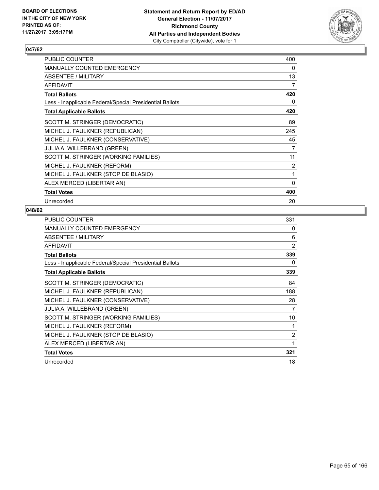

| PUBLIC COUNTER                                           | 400 |
|----------------------------------------------------------|-----|
| <b>MANUALLY COUNTED EMERGENCY</b>                        | 0   |
| <b>ABSENTEE / MILITARY</b>                               | 13  |
| <b>AFFIDAVIT</b>                                         | 7   |
| <b>Total Ballots</b>                                     | 420 |
| Less - Inapplicable Federal/Special Presidential Ballots | 0   |
| <b>Total Applicable Ballots</b>                          | 420 |
| SCOTT M. STRINGER (DEMOCRATIC)                           | 89  |
| MICHEL J. FAULKNER (REPUBLICAN)                          | 245 |
| MICHEL J. FAULKNER (CONSERVATIVE)                        | 45  |
| <b>JULIA A. WILLEBRAND (GREEN)</b>                       | 7   |
| SCOTT M. STRINGER (WORKING FAMILIES)                     | 11  |
| MICHEL J. FAULKNER (REFORM)                              | 2   |
| MICHEL J. FAULKNER (STOP DE BLASIO)                      | 1   |
| ALEX MERCED (LIBERTARIAN)                                | 0   |
| <b>Total Votes</b>                                       | 400 |
| Unrecorded                                               | 20  |

| PUBLIC COUNTER                                           | 331            |
|----------------------------------------------------------|----------------|
| <b>MANUALLY COUNTED EMERGENCY</b>                        | 0              |
| ABSENTEE / MILITARY                                      | 6              |
| <b>AFFIDAVIT</b>                                         | 2              |
| <b>Total Ballots</b>                                     | 339            |
| Less - Inapplicable Federal/Special Presidential Ballots | 0              |
| <b>Total Applicable Ballots</b>                          | 339            |
| SCOTT M. STRINGER (DEMOCRATIC)                           | 84             |
| MICHEL J. FAULKNER (REPUBLICAN)                          | 188            |
| MICHEL J. FAULKNER (CONSERVATIVE)                        | 28             |
| JULIA A. WILLEBRAND (GREEN)                              | 7              |
| SCOTT M. STRINGER (WORKING FAMILIES)                     | 10             |
| MICHEL J. FAULKNER (REFORM)                              | 1              |
| MICHEL J. FAULKNER (STOP DE BLASIO)                      | $\overline{2}$ |
| ALEX MERCED (LIBERTARIAN)                                | 1              |
| <b>Total Votes</b>                                       | 321            |
| Unrecorded                                               | 18             |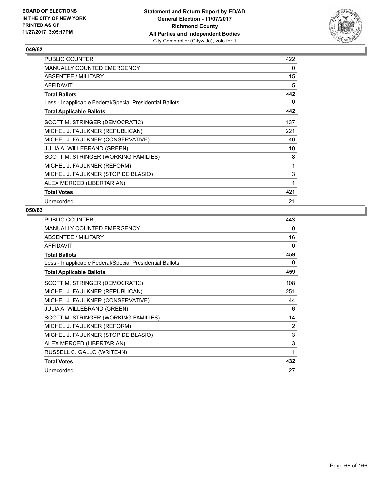

| <b>PUBLIC COUNTER</b>                                    | 422 |
|----------------------------------------------------------|-----|
| <b>MANUALLY COUNTED EMERGENCY</b>                        | 0   |
| ABSENTEE / MILITARY                                      | 15  |
| <b>AFFIDAVIT</b>                                         | 5   |
| <b>Total Ballots</b>                                     | 442 |
| Less - Inapplicable Federal/Special Presidential Ballots | 0   |
| <b>Total Applicable Ballots</b>                          | 442 |
| SCOTT M. STRINGER (DEMOCRATIC)                           | 137 |
| MICHEL J. FAULKNER (REPUBLICAN)                          | 221 |
| MICHEL J. FAULKNER (CONSERVATIVE)                        | 40  |
| JULIA A. WILLEBRAND (GREEN)                              | 10  |
| SCOTT M. STRINGER (WORKING FAMILIES)                     | 8   |
| MICHEL J. FAULKNER (REFORM)                              | 1   |
| MICHEL J. FAULKNER (STOP DE BLASIO)                      | 3   |
| ALEX MERCED (LIBERTARIAN)                                | 1   |
| <b>Total Votes</b>                                       | 421 |
| Unrecorded                                               | 21  |

| <b>PUBLIC COUNTER</b>                                    | 443 |
|----------------------------------------------------------|-----|
| <b>MANUALLY COUNTED EMERGENCY</b>                        | 0   |
| ABSENTEE / MILITARY                                      | 16  |
| <b>AFFIDAVIT</b>                                         | 0   |
| <b>Total Ballots</b>                                     | 459 |
| Less - Inapplicable Federal/Special Presidential Ballots | 0   |
| <b>Total Applicable Ballots</b>                          | 459 |
| SCOTT M. STRINGER (DEMOCRATIC)                           | 108 |
| MICHEL J. FAULKNER (REPUBLICAN)                          | 251 |
| MICHEL J. FAULKNER (CONSERVATIVE)                        | 44  |
| JULIA A. WILLEBRAND (GREEN)                              | 6   |
| SCOTT M. STRINGER (WORKING FAMILIES)                     | 14  |
| MICHEL J. FAULKNER (REFORM)                              | 2   |
| MICHEL J. FAULKNER (STOP DE BLASIO)                      | 3   |
| ALEX MERCED (LIBERTARIAN)                                | 3   |
| RUSSELL C. GALLO (WRITE-IN)                              | 1   |
| <b>Total Votes</b>                                       | 432 |
| Unrecorded                                               | 27  |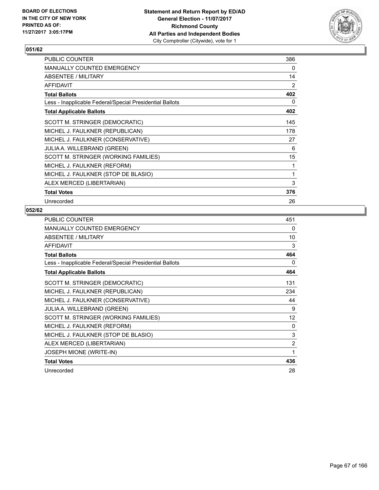

| <b>PUBLIC COUNTER</b>                                    | 386 |
|----------------------------------------------------------|-----|
| <b>MANUALLY COUNTED EMERGENCY</b>                        | 0   |
| ABSENTEE / MILITARY                                      | 14  |
| <b>AFFIDAVIT</b>                                         | 2   |
| <b>Total Ballots</b>                                     | 402 |
| Less - Inapplicable Federal/Special Presidential Ballots | 0   |
| <b>Total Applicable Ballots</b>                          | 402 |
| SCOTT M. STRINGER (DEMOCRATIC)                           | 145 |
| MICHEL J. FAULKNER (REPUBLICAN)                          | 178 |
| MICHEL J. FAULKNER (CONSERVATIVE)                        | 27  |
| <b>JULIA A. WILLEBRAND (GREEN)</b>                       | 6   |
| SCOTT M. STRINGER (WORKING FAMILIES)                     | 15  |
| MICHEL J. FAULKNER (REFORM)                              | 1   |
| MICHEL J. FAULKNER (STOP DE BLASIO)                      | 1   |
| ALEX MERCED (LIBERTARIAN)                                | 3   |
| <b>Total Votes</b>                                       | 376 |
| Unrecorded                                               | 26  |

| PUBLIC COUNTER                                           | 451            |
|----------------------------------------------------------|----------------|
| MANUALLY COUNTED EMERGENCY                               | 0              |
| ABSENTEE / MILITARY                                      | 10             |
| <b>AFFIDAVIT</b>                                         | 3              |
| <b>Total Ballots</b>                                     | 464            |
| Less - Inapplicable Federal/Special Presidential Ballots | 0              |
| <b>Total Applicable Ballots</b>                          | 464            |
| SCOTT M. STRINGER (DEMOCRATIC)                           | 131            |
| MICHEL J. FAULKNER (REPUBLICAN)                          | 234            |
| MICHEL J. FAULKNER (CONSERVATIVE)                        | 44             |
| <b>JULIA A. WILLEBRAND (GREEN)</b>                       | 9              |
| SCOTT M. STRINGER (WORKING FAMILIES)                     | 12             |
| MICHEL J. FAULKNER (REFORM)                              | 0              |
| MICHEL J. FAULKNER (STOP DE BLASIO)                      | 3              |
| ALEX MERCED (LIBERTARIAN)                                | $\overline{2}$ |
| JOSEPH MIONE (WRITE-IN)                                  | 1              |
| <b>Total Votes</b>                                       | 436            |
| Unrecorded                                               | 28             |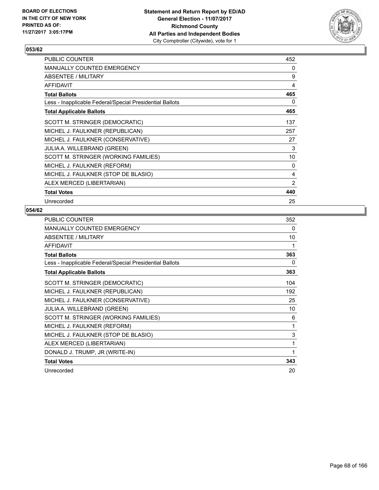

| <b>PUBLIC COUNTER</b>                                    | 452 |
|----------------------------------------------------------|-----|
| <b>MANUALLY COUNTED EMERGENCY</b>                        | 0   |
| ABSENTEE / MILITARY                                      | 9   |
| <b>AFFIDAVIT</b>                                         | 4   |
| <b>Total Ballots</b>                                     | 465 |
| Less - Inapplicable Federal/Special Presidential Ballots | 0   |
| <b>Total Applicable Ballots</b>                          | 465 |
| SCOTT M. STRINGER (DEMOCRATIC)                           | 137 |
| MICHEL J. FAULKNER (REPUBLICAN)                          | 257 |
| MICHEL J. FAULKNER (CONSERVATIVE)                        | 27  |
| <b>JULIA A. WILLEBRAND (GREEN)</b>                       | 3   |
| SCOTT M. STRINGER (WORKING FAMILIES)                     | 10  |
| MICHEL J. FAULKNER (REFORM)                              | 0   |
| MICHEL J. FAULKNER (STOP DE BLASIO)                      | 4   |
| ALEX MERCED (LIBERTARIAN)                                | 2   |
| <b>Total Votes</b>                                       | 440 |
| Unrecorded                                               | 25  |

| PUBLIC COUNTER                                           | 352 |
|----------------------------------------------------------|-----|
| MANUALLY COUNTED EMERGENCY                               | 0   |
| <b>ABSENTEE / MILITARY</b>                               | 10  |
| <b>AFFIDAVIT</b>                                         | 1   |
| <b>Total Ballots</b>                                     | 363 |
| Less - Inapplicable Federal/Special Presidential Ballots | 0   |
| <b>Total Applicable Ballots</b>                          | 363 |
| SCOTT M. STRINGER (DEMOCRATIC)                           | 104 |
| MICHEL J. FAULKNER (REPUBLICAN)                          | 192 |
| MICHEL J. FAULKNER (CONSERVATIVE)                        | 25  |
| <b>JULIA A. WILLEBRAND (GREEN)</b>                       | 10  |
| SCOTT M. STRINGER (WORKING FAMILIES)                     | 6   |
| MICHEL J. FAULKNER (REFORM)                              | 1   |
| MICHEL J. FAULKNER (STOP DE BLASIO)                      | 3   |
| ALEX MERCED (LIBERTARIAN)                                | 1   |
| DONALD J. TRUMP, JR (WRITE-IN)                           | 1   |
| <b>Total Votes</b>                                       | 343 |
| Unrecorded                                               | 20  |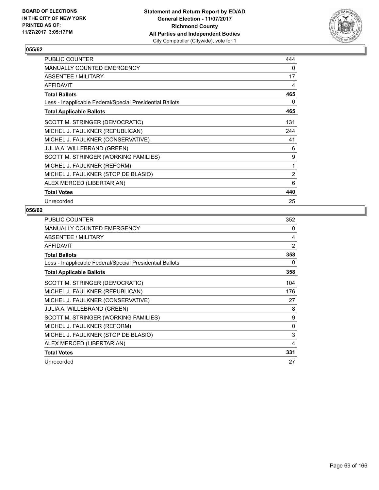

| <b>PUBLIC COUNTER</b>                                    | 444 |
|----------------------------------------------------------|-----|
| <b>MANUALLY COUNTED EMERGENCY</b>                        | 0   |
| ABSENTEE / MILITARY                                      | 17  |
| <b>AFFIDAVIT</b>                                         | 4   |
| <b>Total Ballots</b>                                     | 465 |
| Less - Inapplicable Federal/Special Presidential Ballots | 0   |
| <b>Total Applicable Ballots</b>                          | 465 |
| SCOTT M. STRINGER (DEMOCRATIC)                           | 131 |
| MICHEL J. FAULKNER (REPUBLICAN)                          | 244 |
| MICHEL J. FAULKNER (CONSERVATIVE)                        | 41  |
| <b>JULIA A. WILLEBRAND (GREEN)</b>                       | 6   |
| SCOTT M. STRINGER (WORKING FAMILIES)                     | 9   |
| MICHEL J. FAULKNER (REFORM)                              | 1   |
| MICHEL J. FAULKNER (STOP DE BLASIO)                      | 2   |
| ALEX MERCED (LIBERTARIAN)                                | 6   |
| <b>Total Votes</b>                                       | 440 |
| Unrecorded                                               | 25  |

| PUBLIC COUNTER                                           | 352 |
|----------------------------------------------------------|-----|
| <b>MANUALLY COUNTED EMERGENCY</b>                        | 0   |
| ABSENTEE / MILITARY                                      | 4   |
| AFFIDAVIT                                                | 2   |
| <b>Total Ballots</b>                                     | 358 |
| Less - Inapplicable Federal/Special Presidential Ballots | 0   |
| <b>Total Applicable Ballots</b>                          | 358 |
| SCOTT M. STRINGER (DEMOCRATIC)                           | 104 |
| MICHEL J. FAULKNER (REPUBLICAN)                          | 176 |
| MICHEL J. FAULKNER (CONSERVATIVE)                        | 27  |
| <b>JULIA A. WILLEBRAND (GREEN)</b>                       | 8   |
| SCOTT M. STRINGER (WORKING FAMILIES)                     | 9   |
| MICHEL J. FAULKNER (REFORM)                              | 0   |
| MICHEL J. FAULKNER (STOP DE BLASIO)                      | 3   |
| ALEX MERCED (LIBERTARIAN)                                | 4   |
| <b>Total Votes</b>                                       | 331 |
| Unrecorded                                               | 27  |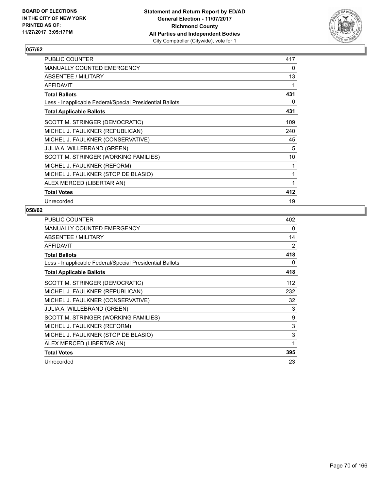

| <b>PUBLIC COUNTER</b>                                    | 417 |
|----------------------------------------------------------|-----|
| <b>MANUALLY COUNTED EMERGENCY</b>                        | 0   |
| ABSENTEE / MILITARY                                      | 13  |
| <b>AFFIDAVIT</b>                                         | 1   |
| <b>Total Ballots</b>                                     | 431 |
| Less - Inapplicable Federal/Special Presidential Ballots | 0   |
| <b>Total Applicable Ballots</b>                          | 431 |
| SCOTT M. STRINGER (DEMOCRATIC)                           | 109 |
| MICHEL J. FAULKNER (REPUBLICAN)                          | 240 |
| MICHEL J. FAULKNER (CONSERVATIVE)                        | 45  |
| <b>JULIA A. WILLEBRAND (GREEN)</b>                       | 5   |
| SCOTT M. STRINGER (WORKING FAMILIES)                     | 10  |
| MICHEL J. FAULKNER (REFORM)                              | 1   |
| MICHEL J. FAULKNER (STOP DE BLASIO)                      | 1   |
| ALEX MERCED (LIBERTARIAN)                                | 1   |
| <b>Total Votes</b>                                       | 412 |
| Unrecorded                                               | 19  |

| <b>PUBLIC COUNTER</b>                                    | 402 |
|----------------------------------------------------------|-----|
| <b>MANUALLY COUNTED EMERGENCY</b>                        | 0   |
| ABSENTEE / MILITARY                                      | 14  |
| <b>AFFIDAVIT</b>                                         | 2   |
| <b>Total Ballots</b>                                     | 418 |
| Less - Inapplicable Federal/Special Presidential Ballots | 0   |
| <b>Total Applicable Ballots</b>                          | 418 |
| SCOTT M. STRINGER (DEMOCRATIC)                           | 112 |
| MICHEL J. FAULKNER (REPUBLICAN)                          | 232 |
| MICHEL J. FAULKNER (CONSERVATIVE)                        | 32  |
| JULIA A. WILLEBRAND (GREEN)                              | 3   |
| SCOTT M. STRINGER (WORKING FAMILIES)                     | 9   |
| MICHEL J. FAULKNER (REFORM)                              | 3   |
| MICHEL J. FAULKNER (STOP DE BLASIO)                      | 3   |
| ALEX MERCED (LIBERTARIAN)                                | 1   |
| <b>Total Votes</b>                                       | 395 |
| Unrecorded                                               | 23  |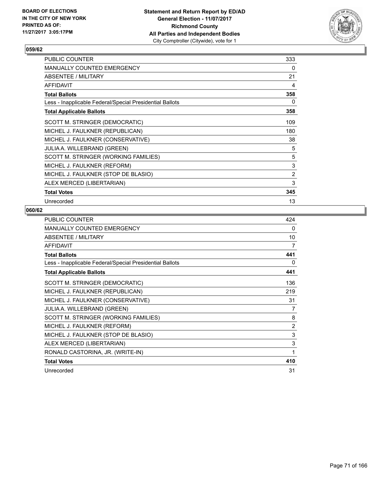

| <b>PUBLIC COUNTER</b>                                    | 333 |
|----------------------------------------------------------|-----|
| <b>MANUALLY COUNTED EMERGENCY</b>                        | 0   |
| ABSENTEE / MILITARY                                      | 21  |
| <b>AFFIDAVIT</b>                                         | 4   |
| <b>Total Ballots</b>                                     | 358 |
| Less - Inapplicable Federal/Special Presidential Ballots | 0   |
| <b>Total Applicable Ballots</b>                          | 358 |
| SCOTT M. STRINGER (DEMOCRATIC)                           | 109 |
| MICHEL J. FAULKNER (REPUBLICAN)                          | 180 |
| MICHEL J. FAULKNER (CONSERVATIVE)                        | 38  |
| JULIA A. WILLEBRAND (GREEN)                              | 5   |
| SCOTT M. STRINGER (WORKING FAMILIES)                     | 5   |
| MICHEL J. FAULKNER (REFORM)                              | 3   |
| MICHEL J. FAULKNER (STOP DE BLASIO)                      | 2   |
| ALEX MERCED (LIBERTARIAN)                                | 3   |
| <b>Total Votes</b>                                       | 345 |
| Unrecorded                                               | 13  |

| PUBLIC COUNTER                                           | 424 |
|----------------------------------------------------------|-----|
| MANUALLY COUNTED EMERGENCY                               | 0   |
| ABSENTEE / MILITARY                                      | 10  |
| <b>AFFIDAVIT</b>                                         | 7   |
| <b>Total Ballots</b>                                     | 441 |
| Less - Inapplicable Federal/Special Presidential Ballots | 0   |
| <b>Total Applicable Ballots</b>                          | 441 |
| SCOTT M. STRINGER (DEMOCRATIC)                           | 136 |
| MICHEL J. FAULKNER (REPUBLICAN)                          | 219 |
| MICHEL J. FAULKNER (CONSERVATIVE)                        | 31  |
| JULIA A. WILLEBRAND (GREEN)                              | 7   |
| SCOTT M. STRINGER (WORKING FAMILIES)                     | 8   |
| MICHEL J. FAULKNER (REFORM)                              | 2   |
| MICHEL J. FAULKNER (STOP DE BLASIO)                      | 3   |
| ALEX MERCED (LIBERTARIAN)                                | 3   |
| RONALD CASTORINA, JR. (WRITE-IN)                         | 1   |
| <b>Total Votes</b>                                       | 410 |
| Unrecorded                                               | 31  |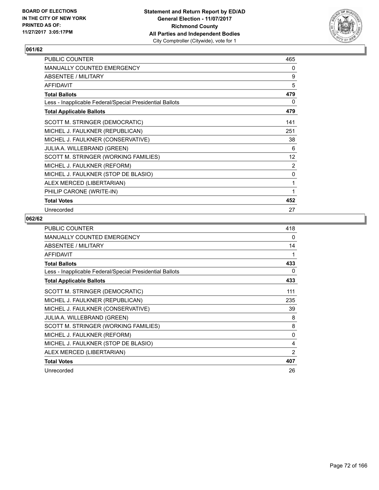

| PUBLIC COUNTER                                           | 465            |
|----------------------------------------------------------|----------------|
| <b>MANUALLY COUNTED EMERGENCY</b>                        | 0              |
| ABSENTEE / MILITARY                                      | 9              |
| <b>AFFIDAVIT</b>                                         | 5              |
| <b>Total Ballots</b>                                     | 479            |
| Less - Inapplicable Federal/Special Presidential Ballots | 0              |
| <b>Total Applicable Ballots</b>                          | 479            |
| SCOTT M. STRINGER (DEMOCRATIC)                           | 141            |
| MICHEL J. FAULKNER (REPUBLICAN)                          | 251            |
| MICHEL J. FAULKNER (CONSERVATIVE)                        | 38             |
| JULIA A. WILLEBRAND (GREEN)                              | 6              |
| SCOTT M. STRINGER (WORKING FAMILIES)                     | 12             |
| MICHEL J. FAULKNER (REFORM)                              | $\overline{2}$ |
| MICHEL J. FAULKNER (STOP DE BLASIO)                      | 0              |
| ALEX MERCED (LIBERTARIAN)                                | 1              |
| PHILIP CARONE (WRITE-IN)                                 | 1              |
| <b>Total Votes</b>                                       | 452            |
| Unrecorded                                               | 27             |

| <b>PUBLIC COUNTER</b>                                    | 418            |
|----------------------------------------------------------|----------------|
| <b>MANUALLY COUNTED EMERGENCY</b>                        | 0              |
| ABSENTEE / MILITARY                                      | 14             |
| <b>AFFIDAVIT</b>                                         | 1              |
| <b>Total Ballots</b>                                     | 433            |
| Less - Inapplicable Federal/Special Presidential Ballots | 0              |
| <b>Total Applicable Ballots</b>                          | 433            |
| SCOTT M. STRINGER (DEMOCRATIC)                           | 111            |
| MICHEL J. FAULKNER (REPUBLICAN)                          | 235            |
| MICHEL J. FAULKNER (CONSERVATIVE)                        | 39             |
| <b>JULIA A. WILLEBRAND (GREEN)</b>                       | 8              |
| SCOTT M. STRINGER (WORKING FAMILIES)                     | 8              |
| MICHEL J. FAULKNER (REFORM)                              | 0              |
| MICHEL J. FAULKNER (STOP DE BLASIO)                      | 4              |
| ALEX MERCED (LIBERTARIAN)                                | $\overline{2}$ |
| <b>Total Votes</b>                                       | 407            |
| Unrecorded                                               | 26             |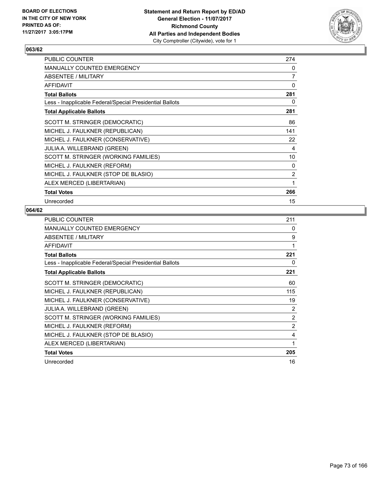

| <b>PUBLIC COUNTER</b>                                    | 274 |
|----------------------------------------------------------|-----|
| <b>MANUALLY COUNTED EMERGENCY</b>                        | 0   |
| ABSENTEE / MILITARY                                      | 7   |
| <b>AFFIDAVIT</b>                                         | 0   |
| <b>Total Ballots</b>                                     | 281 |
| Less - Inapplicable Federal/Special Presidential Ballots | 0   |
| <b>Total Applicable Ballots</b>                          | 281 |
| SCOTT M. STRINGER (DEMOCRATIC)                           | 86  |
| MICHEL J. FAULKNER (REPUBLICAN)                          | 141 |
| MICHEL J. FAULKNER (CONSERVATIVE)                        | 22  |
| <b>JULIA A. WILLEBRAND (GREEN)</b>                       | 4   |
| SCOTT M. STRINGER (WORKING FAMILIES)                     | 10  |
| MICHEL J. FAULKNER (REFORM)                              | 0   |
| MICHEL J. FAULKNER (STOP DE BLASIO)                      | 2   |
| ALEX MERCED (LIBERTARIAN)                                | 1   |
| <b>Total Votes</b>                                       | 266 |
| Unrecorded                                               | 15  |

| <b>PUBLIC COUNTER</b>                                    | 211            |
|----------------------------------------------------------|----------------|
| <b>MANUALLY COUNTED EMERGENCY</b>                        | 0              |
| ABSENTEE / MILITARY                                      | 9              |
| <b>AFFIDAVIT</b>                                         | 1              |
| <b>Total Ballots</b>                                     | 221            |
| Less - Inapplicable Federal/Special Presidential Ballots | 0              |
| <b>Total Applicable Ballots</b>                          | 221            |
| SCOTT M. STRINGER (DEMOCRATIC)                           | 60             |
| MICHEL J. FAULKNER (REPUBLICAN)                          | 115            |
| MICHEL J. FAULKNER (CONSERVATIVE)                        | 19             |
| JULIA A. WILLEBRAND (GREEN)                              | 2              |
| SCOTT M. STRINGER (WORKING FAMILIES)                     | $\overline{2}$ |
| MICHEL J. FAULKNER (REFORM)                              | $\overline{2}$ |
| MICHEL J. FAULKNER (STOP DE BLASIO)                      | 4              |
| ALEX MERCED (LIBERTARIAN)                                | 1              |
| <b>Total Votes</b>                                       | 205            |
| Unrecorded                                               | 16             |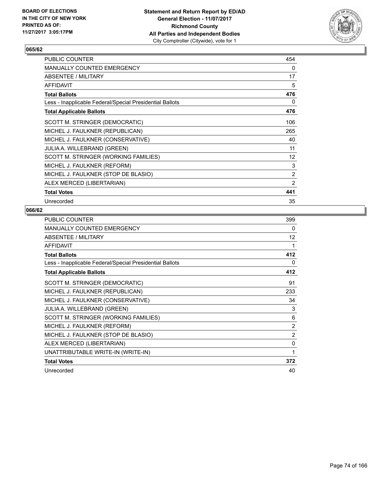

| <b>PUBLIC COUNTER</b>                                    | 454 |
|----------------------------------------------------------|-----|
| <b>MANUALLY COUNTED EMERGENCY</b>                        | 0   |
| ABSENTEE / MILITARY                                      | 17  |
| <b>AFFIDAVIT</b>                                         | 5   |
| <b>Total Ballots</b>                                     | 476 |
| Less - Inapplicable Federal/Special Presidential Ballots | 0   |
| <b>Total Applicable Ballots</b>                          | 476 |
| SCOTT M. STRINGER (DEMOCRATIC)                           | 106 |
| MICHEL J. FAULKNER (REPUBLICAN)                          | 265 |
| MICHEL J. FAULKNER (CONSERVATIVE)                        | 40  |
| <b>JULIA A. WILLEBRAND (GREEN)</b>                       | 11  |
| SCOTT M. STRINGER (WORKING FAMILIES)                     | 12  |
| MICHEL J. FAULKNER (REFORM)                              | 3   |
| MICHEL J. FAULKNER (STOP DE BLASIO)                      | 2   |
| ALEX MERCED (LIBERTARIAN)                                | 2   |
| <b>Total Votes</b>                                       | 441 |
| Unrecorded                                               | 35  |

| <b>PUBLIC COUNTER</b>                                    | 399 |
|----------------------------------------------------------|-----|
| MANUALLY COUNTED EMERGENCY                               | 0   |
| <b>ABSENTEE / MILITARY</b>                               | 12  |
| <b>AFFIDAVIT</b>                                         | 1   |
| <b>Total Ballots</b>                                     | 412 |
| Less - Inapplicable Federal/Special Presidential Ballots | 0   |
| <b>Total Applicable Ballots</b>                          | 412 |
| SCOTT M. STRINGER (DEMOCRATIC)                           | 91  |
| MICHEL J. FAULKNER (REPUBLICAN)                          | 233 |
| MICHEL J. FAULKNER (CONSERVATIVE)                        | 34  |
| JULIA A. WILLEBRAND (GREEN)                              | 3   |
| SCOTT M. STRINGER (WORKING FAMILIES)                     | 6   |
| MICHEL J. FAULKNER (REFORM)                              | 2   |
| MICHEL J. FAULKNER (STOP DE BLASIO)                      | 2   |
| ALEX MERCED (LIBERTARIAN)                                | 0   |
| UNATTRIBUTABLE WRITE-IN (WRITE-IN)                       | 1   |
| <b>Total Votes</b>                                       | 372 |
| Unrecorded                                               | 40  |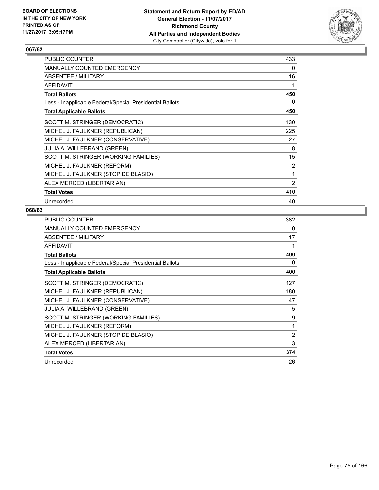

| <b>PUBLIC COUNTER</b>                                    | 433 |
|----------------------------------------------------------|-----|
| <b>MANUALLY COUNTED EMERGENCY</b>                        | 0   |
| ABSENTEE / MILITARY                                      | 16  |
| <b>AFFIDAVIT</b>                                         | 1   |
| <b>Total Ballots</b>                                     | 450 |
| Less - Inapplicable Federal/Special Presidential Ballots | 0   |
| <b>Total Applicable Ballots</b>                          | 450 |
| SCOTT M. STRINGER (DEMOCRATIC)                           | 130 |
| MICHEL J. FAULKNER (REPUBLICAN)                          | 225 |
| MICHEL J. FAULKNER (CONSERVATIVE)                        | 27  |
| <b>JULIA A. WILLEBRAND (GREEN)</b>                       | 8   |
| SCOTT M. STRINGER (WORKING FAMILIES)                     | 15  |
| MICHEL J. FAULKNER (REFORM)                              | 2   |
| MICHEL J. FAULKNER (STOP DE BLASIO)                      | 1   |
| ALEX MERCED (LIBERTARIAN)                                | 2   |
| <b>Total Votes</b>                                       | 410 |
| Unrecorded                                               | 40  |

| <b>PUBLIC COUNTER</b>                                    | 382 |
|----------------------------------------------------------|-----|
| <b>MANUALLY COUNTED EMERGENCY</b>                        | 0   |
| <b>ABSENTEE / MILITARY</b>                               | 17  |
| <b>AFFIDAVIT</b>                                         | 1   |
| <b>Total Ballots</b>                                     | 400 |
| Less - Inapplicable Federal/Special Presidential Ballots | 0   |
| <b>Total Applicable Ballots</b>                          | 400 |
| SCOTT M. STRINGER (DEMOCRATIC)                           | 127 |
| MICHEL J. FAULKNER (REPUBLICAN)                          | 180 |
| MICHEL J. FAULKNER (CONSERVATIVE)                        | 47  |
| JULIA A. WILLEBRAND (GREEN)                              | 5   |
| SCOTT M. STRINGER (WORKING FAMILIES)                     | 9   |
| MICHEL J. FAULKNER (REFORM)                              | 1   |
| MICHEL J. FAULKNER (STOP DE BLASIO)                      | 2   |
| ALEX MERCED (LIBERTARIAN)                                | 3   |
| <b>Total Votes</b>                                       | 374 |
| Unrecorded                                               | 26  |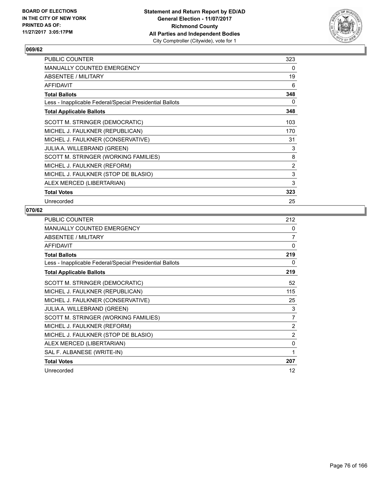

| <b>PUBLIC COUNTER</b>                                    | 323 |
|----------------------------------------------------------|-----|
| <b>MANUALLY COUNTED EMERGENCY</b>                        | 0   |
| ABSENTEE / MILITARY                                      | 19  |
| <b>AFFIDAVIT</b>                                         | 6   |
| <b>Total Ballots</b>                                     | 348 |
| Less - Inapplicable Federal/Special Presidential Ballots | 0   |
| <b>Total Applicable Ballots</b>                          | 348 |
| SCOTT M. STRINGER (DEMOCRATIC)                           | 103 |
| MICHEL J. FAULKNER (REPUBLICAN)                          | 170 |
| MICHEL J. FAULKNER (CONSERVATIVE)                        | 31  |
| <b>JULIA A. WILLEBRAND (GREEN)</b>                       | 3   |
| SCOTT M. STRINGER (WORKING FAMILIES)                     | 8   |
| MICHEL J. FAULKNER (REFORM)                              | 2   |
| MICHEL J. FAULKNER (STOP DE BLASIO)                      | 3   |
| ALEX MERCED (LIBERTARIAN)                                | 3   |
| <b>Total Votes</b>                                       | 323 |
| Unrecorded                                               | 25  |

| <b>PUBLIC COUNTER</b>                                    | 212            |
|----------------------------------------------------------|----------------|
| MANUALLY COUNTED EMERGENCY                               | 0              |
| ABSENTEE / MILITARY                                      | $\overline{7}$ |
| <b>AFFIDAVIT</b>                                         | 0              |
| <b>Total Ballots</b>                                     | 219            |
| Less - Inapplicable Federal/Special Presidential Ballots | 0              |
| <b>Total Applicable Ballots</b>                          | 219            |
| SCOTT M. STRINGER (DEMOCRATIC)                           | 52             |
| MICHEL J. FAULKNER (REPUBLICAN)                          | 115            |
| MICHEL J. FAULKNER (CONSERVATIVE)                        | 25             |
| JULIA A. WILLEBRAND (GREEN)                              | 3              |
| SCOTT M. STRINGER (WORKING FAMILIES)                     | 7              |
| MICHEL J. FAULKNER (REFORM)                              | 2              |
| MICHEL J. FAULKNER (STOP DE BLASIO)                      | 2              |
| ALEX MERCED (LIBERTARIAN)                                | 0              |
| SAL F. ALBANESE (WRITE-IN)                               | 1              |
| <b>Total Votes</b>                                       | 207            |
| Unrecorded                                               | 12             |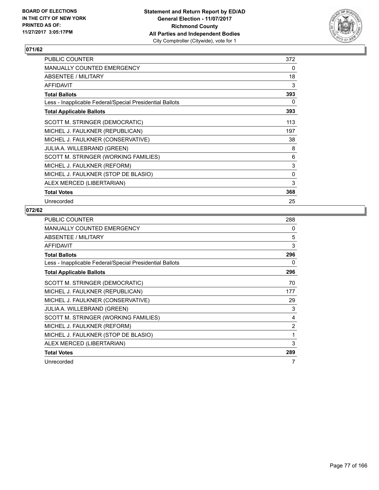

| <b>PUBLIC COUNTER</b>                                    | 372 |
|----------------------------------------------------------|-----|
| <b>MANUALLY COUNTED EMERGENCY</b>                        | 0   |
| ABSENTEE / MILITARY                                      | 18  |
| <b>AFFIDAVIT</b>                                         | 3   |
| <b>Total Ballots</b>                                     | 393 |
| Less - Inapplicable Federal/Special Presidential Ballots | 0   |
| <b>Total Applicable Ballots</b>                          | 393 |
| SCOTT M. STRINGER (DEMOCRATIC)                           | 113 |
| MICHEL J. FAULKNER (REPUBLICAN)                          | 197 |
| MICHEL J. FAULKNER (CONSERVATIVE)                        | 38  |
| <b>JULIA A. WILLEBRAND (GREEN)</b>                       | 8   |
| SCOTT M. STRINGER (WORKING FAMILIES)                     | 6   |
| MICHEL J. FAULKNER (REFORM)                              | 3   |
| MICHEL J. FAULKNER (STOP DE BLASIO)                      | 0   |
| ALEX MERCED (LIBERTARIAN)                                | 3   |
| <b>Total Votes</b>                                       | 368 |
| Unrecorded                                               | 25  |

| <b>PUBLIC COUNTER</b>                                    | 288 |
|----------------------------------------------------------|-----|
| <b>MANUALLY COUNTED EMERGENCY</b>                        | 0   |
| ABSENTEE / MILITARY                                      | 5   |
| <b>AFFIDAVIT</b>                                         | 3   |
| <b>Total Ballots</b>                                     | 296 |
| Less - Inapplicable Federal/Special Presidential Ballots | 0   |
| <b>Total Applicable Ballots</b>                          | 296 |
| SCOTT M. STRINGER (DEMOCRATIC)                           | 70  |
| MICHEL J. FAULKNER (REPUBLICAN)                          | 177 |
| MICHEL J. FAULKNER (CONSERVATIVE)                        | 29  |
| JULIA A. WILLEBRAND (GREEN)                              | 3   |
| SCOTT M. STRINGER (WORKING FAMILIES)                     | 4   |
| MICHEL J. FAULKNER (REFORM)                              | 2   |
| MICHEL J. FAULKNER (STOP DE BLASIO)                      | 1   |
| ALEX MERCED (LIBERTARIAN)                                | 3   |
| <b>Total Votes</b>                                       | 289 |
| Unrecorded                                               | 7   |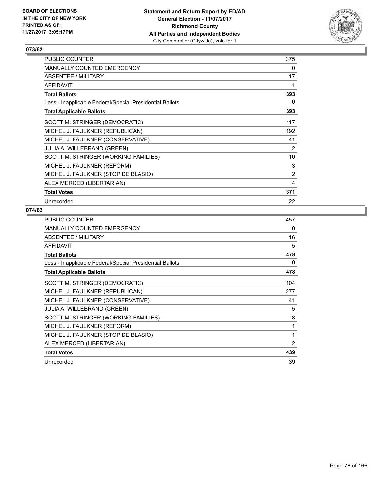

| <b>PUBLIC COUNTER</b>                                    | 375 |
|----------------------------------------------------------|-----|
| <b>MANUALLY COUNTED EMERGENCY</b>                        | 0   |
| ABSENTEE / MILITARY                                      | 17  |
| <b>AFFIDAVIT</b>                                         | 1   |
| <b>Total Ballots</b>                                     | 393 |
| Less - Inapplicable Federal/Special Presidential Ballots | 0   |
| <b>Total Applicable Ballots</b>                          | 393 |
| SCOTT M. STRINGER (DEMOCRATIC)                           | 117 |
| MICHEL J. FAULKNER (REPUBLICAN)                          | 192 |
| MICHEL J. FAULKNER (CONSERVATIVE)                        | 41  |
| <b>JULIA A. WILLEBRAND (GREEN)</b>                       | 2   |
| SCOTT M. STRINGER (WORKING FAMILIES)                     | 10  |
| MICHEL J. FAULKNER (REFORM)                              | 3   |
| MICHEL J. FAULKNER (STOP DE BLASIO)                      | 2   |
| ALEX MERCED (LIBERTARIAN)                                | 4   |
| <b>Total Votes</b>                                       | 371 |
| Unrecorded                                               | 22  |

| <b>PUBLIC COUNTER</b>                                    | 457            |
|----------------------------------------------------------|----------------|
| <b>MANUALLY COUNTED EMERGENCY</b>                        | 0              |
| ABSENTEE / MILITARY                                      | 16             |
| AFFIDAVIT                                                | 5              |
| <b>Total Ballots</b>                                     | 478            |
| Less - Inapplicable Federal/Special Presidential Ballots | 0              |
| <b>Total Applicable Ballots</b>                          | 478            |
| SCOTT M. STRINGER (DEMOCRATIC)                           | 104            |
| MICHEL J. FAULKNER (REPUBLICAN)                          | 277            |
| MICHEL J. FAULKNER (CONSERVATIVE)                        | 41             |
| <b>JULIA A. WILLEBRAND (GREEN)</b>                       | 5              |
| SCOTT M. STRINGER (WORKING FAMILIES)                     | 8              |
| MICHEL J. FAULKNER (REFORM)                              | 1              |
| MICHEL J. FAULKNER (STOP DE BLASIO)                      | 1              |
| ALEX MERCED (LIBERTARIAN)                                | $\overline{2}$ |
| <b>Total Votes</b>                                       | 439            |
| Unrecorded                                               | 39             |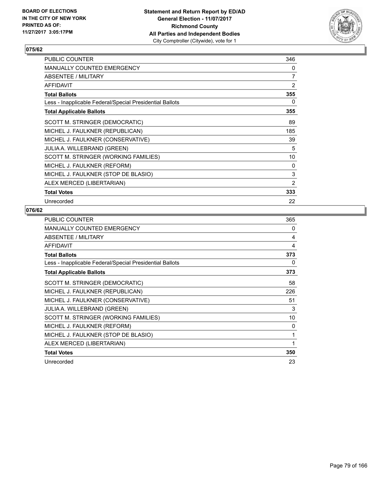

| PUBLIC COUNTER                                           | 346            |
|----------------------------------------------------------|----------------|
| <b>MANUALLY COUNTED EMERGENCY</b>                        | 0              |
| <b>ABSENTEE / MILITARY</b>                               | $\overline{7}$ |
| <b>AFFIDAVIT</b>                                         | $\overline{2}$ |
| <b>Total Ballots</b>                                     | 355            |
| Less - Inapplicable Federal/Special Presidential Ballots | 0              |
| <b>Total Applicable Ballots</b>                          | 355            |
| SCOTT M. STRINGER (DEMOCRATIC)                           | 89             |
| MICHEL J. FAULKNER (REPUBLICAN)                          | 185            |
| MICHEL J. FAULKNER (CONSERVATIVE)                        | 39             |
| <b>JULIA A. WILLEBRAND (GREEN)</b>                       | 5              |
| SCOTT M. STRINGER (WORKING FAMILIES)                     | 10             |
| MICHEL J. FAULKNER (REFORM)                              | 0              |
| MICHEL J. FAULKNER (STOP DE BLASIO)                      | 3              |
| ALEX MERCED (LIBERTARIAN)                                | 2              |
| <b>Total Votes</b>                                       | 333            |
| Unrecorded                                               | 22             |

| <b>PUBLIC COUNTER</b>                                    | 365 |
|----------------------------------------------------------|-----|
| <b>MANUALLY COUNTED EMERGENCY</b>                        | 0   |
| ABSENTEE / MILITARY                                      | 4   |
| <b>AFFIDAVIT</b>                                         | 4   |
| <b>Total Ballots</b>                                     | 373 |
| Less - Inapplicable Federal/Special Presidential Ballots | 0   |
| <b>Total Applicable Ballots</b>                          | 373 |
| SCOTT M. STRINGER (DEMOCRATIC)                           | 58  |
| MICHEL J. FAULKNER (REPUBLICAN)                          | 226 |
| MICHEL J. FAULKNER (CONSERVATIVE)                        | 51  |
| <b>JULIA A. WILLEBRAND (GREEN)</b>                       | 3   |
| SCOTT M. STRINGER (WORKING FAMILIES)                     | 10  |
| MICHEL J. FAULKNER (REFORM)                              | 0   |
| MICHEL J. FAULKNER (STOP DE BLASIO)                      | 1   |
| ALEX MERCED (LIBERTARIAN)                                | 1   |
| <b>Total Votes</b>                                       | 350 |
| Unrecorded                                               | 23  |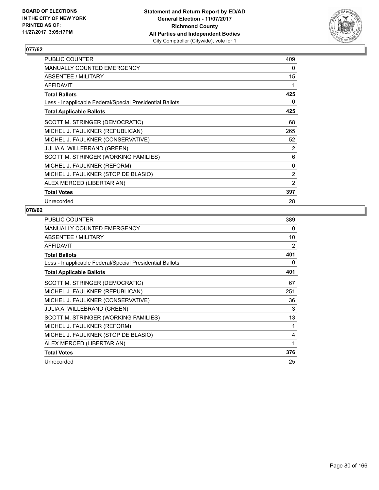

| <b>PUBLIC COUNTER</b>                                    | 409 |
|----------------------------------------------------------|-----|
| <b>MANUALLY COUNTED EMERGENCY</b>                        | 0   |
| ABSENTEE / MILITARY                                      | 15  |
| <b>AFFIDAVIT</b>                                         | 1   |
| <b>Total Ballots</b>                                     | 425 |
| Less - Inapplicable Federal/Special Presidential Ballots | 0   |
| <b>Total Applicable Ballots</b>                          | 425 |
| SCOTT M. STRINGER (DEMOCRATIC)                           | 68  |
| MICHEL J. FAULKNER (REPUBLICAN)                          | 265 |
| MICHEL J. FAULKNER (CONSERVATIVE)                        | 52  |
| <b>JULIA A. WILLEBRAND (GREEN)</b>                       | 2   |
| SCOTT M. STRINGER (WORKING FAMILIES)                     | 6   |
| MICHEL J. FAULKNER (REFORM)                              | 0   |
| MICHEL J. FAULKNER (STOP DE BLASIO)                      | 2   |
| ALEX MERCED (LIBERTARIAN)                                | 2   |
| <b>Total Votes</b>                                       | 397 |
| Unrecorded                                               | 28  |

| <b>PUBLIC COUNTER</b>                                    | 389 |
|----------------------------------------------------------|-----|
| <b>MANUALLY COUNTED EMERGENCY</b>                        | 0   |
| ABSENTEE / MILITARY                                      | 10  |
| <b>AFFIDAVIT</b>                                         | 2   |
| <b>Total Ballots</b>                                     | 401 |
| Less - Inapplicable Federal/Special Presidential Ballots | 0   |
| <b>Total Applicable Ballots</b>                          | 401 |
| SCOTT M. STRINGER (DEMOCRATIC)                           | 67  |
| MICHEL J. FAULKNER (REPUBLICAN)                          | 251 |
| MICHEL J. FAULKNER (CONSERVATIVE)                        | 36  |
| <b>JULIA A. WILLEBRAND (GREEN)</b>                       | 3   |
| SCOTT M. STRINGER (WORKING FAMILIES)                     | 13  |
| MICHEL J. FAULKNER (REFORM)                              | 1   |
| MICHEL J. FAULKNER (STOP DE BLASIO)                      | 4   |
| ALEX MERCED (LIBERTARIAN)                                | 1   |
| <b>Total Votes</b>                                       | 376 |
| Unrecorded                                               | 25  |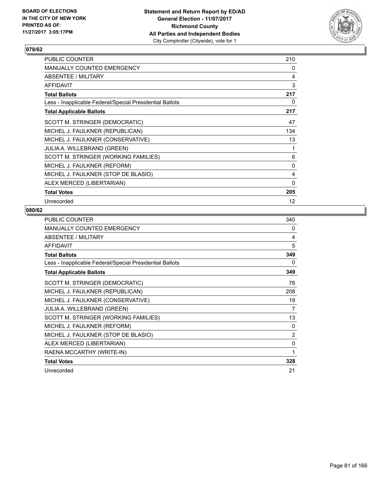

| <b>PUBLIC COUNTER</b>                                    | 210      |
|----------------------------------------------------------|----------|
| <b>MANUALLY COUNTED EMERGENCY</b>                        | 0        |
| ABSENTEE / MILITARY                                      | 4        |
| <b>AFFIDAVIT</b>                                         | 3        |
| <b>Total Ballots</b>                                     | 217      |
| Less - Inapplicable Federal/Special Presidential Ballots | 0        |
| <b>Total Applicable Ballots</b>                          | 217      |
| SCOTT M. STRINGER (DEMOCRATIC)                           | 47       |
| MICHEL J. FAULKNER (REPUBLICAN)                          | 134      |
| MICHEL J. FAULKNER (CONSERVATIVE)                        | 13       |
| <b>JULIA A. WILLEBRAND (GREEN)</b>                       | 1        |
| SCOTT M. STRINGER (WORKING FAMILIES)                     | 6        |
| MICHEL J. FAULKNER (REFORM)                              | 0        |
| MICHEL J. FAULKNER (STOP DE BLASIO)                      | 4        |
| ALEX MERCED (LIBERTARIAN)                                | $\Omega$ |
| <b>Total Votes</b>                                       | 205      |
| Unrecorded                                               | 12       |

| PUBLIC COUNTER                                           | 340 |
|----------------------------------------------------------|-----|
| MANUALLY COUNTED EMERGENCY                               | 0   |
| <b>ABSENTEE / MILITARY</b>                               | 4   |
| <b>AFFIDAVIT</b>                                         | 5   |
| <b>Total Ballots</b>                                     | 349 |
| Less - Inapplicable Federal/Special Presidential Ballots | 0   |
| <b>Total Applicable Ballots</b>                          | 349 |
| SCOTT M. STRINGER (DEMOCRATIC)                           | 78  |
| MICHEL J. FAULKNER (REPUBLICAN)                          | 208 |
| MICHEL J. FAULKNER (CONSERVATIVE)                        | 19  |
| <b>JULIA A. WILLEBRAND (GREEN)</b>                       | 7   |
| SCOTT M. STRINGER (WORKING FAMILIES)                     | 13  |
| MICHEL J. FAULKNER (REFORM)                              | 0   |
| MICHEL J. FAULKNER (STOP DE BLASIO)                      | 2   |
| ALEX MERCED (LIBERTARIAN)                                | 0   |
| RAENA MCCARTHY (WRITE-IN)                                | 1   |
| <b>Total Votes</b>                                       | 328 |
| Unrecorded                                               | 21  |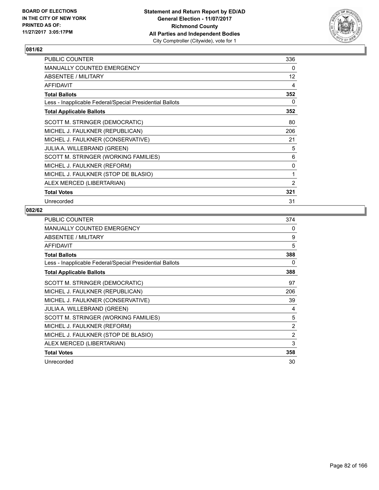

| <b>PUBLIC COUNTER</b>                                    | 336               |
|----------------------------------------------------------|-------------------|
| <b>MANUALLY COUNTED EMERGENCY</b>                        | 0                 |
| <b>ABSENTEE / MILITARY</b>                               | $12 \overline{ }$ |
| <b>AFFIDAVIT</b>                                         | 4                 |
| <b>Total Ballots</b>                                     | 352               |
| Less - Inapplicable Federal/Special Presidential Ballots | 0                 |
| <b>Total Applicable Ballots</b>                          | 352               |
| SCOTT M. STRINGER (DEMOCRATIC)                           | 80                |
| MICHEL J. FAULKNER (REPUBLICAN)                          | 206               |
| MICHEL J. FAULKNER (CONSERVATIVE)                        | 21                |
| <b>JULIA A. WILLEBRAND (GREEN)</b>                       | 5                 |
| SCOTT M. STRINGER (WORKING FAMILIES)                     | 6                 |
| MICHEL J. FAULKNER (REFORM)                              | 0                 |
| MICHEL J. FAULKNER (STOP DE BLASIO)                      | 1                 |
| ALEX MERCED (LIBERTARIAN)                                | $\overline{2}$    |
| <b>Total Votes</b>                                       | 321               |
| Unrecorded                                               | 31                |

| <b>PUBLIC COUNTER</b>                                    | 374            |
|----------------------------------------------------------|----------------|
| <b>MANUALLY COUNTED EMERGENCY</b>                        | 0              |
| ABSENTEE / MILITARY                                      | 9              |
| <b>AFFIDAVIT</b>                                         | 5              |
| <b>Total Ballots</b>                                     | 388            |
| Less - Inapplicable Federal/Special Presidential Ballots | 0              |
| <b>Total Applicable Ballots</b>                          | 388            |
| SCOTT M. STRINGER (DEMOCRATIC)                           | 97             |
| MICHEL J. FAULKNER (REPUBLICAN)                          | 206            |
| MICHEL J. FAULKNER (CONSERVATIVE)                        | 39             |
| <b>JULIA A. WILLEBRAND (GREEN)</b>                       | 4              |
| SCOTT M. STRINGER (WORKING FAMILIES)                     | 5              |
| MICHEL J. FAULKNER (REFORM)                              | 2              |
| MICHEL J. FAULKNER (STOP DE BLASIO)                      | $\overline{2}$ |
| ALEX MERCED (LIBERTARIAN)                                | 3              |
| <b>Total Votes</b>                                       | 358            |
| Unrecorded                                               | 30             |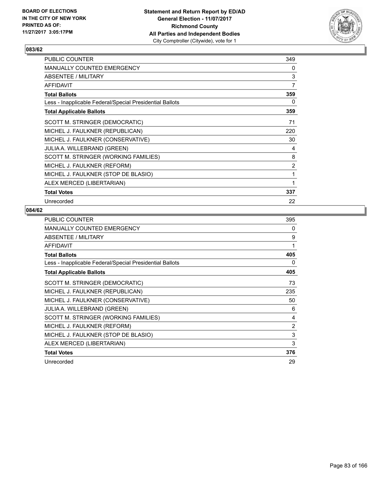

| <b>PUBLIC COUNTER</b>                                    | 349            |
|----------------------------------------------------------|----------------|
| <b>MANUALLY COUNTED EMERGENCY</b>                        | 0              |
| ABSENTEE / MILITARY                                      | 3              |
| <b>AFFIDAVIT</b>                                         | $\overline{7}$ |
| <b>Total Ballots</b>                                     | 359            |
| Less - Inapplicable Federal/Special Presidential Ballots | 0              |
| <b>Total Applicable Ballots</b>                          | 359            |
| SCOTT M. STRINGER (DEMOCRATIC)                           | 71             |
| MICHEL J. FAULKNER (REPUBLICAN)                          | 220            |
| MICHEL J. FAULKNER (CONSERVATIVE)                        | 30             |
| <b>JULIA A. WILLEBRAND (GREEN)</b>                       | 4              |
| SCOTT M. STRINGER (WORKING FAMILIES)                     | 8              |
| MICHEL J. FAULKNER (REFORM)                              | $\overline{2}$ |
| MICHEL J. FAULKNER (STOP DE BLASIO)                      | 1              |
| ALEX MERCED (LIBERTARIAN)                                | 1              |
| <b>Total Votes</b>                                       | 337            |
| Unrecorded                                               | 22             |

| PUBLIC COUNTER                                           | 395 |
|----------------------------------------------------------|-----|
| <b>MANUALLY COUNTED EMERGENCY</b>                        | 0   |
| ABSENTEE / MILITARY                                      | 9   |
| <b>AFFIDAVIT</b>                                         | 1   |
| <b>Total Ballots</b>                                     | 405 |
| Less - Inapplicable Federal/Special Presidential Ballots | 0   |
| <b>Total Applicable Ballots</b>                          | 405 |
| SCOTT M. STRINGER (DEMOCRATIC)                           | 73  |
| MICHEL J. FAULKNER (REPUBLICAN)                          | 235 |
| MICHEL J. FAULKNER (CONSERVATIVE)                        | 50  |
| <b>JULIA A. WILLEBRAND (GREEN)</b>                       | 6   |
| SCOTT M. STRINGER (WORKING FAMILIES)                     | 4   |
| MICHEL J. FAULKNER (REFORM)                              | 2   |
| MICHEL J. FAULKNER (STOP DE BLASIO)                      | 3   |
| ALEX MERCED (LIBERTARIAN)                                | 3   |
| <b>Total Votes</b>                                       | 376 |
| Unrecorded                                               | 29  |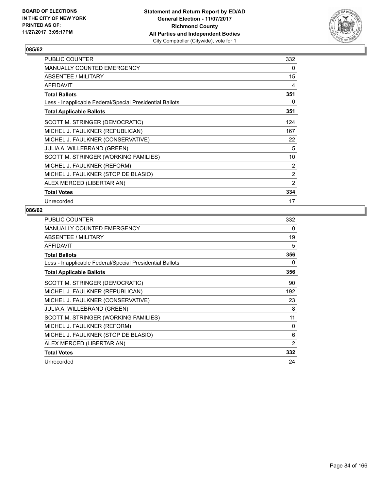

| PUBLIC COUNTER                                           | 332 |
|----------------------------------------------------------|-----|
| <b>MANUALLY COUNTED EMERGENCY</b>                        | 0   |
| <b>ABSENTEE / MILITARY</b>                               | 15  |
| <b>AFFIDAVIT</b>                                         | 4   |
| <b>Total Ballots</b>                                     | 351 |
| Less - Inapplicable Federal/Special Presidential Ballots | 0   |
| <b>Total Applicable Ballots</b>                          | 351 |
| SCOTT M. STRINGER (DEMOCRATIC)                           | 124 |
| MICHEL J. FAULKNER (REPUBLICAN)                          | 167 |
| MICHEL J. FAULKNER (CONSERVATIVE)                        | 22  |
| <b>JULIA A. WILLEBRAND (GREEN)</b>                       | 5   |
| SCOTT M. STRINGER (WORKING FAMILIES)                     | 10  |
| MICHEL J. FAULKNER (REFORM)                              | 2   |
| MICHEL J. FAULKNER (STOP DE BLASIO)                      | 2   |
| ALEX MERCED (LIBERTARIAN)                                | 2   |
| <b>Total Votes</b>                                       | 334 |
| Unrecorded                                               | 17  |

| PUBLIC COUNTER                                           | 332 |
|----------------------------------------------------------|-----|
| <b>MANUALLY COUNTED EMERGENCY</b>                        | 0   |
| ABSENTEE / MILITARY                                      | 19  |
| <b>AFFIDAVIT</b>                                         | 5   |
| <b>Total Ballots</b>                                     | 356 |
| Less - Inapplicable Federal/Special Presidential Ballots | 0   |
| <b>Total Applicable Ballots</b>                          | 356 |
| SCOTT M. STRINGER (DEMOCRATIC)                           | 90  |
| MICHEL J. FAULKNER (REPUBLICAN)                          | 192 |
| MICHEL J. FAULKNER (CONSERVATIVE)                        | 23  |
| <b>JULIA A. WILLEBRAND (GREEN)</b>                       | 8   |
| SCOTT M. STRINGER (WORKING FAMILIES)                     | 11  |
| MICHEL J. FAULKNER (REFORM)                              | 0   |
| MICHEL J. FAULKNER (STOP DE BLASIO)                      | 6   |
| ALEX MERCED (LIBERTARIAN)                                | 2   |
| <b>Total Votes</b>                                       | 332 |
| Unrecorded                                               | 24  |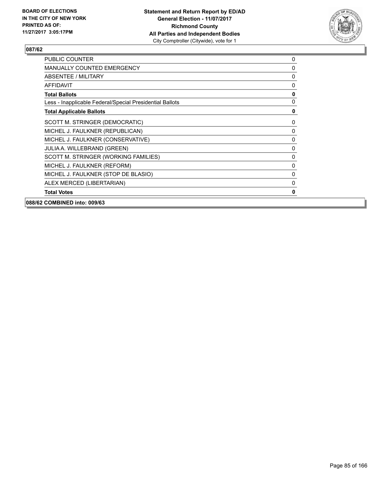

| <b>PUBLIC COUNTER</b>                                    | 0           |
|----------------------------------------------------------|-------------|
| <b>MANUALLY COUNTED EMERGENCY</b>                        | 0           |
| ABSENTEE / MILITARY                                      | $\mathbf 0$ |
| <b>AFFIDAVIT</b>                                         | 0           |
| <b>Total Ballots</b>                                     | $\mathbf 0$ |
| Less - Inapplicable Federal/Special Presidential Ballots | 0           |
| <b>Total Applicable Ballots</b>                          | $\mathbf 0$ |
| SCOTT M. STRINGER (DEMOCRATIC)                           | 0           |
| MICHEL J. FAULKNER (REPUBLICAN)                          | 0           |
| MICHEL J. FAULKNER (CONSERVATIVE)                        | 0           |
| JULIA A. WILLEBRAND (GREEN)                              | $\mathbf 0$ |
| SCOTT M. STRINGER (WORKING FAMILIES)                     | $\mathbf 0$ |
| MICHEL J. FAULKNER (REFORM)                              | 0           |
| MICHEL J. FAULKNER (STOP DE BLASIO)                      | 0           |
| ALEX MERCED (LIBERTARIAN)                                | 0           |
| <b>Total Votes</b>                                       | $\mathbf 0$ |
| 088/62 COMBINED into: 009/63                             |             |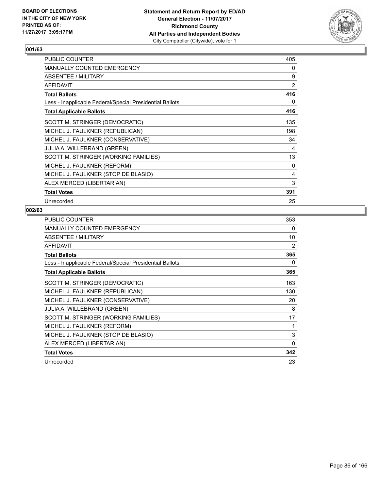

| PUBLIC COUNTER                                           | 405 |
|----------------------------------------------------------|-----|
| <b>MANUALLY COUNTED EMERGENCY</b>                        | 0   |
| ABSENTEE / MILITARY                                      | 9   |
| <b>AFFIDAVIT</b>                                         | 2   |
| <b>Total Ballots</b>                                     | 416 |
| Less - Inapplicable Federal/Special Presidential Ballots | 0   |
| <b>Total Applicable Ballots</b>                          | 416 |
| SCOTT M. STRINGER (DEMOCRATIC)                           | 135 |
| MICHEL J. FAULKNER (REPUBLICAN)                          | 198 |
| MICHEL J. FAULKNER (CONSERVATIVE)                        | 34  |
| JULIA A. WILLEBRAND (GREEN)                              | 4   |
| SCOTT M. STRINGER (WORKING FAMILIES)                     | 13  |
| MICHEL J. FAULKNER (REFORM)                              | 0   |
| MICHEL J. FAULKNER (STOP DE BLASIO)                      | 4   |
| ALEX MERCED (LIBERTARIAN)                                | 3   |
| <b>Total Votes</b>                                       | 391 |
| Unrecorded                                               | 25  |

| <b>PUBLIC COUNTER</b>                                    | 353 |
|----------------------------------------------------------|-----|
| <b>MANUALLY COUNTED EMERGENCY</b>                        | 0   |
| ABSENTEE / MILITARY                                      | 10  |
| <b>AFFIDAVIT</b>                                         | 2   |
| <b>Total Ballots</b>                                     | 365 |
| Less - Inapplicable Federal/Special Presidential Ballots | 0   |
| <b>Total Applicable Ballots</b>                          | 365 |
| SCOTT M. STRINGER (DEMOCRATIC)                           | 163 |
| MICHEL J. FAULKNER (REPUBLICAN)                          | 130 |
| MICHEL J. FAULKNER (CONSERVATIVE)                        | 20  |
| <b>JULIA A. WILLEBRAND (GREEN)</b>                       | 8   |
| SCOTT M. STRINGER (WORKING FAMILIES)                     | 17  |
| MICHEL J. FAULKNER (REFORM)                              | 1   |
| MICHEL J. FAULKNER (STOP DE BLASIO)                      | 3   |
| ALEX MERCED (LIBERTARIAN)                                | 0   |
| <b>Total Votes</b>                                       | 342 |
| Unrecorded                                               | 23  |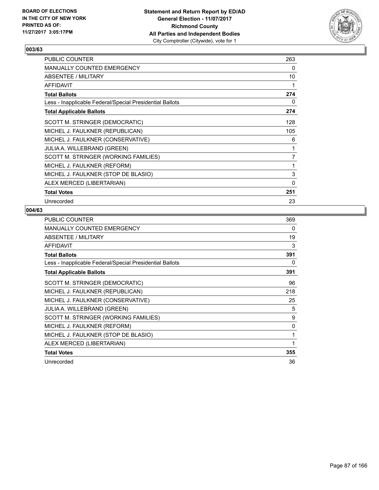

| <b>PUBLIC COUNTER</b>                                    | 263            |
|----------------------------------------------------------|----------------|
| <b>MANUALLY COUNTED EMERGENCY</b>                        | 0              |
| ABSENTEE / MILITARY                                      | 10             |
| <b>AFFIDAVIT</b>                                         | 1              |
| <b>Total Ballots</b>                                     | 274            |
| Less - Inapplicable Federal/Special Presidential Ballots | 0              |
| <b>Total Applicable Ballots</b>                          | 274            |
| SCOTT M. STRINGER (DEMOCRATIC)                           | 128            |
| MICHEL J. FAULKNER (REPUBLICAN)                          | 105            |
| MICHEL J. FAULKNER (CONSERVATIVE)                        | 6              |
| <b>JULIA A. WILLEBRAND (GREEN)</b>                       | 1              |
| SCOTT M. STRINGER (WORKING FAMILIES)                     | $\overline{7}$ |
| MICHEL J. FAULKNER (REFORM)                              | 1              |
| MICHEL J. FAULKNER (STOP DE BLASIO)                      | 3              |
| ALEX MERCED (LIBERTARIAN)                                | $\Omega$       |
| <b>Total Votes</b>                                       | 251            |
| Unrecorded                                               | 23             |

| <b>PUBLIC COUNTER</b>                                    | 369 |
|----------------------------------------------------------|-----|
| <b>MANUALLY COUNTED EMERGENCY</b>                        | 0   |
| ABSENTEE / MILITARY                                      | 19  |
| <b>AFFIDAVIT</b>                                         | 3   |
| <b>Total Ballots</b>                                     | 391 |
| Less - Inapplicable Federal/Special Presidential Ballots | 0   |
| <b>Total Applicable Ballots</b>                          | 391 |
| SCOTT M. STRINGER (DEMOCRATIC)                           | 96  |
| MICHEL J. FAULKNER (REPUBLICAN)                          | 218 |
| MICHEL J. FAULKNER (CONSERVATIVE)                        | 25  |
| JULIA A. WILLEBRAND (GREEN)                              | 5   |
| SCOTT M. STRINGER (WORKING FAMILIES)                     | 9   |
| MICHEL J. FAULKNER (REFORM)                              | 0   |
| MICHEL J. FAULKNER (STOP DE BLASIO)                      | 1   |
| ALEX MERCED (LIBERTARIAN)                                | 1   |
| <b>Total Votes</b>                                       | 355 |
| Unrecorded                                               | 36  |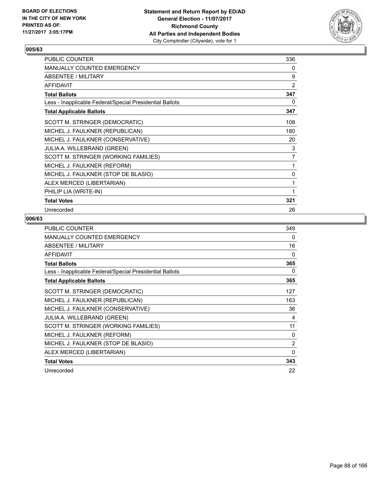

| <b>PUBLIC COUNTER</b>                                    | 336            |
|----------------------------------------------------------|----------------|
| <b>MANUALLY COUNTED EMERGENCY</b>                        | 0              |
| ABSENTEE / MILITARY                                      | 9              |
| <b>AFFIDAVIT</b>                                         | $\overline{2}$ |
| <b>Total Ballots</b>                                     | 347            |
| Less - Inapplicable Federal/Special Presidential Ballots | 0              |
| <b>Total Applicable Ballots</b>                          | 347            |
| SCOTT M. STRINGER (DEMOCRATIC)                           | 108            |
| MICHEL J. FAULKNER (REPUBLICAN)                          | 180            |
| MICHEL J. FAULKNER (CONSERVATIVE)                        | 20             |
| JULIA A. WILLEBRAND (GREEN)                              | 3              |
| SCOTT M. STRINGER (WORKING FAMILIES)                     | $\overline{7}$ |
| MICHEL J. FAULKNER (REFORM)                              | 1              |
| MICHEL J. FAULKNER (STOP DE BLASIO)                      | 0              |
| ALEX MERCED (LIBERTARIAN)                                | 1              |
| PHILIP LIA (WRITE-IN)                                    | 1              |
| <b>Total Votes</b>                                       | 321            |
| Unrecorded                                               | 26             |

| <b>PUBLIC COUNTER</b>                                    | 349            |
|----------------------------------------------------------|----------------|
| <b>MANUALLY COUNTED EMERGENCY</b>                        | 0              |
| ABSENTEE / MILITARY                                      | 16             |
| <b>AFFIDAVIT</b>                                         | 0              |
| <b>Total Ballots</b>                                     | 365            |
| Less - Inapplicable Federal/Special Presidential Ballots | 0              |
| <b>Total Applicable Ballots</b>                          | 365            |
| SCOTT M. STRINGER (DEMOCRATIC)                           | 127            |
| MICHEL J. FAULKNER (REPUBLICAN)                          | 163            |
| MICHEL J. FAULKNER (CONSERVATIVE)                        | 36             |
| <b>JULIA A. WILLEBRAND (GREEN)</b>                       | 4              |
| SCOTT M. STRINGER (WORKING FAMILIES)                     | 11             |
| MICHEL J. FAULKNER (REFORM)                              | 0              |
| MICHEL J. FAULKNER (STOP DE BLASIO)                      | $\overline{2}$ |
| ALEX MERCED (LIBERTARIAN)                                | $\Omega$       |
| <b>Total Votes</b>                                       | 343            |
| Unrecorded                                               | 22             |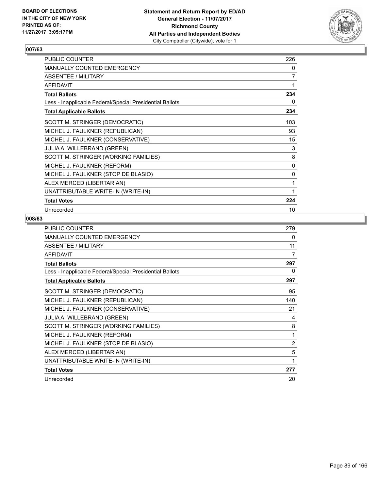

| PUBLIC COUNTER                                           | 226 |
|----------------------------------------------------------|-----|
| <b>MANUALLY COUNTED EMERGENCY</b>                        | 0   |
| ABSENTEE / MILITARY                                      | 7   |
| <b>AFFIDAVIT</b>                                         | 1   |
| <b>Total Ballots</b>                                     | 234 |
| Less - Inapplicable Federal/Special Presidential Ballots | 0   |
| <b>Total Applicable Ballots</b>                          | 234 |
| SCOTT M. STRINGER (DEMOCRATIC)                           | 103 |
| MICHEL J. FAULKNER (REPUBLICAN)                          | 93  |
| MICHEL J. FAULKNER (CONSERVATIVE)                        | 15  |
| JULIA A. WILLEBRAND (GREEN)                              | 3   |
| SCOTT M. STRINGER (WORKING FAMILIES)                     | 8   |
| MICHEL J. FAULKNER (REFORM)                              | 0   |
| MICHEL J. FAULKNER (STOP DE BLASIO)                      | 0   |
| ALEX MERCED (LIBERTARIAN)                                | 1   |
| UNATTRIBUTABLE WRITE-IN (WRITE-IN)                       | 1   |
| <b>Total Votes</b>                                       | 224 |
| Unrecorded                                               | 10  |

| <b>PUBLIC COUNTER</b>                                    | 279            |
|----------------------------------------------------------|----------------|
| <b>MANUALLY COUNTED EMERGENCY</b>                        | 0              |
| ABSENTEE / MILITARY                                      | 11             |
| <b>AFFIDAVIT</b>                                         | 7              |
| <b>Total Ballots</b>                                     | 297            |
| Less - Inapplicable Federal/Special Presidential Ballots | 0              |
| <b>Total Applicable Ballots</b>                          | 297            |
| SCOTT M. STRINGER (DEMOCRATIC)                           | 95             |
| MICHEL J. FAULKNER (REPUBLICAN)                          | 140            |
| MICHEL J. FAULKNER (CONSERVATIVE)                        | 21             |
| JULIA A. WILLEBRAND (GREEN)                              | 4              |
| SCOTT M. STRINGER (WORKING FAMILIES)                     | 8              |
| MICHEL J. FAULKNER (REFORM)                              | 1              |
| MICHEL J. FAULKNER (STOP DE BLASIO)                      | $\overline{2}$ |
| ALEX MERCED (LIBERTARIAN)                                | 5              |
| UNATTRIBUTABLE WRITE-IN (WRITE-IN)                       | 1              |
| <b>Total Votes</b>                                       | 277            |
| Unrecorded                                               | 20             |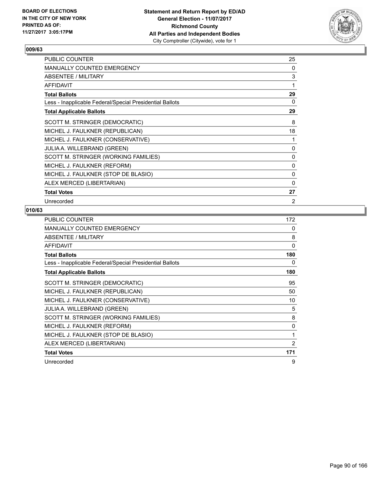

| PUBLIC COUNTER                                           | 25 |
|----------------------------------------------------------|----|
| MANUALLY COUNTED EMERGENCY                               | 0  |
| ABSENTEE / MILITARY                                      | 3  |
| <b>AFFIDAVIT</b>                                         | 1  |
| <b>Total Ballots</b>                                     | 29 |
| Less - Inapplicable Federal/Special Presidential Ballots | 0  |
| <b>Total Applicable Ballots</b>                          | 29 |
| SCOTT M. STRINGER (DEMOCRATIC)                           | 8  |
| MICHEL J. FAULKNER (REPUBLICAN)                          | 18 |
| MICHEL J. FAULKNER (CONSERVATIVE)                        | 1  |
| JULIA A. WILLEBRAND (GREEN)                              | 0  |
| SCOTT M. STRINGER (WORKING FAMILIES)                     | 0  |
| MICHEL J. FAULKNER (REFORM)                              | 0  |
| MICHEL J. FAULKNER (STOP DE BLASIO)                      | 0  |
| ALEX MERCED (LIBERTARIAN)                                | 0  |
| <b>Total Votes</b>                                       | 27 |
| Unrecorded                                               | 2  |

| <b>PUBLIC COUNTER</b>                                    | 172      |
|----------------------------------------------------------|----------|
| <b>MANUALLY COUNTED EMERGENCY</b>                        | 0        |
| ABSENTEE / MILITARY                                      | 8        |
| <b>AFFIDAVIT</b>                                         | $\Omega$ |
| <b>Total Ballots</b>                                     | 180      |
| Less - Inapplicable Federal/Special Presidential Ballots | 0        |
| <b>Total Applicable Ballots</b>                          | 180      |
| SCOTT M. STRINGER (DEMOCRATIC)                           | 95       |
| MICHEL J. FAULKNER (REPUBLICAN)                          | 50       |
| MICHEL J. FAULKNER (CONSERVATIVE)                        | 10       |
| <b>JULIA A. WILLEBRAND (GREEN)</b>                       | 5        |
| SCOTT M. STRINGER (WORKING FAMILIES)                     | 8        |
| MICHEL J. FAULKNER (REFORM)                              | 0        |
| MICHEL J. FAULKNER (STOP DE BLASIO)                      | 1        |
| ALEX MERCED (LIBERTARIAN)                                | 2        |
| <b>Total Votes</b>                                       | 171      |
| Unrecorded                                               | 9        |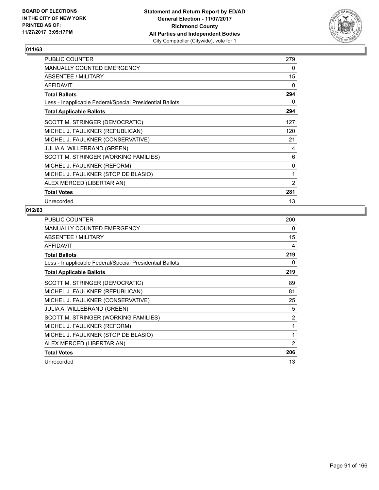

| PUBLIC COUNTER                                           | 279            |
|----------------------------------------------------------|----------------|
| <b>MANUALLY COUNTED EMERGENCY</b>                        | 0              |
| <b>ABSENTEE / MILITARY</b>                               | 15             |
| <b>AFFIDAVIT</b>                                         | 0              |
| <b>Total Ballots</b>                                     | 294            |
| Less - Inapplicable Federal/Special Presidential Ballots | 0              |
| <b>Total Applicable Ballots</b>                          | 294            |
| SCOTT M. STRINGER (DEMOCRATIC)                           | 127            |
| MICHEL J. FAULKNER (REPUBLICAN)                          | 120            |
| MICHEL J. FAULKNER (CONSERVATIVE)                        | 21             |
| <b>JULIA A. WILLEBRAND (GREEN)</b>                       | 4              |
| SCOTT M. STRINGER (WORKING FAMILIES)                     | 6              |
| MICHEL J. FAULKNER (REFORM)                              | 0              |
| MICHEL J. FAULKNER (STOP DE BLASIO)                      | 1              |
| ALEX MERCED (LIBERTARIAN)                                | $\overline{2}$ |
| <b>Total Votes</b>                                       | 281            |
| Unrecorded                                               | 13             |

| <b>PUBLIC COUNTER</b>                                    | 200 |
|----------------------------------------------------------|-----|
| <b>MANUALLY COUNTED EMERGENCY</b>                        | 0   |
| <b>ABSENTEE / MILITARY</b>                               | 15  |
| <b>AFFIDAVIT</b>                                         | 4   |
| <b>Total Ballots</b>                                     | 219 |
| Less - Inapplicable Federal/Special Presidential Ballots | 0   |
| <b>Total Applicable Ballots</b>                          | 219 |
| SCOTT M. STRINGER (DEMOCRATIC)                           | 89  |
| MICHEL J. FAULKNER (REPUBLICAN)                          | 81  |
| MICHEL J. FAULKNER (CONSERVATIVE)                        | 25  |
| JULIA A. WILLEBRAND (GREEN)                              | 5   |
| SCOTT M. STRINGER (WORKING FAMILIES)                     | 2   |
| MICHEL J. FAULKNER (REFORM)                              | 1   |
| MICHEL J. FAULKNER (STOP DE BLASIO)                      | 1   |
| ALEX MERCED (LIBERTARIAN)                                | 2   |
| <b>Total Votes</b>                                       | 206 |
| Unrecorded                                               | 13  |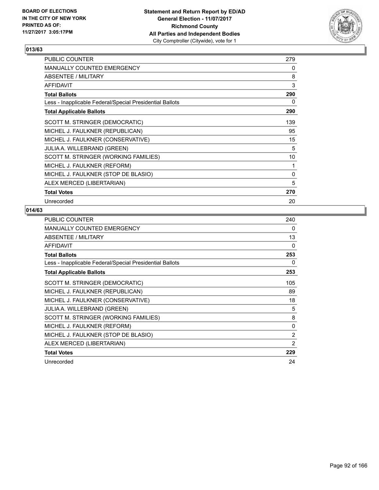

| PUBLIC COUNTER                                           | 279 |
|----------------------------------------------------------|-----|
| <b>MANUALLY COUNTED EMERGENCY</b>                        | 0   |
| <b>ABSENTEE / MILITARY</b>                               | 8   |
| <b>AFFIDAVIT</b>                                         | 3   |
| <b>Total Ballots</b>                                     | 290 |
| Less - Inapplicable Federal/Special Presidential Ballots | 0   |
| <b>Total Applicable Ballots</b>                          | 290 |
| SCOTT M. STRINGER (DEMOCRATIC)                           | 139 |
| MICHEL J. FAULKNER (REPUBLICAN)                          | 95  |
| MICHEL J. FAULKNER (CONSERVATIVE)                        | 15  |
| <b>JULIA A. WILLEBRAND (GREEN)</b>                       | 5   |
| SCOTT M. STRINGER (WORKING FAMILIES)                     | 10  |
| MICHEL J. FAULKNER (REFORM)                              | 1   |
| MICHEL J. FAULKNER (STOP DE BLASIO)                      | 0   |
| ALEX MERCED (LIBERTARIAN)                                | 5   |
| <b>Total Votes</b>                                       | 270 |
| Unrecorded                                               | 20  |

| <b>PUBLIC COUNTER</b>                                    | 240            |
|----------------------------------------------------------|----------------|
| <b>MANUALLY COUNTED EMERGENCY</b>                        | 0              |
| ABSENTEE / MILITARY                                      | 13             |
| <b>AFFIDAVIT</b>                                         | 0              |
| <b>Total Ballots</b>                                     | 253            |
| Less - Inapplicable Federal/Special Presidential Ballots | 0              |
| <b>Total Applicable Ballots</b>                          | 253            |
| SCOTT M. STRINGER (DEMOCRATIC)                           | 105            |
| MICHEL J. FAULKNER (REPUBLICAN)                          | 89             |
| MICHEL J. FAULKNER (CONSERVATIVE)                        | 18             |
| JULIA A. WILLEBRAND (GREEN)                              | 5              |
| SCOTT M. STRINGER (WORKING FAMILIES)                     | 8              |
| MICHEL J. FAULKNER (REFORM)                              | $\Omega$       |
| MICHEL J. FAULKNER (STOP DE BLASIO)                      | 2              |
| ALEX MERCED (LIBERTARIAN)                                | $\overline{2}$ |
| <b>Total Votes</b>                                       | 229            |
| Unrecorded                                               | 24             |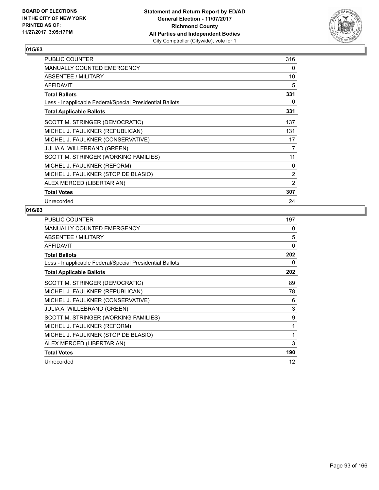

| PUBLIC COUNTER                                           | 316 |
|----------------------------------------------------------|-----|
| <b>MANUALLY COUNTED EMERGENCY</b>                        | 0   |
| <b>ABSENTEE / MILITARY</b>                               | 10  |
| <b>AFFIDAVIT</b>                                         | 5   |
| <b>Total Ballots</b>                                     | 331 |
| Less - Inapplicable Federal/Special Presidential Ballots | 0   |
| <b>Total Applicable Ballots</b>                          | 331 |
| SCOTT M. STRINGER (DEMOCRATIC)                           | 137 |
| MICHEL J. FAULKNER (REPUBLICAN)                          | 131 |
| MICHEL J. FAULKNER (CONSERVATIVE)                        | 17  |
| <b>JULIA A. WILLEBRAND (GREEN)</b>                       | 7   |
| SCOTT M. STRINGER (WORKING FAMILIES)                     | 11  |
| MICHEL J. FAULKNER (REFORM)                              | 0   |
| MICHEL J. FAULKNER (STOP DE BLASIO)                      | 2   |
| ALEX MERCED (LIBERTARIAN)                                | 2   |
| <b>Total Votes</b>                                       | 307 |
| Unrecorded                                               | 24  |

| PUBLIC COUNTER                                           | 197      |
|----------------------------------------------------------|----------|
| <b>MANUALLY COUNTED EMERGENCY</b>                        | 0        |
| ABSENTEE / MILITARY                                      | 5        |
| <b>AFFIDAVIT</b>                                         | $\Omega$ |
| <b>Total Ballots</b>                                     | 202      |
| Less - Inapplicable Federal/Special Presidential Ballots | 0        |
| <b>Total Applicable Ballots</b>                          | 202      |
| SCOTT M. STRINGER (DEMOCRATIC)                           | 89       |
| MICHEL J. FAULKNER (REPUBLICAN)                          | 78       |
| MICHEL J. FAULKNER (CONSERVATIVE)                        | 6        |
| JULIA A. WILLEBRAND (GREEN)                              | 3        |
| SCOTT M. STRINGER (WORKING FAMILIES)                     | 9        |
| MICHEL J. FAULKNER (REFORM)                              | 1        |
| MICHEL J. FAULKNER (STOP DE BLASIO)                      | 1        |
| ALEX MERCED (LIBERTARIAN)                                | 3        |
| <b>Total Votes</b>                                       | 190      |
| Unrecorded                                               | 12       |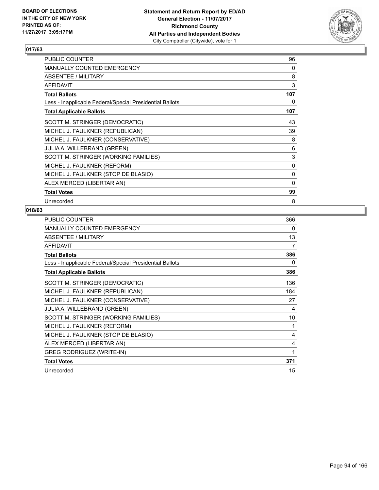

| PUBLIC COUNTER                                           | 96       |
|----------------------------------------------------------|----------|
| <b>MANUALLY COUNTED EMERGENCY</b>                        | 0        |
| <b>ABSENTEE / MILITARY</b>                               | 8        |
| <b>AFFIDAVIT</b>                                         | 3        |
| <b>Total Ballots</b>                                     | 107      |
| Less - Inapplicable Federal/Special Presidential Ballots | 0        |
| <b>Total Applicable Ballots</b>                          | 107      |
| SCOTT M. STRINGER (DEMOCRATIC)                           | 43       |
| MICHEL J. FAULKNER (REPUBLICAN)                          | 39       |
| MICHEL J. FAULKNER (CONSERVATIVE)                        | 8        |
| <b>JULIA A. WILLEBRAND (GREEN)</b>                       | 6        |
| SCOTT M. STRINGER (WORKING FAMILIES)                     | 3        |
| MICHEL J. FAULKNER (REFORM)                              | 0        |
| MICHEL J. FAULKNER (STOP DE BLASIO)                      | 0        |
| ALEX MERCED (LIBERTARIAN)                                | $\Omega$ |
| <b>Total Votes</b>                                       | 99       |
| Unrecorded                                               | 8        |

| <b>PUBLIC COUNTER</b>                                    | 366 |
|----------------------------------------------------------|-----|
| <b>MANUALLY COUNTED EMERGENCY</b>                        | 0   |
| ABSENTEE / MILITARY                                      | 13  |
| <b>AFFIDAVIT</b>                                         | 7   |
| <b>Total Ballots</b>                                     | 386 |
| Less - Inapplicable Federal/Special Presidential Ballots | 0   |
| <b>Total Applicable Ballots</b>                          | 386 |
| SCOTT M. STRINGER (DEMOCRATIC)                           | 136 |
| MICHEL J. FAULKNER (REPUBLICAN)                          | 184 |
| MICHEL J. FAULKNER (CONSERVATIVE)                        | 27  |
| JULIA A. WILLEBRAND (GREEN)                              | 4   |
| SCOTT M. STRINGER (WORKING FAMILIES)                     | 10  |
| MICHEL J. FAULKNER (REFORM)                              | 1   |
| MICHEL J. FAULKNER (STOP DE BLASIO)                      | 4   |
| ALEX MERCED (LIBERTARIAN)                                | 4   |
| <b>GREG RODRIGUEZ (WRITE-IN)</b>                         | 1   |
| <b>Total Votes</b>                                       | 371 |
| Unrecorded                                               | 15  |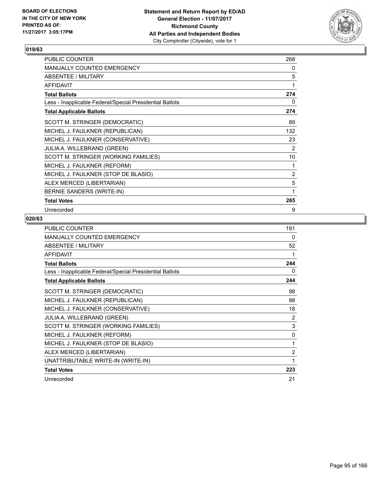

| PUBLIC COUNTER                                           | 268            |
|----------------------------------------------------------|----------------|
| <b>MANUALLY COUNTED EMERGENCY</b>                        | 0              |
| ABSENTEE / MILITARY                                      | 5              |
| <b>AFFIDAVIT</b>                                         | 1              |
| <b>Total Ballots</b>                                     | 274            |
| Less - Inapplicable Federal/Special Presidential Ballots | 0              |
| <b>Total Applicable Ballots</b>                          | 274            |
| SCOTT M. STRINGER (DEMOCRATIC)                           | 89             |
| MICHEL J. FAULKNER (REPUBLICAN)                          | 132            |
| MICHEL J. FAULKNER (CONSERVATIVE)                        | 23             |
| <b>JULIA A. WILLEBRAND (GREEN)</b>                       | $\overline{2}$ |
| SCOTT M. STRINGER (WORKING FAMILIES)                     | 10             |
| MICHEL J. FAULKNER (REFORM)                              | 1              |
| MICHEL J. FAULKNER (STOP DE BLASIO)                      | $\overline{2}$ |
| ALEX MERCED (LIBERTARIAN)                                | 5              |
| BERNIE SANDERS (WRITE-IN)                                | 1              |
| <b>Total Votes</b>                                       | 265            |
| Unrecorded                                               | 9              |

| <b>PUBLIC COUNTER</b>                                    | 191            |
|----------------------------------------------------------|----------------|
| <b>MANUALLY COUNTED EMERGENCY</b>                        | 0              |
| ABSENTEE / MILITARY                                      | 52             |
| <b>AFFIDAVIT</b>                                         | 1              |
| <b>Total Ballots</b>                                     | 244            |
| Less - Inapplicable Federal/Special Presidential Ballots | 0              |
| <b>Total Applicable Ballots</b>                          | 244            |
| SCOTT M. STRINGER (DEMOCRATIC)                           | 98             |
| MICHEL J. FAULKNER (REPUBLICAN)                          | 98             |
| MICHEL J. FAULKNER (CONSERVATIVE)                        | 18             |
| JULIA A. WILLEBRAND (GREEN)                              | 2              |
| SCOTT M. STRINGER (WORKING FAMILIES)                     | 3              |
| MICHEL J. FAULKNER (REFORM)                              | $\mathbf{0}$   |
| MICHEL J. FAULKNER (STOP DE BLASIO)                      | 1              |
| ALEX MERCED (LIBERTARIAN)                                | $\overline{2}$ |
| UNATTRIBUTABLE WRITE-IN (WRITE-IN)                       | 1              |
| <b>Total Votes</b>                                       | 223            |
| Unrecorded                                               | 21             |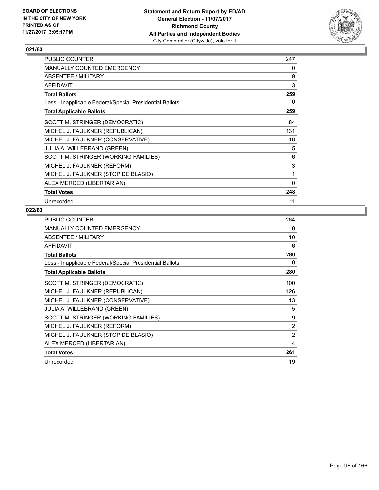

| PUBLIC COUNTER                                           | 247 |
|----------------------------------------------------------|-----|
| <b>MANUALLY COUNTED EMERGENCY</b>                        | 0   |
| <b>ABSENTEE / MILITARY</b>                               | 9   |
| <b>AFFIDAVIT</b>                                         | 3   |
| <b>Total Ballots</b>                                     | 259 |
| Less - Inapplicable Federal/Special Presidential Ballots | 0   |
| <b>Total Applicable Ballots</b>                          | 259 |
| SCOTT M. STRINGER (DEMOCRATIC)                           | 84  |
| MICHEL J. FAULKNER (REPUBLICAN)                          | 131 |
| MICHEL J. FAULKNER (CONSERVATIVE)                        | 18  |
| <b>JULIA A. WILLEBRAND (GREEN)</b>                       | 5   |
| SCOTT M. STRINGER (WORKING FAMILIES)                     | 6   |
| MICHEL J. FAULKNER (REFORM)                              | 3   |
| MICHEL J. FAULKNER (STOP DE BLASIO)                      | 1   |
| ALEX MERCED (LIBERTARIAN)                                | 0   |
| <b>Total Votes</b>                                       | 248 |
| Unrecorded                                               | 11  |

| <b>PUBLIC COUNTER</b>                                    | 264 |
|----------------------------------------------------------|-----|
| <b>MANUALLY COUNTED EMERGENCY</b>                        | 0   |
| ABSENTEE / MILITARY                                      | 10  |
| <b>AFFIDAVIT</b>                                         | 6   |
| <b>Total Ballots</b>                                     | 280 |
| Less - Inapplicable Federal/Special Presidential Ballots | 0   |
| <b>Total Applicable Ballots</b>                          | 280 |
| SCOTT M. STRINGER (DEMOCRATIC)                           | 100 |
| MICHEL J. FAULKNER (REPUBLICAN)                          | 126 |
| MICHEL J. FAULKNER (CONSERVATIVE)                        | 13  |
| <b>JULIA A. WILLEBRAND (GREEN)</b>                       | 5   |
| SCOTT M. STRINGER (WORKING FAMILIES)                     | 9   |
| MICHEL J. FAULKNER (REFORM)                              | 2   |
| MICHEL J. FAULKNER (STOP DE BLASIO)                      | 2   |
| ALEX MERCED (LIBERTARIAN)                                | 4   |
| <b>Total Votes</b>                                       | 261 |
| Unrecorded                                               | 19  |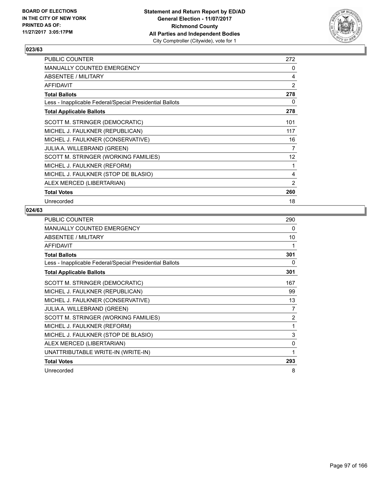

| <b>PUBLIC COUNTER</b>                                    | 272             |
|----------------------------------------------------------|-----------------|
| <b>MANUALLY COUNTED EMERGENCY</b>                        | 0               |
| <b>ABSENTEE / MILITARY</b>                               | 4               |
| <b>AFFIDAVIT</b>                                         | 2               |
| <b>Total Ballots</b>                                     | 278             |
| Less - Inapplicable Federal/Special Presidential Ballots | 0               |
| <b>Total Applicable Ballots</b>                          | 278             |
| SCOTT M. STRINGER (DEMOCRATIC)                           | 101             |
| MICHEL J. FAULKNER (REPUBLICAN)                          | 117             |
| MICHEL J. FAULKNER (CONSERVATIVE)                        | 16              |
| <b>JULIA A. WILLEBRAND (GREEN)</b>                       | 7               |
| SCOTT M. STRINGER (WORKING FAMILIES)                     | 12 <sup>°</sup> |
| MICHEL J. FAULKNER (REFORM)                              | 1               |
| MICHEL J. FAULKNER (STOP DE BLASIO)                      | 4               |
| ALEX MERCED (LIBERTARIAN)                                | $\overline{2}$  |
| <b>Total Votes</b>                                       | 260             |
| Unrecorded                                               | 18              |

| <b>PUBLIC COUNTER</b>                                    | 290 |
|----------------------------------------------------------|-----|
| <b>MANUALLY COUNTED EMERGENCY</b>                        | 0   |
| <b>ABSENTEE / MILITARY</b>                               | 10  |
| <b>AFFIDAVIT</b>                                         | 1   |
| <b>Total Ballots</b>                                     | 301 |
| Less - Inapplicable Federal/Special Presidential Ballots | 0   |
| <b>Total Applicable Ballots</b>                          | 301 |
| SCOTT M. STRINGER (DEMOCRATIC)                           | 167 |
| MICHEL J. FAULKNER (REPUBLICAN)                          | 99  |
| MICHEL J. FAULKNER (CONSERVATIVE)                        | 13  |
| JULIA A. WILLEBRAND (GREEN)                              | 7   |
| SCOTT M. STRINGER (WORKING FAMILIES)                     | 2   |
| MICHEL J. FAULKNER (REFORM)                              | 1   |
| MICHEL J. FAULKNER (STOP DE BLASIO)                      | 3   |
| ALEX MERCED (LIBERTARIAN)                                | 0   |
| UNATTRIBUTABLE WRITE-IN (WRITE-IN)                       | 1   |
| <b>Total Votes</b>                                       | 293 |
| Unrecorded                                               | 8   |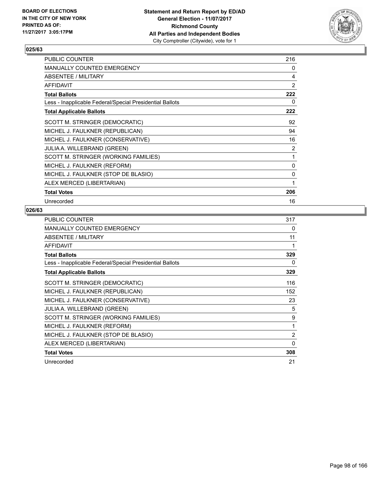

| <b>PUBLIC COUNTER</b>                                    | 216 |
|----------------------------------------------------------|-----|
| <b>MANUALLY COUNTED EMERGENCY</b>                        | 0   |
| ABSENTEE / MILITARY                                      | 4   |
| <b>AFFIDAVIT</b>                                         | 2   |
| <b>Total Ballots</b>                                     | 222 |
| Less - Inapplicable Federal/Special Presidential Ballots | 0   |
| <b>Total Applicable Ballots</b>                          | 222 |
| SCOTT M. STRINGER (DEMOCRATIC)                           | 92  |
| MICHEL J. FAULKNER (REPUBLICAN)                          | 94  |
| MICHEL J. FAULKNER (CONSERVATIVE)                        | 16  |
| <b>JULIA A. WILLEBRAND (GREEN)</b>                       | 2   |
| SCOTT M. STRINGER (WORKING FAMILIES)                     | 1   |
| MICHEL J. FAULKNER (REFORM)                              | 0   |
| MICHEL J. FAULKNER (STOP DE BLASIO)                      | 0   |
| ALEX MERCED (LIBERTARIAN)                                | 1   |
| <b>Total Votes</b>                                       | 206 |
| Unrecorded                                               | 16  |

| <b>PUBLIC COUNTER</b>                                    | 317 |
|----------------------------------------------------------|-----|
| <b>MANUALLY COUNTED EMERGENCY</b>                        | 0   |
| ABSENTEE / MILITARY                                      | 11  |
| <b>AFFIDAVIT</b>                                         | 1   |
| <b>Total Ballots</b>                                     | 329 |
| Less - Inapplicable Federal/Special Presidential Ballots | 0   |
| <b>Total Applicable Ballots</b>                          | 329 |
| SCOTT M. STRINGER (DEMOCRATIC)                           | 116 |
| MICHEL J. FAULKNER (REPUBLICAN)                          | 152 |
| MICHEL J. FAULKNER (CONSERVATIVE)                        | 23  |
| <b>JULIA A. WILLEBRAND (GREEN)</b>                       | 5   |
| SCOTT M. STRINGER (WORKING FAMILIES)                     | 9   |
| MICHEL J. FAULKNER (REFORM)                              | 1   |
| MICHEL J. FAULKNER (STOP DE BLASIO)                      | 2   |
| ALEX MERCED (LIBERTARIAN)                                | 0   |
| <b>Total Votes</b>                                       | 308 |
| Unrecorded                                               | 21  |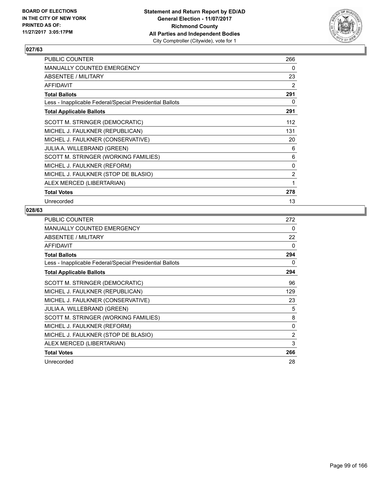

| PUBLIC COUNTER                                           | 266 |
|----------------------------------------------------------|-----|
| <b>MANUALLY COUNTED EMERGENCY</b>                        | 0   |
| <b>ABSENTEE / MILITARY</b>                               | 23  |
| <b>AFFIDAVIT</b>                                         | 2   |
| <b>Total Ballots</b>                                     | 291 |
| Less - Inapplicable Federal/Special Presidential Ballots | 0   |
| <b>Total Applicable Ballots</b>                          | 291 |
| SCOTT M. STRINGER (DEMOCRATIC)                           | 112 |
| MICHEL J. FAULKNER (REPUBLICAN)                          | 131 |
| MICHEL J. FAULKNER (CONSERVATIVE)                        | 20  |
| <b>JULIA A. WILLEBRAND (GREEN)</b>                       | 6   |
| SCOTT M. STRINGER (WORKING FAMILIES)                     | 6   |
| MICHEL J. FAULKNER (REFORM)                              | 0   |
| MICHEL J. FAULKNER (STOP DE BLASIO)                      | 2   |
| ALEX MERCED (LIBERTARIAN)                                | 1   |
| <b>Total Votes</b>                                       | 278 |
| Unrecorded                                               | 13  |

| PUBLIC COUNTER                                           | 272 |
|----------------------------------------------------------|-----|
| <b>MANUALLY COUNTED EMERGENCY</b>                        | 0   |
| ABSENTEE / MILITARY                                      | 22  |
| <b>AFFIDAVIT</b>                                         | 0   |
| <b>Total Ballots</b>                                     | 294 |
| Less - Inapplicable Federal/Special Presidential Ballots | 0   |
| <b>Total Applicable Ballots</b>                          | 294 |
| SCOTT M. STRINGER (DEMOCRATIC)                           | 96  |
| MICHEL J. FAULKNER (REPUBLICAN)                          | 129 |
| MICHEL J. FAULKNER (CONSERVATIVE)                        | 23  |
| <b>JULIA A. WILLEBRAND (GREEN)</b>                       | 5   |
| SCOTT M. STRINGER (WORKING FAMILIES)                     | 8   |
| MICHEL J. FAULKNER (REFORM)                              | 0   |
| MICHEL J. FAULKNER (STOP DE BLASIO)                      | 2   |
| ALEX MERCED (LIBERTARIAN)                                | 3   |
| <b>Total Votes</b>                                       | 266 |
| Unrecorded                                               | 28  |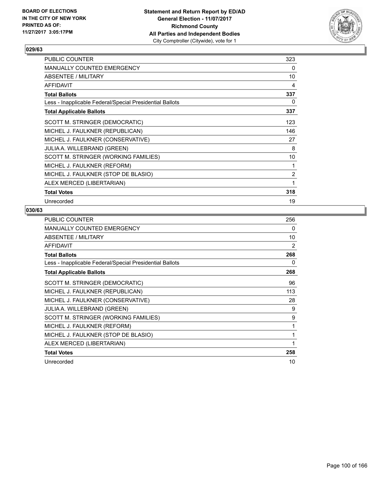

| <b>PUBLIC COUNTER</b>                                    | 323 |
|----------------------------------------------------------|-----|
| MANUALLY COUNTED EMERGENCY                               | 0   |
| ABSENTEE / MILITARY                                      | 10  |
| <b>AFFIDAVIT</b>                                         | 4   |
| <b>Total Ballots</b>                                     | 337 |
| Less - Inapplicable Federal/Special Presidential Ballots | 0   |
| <b>Total Applicable Ballots</b>                          | 337 |
| SCOTT M. STRINGER (DEMOCRATIC)                           | 123 |
| MICHEL J. FAULKNER (REPUBLICAN)                          | 146 |
| MICHEL J. FAULKNER (CONSERVATIVE)                        | 27  |
| JULIA A. WILLEBRAND (GREEN)                              | 8   |
| SCOTT M. STRINGER (WORKING FAMILIES)                     | 10  |
| MICHEL J. FAULKNER (REFORM)                              | 1   |
| MICHEL J. FAULKNER (STOP DE BLASIO)                      | 2   |
| ALEX MERCED (LIBERTARIAN)                                | 1   |
| <b>Total Votes</b>                                       | 318 |
| Unrecorded                                               | 19  |

| <b>PUBLIC COUNTER</b>                                    | 256 |
|----------------------------------------------------------|-----|
| <b>MANUALLY COUNTED EMERGENCY</b>                        | 0   |
| ABSENTEE / MILITARY                                      | 10  |
| <b>AFFIDAVIT</b>                                         | 2   |
| <b>Total Ballots</b>                                     | 268 |
| Less - Inapplicable Federal/Special Presidential Ballots | 0   |
| <b>Total Applicable Ballots</b>                          | 268 |
| SCOTT M. STRINGER (DEMOCRATIC)                           | 96  |
| MICHEL J. FAULKNER (REPUBLICAN)                          | 113 |
| MICHEL J. FAULKNER (CONSERVATIVE)                        | 28  |
| JULIA A. WILLEBRAND (GREEN)                              | 9   |
| SCOTT M. STRINGER (WORKING FAMILIES)                     | 9   |
| MICHEL J. FAULKNER (REFORM)                              | 1   |
| MICHEL J. FAULKNER (STOP DE BLASIO)                      | 1   |
| ALEX MERCED (LIBERTARIAN)                                | 1   |
| <b>Total Votes</b>                                       | 258 |
| Unrecorded                                               | 10  |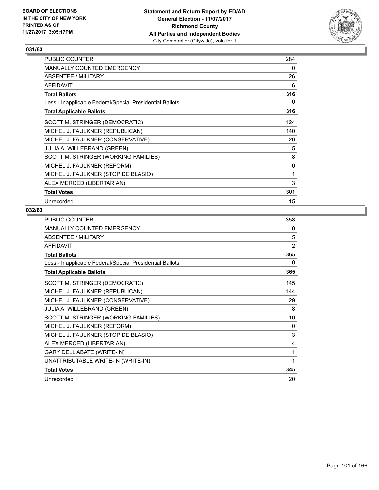

| <b>PUBLIC COUNTER</b>                                    | 284 |
|----------------------------------------------------------|-----|
| <b>MANUALLY COUNTED EMERGENCY</b>                        | 0   |
| ABSENTEE / MILITARY                                      | 26  |
| <b>AFFIDAVIT</b>                                         | 6   |
| <b>Total Ballots</b>                                     | 316 |
| Less - Inapplicable Federal/Special Presidential Ballots | 0   |
| <b>Total Applicable Ballots</b>                          | 316 |
| SCOTT M. STRINGER (DEMOCRATIC)                           | 124 |
| MICHEL J. FAULKNER (REPUBLICAN)                          | 140 |
| MICHEL J. FAULKNER (CONSERVATIVE)                        | 20  |
| <b>JULIA A. WILLEBRAND (GREEN)</b>                       | 5   |
| SCOTT M. STRINGER (WORKING FAMILIES)                     | 8   |
| MICHEL J. FAULKNER (REFORM)                              | 0   |
| MICHEL J. FAULKNER (STOP DE BLASIO)                      | 1   |
| ALEX MERCED (LIBERTARIAN)                                | 3   |
| <b>Total Votes</b>                                       | 301 |
| Unrecorded                                               | 15  |

| <b>PUBLIC COUNTER</b>                                    | 358 |
|----------------------------------------------------------|-----|
| <b>MANUALLY COUNTED EMERGENCY</b>                        | 0   |
| <b>ABSENTEE / MILITARY</b>                               | 5   |
| <b>AFFIDAVIT</b>                                         | 2   |
| <b>Total Ballots</b>                                     | 365 |
| Less - Inapplicable Federal/Special Presidential Ballots | 0   |
| <b>Total Applicable Ballots</b>                          | 365 |
| SCOTT M. STRINGER (DEMOCRATIC)                           | 145 |
| MICHEL J. FAULKNER (REPUBLICAN)                          | 144 |
| MICHEL J. FAULKNER (CONSERVATIVE)                        | 29  |
| JULIA A. WILLEBRAND (GREEN)                              | 8   |
| SCOTT M. STRINGER (WORKING FAMILIES)                     | 10  |
| MICHEL J. FAULKNER (REFORM)                              | 0   |
| MICHEL J. FAULKNER (STOP DE BLASIO)                      | 3   |
| ALEX MERCED (LIBERTARIAN)                                | 4   |
| <b>GARY DELL ABATE (WRITE-IN)</b>                        | 1   |
| UNATTRIBUTABLE WRITE-IN (WRITE-IN)                       | 1   |
| <b>Total Votes</b>                                       | 345 |
| Unrecorded                                               | 20  |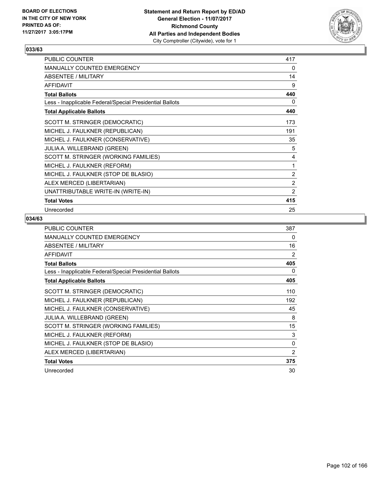

| PUBLIC COUNTER                                           | 417            |
|----------------------------------------------------------|----------------|
| <b>MANUALLY COUNTED EMERGENCY</b>                        | 0              |
| ABSENTEE / MILITARY                                      | 14             |
| <b>AFFIDAVIT</b>                                         | 9              |
| <b>Total Ballots</b>                                     | 440            |
| Less - Inapplicable Federal/Special Presidential Ballots | 0              |
| <b>Total Applicable Ballots</b>                          | 440            |
| SCOTT M. STRINGER (DEMOCRATIC)                           | 173            |
| MICHEL J. FAULKNER (REPUBLICAN)                          | 191            |
| MICHEL J. FAULKNER (CONSERVATIVE)                        | 35             |
| JULIA A. WILLEBRAND (GREEN)                              | 5              |
| SCOTT M. STRINGER (WORKING FAMILIES)                     | 4              |
| MICHEL J. FAULKNER (REFORM)                              | 1              |
| MICHEL J. FAULKNER (STOP DE BLASIO)                      | $\overline{2}$ |
| ALEX MERCED (LIBERTARIAN)                                | $\overline{2}$ |
| UNATTRIBUTABLE WRITE-IN (WRITE-IN)                       | $\overline{2}$ |
| <b>Total Votes</b>                                       | 415            |
| Unrecorded                                               | 25             |

| <b>PUBLIC COUNTER</b>                                    | 387            |
|----------------------------------------------------------|----------------|
| <b>MANUALLY COUNTED EMERGENCY</b>                        | 0              |
| ABSENTEE / MILITARY                                      | 16             |
| <b>AFFIDAVIT</b>                                         | 2              |
| <b>Total Ballots</b>                                     | 405            |
| Less - Inapplicable Federal/Special Presidential Ballots | 0              |
| <b>Total Applicable Ballots</b>                          | 405            |
| SCOTT M. STRINGER (DEMOCRATIC)                           | 110            |
| MICHEL J. FAULKNER (REPUBLICAN)                          | 192            |
| MICHEL J. FAULKNER (CONSERVATIVE)                        | 45             |
| <b>JULIA A. WILLEBRAND (GREEN)</b>                       | 8              |
| SCOTT M. STRINGER (WORKING FAMILIES)                     | 15             |
| MICHEL J. FAULKNER (REFORM)                              | 3              |
| MICHEL J. FAULKNER (STOP DE BLASIO)                      | 0              |
| ALEX MERCED (LIBERTARIAN)                                | $\overline{2}$ |
| <b>Total Votes</b>                                       | 375            |
| Unrecorded                                               | 30             |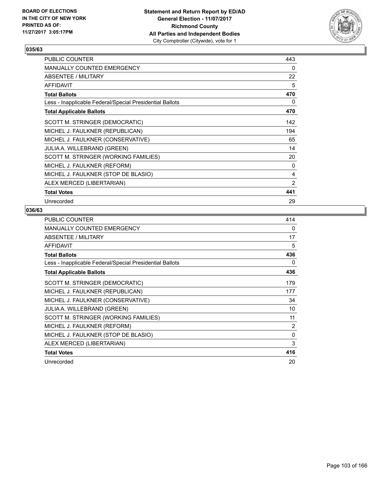

| PUBLIC COUNTER                                           | 443 |
|----------------------------------------------------------|-----|
| <b>MANUALLY COUNTED EMERGENCY</b>                        | 0   |
| <b>ABSENTEE / MILITARY</b>                               | 22  |
| <b>AFFIDAVIT</b>                                         | 5   |
| <b>Total Ballots</b>                                     | 470 |
| Less - Inapplicable Federal/Special Presidential Ballots | 0   |
| <b>Total Applicable Ballots</b>                          | 470 |
| SCOTT M. STRINGER (DEMOCRATIC)                           | 142 |
| MICHEL J. FAULKNER (REPUBLICAN)                          | 194 |
| MICHEL J. FAULKNER (CONSERVATIVE)                        | 65  |
| <b>JULIA A. WILLEBRAND (GREEN)</b>                       | 14  |
| SCOTT M. STRINGER (WORKING FAMILIES)                     | 20  |
| MICHEL J. FAULKNER (REFORM)                              | 0   |
| MICHEL J. FAULKNER (STOP DE BLASIO)                      | 4   |
| ALEX MERCED (LIBERTARIAN)                                | 2   |
| <b>Total Votes</b>                                       | 441 |
| Unrecorded                                               | 29  |

| <b>PUBLIC COUNTER</b>                                    | 414 |
|----------------------------------------------------------|-----|
| <b>MANUALLY COUNTED EMERGENCY</b>                        | 0   |
| ABSENTEE / MILITARY                                      | 17  |
| <b>AFFIDAVIT</b>                                         | 5   |
| <b>Total Ballots</b>                                     | 436 |
| Less - Inapplicable Federal/Special Presidential Ballots | 0   |
| <b>Total Applicable Ballots</b>                          | 436 |
| SCOTT M. STRINGER (DEMOCRATIC)                           | 179 |
| MICHEL J. FAULKNER (REPUBLICAN)                          | 177 |
| MICHEL J. FAULKNER (CONSERVATIVE)                        | 34  |
| <b>JULIA A. WILLEBRAND (GREEN)</b>                       | 10  |
| SCOTT M. STRINGER (WORKING FAMILIES)                     | 11  |
| MICHEL J. FAULKNER (REFORM)                              | 2   |
| MICHEL J. FAULKNER (STOP DE BLASIO)                      | 0   |
| ALEX MERCED (LIBERTARIAN)                                | 3   |
| <b>Total Votes</b>                                       | 416 |
| Unrecorded                                               | 20  |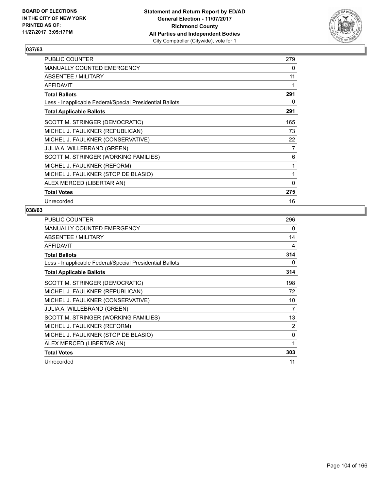

| PUBLIC COUNTER                                           | 279 |
|----------------------------------------------------------|-----|
| <b>MANUALLY COUNTED EMERGENCY</b>                        | 0   |
| <b>ABSENTEE / MILITARY</b>                               | 11  |
| <b>AFFIDAVIT</b>                                         | 1   |
| <b>Total Ballots</b>                                     | 291 |
| Less - Inapplicable Federal/Special Presidential Ballots | 0   |
| <b>Total Applicable Ballots</b>                          | 291 |
| SCOTT M. STRINGER (DEMOCRATIC)                           | 165 |
| MICHEL J. FAULKNER (REPUBLICAN)                          | 73  |
| MICHEL J. FAULKNER (CONSERVATIVE)                        | 22  |
| <b>JULIA A. WILLEBRAND (GREEN)</b>                       | 7   |
| SCOTT M. STRINGER (WORKING FAMILIES)                     | 6   |
| MICHEL J. FAULKNER (REFORM)                              | 1   |
| MICHEL J. FAULKNER (STOP DE BLASIO)                      | 1   |
| ALEX MERCED (LIBERTARIAN)                                | 0   |
| <b>Total Votes</b>                                       | 275 |
| Unrecorded                                               | 16  |

| <b>PUBLIC COUNTER</b>                                    | 296 |
|----------------------------------------------------------|-----|
| <b>MANUALLY COUNTED EMERGENCY</b>                        | 0   |
| ABSENTEE / MILITARY                                      | 14  |
| <b>AFFIDAVIT</b>                                         | 4   |
| <b>Total Ballots</b>                                     | 314 |
| Less - Inapplicable Federal/Special Presidential Ballots | 0   |
| <b>Total Applicable Ballots</b>                          | 314 |
| SCOTT M. STRINGER (DEMOCRATIC)                           | 198 |
| MICHEL J. FAULKNER (REPUBLICAN)                          | 72  |
| MICHEL J. FAULKNER (CONSERVATIVE)                        | 10  |
| <b>JULIA A. WILLEBRAND (GREEN)</b>                       | 7   |
| SCOTT M. STRINGER (WORKING FAMILIES)                     | 13  |
| MICHEL J. FAULKNER (REFORM)                              | 2   |
| MICHEL J. FAULKNER (STOP DE BLASIO)                      | 0   |
| ALEX MERCED (LIBERTARIAN)                                | 1   |
| <b>Total Votes</b>                                       | 303 |
| Unrecorded                                               | 11  |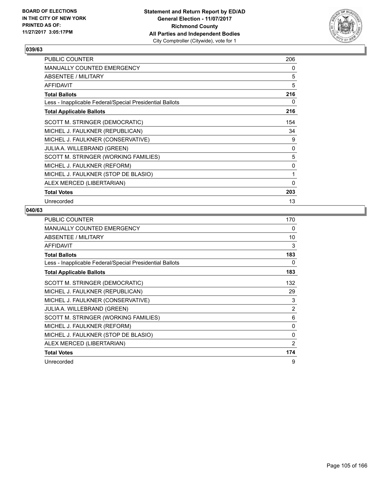

| <b>PUBLIC COUNTER</b>                                    | 206         |
|----------------------------------------------------------|-------------|
| <b>MANUALLY COUNTED EMERGENCY</b>                        | 0           |
| ABSENTEE / MILITARY                                      | 5           |
| <b>AFFIDAVIT</b>                                         | 5           |
| <b>Total Ballots</b>                                     | 216         |
| Less - Inapplicable Federal/Special Presidential Ballots | 0           |
| <b>Total Applicable Ballots</b>                          | 216         |
| SCOTT M. STRINGER (DEMOCRATIC)                           | 154         |
| MICHEL J. FAULKNER (REPUBLICAN)                          | 34          |
| MICHEL J. FAULKNER (CONSERVATIVE)                        | 9           |
| <b>JULIA A. WILLEBRAND (GREEN)</b>                       | 0           |
| SCOTT M. STRINGER (WORKING FAMILIES)                     | 5           |
| MICHEL J. FAULKNER (REFORM)                              | 0           |
| MICHEL J. FAULKNER (STOP DE BLASIO)                      | 1           |
| ALEX MERCED (LIBERTARIAN)                                | $\mathbf 0$ |
| <b>Total Votes</b>                                       | 203         |
| Unrecorded                                               | 13          |

| <b>PUBLIC COUNTER</b>                                    | 170 |
|----------------------------------------------------------|-----|
| <b>MANUALLY COUNTED EMERGENCY</b>                        | 0   |
| ABSENTEE / MILITARY                                      | 10  |
| <b>AFFIDAVIT</b>                                         | 3   |
| <b>Total Ballots</b>                                     | 183 |
| Less - Inapplicable Federal/Special Presidential Ballots | 0   |
| <b>Total Applicable Ballots</b>                          | 183 |
| SCOTT M. STRINGER (DEMOCRATIC)                           | 132 |
| MICHEL J. FAULKNER (REPUBLICAN)                          | 29  |
| MICHEL J. FAULKNER (CONSERVATIVE)                        | 3   |
| <b>JULIA A. WILLEBRAND (GREEN)</b>                       | 2   |
| SCOTT M. STRINGER (WORKING FAMILIES)                     | 6   |
| MICHEL J. FAULKNER (REFORM)                              | 0   |
| MICHEL J. FAULKNER (STOP DE BLASIO)                      | 0   |
| ALEX MERCED (LIBERTARIAN)                                | 2   |
| <b>Total Votes</b>                                       | 174 |
| Unrecorded                                               | 9   |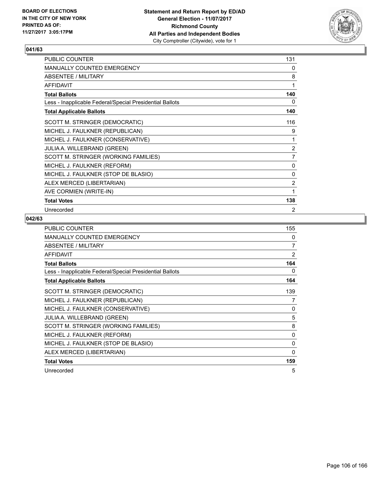

| <b>PUBLIC COUNTER</b>                                    | 131            |
|----------------------------------------------------------|----------------|
| MANUALLY COUNTED EMERGENCY                               | 0              |
| ABSENTEE / MILITARY                                      | 8              |
| <b>AFFIDAVIT</b>                                         | 1              |
| <b>Total Ballots</b>                                     | 140            |
| Less - Inapplicable Federal/Special Presidential Ballots | 0              |
| <b>Total Applicable Ballots</b>                          | 140            |
| SCOTT M. STRINGER (DEMOCRATIC)                           | 116            |
| MICHEL J. FAULKNER (REPUBLICAN)                          | 9              |
| MICHEL J. FAULKNER (CONSERVATIVE)                        | 1              |
| JULIA A. WILLEBRAND (GREEN)                              | $\overline{2}$ |
| SCOTT M. STRINGER (WORKING FAMILIES)                     | $\overline{7}$ |
| MICHEL J. FAULKNER (REFORM)                              | $\Omega$       |
| MICHEL J. FAULKNER (STOP DE BLASIO)                      | 0              |
| ALEX MERCED (LIBERTARIAN)                                | $\overline{2}$ |
| AVE CORMIEN (WRITE-IN)                                   | 1              |
| <b>Total Votes</b>                                       | 138            |
| Unrecorded                                               | 2              |

| <b>PUBLIC COUNTER</b>                                    | 155            |
|----------------------------------------------------------|----------------|
| <b>MANUALLY COUNTED EMERGENCY</b>                        | 0              |
| ABSENTEE / MILITARY                                      | 7              |
| AFFIDAVIT                                                | $\overline{2}$ |
| <b>Total Ballots</b>                                     | 164            |
| Less - Inapplicable Federal/Special Presidential Ballots | 0              |
| <b>Total Applicable Ballots</b>                          | 164            |
| SCOTT M. STRINGER (DEMOCRATIC)                           | 139            |
| MICHEL J. FAULKNER (REPUBLICAN)                          | 7              |
| MICHEL J. FAULKNER (CONSERVATIVE)                        | 0              |
| JULIA A. WILLEBRAND (GREEN)                              | 5              |
| SCOTT M. STRINGER (WORKING FAMILIES)                     | 8              |
| MICHEL J. FAULKNER (REFORM)                              | 0              |
| MICHEL J. FAULKNER (STOP DE BLASIO)                      | 0              |
| ALEX MERCED (LIBERTARIAN)                                | 0              |
| <b>Total Votes</b>                                       | 159            |
| Unrecorded                                               | 5              |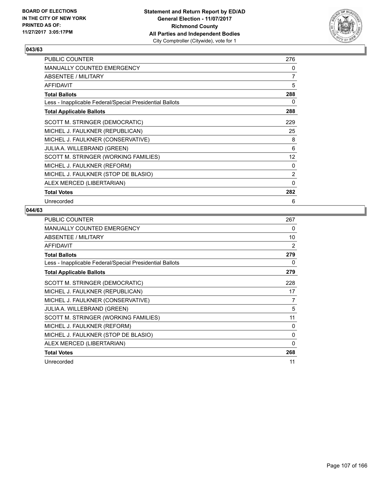

| <b>PUBLIC COUNTER</b>                                    | 276               |
|----------------------------------------------------------|-------------------|
| <b>MANUALLY COUNTED EMERGENCY</b>                        | 0                 |
| <b>ABSENTEE / MILITARY</b>                               | 7                 |
| <b>AFFIDAVIT</b>                                         | 5                 |
| <b>Total Ballots</b>                                     | 288               |
| Less - Inapplicable Federal/Special Presidential Ballots | 0                 |
| <b>Total Applicable Ballots</b>                          | 288               |
| SCOTT M. STRINGER (DEMOCRATIC)                           | 229               |
| MICHEL J. FAULKNER (REPUBLICAN)                          | 25                |
| MICHEL J. FAULKNER (CONSERVATIVE)                        | 8                 |
| <b>JULIA A. WILLEBRAND (GREEN)</b>                       | 6                 |
| SCOTT M. STRINGER (WORKING FAMILIES)                     | $12 \overline{ }$ |
| MICHEL J. FAULKNER (REFORM)                              | 0                 |
| MICHEL J. FAULKNER (STOP DE BLASIO)                      | 2                 |
| ALEX MERCED (LIBERTARIAN)                                | 0                 |
| <b>Total Votes</b>                                       | 282               |
| Unrecorded                                               | 6                 |

| <b>PUBLIC COUNTER</b>                                    | 267      |
|----------------------------------------------------------|----------|
| <b>MANUALLY COUNTED EMERGENCY</b>                        | 0        |
| ABSENTEE / MILITARY                                      | 10       |
| <b>AFFIDAVIT</b>                                         | 2        |
| <b>Total Ballots</b>                                     | 279      |
| Less - Inapplicable Federal/Special Presidential Ballots | 0        |
| <b>Total Applicable Ballots</b>                          | 279      |
| SCOTT M. STRINGER (DEMOCRATIC)                           | 228      |
| MICHEL J. FAULKNER (REPUBLICAN)                          | 17       |
| MICHEL J. FAULKNER (CONSERVATIVE)                        | 7        |
| <b>JULIA A. WILLEBRAND (GREEN)</b>                       | 5        |
| SCOTT M. STRINGER (WORKING FAMILIES)                     | 11       |
| MICHEL J. FAULKNER (REFORM)                              | 0        |
| MICHEL J. FAULKNER (STOP DE BLASIO)                      | $\Omega$ |
| ALEX MERCED (LIBERTARIAN)                                | 0        |
| <b>Total Votes</b>                                       | 268      |
| Unrecorded                                               | 11       |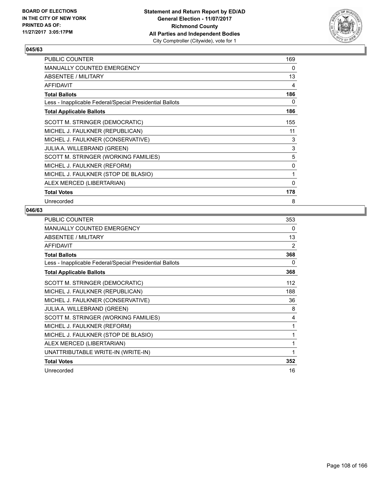

| PUBLIC COUNTER                                           | 169 |
|----------------------------------------------------------|-----|
| <b>MANUALLY COUNTED EMERGENCY</b>                        | 0   |
| <b>ABSENTEE / MILITARY</b>                               | 13  |
| <b>AFFIDAVIT</b>                                         | 4   |
| <b>Total Ballots</b>                                     | 186 |
| Less - Inapplicable Federal/Special Presidential Ballots | 0   |
| <b>Total Applicable Ballots</b>                          | 186 |
| SCOTT M. STRINGER (DEMOCRATIC)                           | 155 |
| MICHEL J. FAULKNER (REPUBLICAN)                          | 11  |
| MICHEL J. FAULKNER (CONSERVATIVE)                        | 3   |
| <b>JULIA A. WILLEBRAND (GREEN)</b>                       | 3   |
| SCOTT M. STRINGER (WORKING FAMILIES)                     | 5   |
| MICHEL J. FAULKNER (REFORM)                              | 0   |
| MICHEL J. FAULKNER (STOP DE BLASIO)                      | 1   |
| ALEX MERCED (LIBERTARIAN)                                | 0   |
| <b>Total Votes</b>                                       | 178 |
| Unrecorded                                               | 8   |

| PUBLIC COUNTER                                           | 353 |
|----------------------------------------------------------|-----|
| MANUALLY COUNTED EMERGENCY                               | 0   |
| <b>ABSENTEE / MILITARY</b>                               | 13  |
| <b>AFFIDAVIT</b>                                         | 2   |
| <b>Total Ballots</b>                                     | 368 |
| Less - Inapplicable Federal/Special Presidential Ballots | 0   |
| <b>Total Applicable Ballots</b>                          | 368 |
| SCOTT M. STRINGER (DEMOCRATIC)                           | 112 |
| MICHEL J. FAULKNER (REPUBLICAN)                          | 188 |
| MICHEL J. FAULKNER (CONSERVATIVE)                        | 36  |
| <b>JULIA A. WILLEBRAND (GREEN)</b>                       | 8   |
| SCOTT M. STRINGER (WORKING FAMILIES)                     | 4   |
| MICHEL J. FAULKNER (REFORM)                              | 1   |
| MICHEL J. FAULKNER (STOP DE BLASIO)                      | 1   |
| ALEX MERCED (LIBERTARIAN)                                | 1   |
| UNATTRIBUTABLE WRITE-IN (WRITE-IN)                       | 1   |
| <b>Total Votes</b>                                       | 352 |
| Unrecorded                                               | 16  |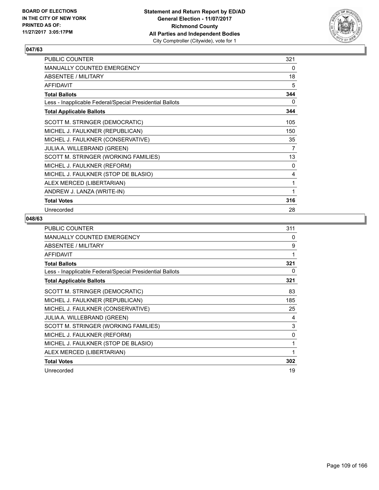

| PUBLIC COUNTER                                           | 321 |
|----------------------------------------------------------|-----|
| MANUALLY COUNTED EMERGENCY                               | 0   |
| ABSENTEE / MILITARY                                      | 18  |
| <b>AFFIDAVIT</b>                                         | 5   |
| <b>Total Ballots</b>                                     | 344 |
| Less - Inapplicable Federal/Special Presidential Ballots | 0   |
| <b>Total Applicable Ballots</b>                          | 344 |
| SCOTT M. STRINGER (DEMOCRATIC)                           | 105 |
| MICHEL J. FAULKNER (REPUBLICAN)                          | 150 |
| MICHEL J. FAULKNER (CONSERVATIVE)                        | 35  |
| JULIA A. WILLEBRAND (GREEN)                              | 7   |
| SCOTT M. STRINGER (WORKING FAMILIES)                     | 13  |
| MICHEL J. FAULKNER (REFORM)                              | 0   |
| MICHEL J. FAULKNER (STOP DE BLASIO)                      | 4   |
| ALEX MERCED (LIBERTARIAN)                                | 1   |
| ANDREW J. LANZA (WRITE-IN)                               | 1   |
| <b>Total Votes</b>                                       | 316 |
| Unrecorded                                               | 28  |

| <b>PUBLIC COUNTER</b>                                    | 311 |
|----------------------------------------------------------|-----|
| <b>MANUALLY COUNTED EMERGENCY</b>                        | 0   |
| ABSENTEE / MILITARY                                      | 9   |
| <b>AFFIDAVIT</b>                                         | 1   |
| <b>Total Ballots</b>                                     | 321 |
| Less - Inapplicable Federal/Special Presidential Ballots | 0   |
| <b>Total Applicable Ballots</b>                          | 321 |
| SCOTT M. STRINGER (DEMOCRATIC)                           | 83  |
| MICHEL J. FAULKNER (REPUBLICAN)                          | 185 |
| MICHEL J. FAULKNER (CONSERVATIVE)                        | 25  |
| <b>JULIA A. WILLEBRAND (GREEN)</b>                       | 4   |
| SCOTT M. STRINGER (WORKING FAMILIES)                     | 3   |
| MICHEL J. FAULKNER (REFORM)                              | 0   |
| MICHEL J. FAULKNER (STOP DE BLASIO)                      | 1   |
| ALEX MERCED (LIBERTARIAN)                                | 1   |
| <b>Total Votes</b>                                       | 302 |
| Unrecorded                                               | 19  |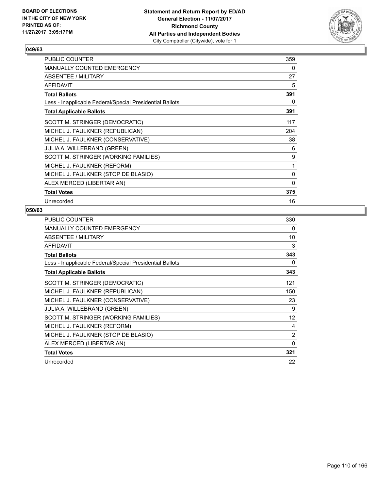

| PUBLIC COUNTER                                           | 359 |
|----------------------------------------------------------|-----|
| <b>MANUALLY COUNTED EMERGENCY</b>                        | 0   |
| <b>ABSENTEE / MILITARY</b>                               | 27  |
| <b>AFFIDAVIT</b>                                         | 5   |
| <b>Total Ballots</b>                                     | 391 |
| Less - Inapplicable Federal/Special Presidential Ballots | 0   |
| <b>Total Applicable Ballots</b>                          | 391 |
| SCOTT M. STRINGER (DEMOCRATIC)                           | 117 |
| MICHEL J. FAULKNER (REPUBLICAN)                          | 204 |
| MICHEL J. FAULKNER (CONSERVATIVE)                        | 38  |
| <b>JULIA A. WILLEBRAND (GREEN)</b>                       | 6   |
| SCOTT M. STRINGER (WORKING FAMILIES)                     | 9   |
| MICHEL J. FAULKNER (REFORM)                              | 1   |
| MICHEL J. FAULKNER (STOP DE BLASIO)                      | 0   |
| ALEX MERCED (LIBERTARIAN)                                | 0   |
| <b>Total Votes</b>                                       | 375 |
| Unrecorded                                               | 16  |

| <b>PUBLIC COUNTER</b>                                    | 330 |
|----------------------------------------------------------|-----|
| <b>MANUALLY COUNTED EMERGENCY</b>                        | 0   |
| ABSENTEE / MILITARY                                      | 10  |
| <b>AFFIDAVIT</b>                                         | 3   |
| <b>Total Ballots</b>                                     | 343 |
| Less - Inapplicable Federal/Special Presidential Ballots | 0   |
| <b>Total Applicable Ballots</b>                          | 343 |
| SCOTT M. STRINGER (DEMOCRATIC)                           | 121 |
| MICHEL J. FAULKNER (REPUBLICAN)                          | 150 |
| MICHEL J. FAULKNER (CONSERVATIVE)                        | 23  |
| <b>JULIA A. WILLEBRAND (GREEN)</b>                       | 9   |
| SCOTT M. STRINGER (WORKING FAMILIES)                     | 12  |
| MICHEL J. FAULKNER (REFORM)                              | 4   |
| MICHEL J. FAULKNER (STOP DE BLASIO)                      | 2   |
| ALEX MERCED (LIBERTARIAN)                                | 0   |
| <b>Total Votes</b>                                       | 321 |
| Unrecorded                                               | 22  |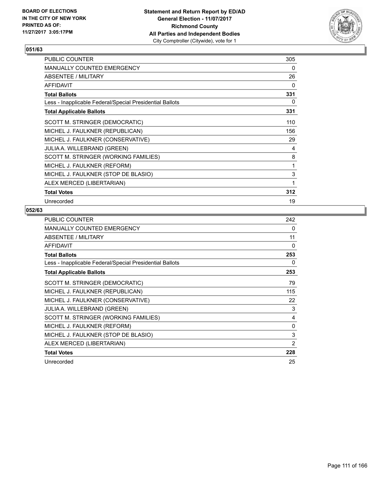

| <b>PUBLIC COUNTER</b>                                    | 305 |
|----------------------------------------------------------|-----|
| <b>MANUALLY COUNTED EMERGENCY</b>                        | 0   |
| ABSENTEE / MILITARY                                      | 26  |
| <b>AFFIDAVIT</b>                                         | 0   |
| <b>Total Ballots</b>                                     | 331 |
| Less - Inapplicable Federal/Special Presidential Ballots | 0   |
| <b>Total Applicable Ballots</b>                          | 331 |
| SCOTT M. STRINGER (DEMOCRATIC)                           | 110 |
| MICHEL J. FAULKNER (REPUBLICAN)                          | 156 |
| MICHEL J. FAULKNER (CONSERVATIVE)                        | 29  |
| <b>JULIA A. WILLEBRAND (GREEN)</b>                       | 4   |
| SCOTT M. STRINGER (WORKING FAMILIES)                     | 8   |
| MICHEL J. FAULKNER (REFORM)                              | 1   |
| MICHEL J. FAULKNER (STOP DE BLASIO)                      | 3   |
| ALEX MERCED (LIBERTARIAN)                                | 1   |
| <b>Total Votes</b>                                       | 312 |
| Unrecorded                                               | 19  |

| <b>PUBLIC COUNTER</b>                                    | 242 |
|----------------------------------------------------------|-----|
| <b>MANUALLY COUNTED EMERGENCY</b>                        | 0   |
| ABSENTEE / MILITARY                                      | 11  |
| <b>AFFIDAVIT</b>                                         | 0   |
| <b>Total Ballots</b>                                     | 253 |
| Less - Inapplicable Federal/Special Presidential Ballots | 0   |
| <b>Total Applicable Ballots</b>                          | 253 |
| SCOTT M. STRINGER (DEMOCRATIC)                           | 79  |
| MICHEL J. FAULKNER (REPUBLICAN)                          | 115 |
| MICHEL J. FAULKNER (CONSERVATIVE)                        | 22  |
| <b>JULIA A. WILLEBRAND (GREEN)</b>                       | 3   |
| SCOTT M. STRINGER (WORKING FAMILIES)                     | 4   |
| MICHEL J. FAULKNER (REFORM)                              | 0   |
| MICHEL J. FAULKNER (STOP DE BLASIO)                      | 3   |
| ALEX MERCED (LIBERTARIAN)                                | 2   |
| <b>Total Votes</b>                                       | 228 |
| Unrecorded                                               | 25  |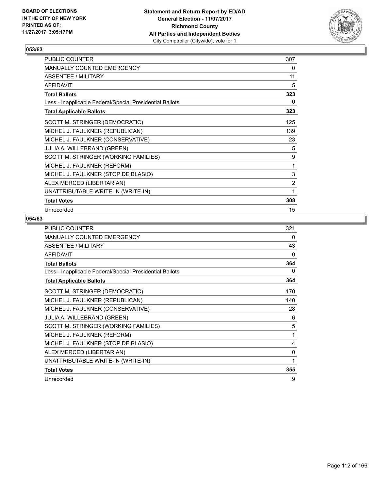

| PUBLIC COUNTER                                           | 307            |
|----------------------------------------------------------|----------------|
| MANUALLY COUNTED EMERGENCY                               | 0              |
| ABSENTEE / MILITARY                                      | 11             |
| <b>AFFIDAVIT</b>                                         | 5              |
| <b>Total Ballots</b>                                     | 323            |
| Less - Inapplicable Federal/Special Presidential Ballots | 0              |
| <b>Total Applicable Ballots</b>                          | 323            |
| SCOTT M. STRINGER (DEMOCRATIC)                           | 125            |
| MICHEL J. FAULKNER (REPUBLICAN)                          | 139            |
| MICHEL J. FAULKNER (CONSERVATIVE)                        | 23             |
| JULIA A. WILLEBRAND (GREEN)                              | 5              |
| SCOTT M. STRINGER (WORKING FAMILIES)                     | 9              |
| MICHEL J. FAULKNER (REFORM)                              | 1              |
| MICHEL J. FAULKNER (STOP DE BLASIO)                      | 3              |
| ALEX MERCED (LIBERTARIAN)                                | $\overline{2}$ |
| UNATTRIBUTABLE WRITE-IN (WRITE-IN)                       | 1              |
| <b>Total Votes</b>                                       | 308            |
| Unrecorded                                               | 15             |

| PUBLIC COUNTER                                           | 321          |
|----------------------------------------------------------|--------------|
| <b>MANUALLY COUNTED EMERGENCY</b>                        | 0            |
| ABSENTEE / MILITARY                                      | 43           |
| <b>AFFIDAVIT</b>                                         | $\Omega$     |
| <b>Total Ballots</b>                                     | 364          |
| Less - Inapplicable Federal/Special Presidential Ballots | 0            |
| <b>Total Applicable Ballots</b>                          | 364          |
| SCOTT M. STRINGER (DEMOCRATIC)                           | 170          |
| MICHEL J. FAULKNER (REPUBLICAN)                          | 140          |
| MICHEL J. FAULKNER (CONSERVATIVE)                        | 28           |
| JULIA A. WILLEBRAND (GREEN)                              | 6            |
| SCOTT M. STRINGER (WORKING FAMILIES)                     | 5            |
| MICHEL J. FAULKNER (REFORM)                              | $\mathbf{1}$ |
| MICHEL J. FAULKNER (STOP DE BLASIO)                      | 4            |
| ALEX MERCED (LIBERTARIAN)                                | 0            |
| UNATTRIBUTABLE WRITE-IN (WRITE-IN)                       | 1            |
| <b>Total Votes</b>                                       | 355          |
| Unrecorded                                               | 9            |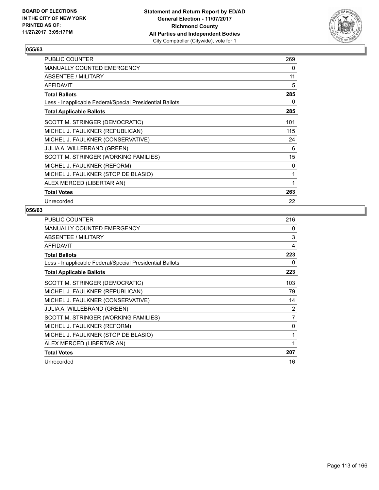

| <b>PUBLIC COUNTER</b>                                    | 269 |
|----------------------------------------------------------|-----|
| <b>MANUALLY COUNTED EMERGENCY</b>                        | 0   |
| ABSENTEE / MILITARY                                      | 11  |
| <b>AFFIDAVIT</b>                                         | 5   |
| <b>Total Ballots</b>                                     | 285 |
| Less - Inapplicable Federal/Special Presidential Ballots | 0   |
| <b>Total Applicable Ballots</b>                          | 285 |
| SCOTT M. STRINGER (DEMOCRATIC)                           | 101 |
| MICHEL J. FAULKNER (REPUBLICAN)                          | 115 |
| MICHEL J. FAULKNER (CONSERVATIVE)                        | 24  |
| <b>JULIA A. WILLEBRAND (GREEN)</b>                       | 6   |
| SCOTT M. STRINGER (WORKING FAMILIES)                     | 15  |
| MICHEL J. FAULKNER (REFORM)                              | 0   |
| MICHEL J. FAULKNER (STOP DE BLASIO)                      | 1   |
| ALEX MERCED (LIBERTARIAN)                                | 1   |
| <b>Total Votes</b>                                       | 263 |
| Unrecorded                                               | 22  |

| <b>PUBLIC COUNTER</b>                                    | 216 |
|----------------------------------------------------------|-----|
| <b>MANUALLY COUNTED EMERGENCY</b>                        | 0   |
| ABSENTEE / MILITARY                                      | 3   |
| <b>AFFIDAVIT</b>                                         | 4   |
| <b>Total Ballots</b>                                     | 223 |
| Less - Inapplicable Federal/Special Presidential Ballots | 0   |
| <b>Total Applicable Ballots</b>                          | 223 |
| SCOTT M. STRINGER (DEMOCRATIC)                           | 103 |
| MICHEL J. FAULKNER (REPUBLICAN)                          | 79  |
| MICHEL J. FAULKNER (CONSERVATIVE)                        | 14  |
| <b>JULIA A. WILLEBRAND (GREEN)</b>                       | 2   |
| SCOTT M. STRINGER (WORKING FAMILIES)                     | 7   |
| MICHEL J. FAULKNER (REFORM)                              | 0   |
| MICHEL J. FAULKNER (STOP DE BLASIO)                      | 1   |
| ALEX MERCED (LIBERTARIAN)                                | 1   |
| <b>Total Votes</b>                                       | 207 |
| Unrecorded                                               | 16  |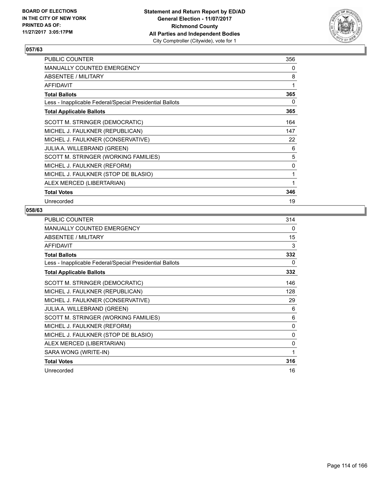

| PUBLIC COUNTER                                           | 356 |
|----------------------------------------------------------|-----|
| <b>MANUALLY COUNTED EMERGENCY</b>                        | 0   |
| <b>ABSENTEE / MILITARY</b>                               | 8   |
| <b>AFFIDAVIT</b>                                         | 1   |
| <b>Total Ballots</b>                                     | 365 |
| Less - Inapplicable Federal/Special Presidential Ballots | 0   |
| <b>Total Applicable Ballots</b>                          | 365 |
| SCOTT M. STRINGER (DEMOCRATIC)                           | 164 |
| MICHEL J. FAULKNER (REPUBLICAN)                          | 147 |
| MICHEL J. FAULKNER (CONSERVATIVE)                        | 22  |
| <b>JULIA A. WILLEBRAND (GREEN)</b>                       | 6   |
| SCOTT M. STRINGER (WORKING FAMILIES)                     | 5   |
| MICHEL J. FAULKNER (REFORM)                              | 0   |
| MICHEL J. FAULKNER (STOP DE BLASIO)                      | 1   |
| ALEX MERCED (LIBERTARIAN)                                | 1   |
| <b>Total Votes</b>                                       | 346 |
| Unrecorded                                               | 19  |

| PUBLIC COUNTER                                           | 314 |
|----------------------------------------------------------|-----|
| MANUALLY COUNTED EMERGENCY                               | 0   |
| <b>ABSENTEE / MILITARY</b>                               | 15  |
| <b>AFFIDAVIT</b>                                         | 3   |
| <b>Total Ballots</b>                                     | 332 |
| Less - Inapplicable Federal/Special Presidential Ballots | 0   |
| <b>Total Applicable Ballots</b>                          | 332 |
| SCOTT M. STRINGER (DEMOCRATIC)                           | 146 |
| MICHEL J. FAULKNER (REPUBLICAN)                          | 128 |
| MICHEL J. FAULKNER (CONSERVATIVE)                        | 29  |
| <b>JULIA A. WILLEBRAND (GREEN)</b>                       | 6   |
| SCOTT M. STRINGER (WORKING FAMILIES)                     | 6   |
| MICHEL J. FAULKNER (REFORM)                              | 0   |
| MICHEL J. FAULKNER (STOP DE BLASIO)                      | 0   |
| ALEX MERCED (LIBERTARIAN)                                | 0   |
| SARA WONG (WRITE-IN)                                     | 1   |
| <b>Total Votes</b>                                       | 316 |
| Unrecorded                                               | 16  |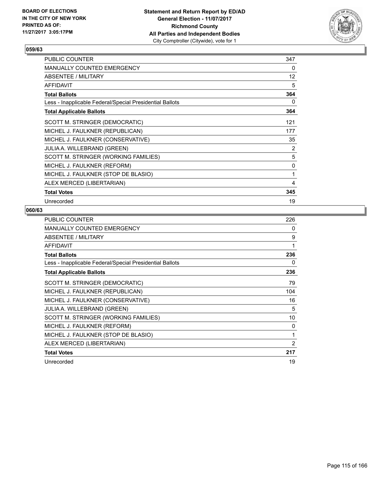

| <b>PUBLIC COUNTER</b>                                    | 347               |
|----------------------------------------------------------|-------------------|
| <b>MANUALLY COUNTED EMERGENCY</b>                        | 0                 |
| ABSENTEE / MILITARY                                      | $12 \overline{ }$ |
| <b>AFFIDAVIT</b>                                         | 5                 |
| <b>Total Ballots</b>                                     | 364               |
| Less - Inapplicable Federal/Special Presidential Ballots | 0                 |
| <b>Total Applicable Ballots</b>                          | 364               |
| SCOTT M. STRINGER (DEMOCRATIC)                           | 121               |
| MICHEL J. FAULKNER (REPUBLICAN)                          | 177               |
| MICHEL J. FAULKNER (CONSERVATIVE)                        | 35                |
| <b>JULIA A. WILLEBRAND (GREEN)</b>                       | 2                 |
| SCOTT M. STRINGER (WORKING FAMILIES)                     | 5                 |
| MICHEL J. FAULKNER (REFORM)                              | 0                 |
| MICHEL J. FAULKNER (STOP DE BLASIO)                      | 1                 |
| ALEX MERCED (LIBERTARIAN)                                | 4                 |
| <b>Total Votes</b>                                       | 345               |
| Unrecorded                                               | 19                |

| <b>PUBLIC COUNTER</b>                                    | 226 |
|----------------------------------------------------------|-----|
| <b>MANUALLY COUNTED EMERGENCY</b>                        | 0   |
| ABSENTEE / MILITARY                                      | 9   |
| AFFIDAVIT                                                | 1   |
| <b>Total Ballots</b>                                     | 236 |
| Less - Inapplicable Federal/Special Presidential Ballots | 0   |
| <b>Total Applicable Ballots</b>                          | 236 |
| SCOTT M. STRINGER (DEMOCRATIC)                           | 79  |
| MICHEL J. FAULKNER (REPUBLICAN)                          | 104 |
| MICHEL J. FAULKNER (CONSERVATIVE)                        | 16  |
| <b>JULIA A. WILLEBRAND (GREEN)</b>                       | 5   |
| SCOTT M. STRINGER (WORKING FAMILIES)                     | 10  |
| MICHEL J. FAULKNER (REFORM)                              | 0   |
| MICHEL J. FAULKNER (STOP DE BLASIO)                      | 1   |
| ALEX MERCED (LIBERTARIAN)                                | 2   |
| <b>Total Votes</b>                                       | 217 |
| Unrecorded                                               | 19  |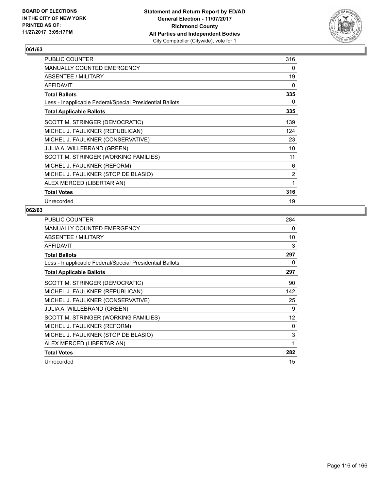

| <b>PUBLIC COUNTER</b>                                    | 316 |
|----------------------------------------------------------|-----|
| <b>MANUALLY COUNTED EMERGENCY</b>                        | 0   |
| ABSENTEE / MILITARY                                      | 19  |
| <b>AFFIDAVIT</b>                                         | 0   |
| <b>Total Ballots</b>                                     | 335 |
| Less - Inapplicable Federal/Special Presidential Ballots | 0   |
| <b>Total Applicable Ballots</b>                          | 335 |
| SCOTT M. STRINGER (DEMOCRATIC)                           | 139 |
| MICHEL J. FAULKNER (REPUBLICAN)                          | 124 |
| MICHEL J. FAULKNER (CONSERVATIVE)                        | 23  |
| <b>JULIA A. WILLEBRAND (GREEN)</b>                       | 10  |
| SCOTT M. STRINGER (WORKING FAMILIES)                     | 11  |
| MICHEL J. FAULKNER (REFORM)                              | 6   |
| MICHEL J. FAULKNER (STOP DE BLASIO)                      | 2   |
| ALEX MERCED (LIBERTARIAN)                                | 1   |
| <b>Total Votes</b>                                       | 316 |
| Unrecorded                                               | 19  |

| <b>PUBLIC COUNTER</b>                                    | 284 |
|----------------------------------------------------------|-----|
| <b>MANUALLY COUNTED EMERGENCY</b>                        | 0   |
| ABSENTEE / MILITARY                                      | 10  |
| <b>AFFIDAVIT</b>                                         | 3   |
| <b>Total Ballots</b>                                     | 297 |
| Less - Inapplicable Federal/Special Presidential Ballots | 0   |
| <b>Total Applicable Ballots</b>                          | 297 |
| SCOTT M. STRINGER (DEMOCRATIC)                           | 90  |
| MICHEL J. FAULKNER (REPUBLICAN)                          | 142 |
| MICHEL J. FAULKNER (CONSERVATIVE)                        | 25  |
| <b>JULIA A. WILLEBRAND (GREEN)</b>                       | 9   |
| SCOTT M. STRINGER (WORKING FAMILIES)                     | 12  |
| MICHEL J. FAULKNER (REFORM)                              | 0   |
| MICHEL J. FAULKNER (STOP DE BLASIO)                      | 3   |
| ALEX MERCED (LIBERTARIAN)                                | 1   |
| <b>Total Votes</b>                                       | 282 |
| Unrecorded                                               | 15  |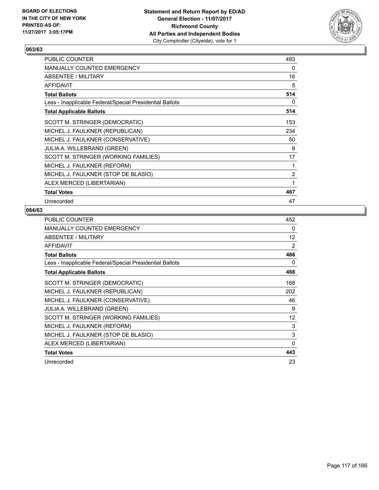

| PUBLIC COUNTER                                           | 493 |
|----------------------------------------------------------|-----|
| <b>MANUALLY COUNTED EMERGENCY</b>                        | 0   |
| ABSENTEE / MILITARY                                      | 16  |
| <b>AFFIDAVIT</b>                                         | 5   |
| <b>Total Ballots</b>                                     | 514 |
| Less - Inapplicable Federal/Special Presidential Ballots | 0   |
| <b>Total Applicable Ballots</b>                          | 514 |
| SCOTT M. STRINGER (DEMOCRATIC)                           | 153 |
| MICHEL J. FAULKNER (REPUBLICAN)                          | 234 |
| MICHEL J. FAULKNER (CONSERVATIVE)                        | 50  |
| <b>JULIA A. WILLEBRAND (GREEN)</b>                       | 9   |
| SCOTT M. STRINGER (WORKING FAMILIES)                     | 17  |
| MICHEL J. FAULKNER (REFORM)                              | 1   |
| MICHEL J. FAULKNER (STOP DE BLASIO)                      | 2   |
| ALEX MERCED (LIBERTARIAN)                                | 1   |
| <b>Total Votes</b>                                       | 467 |
| Unrecorded                                               | 47  |

| <b>PUBLIC COUNTER</b>                                    | 452 |
|----------------------------------------------------------|-----|
| <b>MANUALLY COUNTED EMERGENCY</b>                        | 0   |
| ABSENTEE / MILITARY                                      | 12  |
| AFFIDAVIT                                                | 2   |
| <b>Total Ballots</b>                                     | 466 |
| Less - Inapplicable Federal/Special Presidential Ballots | 0   |
| <b>Total Applicable Ballots</b>                          | 466 |
| SCOTT M. STRINGER (DEMOCRATIC)                           | 168 |
| MICHEL J. FAULKNER (REPUBLICAN)                          | 202 |
| MICHEL J. FAULKNER (CONSERVATIVE)                        | 46  |
| <b>JULIA A. WILLEBRAND (GREEN)</b>                       | 9   |
| SCOTT M. STRINGER (WORKING FAMILIES)                     | 12  |
| MICHEL J. FAULKNER (REFORM)                              | 3   |
| MICHEL J. FAULKNER (STOP DE BLASIO)                      | 3   |
| ALEX MERCED (LIBERTARIAN)                                | 0   |
| <b>Total Votes</b>                                       | 443 |
| Unrecorded                                               | 23  |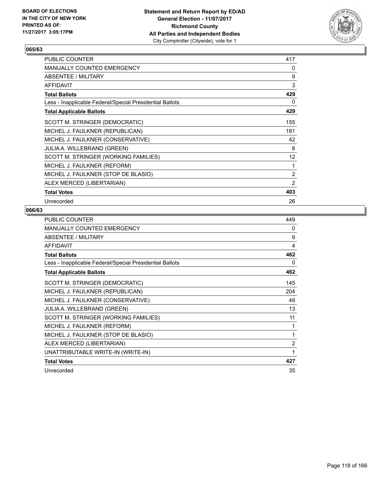

| <b>PUBLIC COUNTER</b>                                    | 417 |
|----------------------------------------------------------|-----|
| <b>MANUALLY COUNTED EMERGENCY</b>                        | 0   |
| ABSENTEE / MILITARY                                      | 9   |
| <b>AFFIDAVIT</b>                                         | 3   |
| <b>Total Ballots</b>                                     | 429 |
| Less - Inapplicable Federal/Special Presidential Ballots | 0   |
| <b>Total Applicable Ballots</b>                          | 429 |
| SCOTT M. STRINGER (DEMOCRATIC)                           | 155 |
| MICHEL J. FAULKNER (REPUBLICAN)                          | 181 |
| MICHEL J. FAULKNER (CONSERVATIVE)                        | 42  |
| JULIA A. WILLEBRAND (GREEN)                              | 8   |
| SCOTT M. STRINGER (WORKING FAMILIES)                     | 12  |
| MICHEL J. FAULKNER (REFORM)                              | 1   |
| MICHEL J. FAULKNER (STOP DE BLASIO)                      | 2   |
| ALEX MERCED (LIBERTARIAN)                                | 2   |
| <b>Total Votes</b>                                       | 403 |
| Unrecorded                                               | 26  |

| <b>PUBLIC COUNTER</b>                                    | 449            |
|----------------------------------------------------------|----------------|
| MANUALLY COUNTED EMERGENCY                               | 0              |
| <b>ABSENTEE / MILITARY</b>                               | 9              |
| <b>AFFIDAVIT</b>                                         | 4              |
| <b>Total Ballots</b>                                     | 462            |
| Less - Inapplicable Federal/Special Presidential Ballots | 0              |
| <b>Total Applicable Ballots</b>                          | 462            |
| SCOTT M. STRINGER (DEMOCRATIC)                           | 145            |
| MICHEL J. FAULKNER (REPUBLICAN)                          | 204            |
| MICHEL J. FAULKNER (CONSERVATIVE)                        | 49             |
| JULIA A. WILLEBRAND (GREEN)                              | 13             |
| SCOTT M. STRINGER (WORKING FAMILIES)                     | 11             |
| MICHEL J. FAULKNER (REFORM)                              | 1              |
| MICHEL J. FAULKNER (STOP DE BLASIO)                      | 1              |
| ALEX MERCED (LIBERTARIAN)                                | $\overline{2}$ |
| UNATTRIBUTABLE WRITE-IN (WRITE-IN)                       | 1              |
| <b>Total Votes</b>                                       | 427            |
| Unrecorded                                               | 35             |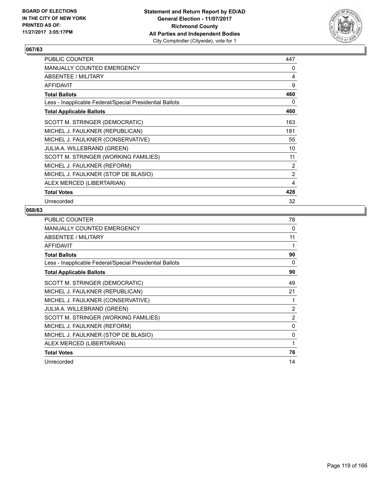

| PUBLIC COUNTER                                           | 447 |
|----------------------------------------------------------|-----|
| <b>MANUALLY COUNTED EMERGENCY</b>                        | 0   |
| ABSENTEE / MILITARY                                      | 4   |
| <b>AFFIDAVIT</b>                                         | 9   |
| <b>Total Ballots</b>                                     | 460 |
| Less - Inapplicable Federal/Special Presidential Ballots | 0   |
| <b>Total Applicable Ballots</b>                          | 460 |
| SCOTT M. STRINGER (DEMOCRATIC)                           | 163 |
| MICHEL J. FAULKNER (REPUBLICAN)                          | 181 |
| MICHEL J. FAULKNER (CONSERVATIVE)                        | 55  |
| <b>JULIA A. WILLEBRAND (GREEN)</b>                       | 10  |
| SCOTT M. STRINGER (WORKING FAMILIES)                     | 11  |
| MICHEL J. FAULKNER (REFORM)                              | 2   |
| MICHEL J. FAULKNER (STOP DE BLASIO)                      | 2   |
| ALEX MERCED (LIBERTARIAN)                                | 4   |
| <b>Total Votes</b>                                       | 428 |
| Unrecorded                                               | 32  |

| PUBLIC COUNTER                                           | 78             |
|----------------------------------------------------------|----------------|
| <b>MANUALLY COUNTED EMERGENCY</b>                        | 0              |
| ABSENTEE / MILITARY                                      | 11             |
| <b>AFFIDAVIT</b>                                         | 1              |
| <b>Total Ballots</b>                                     | 90             |
| Less - Inapplicable Federal/Special Presidential Ballots | 0              |
| <b>Total Applicable Ballots</b>                          | 90             |
| SCOTT M. STRINGER (DEMOCRATIC)                           | 49             |
| MICHEL J. FAULKNER (REPUBLICAN)                          | 21             |
| MICHEL J. FAULKNER (CONSERVATIVE)                        | 1              |
| <b>JULIA A. WILLEBRAND (GREEN)</b>                       | $\overline{2}$ |
| SCOTT M. STRINGER (WORKING FAMILIES)                     | 2              |
| MICHEL J. FAULKNER (REFORM)                              | $\mathbf{0}$   |
| MICHEL J. FAULKNER (STOP DE BLASIO)                      | 0              |
| ALEX MERCED (LIBERTARIAN)                                | 1              |
| <b>Total Votes</b>                                       | 76             |
| Unrecorded                                               | 14             |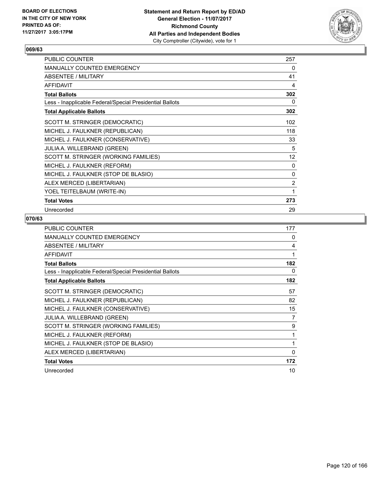

| PUBLIC COUNTER                                           | 257            |
|----------------------------------------------------------|----------------|
| MANUALLY COUNTED EMERGENCY                               | 0              |
| ABSENTEE / MILITARY                                      | 41             |
| <b>AFFIDAVIT</b>                                         | 4              |
| <b>Total Ballots</b>                                     | 302            |
| Less - Inapplicable Federal/Special Presidential Ballots | 0              |
| <b>Total Applicable Ballots</b>                          | 302            |
| SCOTT M. STRINGER (DEMOCRATIC)                           | 102            |
| MICHEL J. FAULKNER (REPUBLICAN)                          | 118            |
| MICHEL J. FAULKNER (CONSERVATIVE)                        | 33             |
| JULIA A. WILLEBRAND (GREEN)                              | 5              |
| SCOTT M. STRINGER (WORKING FAMILIES)                     | 12             |
| MICHEL J. FAULKNER (REFORM)                              | 0              |
| MICHEL J. FAULKNER (STOP DE BLASIO)                      | 0              |
| ALEX MERCED (LIBERTARIAN)                                | $\overline{2}$ |
| YOEL TEITELBAUM (WRITE-IN)                               | 1              |
| <b>Total Votes</b>                                       | 273            |
| Unrecorded                                               | 29             |

| <b>PUBLIC COUNTER</b>                                    | 177          |
|----------------------------------------------------------|--------------|
| <b>MANUALLY COUNTED EMERGENCY</b>                        | 0            |
| ABSENTEE / MILITARY                                      | 4            |
| <b>AFFIDAVIT</b>                                         | 1            |
| <b>Total Ballots</b>                                     | 182          |
| Less - Inapplicable Federal/Special Presidential Ballots | 0            |
| <b>Total Applicable Ballots</b>                          | 182          |
| SCOTT M. STRINGER (DEMOCRATIC)                           | 57           |
| MICHEL J. FAULKNER (REPUBLICAN)                          | 82           |
| MICHEL J. FAULKNER (CONSERVATIVE)                        | 15           |
| <b>JULIA A. WILLEBRAND (GREEN)</b>                       | 7            |
| SCOTT M. STRINGER (WORKING FAMILIES)                     | 9            |
| MICHEL J. FAULKNER (REFORM)                              | 1            |
| MICHEL J. FAULKNER (STOP DE BLASIO)                      | 1            |
| ALEX MERCED (LIBERTARIAN)                                | $\mathbf{0}$ |
| <b>Total Votes</b>                                       | 172          |
| Unrecorded                                               | 10           |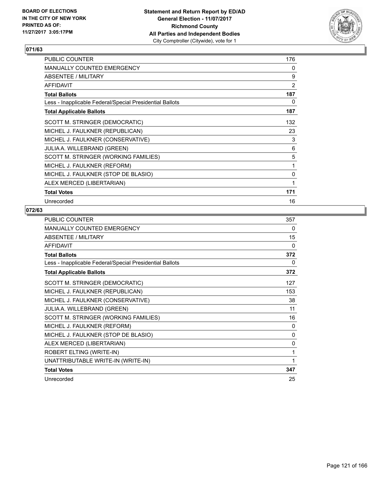

| <b>PUBLIC COUNTER</b>                                    | 176 |
|----------------------------------------------------------|-----|
| <b>MANUALLY COUNTED EMERGENCY</b>                        | 0   |
| ABSENTEE / MILITARY                                      | 9   |
| <b>AFFIDAVIT</b>                                         | 2   |
| <b>Total Ballots</b>                                     | 187 |
| Less - Inapplicable Federal/Special Presidential Ballots | 0   |
| <b>Total Applicable Ballots</b>                          | 187 |
| SCOTT M. STRINGER (DEMOCRATIC)                           | 132 |
| MICHEL J. FAULKNER (REPUBLICAN)                          | 23  |
| MICHEL J. FAULKNER (CONSERVATIVE)                        | 3   |
| <b>JULIA A. WILLEBRAND (GREEN)</b>                       | 6   |
| SCOTT M. STRINGER (WORKING FAMILIES)                     | 5   |
| MICHEL J. FAULKNER (REFORM)                              | 1   |
| MICHEL J. FAULKNER (STOP DE BLASIO)                      | 0   |
| ALEX MERCED (LIBERTARIAN)                                | 1   |
| <b>Total Votes</b>                                       | 171 |
| Unrecorded                                               | 16  |

| <b>PUBLIC COUNTER</b>                                    | 357          |
|----------------------------------------------------------|--------------|
| <b>MANUALLY COUNTED EMERGENCY</b>                        | 0            |
| ABSENTEE / MILITARY                                      | 15           |
| <b>AFFIDAVIT</b>                                         | 0            |
| <b>Total Ballots</b>                                     | 372          |
| Less - Inapplicable Federal/Special Presidential Ballots | 0            |
| <b>Total Applicable Ballots</b>                          | 372          |
| SCOTT M. STRINGER (DEMOCRATIC)                           | 127          |
| MICHEL J. FAULKNER (REPUBLICAN)                          | 153          |
| MICHEL J. FAULKNER (CONSERVATIVE)                        | 38           |
| JULIA A. WILLEBRAND (GREEN)                              | 11           |
| SCOTT M. STRINGER (WORKING FAMILIES)                     | 16           |
| MICHEL J. FAULKNER (REFORM)                              | 0            |
| MICHEL J. FAULKNER (STOP DE BLASIO)                      | $\mathbf{0}$ |
| ALEX MERCED (LIBERTARIAN)                                | 0            |
| ROBERT ELTING (WRITE-IN)                                 | 1            |
| UNATTRIBUTABLE WRITE-IN (WRITE-IN)                       | 1            |
| <b>Total Votes</b>                                       | 347          |
| Unrecorded                                               | 25           |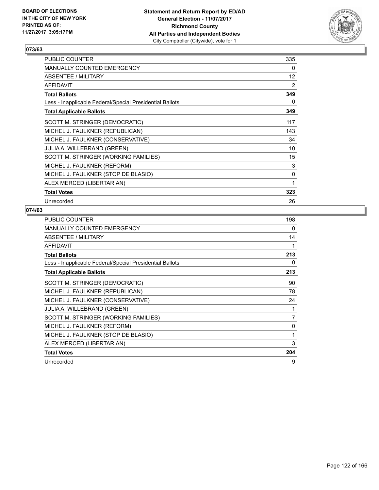

| PUBLIC COUNTER                                           | 335 |
|----------------------------------------------------------|-----|
| <b>MANUALLY COUNTED EMERGENCY</b>                        | 0   |
| <b>ABSENTEE / MILITARY</b>                               | 12  |
| <b>AFFIDAVIT</b>                                         | 2   |
| <b>Total Ballots</b>                                     | 349 |
| Less - Inapplicable Federal/Special Presidential Ballots | 0   |
| <b>Total Applicable Ballots</b>                          | 349 |
| SCOTT M. STRINGER (DEMOCRATIC)                           | 117 |
| MICHEL J. FAULKNER (REPUBLICAN)                          | 143 |
| MICHEL J. FAULKNER (CONSERVATIVE)                        | 34  |
| <b>JULIA A. WILLEBRAND (GREEN)</b>                       | 10  |
| SCOTT M. STRINGER (WORKING FAMILIES)                     | 15  |
| MICHEL J. FAULKNER (REFORM)                              | 3   |
| MICHEL J. FAULKNER (STOP DE BLASIO)                      | 0   |
| ALEX MERCED (LIBERTARIAN)                                | 1   |
| <b>Total Votes</b>                                       | 323 |
| Unrecorded                                               | 26  |

| <b>PUBLIC COUNTER</b>                                    | 198 |
|----------------------------------------------------------|-----|
| <b>MANUALLY COUNTED EMERGENCY</b>                        | 0   |
| ABSENTEE / MILITARY                                      | 14  |
| <b>AFFIDAVIT</b>                                         | 1   |
| <b>Total Ballots</b>                                     | 213 |
| Less - Inapplicable Federal/Special Presidential Ballots | 0   |
| <b>Total Applicable Ballots</b>                          | 213 |
| SCOTT M. STRINGER (DEMOCRATIC)                           | 90  |
| MICHEL J. FAULKNER (REPUBLICAN)                          | 78  |
| MICHEL J. FAULKNER (CONSERVATIVE)                        | 24  |
| JULIA A. WILLEBRAND (GREEN)                              | 1   |
| SCOTT M. STRINGER (WORKING FAMILIES)                     | 7   |
| MICHEL J. FAULKNER (REFORM)                              | 0   |
| MICHEL J. FAULKNER (STOP DE BLASIO)                      | 1   |
| ALEX MERCED (LIBERTARIAN)                                | 3   |
| <b>Total Votes</b>                                       | 204 |
| Unrecorded                                               | 9   |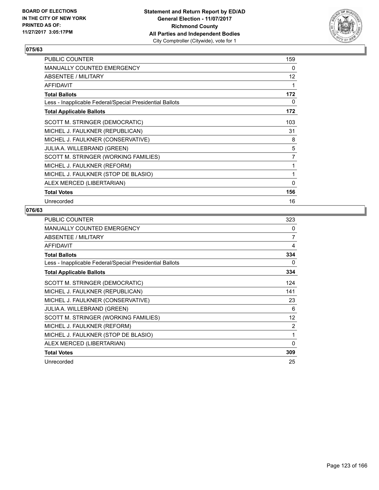

| <b>PUBLIC COUNTER</b>                                    | 159            |
|----------------------------------------------------------|----------------|
| <b>MANUALLY COUNTED EMERGENCY</b>                        | 0              |
| ABSENTEE / MILITARY                                      | 12             |
| <b>AFFIDAVIT</b>                                         | 1              |
| <b>Total Ballots</b>                                     | 172            |
| Less - Inapplicable Federal/Special Presidential Ballots | 0              |
| <b>Total Applicable Ballots</b>                          | 172            |
| SCOTT M. STRINGER (DEMOCRATIC)                           | 103            |
| MICHEL J. FAULKNER (REPUBLICAN)                          | 31             |
| MICHEL J. FAULKNER (CONSERVATIVE)                        | 8              |
| <b>JULIA A. WILLEBRAND (GREEN)</b>                       | 5              |
| SCOTT M. STRINGER (WORKING FAMILIES)                     | $\overline{7}$ |
| MICHEL J. FAULKNER (REFORM)                              | 1              |
| MICHEL J. FAULKNER (STOP DE BLASIO)                      | 1              |
| ALEX MERCED (LIBERTARIAN)                                | $\mathbf{0}$   |
| <b>Total Votes</b>                                       | 156            |
| Unrecorded                                               | 16             |

| <b>PUBLIC COUNTER</b>                                    | 323 |
|----------------------------------------------------------|-----|
| <b>MANUALLY COUNTED EMERGENCY</b>                        | 0   |
| ABSENTEE / MILITARY                                      | 7   |
| <b>AFFIDAVIT</b>                                         | 4   |
| <b>Total Ballots</b>                                     | 334 |
| Less - Inapplicable Federal/Special Presidential Ballots | 0   |
| <b>Total Applicable Ballots</b>                          | 334 |
| SCOTT M. STRINGER (DEMOCRATIC)                           | 124 |
| MICHEL J. FAULKNER (REPUBLICAN)                          | 141 |
| MICHEL J. FAULKNER (CONSERVATIVE)                        | 23  |
| JULIA A. WILLEBRAND (GREEN)                              | 6   |
| SCOTT M. STRINGER (WORKING FAMILIES)                     | 12  |
| MICHEL J. FAULKNER (REFORM)                              | 2   |
| MICHEL J. FAULKNER (STOP DE BLASIO)                      | 1   |
| ALEX MERCED (LIBERTARIAN)                                | 0   |
| <b>Total Votes</b>                                       | 309 |
| Unrecorded                                               | 25  |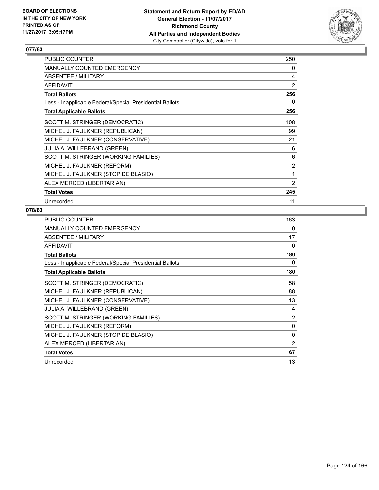

| PUBLIC COUNTER                                           | 250            |
|----------------------------------------------------------|----------------|
| <b>MANUALLY COUNTED EMERGENCY</b>                        | 0              |
| <b>ABSENTEE / MILITARY</b>                               | 4              |
| <b>AFFIDAVIT</b>                                         | 2              |
| <b>Total Ballots</b>                                     | 256            |
| Less - Inapplicable Federal/Special Presidential Ballots | 0              |
| <b>Total Applicable Ballots</b>                          | 256            |
| SCOTT M. STRINGER (DEMOCRATIC)                           | 108            |
| MICHEL J. FAULKNER (REPUBLICAN)                          | 99             |
| MICHEL J. FAULKNER (CONSERVATIVE)                        | 21             |
| <b>JULIA A. WILLEBRAND (GREEN)</b>                       | 6              |
| SCOTT M. STRINGER (WORKING FAMILIES)                     | 6              |
| MICHEL J. FAULKNER (REFORM)                              | 2              |
| MICHEL J. FAULKNER (STOP DE BLASIO)                      | 1              |
| ALEX MERCED (LIBERTARIAN)                                | $\overline{2}$ |
| <b>Total Votes</b>                                       | 245            |
| Unrecorded                                               | 11             |

| <b>PUBLIC COUNTER</b>                                    | 163 |
|----------------------------------------------------------|-----|
| <b>MANUALLY COUNTED EMERGENCY</b>                        | 0   |
| ABSENTEE / MILITARY                                      | 17  |
| <b>AFFIDAVIT</b>                                         | 0   |
| <b>Total Ballots</b>                                     | 180 |
| Less - Inapplicable Federal/Special Presidential Ballots | 0   |
| <b>Total Applicable Ballots</b>                          | 180 |
| SCOTT M. STRINGER (DEMOCRATIC)                           | 58  |
| MICHEL J. FAULKNER (REPUBLICAN)                          | 88  |
| MICHEL J. FAULKNER (CONSERVATIVE)                        | 13  |
| <b>JULIA A. WILLEBRAND (GREEN)</b>                       | 4   |
| SCOTT M. STRINGER (WORKING FAMILIES)                     | 2   |
| MICHEL J. FAULKNER (REFORM)                              | 0   |
| MICHEL J. FAULKNER (STOP DE BLASIO)                      | 0   |
| ALEX MERCED (LIBERTARIAN)                                | 2   |
| <b>Total Votes</b>                                       | 167 |
| Unrecorded                                               | 13  |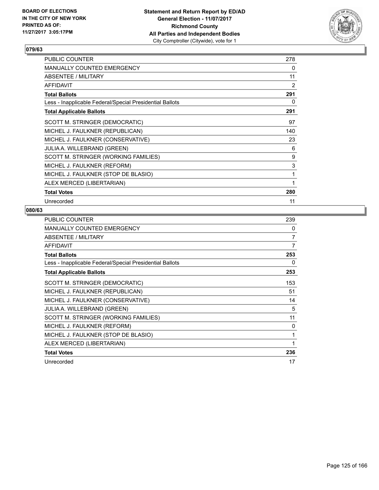

| <b>PUBLIC COUNTER</b>                                    | 278 |
|----------------------------------------------------------|-----|
| <b>MANUALLY COUNTED EMERGENCY</b>                        | 0   |
| ABSENTEE / MILITARY                                      | 11  |
| <b>AFFIDAVIT</b>                                         | 2   |
| <b>Total Ballots</b>                                     | 291 |
| Less - Inapplicable Federal/Special Presidential Ballots | 0   |
| <b>Total Applicable Ballots</b>                          | 291 |
| SCOTT M. STRINGER (DEMOCRATIC)                           | 97  |
| MICHEL J. FAULKNER (REPUBLICAN)                          | 140 |
| MICHEL J. FAULKNER (CONSERVATIVE)                        | 23  |
| <b>JULIA A. WILLEBRAND (GREEN)</b>                       | 6   |
| SCOTT M. STRINGER (WORKING FAMILIES)                     | 9   |
| MICHEL J. FAULKNER (REFORM)                              | 3   |
| MICHEL J. FAULKNER (STOP DE BLASIO)                      | 1   |
| ALEX MERCED (LIBERTARIAN)                                | 1   |
| <b>Total Votes</b>                                       | 280 |
| Unrecorded                                               | 11  |

| PUBLIC COUNTER                                           | 239 |
|----------------------------------------------------------|-----|
| <b>MANUALLY COUNTED EMERGENCY</b>                        | 0   |
| ABSENTEE / MILITARY                                      | 7   |
| <b>AFFIDAVIT</b>                                         | 7   |
| <b>Total Ballots</b>                                     | 253 |
| Less - Inapplicable Federal/Special Presidential Ballots | 0   |
| <b>Total Applicable Ballots</b>                          | 253 |
| SCOTT M. STRINGER (DEMOCRATIC)                           | 153 |
| MICHEL J. FAULKNER (REPUBLICAN)                          | 51  |
| MICHEL J. FAULKNER (CONSERVATIVE)                        | 14  |
| <b>JULIA A. WILLEBRAND (GREEN)</b>                       | 5   |
| SCOTT M. STRINGER (WORKING FAMILIES)                     | 11  |
| MICHEL J. FAULKNER (REFORM)                              | 0   |
| MICHEL J. FAULKNER (STOP DE BLASIO)                      | 1   |
| ALEX MERCED (LIBERTARIAN)                                | 1   |
| <b>Total Votes</b>                                       | 236 |
| Unrecorded                                               | 17  |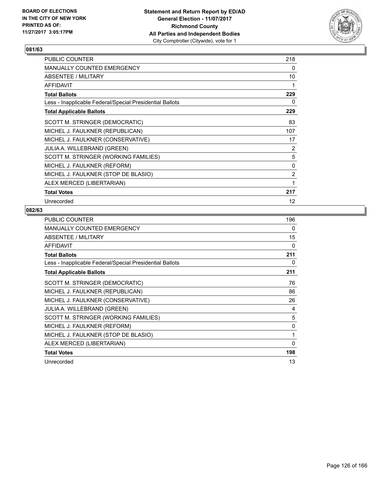

| <b>PUBLIC COUNTER</b>                                    | 218 |
|----------------------------------------------------------|-----|
| <b>MANUALLY COUNTED EMERGENCY</b>                        | 0   |
| ABSENTEE / MILITARY                                      | 10  |
| <b>AFFIDAVIT</b>                                         | 1   |
| <b>Total Ballots</b>                                     | 229 |
| Less - Inapplicable Federal/Special Presidential Ballots | 0   |
| <b>Total Applicable Ballots</b>                          | 229 |
| SCOTT M. STRINGER (DEMOCRATIC)                           | 83  |
| MICHEL J. FAULKNER (REPUBLICAN)                          | 107 |
| MICHEL J. FAULKNER (CONSERVATIVE)                        | 17  |
| <b>JULIA A. WILLEBRAND (GREEN)</b>                       | 2   |
| SCOTT M. STRINGER (WORKING FAMILIES)                     | 5   |
| MICHEL J. FAULKNER (REFORM)                              | 0   |
| MICHEL J. FAULKNER (STOP DE BLASIO)                      | 2   |
| ALEX MERCED (LIBERTARIAN)                                | 1   |
| <b>Total Votes</b>                                       | 217 |
| Unrecorded                                               | 12  |

| <b>PUBLIC COUNTER</b>                                    | 196 |
|----------------------------------------------------------|-----|
| <b>MANUALLY COUNTED EMERGENCY</b>                        | 0   |
| ABSENTEE / MILITARY                                      | 15  |
| <b>AFFIDAVIT</b>                                         | 0   |
| <b>Total Ballots</b>                                     | 211 |
| Less - Inapplicable Federal/Special Presidential Ballots | 0   |
| <b>Total Applicable Ballots</b>                          | 211 |
| SCOTT M. STRINGER (DEMOCRATIC)                           | 76  |
| MICHEL J. FAULKNER (REPUBLICAN)                          | 86  |
| MICHEL J. FAULKNER (CONSERVATIVE)                        | 26  |
| <b>JULIA A. WILLEBRAND (GREEN)</b>                       | 4   |
| SCOTT M. STRINGER (WORKING FAMILIES)                     | 5   |
| MICHEL J. FAULKNER (REFORM)                              | 0   |
| MICHEL J. FAULKNER (STOP DE BLASIO)                      | 1   |
| ALEX MERCED (LIBERTARIAN)                                | 0   |
| <b>Total Votes</b>                                       | 198 |
| Unrecorded                                               | 13  |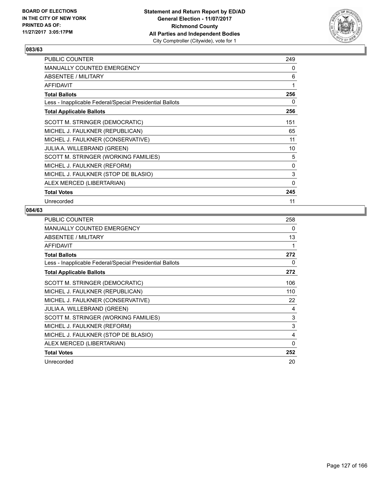

| <b>PUBLIC COUNTER</b>                                    | 249      |
|----------------------------------------------------------|----------|
| <b>MANUALLY COUNTED EMERGENCY</b>                        | 0        |
| ABSENTEE / MILITARY                                      | 6        |
| <b>AFFIDAVIT</b>                                         | 1        |
| <b>Total Ballots</b>                                     | 256      |
| Less - Inapplicable Federal/Special Presidential Ballots | 0        |
| <b>Total Applicable Ballots</b>                          | 256      |
| SCOTT M. STRINGER (DEMOCRATIC)                           | 151      |
| MICHEL J. FAULKNER (REPUBLICAN)                          | 65       |
| MICHEL J. FAULKNER (CONSERVATIVE)                        | 11       |
| <b>JULIA A. WILLEBRAND (GREEN)</b>                       | 10       |
| SCOTT M. STRINGER (WORKING FAMILIES)                     | 5        |
| MICHEL J. FAULKNER (REFORM)                              | 0        |
| MICHEL J. FAULKNER (STOP DE BLASIO)                      | 3        |
| ALEX MERCED (LIBERTARIAN)                                | $\Omega$ |
| <b>Total Votes</b>                                       | 245      |
| Unrecorded                                               | 11       |

| <b>PUBLIC COUNTER</b>                                    | 258 |
|----------------------------------------------------------|-----|
| <b>MANUALLY COUNTED EMERGENCY</b>                        | 0   |
| ABSENTEE / MILITARY                                      | 13  |
| AFFIDAVIT                                                | 1   |
| <b>Total Ballots</b>                                     | 272 |
| Less - Inapplicable Federal/Special Presidential Ballots | 0   |
| <b>Total Applicable Ballots</b>                          | 272 |
| SCOTT M. STRINGER (DEMOCRATIC)                           | 106 |
| MICHEL J. FAULKNER (REPUBLICAN)                          | 110 |
| MICHEL J. FAULKNER (CONSERVATIVE)                        | 22  |
| <b>JULIA A. WILLEBRAND (GREEN)</b>                       | 4   |
| SCOTT M. STRINGER (WORKING FAMILIES)                     | 3   |
| MICHEL J. FAULKNER (REFORM)                              | 3   |
| MICHEL J. FAULKNER (STOP DE BLASIO)                      | 4   |
| ALEX MERCED (LIBERTARIAN)                                | 0   |
| <b>Total Votes</b>                                       | 252 |
| Unrecorded                                               | 20  |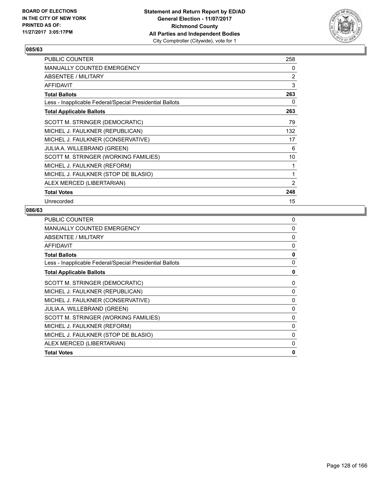

| <b>PUBLIC COUNTER</b>                                    | 258 |
|----------------------------------------------------------|-----|
| <b>MANUALLY COUNTED EMERGENCY</b>                        | 0   |
| ABSENTEE / MILITARY                                      | 2   |
| <b>AFFIDAVIT</b>                                         | 3   |
| <b>Total Ballots</b>                                     | 263 |
| Less - Inapplicable Federal/Special Presidential Ballots | 0   |
| <b>Total Applicable Ballots</b>                          | 263 |
| SCOTT M. STRINGER (DEMOCRATIC)                           | 79  |
| MICHEL J. FAULKNER (REPUBLICAN)                          | 132 |
| MICHEL J. FAULKNER (CONSERVATIVE)                        | 17  |
| <b>JULIA A. WILLEBRAND (GREEN)</b>                       | 6   |
| SCOTT M. STRINGER (WORKING FAMILIES)                     | 10  |
| MICHEL J. FAULKNER (REFORM)                              | 1   |
| MICHEL J. FAULKNER (STOP DE BLASIO)                      | 1   |
| ALEX MERCED (LIBERTARIAN)                                | 2   |
| <b>Total Votes</b>                                       | 248 |
| Unrecorded                                               | 15  |

| MANUALLY COUNTED EMERGENCY<br>ABSENTEE / MILITARY<br><b>AFFIDAVIT</b><br><b>Total Ballots</b><br>Less - Inapplicable Federal/Special Presidential Ballots<br><b>Total Applicable Ballots</b><br>SCOTT M. STRINGER (DEMOCRATIC)<br>MICHEL J. FAULKNER (REPUBLICAN)<br>MICHEL J. FAULKNER (CONSERVATIVE)<br>JULIA A. WILLEBRAND (GREEN)<br>SCOTT M. STRINGER (WORKING FAMILIES)<br>MICHEL J. FAULKNER (REFORM)<br>MICHEL J. FAULKNER (STOP DE BLASIO)<br>ALEX MERCED (LIBERTARIAN) | <b>PUBLIC COUNTER</b> | 0            |
|----------------------------------------------------------------------------------------------------------------------------------------------------------------------------------------------------------------------------------------------------------------------------------------------------------------------------------------------------------------------------------------------------------------------------------------------------------------------------------|-----------------------|--------------|
|                                                                                                                                                                                                                                                                                                                                                                                                                                                                                  |                       | 0            |
|                                                                                                                                                                                                                                                                                                                                                                                                                                                                                  |                       | 0            |
|                                                                                                                                                                                                                                                                                                                                                                                                                                                                                  |                       | 0            |
|                                                                                                                                                                                                                                                                                                                                                                                                                                                                                  |                       | 0            |
|                                                                                                                                                                                                                                                                                                                                                                                                                                                                                  |                       | 0            |
|                                                                                                                                                                                                                                                                                                                                                                                                                                                                                  |                       | 0            |
|                                                                                                                                                                                                                                                                                                                                                                                                                                                                                  |                       | 0            |
|                                                                                                                                                                                                                                                                                                                                                                                                                                                                                  |                       | 0            |
|                                                                                                                                                                                                                                                                                                                                                                                                                                                                                  |                       | $\mathbf{0}$ |
|                                                                                                                                                                                                                                                                                                                                                                                                                                                                                  |                       | 0            |
|                                                                                                                                                                                                                                                                                                                                                                                                                                                                                  |                       | 0            |
|                                                                                                                                                                                                                                                                                                                                                                                                                                                                                  |                       | $\Omega$     |
|                                                                                                                                                                                                                                                                                                                                                                                                                                                                                  |                       | $\Omega$     |
|                                                                                                                                                                                                                                                                                                                                                                                                                                                                                  |                       | 0            |
| <b>Total Votes</b>                                                                                                                                                                                                                                                                                                                                                                                                                                                               |                       | 0            |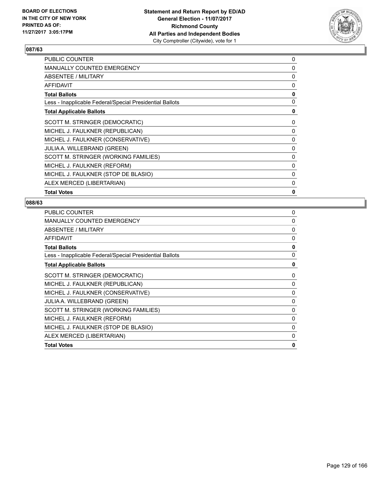

| PUBLIC COUNTER                                           | 0            |
|----------------------------------------------------------|--------------|
| <b>MANUALLY COUNTED EMERGENCY</b>                        | $\Omega$     |
| ABSENTEE / MILITARY                                      | 0            |
| <b>AFFIDAVIT</b>                                         | 0            |
| <b>Total Ballots</b>                                     | 0            |
| Less - Inapplicable Federal/Special Presidential Ballots | 0            |
| <b>Total Applicable Ballots</b>                          | 0            |
| SCOTT M. STRINGER (DEMOCRATIC)                           | 0            |
| MICHEL J. FAULKNER (REPUBLICAN)                          | 0            |
| MICHEL J. FAULKNER (CONSERVATIVE)                        | 0            |
| <b>JULIA A. WILLEBRAND (GREEN)</b>                       | 0            |
| SCOTT M. STRINGER (WORKING FAMILIES)                     | 0            |
| MICHEL J. FAULKNER (REFORM)                              | $\Omega$     |
| MICHEL J. FAULKNER (STOP DE BLASIO)                      | 0            |
| ALEX MERCED (LIBERTARIAN)                                | 0            |
| <b>Total Votes</b>                                       | $\mathbf{0}$ |
|                                                          |              |

| <b>PUBLIC COUNTER</b>                                    | 0            |
|----------------------------------------------------------|--------------|
| MANUALLY COUNTED EMERGENCY                               | 0            |
| ABSENTEE / MILITARY                                      | 0            |
| <b>AFFIDAVIT</b>                                         | 0            |
| <b>Total Ballots</b>                                     | 0            |
| Less - Inapplicable Federal/Special Presidential Ballots | $\mathbf{0}$ |
| <b>Total Applicable Ballots</b>                          | 0            |
| SCOTT M. STRINGER (DEMOCRATIC)                           | 0            |
| MICHEL J. FAULKNER (REPUBLICAN)                          | 0            |
| MICHEL J. FAULKNER (CONSERVATIVE)                        | $\Omega$     |
| JULIA A. WILLEBRAND (GREEN)                              | 0            |
| SCOTT M. STRINGER (WORKING FAMILIES)                     | 0            |
| MICHEL J. FAULKNER (REFORM)                              | 0            |
| MICHEL J. FAULKNER (STOP DE BLASIO)                      | $\Omega$     |
| ALEX MERCED (LIBERTARIAN)                                | 0            |
| <b>Total Votes</b>                                       | 0            |
|                                                          |              |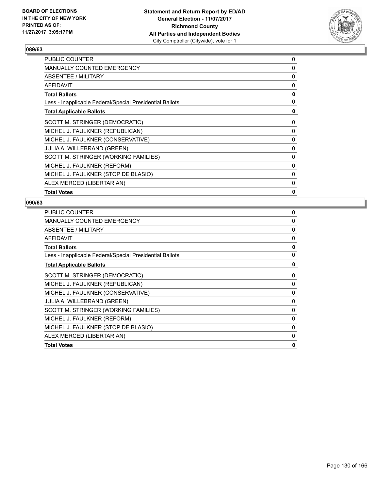

| <b>PUBLIC COUNTER</b>                                    | 0            |
|----------------------------------------------------------|--------------|
| <b>MANUALLY COUNTED EMERGENCY</b>                        | $\Omega$     |
| ABSENTEE / MILITARY                                      | 0            |
| <b>AFFIDAVIT</b>                                         | 0            |
| <b>Total Ballots</b>                                     | 0            |
| Less - Inapplicable Federal/Special Presidential Ballots | 0            |
| <b>Total Applicable Ballots</b>                          | 0            |
| SCOTT M. STRINGER (DEMOCRATIC)                           | 0            |
| MICHEL J. FAULKNER (REPUBLICAN)                          | 0            |
| MICHEL J. FAULKNER (CONSERVATIVE)                        | 0            |
| <b>JULIA A. WILLEBRAND (GREEN)</b>                       | 0            |
| SCOTT M. STRINGER (WORKING FAMILIES)                     | 0            |
| MICHEL J. FAULKNER (REFORM)                              | $\Omega$     |
| MICHEL J. FAULKNER (STOP DE BLASIO)                      | 0            |
| ALEX MERCED (LIBERTARIAN)                                | 0            |
| <b>Total Votes</b>                                       | $\mathbf{0}$ |
|                                                          |              |

| <b>PUBLIC COUNTER</b>                                    | 0            |
|----------------------------------------------------------|--------------|
| <b>MANUALLY COUNTED EMERGENCY</b>                        | $\Omega$     |
| ABSENTEE / MILITARY                                      | 0            |
| <b>AFFIDAVIT</b>                                         | 0            |
| <b>Total Ballots</b>                                     | 0            |
| Less - Inapplicable Federal/Special Presidential Ballots | $\mathbf{0}$ |
| <b>Total Applicable Ballots</b>                          | 0            |
| SCOTT M. STRINGER (DEMOCRATIC)                           | 0            |
| MICHEL J. FAULKNER (REPUBLICAN)                          | 0            |
| MICHEL J. FAULKNER (CONSERVATIVE)                        | 0            |
| <b>JULIA A. WILLEBRAND (GREEN)</b>                       | 0            |
| SCOTT M. STRINGER (WORKING FAMILIES)                     | $\Omega$     |
| MICHEL J. FAULKNER (REFORM)                              | 0            |
| MICHEL J. FAULKNER (STOP DE BLASIO)                      | 0            |
| ALEX MERCED (LIBERTARIAN)                                | 0            |
| <b>Total Votes</b>                                       | 0            |
|                                                          |              |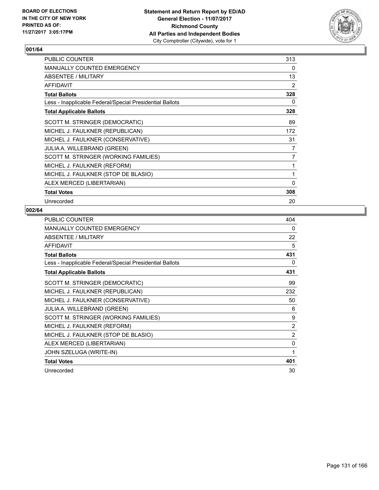

| PUBLIC COUNTER                                           | 313            |
|----------------------------------------------------------|----------------|
| <b>MANUALLY COUNTED EMERGENCY</b>                        | 0              |
| <b>ABSENTEE / MILITARY</b>                               | 13             |
| <b>AFFIDAVIT</b>                                         | 2              |
| <b>Total Ballots</b>                                     | 328            |
| Less - Inapplicable Federal/Special Presidential Ballots | 0              |
| <b>Total Applicable Ballots</b>                          | 328            |
| SCOTT M. STRINGER (DEMOCRATIC)                           | 89             |
| MICHEL J. FAULKNER (REPUBLICAN)                          | 172            |
| MICHEL J. FAULKNER (CONSERVATIVE)                        | 31             |
| <b>JULIA A. WILLEBRAND (GREEN)</b>                       | 7              |
| SCOTT M. STRINGER (WORKING FAMILIES)                     | $\overline{7}$ |
| MICHEL J. FAULKNER (REFORM)                              | 1              |
| MICHEL J. FAULKNER (STOP DE BLASIO)                      | 1              |
| ALEX MERCED (LIBERTARIAN)                                | $\mathbf{0}$   |
| <b>Total Votes</b>                                       | 308            |
| Unrecorded                                               | 20             |

| <b>PUBLIC COUNTER</b>                                    | 404 |
|----------------------------------------------------------|-----|
| <b>MANUALLY COUNTED EMERGENCY</b>                        | 0   |
| ABSENTEE / MILITARY                                      | 22  |
| <b>AFFIDAVIT</b>                                         | 5   |
| <b>Total Ballots</b>                                     | 431 |
| Less - Inapplicable Federal/Special Presidential Ballots | 0   |
| <b>Total Applicable Ballots</b>                          | 431 |
| SCOTT M. STRINGER (DEMOCRATIC)                           | 99  |
| MICHEL J. FAULKNER (REPUBLICAN)                          | 232 |
| MICHEL J. FAULKNER (CONSERVATIVE)                        | 50  |
| JULIA A. WILLEBRAND (GREEN)                              | 6   |
| SCOTT M. STRINGER (WORKING FAMILIES)                     | 9   |
| MICHEL J. FAULKNER (REFORM)                              | 2   |
| MICHEL J. FAULKNER (STOP DE BLASIO)                      | 2   |
| ALEX MERCED (LIBERTARIAN)                                | 0   |
| JOHN SZELUGA (WRITE-IN)                                  | 1   |
| <b>Total Votes</b>                                       | 401 |
| Unrecorded                                               | 30  |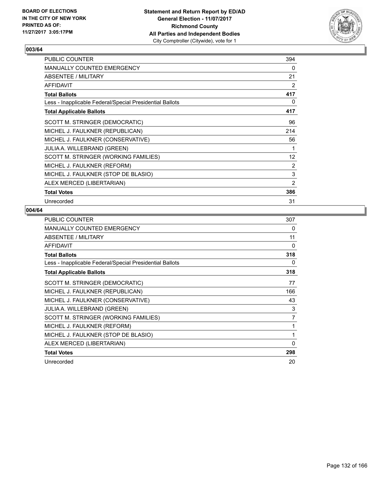

| <b>PUBLIC COUNTER</b>                                    | 394             |
|----------------------------------------------------------|-----------------|
| <b>MANUALLY COUNTED EMERGENCY</b>                        | 0               |
| ABSENTEE / MILITARY                                      | 21              |
| <b>AFFIDAVIT</b>                                         | 2               |
| <b>Total Ballots</b>                                     | 417             |
| Less - Inapplicable Federal/Special Presidential Ballots | 0               |
| <b>Total Applicable Ballots</b>                          | 417             |
| SCOTT M. STRINGER (DEMOCRATIC)                           | 96              |
| MICHEL J. FAULKNER (REPUBLICAN)                          | 214             |
| MICHEL J. FAULKNER (CONSERVATIVE)                        | 56              |
| <b>JULIA A. WILLEBRAND (GREEN)</b>                       | 1               |
| SCOTT M. STRINGER (WORKING FAMILIES)                     | 12 <sup>°</sup> |
| MICHEL J. FAULKNER (REFORM)                              | 2               |
| MICHEL J. FAULKNER (STOP DE BLASIO)                      | 3               |
| ALEX MERCED (LIBERTARIAN)                                | 2               |
| <b>Total Votes</b>                                       | 386             |
| Unrecorded                                               | 31              |

| <b>PUBLIC COUNTER</b>                                    | 307 |
|----------------------------------------------------------|-----|
| <b>MANUALLY COUNTED EMERGENCY</b>                        | 0   |
| ABSENTEE / MILITARY                                      | 11  |
| <b>AFFIDAVIT</b>                                         | 0   |
| <b>Total Ballots</b>                                     | 318 |
| Less - Inapplicable Federal/Special Presidential Ballots | 0   |
| <b>Total Applicable Ballots</b>                          | 318 |
| SCOTT M. STRINGER (DEMOCRATIC)                           | 77  |
| MICHEL J. FAULKNER (REPUBLICAN)                          | 166 |
| MICHEL J. FAULKNER (CONSERVATIVE)                        | 43  |
| <b>JULIA A. WILLEBRAND (GREEN)</b>                       | 3   |
| SCOTT M. STRINGER (WORKING FAMILIES)                     | 7   |
| MICHEL J. FAULKNER (REFORM)                              | 1   |
| MICHEL J. FAULKNER (STOP DE BLASIO)                      | 1   |
| ALEX MERCED (LIBERTARIAN)                                | 0   |
| <b>Total Votes</b>                                       | 298 |
| Unrecorded                                               | 20  |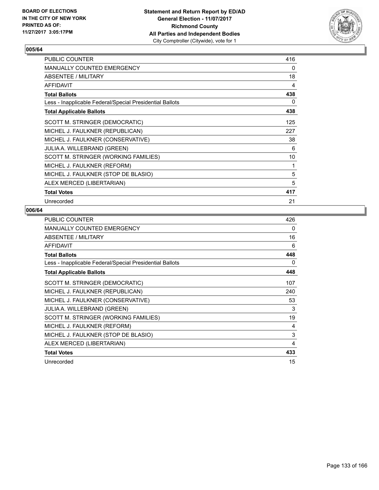

| <b>PUBLIC COUNTER</b>                                    | 416 |
|----------------------------------------------------------|-----|
| <b>MANUALLY COUNTED EMERGENCY</b>                        | 0   |
| ABSENTEE / MILITARY                                      | 18  |
| <b>AFFIDAVIT</b>                                         | 4   |
| <b>Total Ballots</b>                                     | 438 |
| Less - Inapplicable Federal/Special Presidential Ballots | 0   |
| <b>Total Applicable Ballots</b>                          | 438 |
| SCOTT M. STRINGER (DEMOCRATIC)                           | 125 |
| MICHEL J. FAULKNER (REPUBLICAN)                          | 227 |
| MICHEL J. FAULKNER (CONSERVATIVE)                        | 38  |
| <b>JULIA A. WILLEBRAND (GREEN)</b>                       | 6   |
| SCOTT M. STRINGER (WORKING FAMILIES)                     | 10  |
| MICHEL J. FAULKNER (REFORM)                              | 1   |
| MICHEL J. FAULKNER (STOP DE BLASIO)                      | 5   |
| ALEX MERCED (LIBERTARIAN)                                | 5   |
| <b>Total Votes</b>                                       | 417 |
| Unrecorded                                               | 21  |

| PUBLIC COUNTER                                           | 426 |
|----------------------------------------------------------|-----|
| <b>MANUALLY COUNTED EMERGENCY</b>                        | 0   |
| ABSENTEE / MILITARY                                      | 16  |
| <b>AFFIDAVIT</b>                                         | 6   |
| <b>Total Ballots</b>                                     | 448 |
| Less - Inapplicable Federal/Special Presidential Ballots | 0   |
| <b>Total Applicable Ballots</b>                          | 448 |
| SCOTT M. STRINGER (DEMOCRATIC)                           | 107 |
| MICHEL J. FAULKNER (REPUBLICAN)                          | 240 |
| MICHEL J. FAULKNER (CONSERVATIVE)                        | 53  |
| <b>JULIA A. WILLEBRAND (GREEN)</b>                       | 3   |
| SCOTT M. STRINGER (WORKING FAMILIES)                     | 19  |
| MICHEL J. FAULKNER (REFORM)                              | 4   |
| MICHEL J. FAULKNER (STOP DE BLASIO)                      | 3   |
| ALEX MERCED (LIBERTARIAN)                                | 4   |
| <b>Total Votes</b>                                       | 433 |
| Unrecorded                                               | 15  |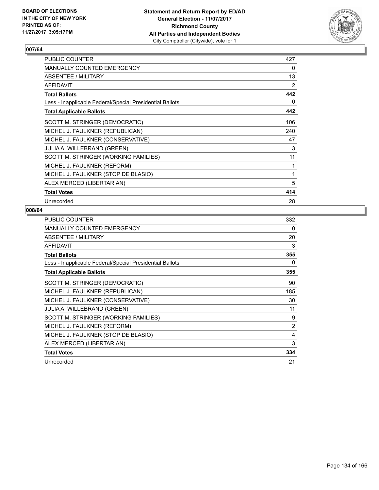

| PUBLIC COUNTER                                           | 427 |
|----------------------------------------------------------|-----|
| <b>MANUALLY COUNTED EMERGENCY</b>                        | 0   |
| <b>ABSENTEE / MILITARY</b>                               | 13  |
| <b>AFFIDAVIT</b>                                         | 2   |
| <b>Total Ballots</b>                                     | 442 |
| Less - Inapplicable Federal/Special Presidential Ballots | 0   |
| <b>Total Applicable Ballots</b>                          | 442 |
| SCOTT M. STRINGER (DEMOCRATIC)                           | 106 |
| MICHEL J. FAULKNER (REPUBLICAN)                          | 240 |
| MICHEL J. FAULKNER (CONSERVATIVE)                        | 47  |
| <b>JULIA A. WILLEBRAND (GREEN)</b>                       | 3   |
| SCOTT M. STRINGER (WORKING FAMILIES)                     | 11  |
| MICHEL J. FAULKNER (REFORM)                              | 1   |
| MICHEL J. FAULKNER (STOP DE BLASIO)                      | 1   |
| ALEX MERCED (LIBERTARIAN)                                | 5   |
| <b>Total Votes</b>                                       | 414 |
| Unrecorded                                               | 28  |

| <b>PUBLIC COUNTER</b>                                    | 332            |
|----------------------------------------------------------|----------------|
| <b>MANUALLY COUNTED EMERGENCY</b>                        | 0              |
| ABSENTEE / MILITARY                                      | 20             |
| AFFIDAVIT                                                | 3              |
| <b>Total Ballots</b>                                     | 355            |
| Less - Inapplicable Federal/Special Presidential Ballots | 0              |
| <b>Total Applicable Ballots</b>                          | 355            |
| SCOTT M. STRINGER (DEMOCRATIC)                           | 90             |
| MICHEL J. FAULKNER (REPUBLICAN)                          | 185            |
| MICHEL J. FAULKNER (CONSERVATIVE)                        | 30             |
| <b>JULIA A. WILLEBRAND (GREEN)</b>                       | 11             |
| SCOTT M. STRINGER (WORKING FAMILIES)                     | 9              |
| MICHEL J. FAULKNER (REFORM)                              | $\overline{2}$ |
| MICHEL J. FAULKNER (STOP DE BLASIO)                      | 4              |
| ALEX MERCED (LIBERTARIAN)                                | 3              |
| <b>Total Votes</b>                                       | 334            |
| Unrecorded                                               | 21             |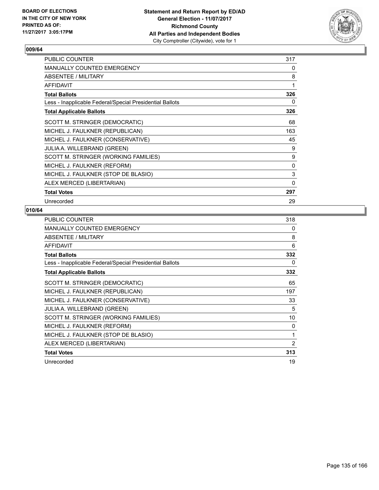

| <b>PUBLIC COUNTER</b>                                    | 317 |
|----------------------------------------------------------|-----|
| <b>MANUALLY COUNTED EMERGENCY</b>                        | 0   |
| ABSENTEE / MILITARY                                      | 8   |
| <b>AFFIDAVIT</b>                                         | 1   |
| <b>Total Ballots</b>                                     | 326 |
| Less - Inapplicable Federal/Special Presidential Ballots | 0   |
| <b>Total Applicable Ballots</b>                          | 326 |
| SCOTT M. STRINGER (DEMOCRATIC)                           | 68  |
| MICHEL J. FAULKNER (REPUBLICAN)                          | 163 |
| MICHEL J. FAULKNER (CONSERVATIVE)                        | 45  |
| JULIA A. WILLEBRAND (GREEN)                              | 9   |
| SCOTT M. STRINGER (WORKING FAMILIES)                     | 9   |
| MICHEL J. FAULKNER (REFORM)                              | 0   |
| MICHEL J. FAULKNER (STOP DE BLASIO)                      | 3   |
| ALEX MERCED (LIBERTARIAN)                                | 0   |
| <b>Total Votes</b>                                       | 297 |
| Unrecorded                                               | 29  |

| PUBLIC COUNTER                                           | 318            |
|----------------------------------------------------------|----------------|
| <b>MANUALLY COUNTED EMERGENCY</b>                        | 0              |
| ABSENTEE / MILITARY                                      | 8              |
| AFFIDAVIT                                                | 6              |
| <b>Total Ballots</b>                                     | 332            |
| Less - Inapplicable Federal/Special Presidential Ballots | 0              |
| <b>Total Applicable Ballots</b>                          | 332            |
| SCOTT M. STRINGER (DEMOCRATIC)                           | 65             |
| MICHEL J. FAULKNER (REPUBLICAN)                          | 197            |
| MICHEL J. FAULKNER (CONSERVATIVE)                        | 33             |
| <b>JULIA A. WILLEBRAND (GREEN)</b>                       | 5              |
| SCOTT M. STRINGER (WORKING FAMILIES)                     | 10             |
| MICHEL J. FAULKNER (REFORM)                              | 0              |
| MICHEL J. FAULKNER (STOP DE BLASIO)                      | 1              |
| ALEX MERCED (LIBERTARIAN)                                | $\overline{2}$ |
| <b>Total Votes</b>                                       | 313            |
| Unrecorded                                               | 19             |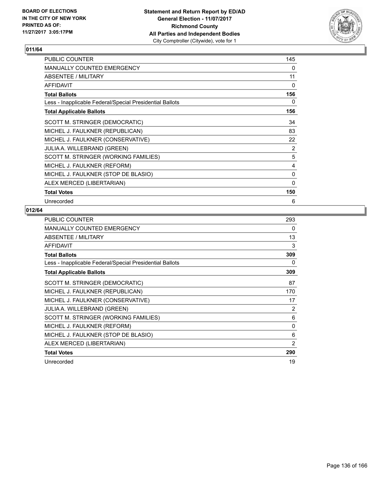

| <b>PUBLIC COUNTER</b>                                    | 145 |
|----------------------------------------------------------|-----|
| <b>MANUALLY COUNTED EMERGENCY</b>                        | 0   |
| ABSENTEE / MILITARY                                      | 11  |
| <b>AFFIDAVIT</b>                                         | 0   |
| <b>Total Ballots</b>                                     | 156 |
| Less - Inapplicable Federal/Special Presidential Ballots | 0   |
| <b>Total Applicable Ballots</b>                          | 156 |
| SCOTT M. STRINGER (DEMOCRATIC)                           | 34  |
| MICHEL J. FAULKNER (REPUBLICAN)                          | 83  |
| MICHEL J. FAULKNER (CONSERVATIVE)                        | 22  |
| JULIA A. WILLEBRAND (GREEN)                              | 2   |
| SCOTT M. STRINGER (WORKING FAMILIES)                     | 5   |
| MICHEL J. FAULKNER (REFORM)                              | 4   |
| MICHEL J. FAULKNER (STOP DE BLASIO)                      | 0   |
| ALEX MERCED (LIBERTARIAN)                                | 0   |
| <b>Total Votes</b>                                       | 150 |
| Unrecorded                                               | 6   |

| PUBLIC COUNTER                                           | 293 |
|----------------------------------------------------------|-----|
| MANUALLY COUNTED EMERGENCY                               | 0   |
| ABSENTEE / MILITARY                                      | 13  |
| AFFIDAVIT                                                | 3   |
| <b>Total Ballots</b>                                     | 309 |
| Less - Inapplicable Federal/Special Presidential Ballots | 0   |
| <b>Total Applicable Ballots</b>                          | 309 |
| SCOTT M. STRINGER (DEMOCRATIC)                           | 87  |
| MICHEL J. FAULKNER (REPUBLICAN)                          | 170 |
| MICHEL J. FAULKNER (CONSERVATIVE)                        | 17  |
| JULIA A. WILLEBRAND (GREEN)                              | 2   |
| SCOTT M. STRINGER (WORKING FAMILIES)                     | 6   |
| MICHEL J. FAULKNER (REFORM)                              | 0   |
| MICHEL J. FAULKNER (STOP DE BLASIO)                      | 6   |
| ALEX MERCED (LIBERTARIAN)                                | 2   |
| <b>Total Votes</b>                                       | 290 |
| Unrecorded                                               | 19  |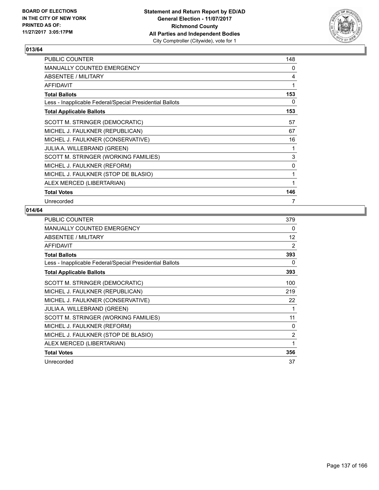

| <b>PUBLIC COUNTER</b>                                    | 148 |
|----------------------------------------------------------|-----|
| <b>MANUALLY COUNTED EMERGENCY</b>                        | 0   |
| ABSENTEE / MILITARY                                      | 4   |
| <b>AFFIDAVIT</b>                                         | 1   |
| <b>Total Ballots</b>                                     | 153 |
| Less - Inapplicable Federal/Special Presidential Ballots | 0   |
| <b>Total Applicable Ballots</b>                          | 153 |
| SCOTT M. STRINGER (DEMOCRATIC)                           | 57  |
| MICHEL J. FAULKNER (REPUBLICAN)                          | 67  |
| MICHEL J. FAULKNER (CONSERVATIVE)                        | 16  |
| <b>JULIA A. WILLEBRAND (GREEN)</b>                       | 1   |
| SCOTT M. STRINGER (WORKING FAMILIES)                     | 3   |
| MICHEL J. FAULKNER (REFORM)                              | 0   |
| MICHEL J. FAULKNER (STOP DE BLASIO)                      | 1   |
| ALEX MERCED (LIBERTARIAN)                                | 1   |
| <b>Total Votes</b>                                       | 146 |
| Unrecorded                                               | 7   |

| PUBLIC COUNTER                                           | 379 |
|----------------------------------------------------------|-----|
| <b>MANUALLY COUNTED EMERGENCY</b>                        | 0   |
| ABSENTEE / MILITARY                                      | 12  |
| <b>AFFIDAVIT</b>                                         | 2   |
| <b>Total Ballots</b>                                     | 393 |
| Less - Inapplicable Federal/Special Presidential Ballots | 0   |
| <b>Total Applicable Ballots</b>                          | 393 |
| SCOTT M. STRINGER (DEMOCRATIC)                           | 100 |
| MICHEL J. FAULKNER (REPUBLICAN)                          | 219 |
| MICHEL J. FAULKNER (CONSERVATIVE)                        | 22  |
| <b>JULIA A. WILLEBRAND (GREEN)</b>                       | 1   |
| SCOTT M. STRINGER (WORKING FAMILIES)                     | 11  |
| MICHEL J. FAULKNER (REFORM)                              | 0   |
| MICHEL J. FAULKNER (STOP DE BLASIO)                      | 2   |
| ALEX MERCED (LIBERTARIAN)                                | 1   |
| <b>Total Votes</b>                                       | 356 |
| Unrecorded                                               | 37  |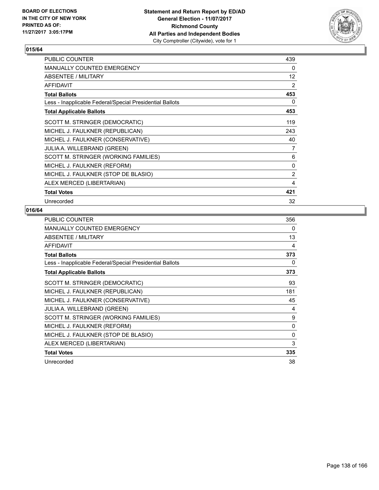

| <b>PUBLIC COUNTER</b>                                    | 439 |
|----------------------------------------------------------|-----|
| <b>MANUALLY COUNTED EMERGENCY</b>                        | 0   |
| ABSENTEE / MILITARY                                      | 12  |
| <b>AFFIDAVIT</b>                                         | 2   |
| <b>Total Ballots</b>                                     | 453 |
| Less - Inapplicable Federal/Special Presidential Ballots | 0   |
| <b>Total Applicable Ballots</b>                          | 453 |
| SCOTT M. STRINGER (DEMOCRATIC)                           | 119 |
| MICHEL J. FAULKNER (REPUBLICAN)                          | 243 |
| MICHEL J. FAULKNER (CONSERVATIVE)                        | 40  |
| <b>JULIA A. WILLEBRAND (GREEN)</b>                       | 7   |
| SCOTT M. STRINGER (WORKING FAMILIES)                     | 6   |
| MICHEL J. FAULKNER (REFORM)                              | 0   |
| MICHEL J. FAULKNER (STOP DE BLASIO)                      | 2   |
| ALEX MERCED (LIBERTARIAN)                                | 4   |
| <b>Total Votes</b>                                       | 421 |
| Unrecorded                                               | 32  |

| <b>PUBLIC COUNTER</b>                                    | 356 |
|----------------------------------------------------------|-----|
| <b>MANUALLY COUNTED EMERGENCY</b>                        | 0   |
| ABSENTEE / MILITARY                                      | 13  |
| <b>AFFIDAVIT</b>                                         | 4   |
| <b>Total Ballots</b>                                     | 373 |
| Less - Inapplicable Federal/Special Presidential Ballots | 0   |
| <b>Total Applicable Ballots</b>                          | 373 |
| SCOTT M. STRINGER (DEMOCRATIC)                           | 93  |
| MICHEL J. FAULKNER (REPUBLICAN)                          | 181 |
| MICHEL J. FAULKNER (CONSERVATIVE)                        | 45  |
| <b>JULIA A. WILLEBRAND (GREEN)</b>                       | 4   |
| SCOTT M. STRINGER (WORKING FAMILIES)                     | 9   |
| MICHEL J. FAULKNER (REFORM)                              | 0   |
| MICHEL J. FAULKNER (STOP DE BLASIO)                      | 0   |
| ALEX MERCED (LIBERTARIAN)                                | 3   |
| <b>Total Votes</b>                                       | 335 |
| Unrecorded                                               | 38  |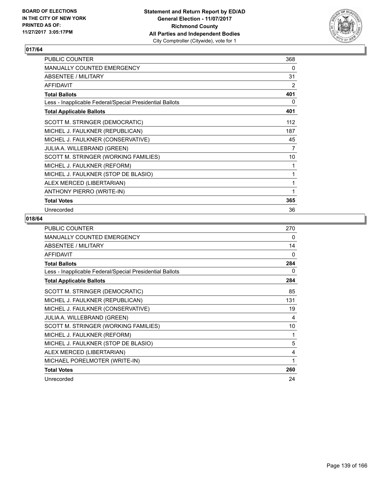

| PUBLIC COUNTER                                           | 368            |
|----------------------------------------------------------|----------------|
| <b>MANUALLY COUNTED EMERGENCY</b>                        | 0              |
| ABSENTEE / MILITARY                                      | 31             |
| <b>AFFIDAVIT</b>                                         | $\overline{2}$ |
| <b>Total Ballots</b>                                     | 401            |
| Less - Inapplicable Federal/Special Presidential Ballots | 0              |
| <b>Total Applicable Ballots</b>                          | 401            |
| SCOTT M. STRINGER (DEMOCRATIC)                           | 112            |
| MICHEL J. FAULKNER (REPUBLICAN)                          | 187            |
| MICHEL J. FAULKNER (CONSERVATIVE)                        | 45             |
| <b>JULIA A. WILLEBRAND (GREEN)</b>                       | 7              |
| SCOTT M. STRINGER (WORKING FAMILIES)                     | 10             |
| MICHEL J. FAULKNER (REFORM)                              | 1              |
| MICHEL J. FAULKNER (STOP DE BLASIO)                      | 1              |
| ALEX MERCED (LIBERTARIAN)                                | 1              |
| <b>ANTHONY PIERRO (WRITE-IN)</b>                         | 1              |
| <b>Total Votes</b>                                       | 365            |
| Unrecorded                                               | 36             |

| PUBLIC COUNTER                                           | 270          |
|----------------------------------------------------------|--------------|
| <b>MANUALLY COUNTED EMERGENCY</b>                        | 0            |
| ABSENTEE / MILITARY                                      | 14           |
| <b>AFFIDAVIT</b>                                         | $\mathbf{0}$ |
| <b>Total Ballots</b>                                     | 284          |
| Less - Inapplicable Federal/Special Presidential Ballots | 0            |
| <b>Total Applicable Ballots</b>                          | 284          |
| SCOTT M. STRINGER (DEMOCRATIC)                           | 85           |
| MICHEL J. FAULKNER (REPUBLICAN)                          | 131          |
| MICHEL J. FAULKNER (CONSERVATIVE)                        | 19           |
| JULIA A. WILLEBRAND (GREEN)                              | 4            |
| SCOTT M. STRINGER (WORKING FAMILIES)                     | 10           |
| MICHEL J. FAULKNER (REFORM)                              | 1            |
| MICHEL J. FAULKNER (STOP DE BLASIO)                      | 5            |
| ALEX MERCED (LIBERTARIAN)                                | 4            |
| MICHAEL PORELMOTER (WRITE-IN)                            | 1            |
| <b>Total Votes</b>                                       | 260          |
| Unrecorded                                               | 24           |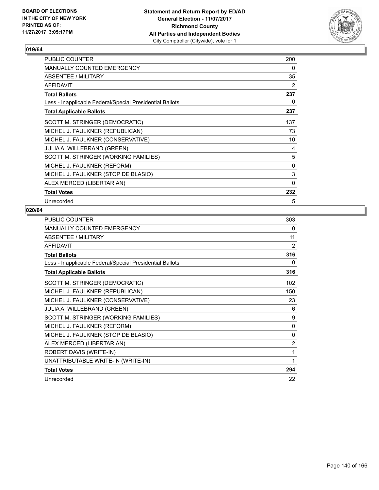

| PUBLIC COUNTER                                           | 200 |
|----------------------------------------------------------|-----|
| <b>MANUALLY COUNTED EMERGENCY</b>                        | 0   |
| <b>ABSENTEE / MILITARY</b>                               | 35  |
| <b>AFFIDAVIT</b>                                         | 2   |
| <b>Total Ballots</b>                                     | 237 |
| Less - Inapplicable Federal/Special Presidential Ballots | 0   |
| <b>Total Applicable Ballots</b>                          | 237 |
| SCOTT M. STRINGER (DEMOCRATIC)                           | 137 |
| MICHEL J. FAULKNER (REPUBLICAN)                          | 73  |
| MICHEL J. FAULKNER (CONSERVATIVE)                        | 10  |
| <b>JULIA A. WILLEBRAND (GREEN)</b>                       | 4   |
| SCOTT M. STRINGER (WORKING FAMILIES)                     | 5   |
| MICHEL J. FAULKNER (REFORM)                              | 0   |
| MICHEL J. FAULKNER (STOP DE BLASIO)                      | 3   |
| ALEX MERCED (LIBERTARIAN)                                | 0   |
| <b>Total Votes</b>                                       | 232 |
| Unrecorded                                               | 5   |

| <b>PUBLIC COUNTER</b>                                    | 303 |
|----------------------------------------------------------|-----|
| MANUALLY COUNTED EMERGENCY                               | 0   |
| ABSENTEE / MILITARY                                      | 11  |
| <b>AFFIDAVIT</b>                                         | 2   |
| <b>Total Ballots</b>                                     | 316 |
| Less - Inapplicable Federal/Special Presidential Ballots | 0   |
| <b>Total Applicable Ballots</b>                          | 316 |
| SCOTT M. STRINGER (DEMOCRATIC)                           | 102 |
| MICHEL J. FAULKNER (REPUBLICAN)                          | 150 |
| MICHEL J. FAULKNER (CONSERVATIVE)                        | 23  |
| JULIA A. WILLEBRAND (GREEN)                              | 6   |
| SCOTT M. STRINGER (WORKING FAMILIES)                     | 9   |
| MICHEL J. FAULKNER (REFORM)                              | 0   |
| MICHEL J. FAULKNER (STOP DE BLASIO)                      | 0   |
| ALEX MERCED (LIBERTARIAN)                                | 2   |
| ROBERT DAVIS (WRITE-IN)                                  | 1   |
| UNATTRIBUTABLE WRITE-IN (WRITE-IN)                       | 1   |
| <b>Total Votes</b>                                       | 294 |
| Unrecorded                                               | 22  |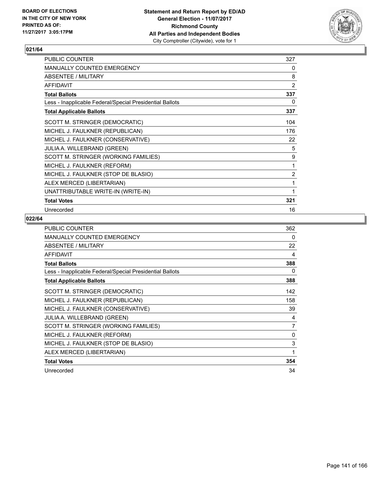

| PUBLIC COUNTER                                           | 327            |
|----------------------------------------------------------|----------------|
| <b>MANUALLY COUNTED EMERGENCY</b>                        | 0              |
| ABSENTEE / MILITARY                                      | 8              |
| <b>AFFIDAVIT</b>                                         | $\overline{2}$ |
| <b>Total Ballots</b>                                     | 337            |
| Less - Inapplicable Federal/Special Presidential Ballots | 0              |
| <b>Total Applicable Ballots</b>                          | 337            |
| SCOTT M. STRINGER (DEMOCRATIC)                           | 104            |
| MICHEL J. FAULKNER (REPUBLICAN)                          | 176            |
| MICHEL J. FAULKNER (CONSERVATIVE)                        | 22             |
| JULIA A. WILLEBRAND (GREEN)                              | 5              |
| SCOTT M. STRINGER (WORKING FAMILIES)                     | 9              |
| MICHEL J. FAULKNER (REFORM)                              | 1              |
| MICHEL J. FAULKNER (STOP DE BLASIO)                      | $\overline{2}$ |
| ALEX MERCED (LIBERTARIAN)                                | 1              |
| UNATTRIBUTABLE WRITE-IN (WRITE-IN)                       | 1              |
| <b>Total Votes</b>                                       | 321            |
| Unrecorded                                               | 16             |

| <b>PUBLIC COUNTER</b>                                    | 362 |
|----------------------------------------------------------|-----|
| <b>MANUALLY COUNTED EMERGENCY</b>                        | 0   |
| ABSENTEE / MILITARY                                      | 22  |
| <b>AFFIDAVIT</b>                                         | 4   |
| <b>Total Ballots</b>                                     | 388 |
| Less - Inapplicable Federal/Special Presidential Ballots | 0   |
| <b>Total Applicable Ballots</b>                          | 388 |
| SCOTT M. STRINGER (DEMOCRATIC)                           | 142 |
| MICHEL J. FAULKNER (REPUBLICAN)                          | 158 |
| MICHEL J. FAULKNER (CONSERVATIVE)                        | 39  |
| <b>JULIA A. WILLEBRAND (GREEN)</b>                       | 4   |
| SCOTT M. STRINGER (WORKING FAMILIES)                     | 7   |
| MICHEL J. FAULKNER (REFORM)                              | 0   |
| MICHEL J. FAULKNER (STOP DE BLASIO)                      | 3   |
| ALEX MERCED (LIBERTARIAN)                                | 1   |
| <b>Total Votes</b>                                       | 354 |
| Unrecorded                                               | 34  |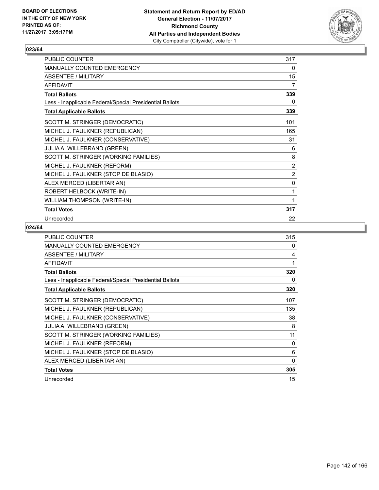

| PUBLIC COUNTER                                           | 317            |
|----------------------------------------------------------|----------------|
| MANUALLY COUNTED EMERGENCY                               | 0              |
| <b>ABSENTEE / MILITARY</b>                               | 15             |
| <b>AFFIDAVIT</b>                                         | $\overline{7}$ |
| <b>Total Ballots</b>                                     | 339            |
| Less - Inapplicable Federal/Special Presidential Ballots | 0              |
| <b>Total Applicable Ballots</b>                          | 339            |
| SCOTT M. STRINGER (DEMOCRATIC)                           | 101            |
| MICHEL J. FAULKNER (REPUBLICAN)                          | 165            |
| MICHEL J. FAULKNER (CONSERVATIVE)                        | 31             |
| JULIA A. WILLEBRAND (GREEN)                              | 6              |
| SCOTT M. STRINGER (WORKING FAMILIES)                     | 8              |
| MICHEL J. FAULKNER (REFORM)                              | $\overline{2}$ |
| MICHEL J. FAULKNER (STOP DE BLASIO)                      | $\overline{2}$ |
| ALEX MERCED (LIBERTARIAN)                                | 0              |
| ROBERT HELBOCK (WRITE-IN)                                | 1              |
| WILLIAM THOMPSON (WRITE-IN)                              | 1              |
| <b>Total Votes</b>                                       | 317            |
| Unrecorded                                               | 22             |

| <b>PUBLIC COUNTER</b>                                    | 315      |
|----------------------------------------------------------|----------|
| MANUALLY COUNTED EMERGENCY                               | 0        |
| ABSENTEE / MILITARY                                      | 4        |
| <b>AFFIDAVIT</b>                                         | 1        |
| <b>Total Ballots</b>                                     | 320      |
| Less - Inapplicable Federal/Special Presidential Ballots | 0        |
| <b>Total Applicable Ballots</b>                          | 320      |
| SCOTT M. STRINGER (DEMOCRATIC)                           | 107      |
| MICHEL J. FAULKNER (REPUBLICAN)                          | 135      |
| MICHEL J. FAULKNER (CONSERVATIVE)                        | 38       |
| <b>JULIA A. WILLEBRAND (GREEN)</b>                       | 8        |
| SCOTT M. STRINGER (WORKING FAMILIES)                     | 11       |
| MICHEL J. FAULKNER (REFORM)                              | 0        |
| MICHEL J. FAULKNER (STOP DE BLASIO)                      | 6        |
| ALEX MERCED (LIBERTARIAN)                                | $\Omega$ |
| <b>Total Votes</b>                                       | 305      |
| Unrecorded                                               | 15       |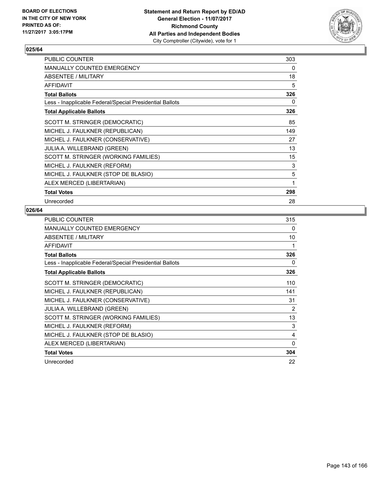

| <b>PUBLIC COUNTER</b>                                    | 303 |
|----------------------------------------------------------|-----|
| <b>MANUALLY COUNTED EMERGENCY</b>                        | 0   |
| ABSENTEE / MILITARY                                      | 18  |
| <b>AFFIDAVIT</b>                                         | 5   |
| <b>Total Ballots</b>                                     | 326 |
| Less - Inapplicable Federal/Special Presidential Ballots | 0   |
| <b>Total Applicable Ballots</b>                          | 326 |
| SCOTT M. STRINGER (DEMOCRATIC)                           | 85  |
| MICHEL J. FAULKNER (REPUBLICAN)                          | 149 |
| MICHEL J. FAULKNER (CONSERVATIVE)                        | 27  |
| <b>JULIA A. WILLEBRAND (GREEN)</b>                       | 13  |
| SCOTT M. STRINGER (WORKING FAMILIES)                     | 15  |
| MICHEL J. FAULKNER (REFORM)                              | 3   |
| MICHEL J. FAULKNER (STOP DE BLASIO)                      | 5   |
| ALEX MERCED (LIBERTARIAN)                                | 1   |
| <b>Total Votes</b>                                       | 298 |
| Unrecorded                                               | 28  |

| <b>PUBLIC COUNTER</b>                                    | 315 |
|----------------------------------------------------------|-----|
| <b>MANUALLY COUNTED EMERGENCY</b>                        | 0   |
| ABSENTEE / MILITARY                                      | 10  |
| <b>AFFIDAVIT</b>                                         | 1   |
| <b>Total Ballots</b>                                     | 326 |
| Less - Inapplicable Federal/Special Presidential Ballots | 0   |
| <b>Total Applicable Ballots</b>                          | 326 |
| SCOTT M. STRINGER (DEMOCRATIC)                           | 110 |
| MICHEL J. FAULKNER (REPUBLICAN)                          | 141 |
| MICHEL J. FAULKNER (CONSERVATIVE)                        | 31  |
| <b>JULIA A. WILLEBRAND (GREEN)</b>                       | 2   |
| SCOTT M. STRINGER (WORKING FAMILIES)                     | 13  |
| MICHEL J. FAULKNER (REFORM)                              | 3   |
| MICHEL J. FAULKNER (STOP DE BLASIO)                      | 4   |
| ALEX MERCED (LIBERTARIAN)                                | 0   |
| <b>Total Votes</b>                                       | 304 |
| Unrecorded                                               | 22  |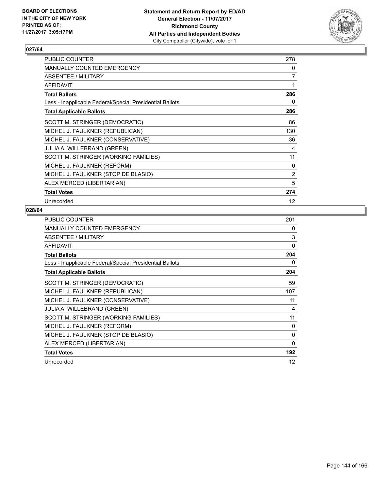

| PUBLIC COUNTER                                           | 278               |
|----------------------------------------------------------|-------------------|
| <b>MANUALLY COUNTED EMERGENCY</b>                        | 0                 |
| <b>ABSENTEE / MILITARY</b>                               | $\overline{7}$    |
| <b>AFFIDAVIT</b>                                         | 1                 |
| <b>Total Ballots</b>                                     | 286               |
| Less - Inapplicable Federal/Special Presidential Ballots | 0                 |
| <b>Total Applicable Ballots</b>                          | 286               |
| SCOTT M. STRINGER (DEMOCRATIC)                           | 86                |
| MICHEL J. FAULKNER (REPUBLICAN)                          | 130               |
| MICHEL J. FAULKNER (CONSERVATIVE)                        | 36                |
| <b>JULIA A. WILLEBRAND (GREEN)</b>                       | 4                 |
| SCOTT M. STRINGER (WORKING FAMILIES)                     | 11                |
| MICHEL J. FAULKNER (REFORM)                              | 0                 |
| MICHEL J. FAULKNER (STOP DE BLASIO)                      | 2                 |
| ALEX MERCED (LIBERTARIAN)                                | 5                 |
| <b>Total Votes</b>                                       | 274               |
| Unrecorded                                               | $12 \overline{ }$ |

| <b>PUBLIC COUNTER</b>                                    | 201 |
|----------------------------------------------------------|-----|
| <b>MANUALLY COUNTED EMERGENCY</b>                        | 0   |
| ABSENTEE / MILITARY                                      | 3   |
| <b>AFFIDAVIT</b>                                         | 0   |
| <b>Total Ballots</b>                                     | 204 |
| Less - Inapplicable Federal/Special Presidential Ballots | 0   |
| <b>Total Applicable Ballots</b>                          | 204 |
| SCOTT M. STRINGER (DEMOCRATIC)                           | 59  |
| MICHEL J. FAULKNER (REPUBLICAN)                          | 107 |
| MICHEL J. FAULKNER (CONSERVATIVE)                        | 11  |
| <b>JULIA A. WILLEBRAND (GREEN)</b>                       | 4   |
| SCOTT M. STRINGER (WORKING FAMILIES)                     | 11  |
| MICHEL J. FAULKNER (REFORM)                              | 0   |
| MICHEL J. FAULKNER (STOP DE BLASIO)                      | 0   |
| ALEX MERCED (LIBERTARIAN)                                | 0   |
| <b>Total Votes</b>                                       | 192 |
| Unrecorded                                               | 12  |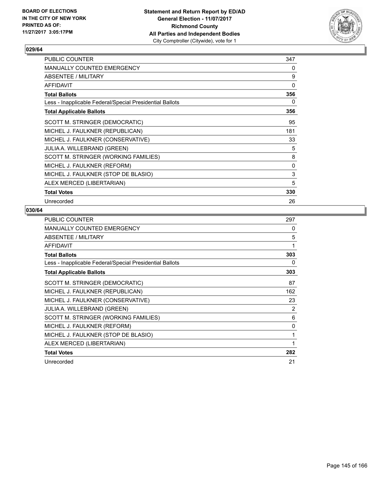

| PUBLIC COUNTER                                           | 347 |
|----------------------------------------------------------|-----|
| <b>MANUALLY COUNTED EMERGENCY</b>                        | 0   |
| ABSENTEE / MILITARY                                      | 9   |
| <b>AFFIDAVIT</b>                                         | 0   |
| <b>Total Ballots</b>                                     | 356 |
| Less - Inapplicable Federal/Special Presidential Ballots | 0   |
| <b>Total Applicable Ballots</b>                          | 356 |
| SCOTT M. STRINGER (DEMOCRATIC)                           | 95  |
| MICHEL J. FAULKNER (REPUBLICAN)                          | 181 |
| MICHEL J. FAULKNER (CONSERVATIVE)                        | 33  |
| <b>JULIA A. WILLEBRAND (GREEN)</b>                       | 5   |
| SCOTT M. STRINGER (WORKING FAMILIES)                     | 8   |
| MICHEL J. FAULKNER (REFORM)                              | 0   |
| MICHEL J. FAULKNER (STOP DE BLASIO)                      | 3   |
| ALEX MERCED (LIBERTARIAN)                                | 5   |
| <b>Total Votes</b>                                       | 330 |
| Unrecorded                                               | 26  |

| <b>PUBLIC COUNTER</b>                                    | 297 |
|----------------------------------------------------------|-----|
| <b>MANUALLY COUNTED EMERGENCY</b>                        | 0   |
| ABSENTEE / MILITARY                                      | 5   |
| <b>AFFIDAVIT</b>                                         | 1   |
| <b>Total Ballots</b>                                     | 303 |
| Less - Inapplicable Federal/Special Presidential Ballots | 0   |
| <b>Total Applicable Ballots</b>                          | 303 |
| SCOTT M. STRINGER (DEMOCRATIC)                           | 87  |
| MICHEL J. FAULKNER (REPUBLICAN)                          | 162 |
| MICHEL J. FAULKNER (CONSERVATIVE)                        | 23  |
| <b>JULIA A. WILLEBRAND (GREEN)</b>                       | 2   |
| SCOTT M. STRINGER (WORKING FAMILIES)                     | 6   |
| MICHEL J. FAULKNER (REFORM)                              | 0   |
| MICHEL J. FAULKNER (STOP DE BLASIO)                      | 1   |
| ALEX MERCED (LIBERTARIAN)                                | 1   |
| <b>Total Votes</b>                                       | 282 |
| Unrecorded                                               | 21  |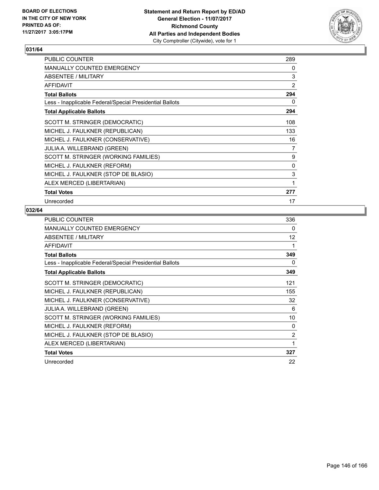

| <b>PUBLIC COUNTER</b>                                    | 289 |
|----------------------------------------------------------|-----|
| <b>MANUALLY COUNTED EMERGENCY</b>                        | 0   |
| <b>ABSENTEE / MILITARY</b>                               | 3   |
| <b>AFFIDAVIT</b>                                         | 2   |
| <b>Total Ballots</b>                                     | 294 |
| Less - Inapplicable Federal/Special Presidential Ballots | 0   |
| <b>Total Applicable Ballots</b>                          | 294 |
| SCOTT M. STRINGER (DEMOCRATIC)                           | 108 |
| MICHEL J. FAULKNER (REPUBLICAN)                          | 133 |
| MICHEL J. FAULKNER (CONSERVATIVE)                        | 16  |
| <b>JULIA A. WILLEBRAND (GREEN)</b>                       | 7   |
| SCOTT M. STRINGER (WORKING FAMILIES)                     | 9   |
| MICHEL J. FAULKNER (REFORM)                              | 0   |
| MICHEL J. FAULKNER (STOP DE BLASIO)                      | 3   |
| ALEX MERCED (LIBERTARIAN)                                | 1   |
| <b>Total Votes</b>                                       | 277 |
| Unrecorded                                               | 17  |

| <b>PUBLIC COUNTER</b>                                    | 336               |
|----------------------------------------------------------|-------------------|
| <b>MANUALLY COUNTED EMERGENCY</b>                        | 0                 |
| ABSENTEE / MILITARY                                      | $12 \overline{ }$ |
| <b>AFFIDAVIT</b>                                         | 1                 |
| <b>Total Ballots</b>                                     | 349               |
| Less - Inapplicable Federal/Special Presidential Ballots | 0                 |
| <b>Total Applicable Ballots</b>                          | 349               |
| SCOTT M. STRINGER (DEMOCRATIC)                           | 121               |
| MICHEL J. FAULKNER (REPUBLICAN)                          | 155               |
| MICHEL J. FAULKNER (CONSERVATIVE)                        | 32                |
| <b>JULIA A. WILLEBRAND (GREEN)</b>                       | 6                 |
| SCOTT M. STRINGER (WORKING FAMILIES)                     | 10                |
| MICHEL J. FAULKNER (REFORM)                              | 0                 |
| MICHEL J. FAULKNER (STOP DE BLASIO)                      | $\overline{2}$    |
| ALEX MERCED (LIBERTARIAN)                                | 1                 |
| <b>Total Votes</b>                                       | 327               |
| Unrecorded                                               | 22                |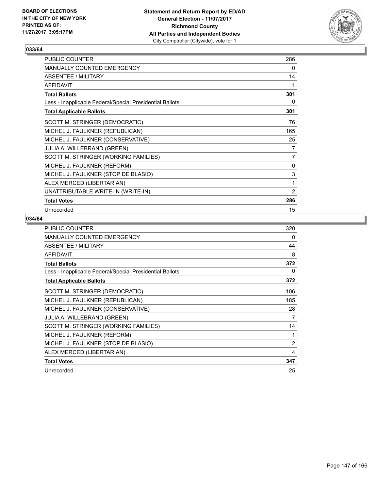

| PUBLIC COUNTER                                           | 286            |
|----------------------------------------------------------|----------------|
| <b>MANUALLY COUNTED EMERGENCY</b>                        | 0              |
| ABSENTEE / MILITARY                                      | 14             |
| <b>AFFIDAVIT</b>                                         | 1              |
| <b>Total Ballots</b>                                     | 301            |
| Less - Inapplicable Federal/Special Presidential Ballots | 0              |
| <b>Total Applicable Ballots</b>                          | 301            |
| SCOTT M. STRINGER (DEMOCRATIC)                           | 76             |
| MICHEL J. FAULKNER (REPUBLICAN)                          | 165            |
| MICHEL J. FAULKNER (CONSERVATIVE)                        | 25             |
| JULIA A. WILLEBRAND (GREEN)                              | 7              |
| SCOTT M. STRINGER (WORKING FAMILIES)                     | $\overline{7}$ |
| MICHEL J. FAULKNER (REFORM)                              | 0              |
| MICHEL J. FAULKNER (STOP DE BLASIO)                      | 3              |
| ALEX MERCED (LIBERTARIAN)                                | 1              |
| UNATTRIBUTABLE WRITE-IN (WRITE-IN)                       | $\overline{2}$ |
| <b>Total Votes</b>                                       | 286            |
| Unrecorded                                               | 15             |

| <b>PUBLIC COUNTER</b>                                    | 320            |
|----------------------------------------------------------|----------------|
| <b>MANUALLY COUNTED EMERGENCY</b>                        | 0              |
| ABSENTEE / MILITARY                                      | 44             |
| <b>AFFIDAVIT</b>                                         | 8              |
| <b>Total Ballots</b>                                     | 372            |
| Less - Inapplicable Federal/Special Presidential Ballots | 0              |
| <b>Total Applicable Ballots</b>                          | 372            |
| SCOTT M. STRINGER (DEMOCRATIC)                           | 106            |
| MICHEL J. FAULKNER (REPUBLICAN)                          | 185            |
| MICHEL J. FAULKNER (CONSERVATIVE)                        | 28             |
| <b>JULIA A. WILLEBRAND (GREEN)</b>                       | 7              |
| SCOTT M. STRINGER (WORKING FAMILIES)                     | 14             |
| MICHEL J. FAULKNER (REFORM)                              | 1              |
| MICHEL J. FAULKNER (STOP DE BLASIO)                      | $\overline{2}$ |
| ALEX MERCED (LIBERTARIAN)                                | 4              |
| <b>Total Votes</b>                                       | 347            |
| Unrecorded                                               | 25             |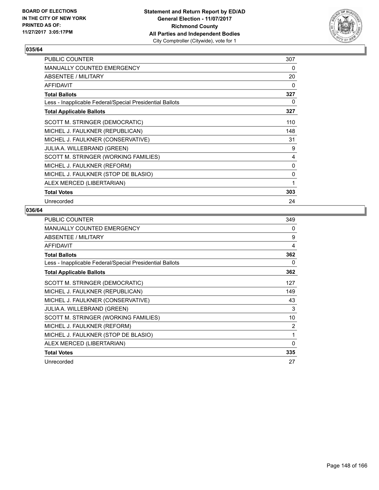

| <b>PUBLIC COUNTER</b>                                    | 307 |
|----------------------------------------------------------|-----|
| <b>MANUALLY COUNTED EMERGENCY</b>                        | 0   |
| ABSENTEE / MILITARY                                      | 20  |
| <b>AFFIDAVIT</b>                                         | 0   |
| <b>Total Ballots</b>                                     | 327 |
| Less - Inapplicable Federal/Special Presidential Ballots | 0   |
| <b>Total Applicable Ballots</b>                          | 327 |
| SCOTT M. STRINGER (DEMOCRATIC)                           | 110 |
| MICHEL J. FAULKNER (REPUBLICAN)                          | 148 |
| MICHEL J. FAULKNER (CONSERVATIVE)                        | 31  |
| <b>JULIA A. WILLEBRAND (GREEN)</b>                       | 9   |
| SCOTT M. STRINGER (WORKING FAMILIES)                     | 4   |
| MICHEL J. FAULKNER (REFORM)                              | 0   |
| MICHEL J. FAULKNER (STOP DE BLASIO)                      | 0   |
| ALEX MERCED (LIBERTARIAN)                                | 1   |
| <b>Total Votes</b>                                       | 303 |
| Unrecorded                                               | 24  |

| <b>PUBLIC COUNTER</b>                                    | 349 |
|----------------------------------------------------------|-----|
| <b>MANUALLY COUNTED EMERGENCY</b>                        | 0   |
| ABSENTEE / MILITARY                                      | 9   |
| <b>AFFIDAVIT</b>                                         | 4   |
| <b>Total Ballots</b>                                     | 362 |
| Less - Inapplicable Federal/Special Presidential Ballots | 0   |
| <b>Total Applicable Ballots</b>                          | 362 |
| SCOTT M. STRINGER (DEMOCRATIC)                           | 127 |
| MICHEL J. FAULKNER (REPUBLICAN)                          | 149 |
| MICHEL J. FAULKNER (CONSERVATIVE)                        | 43  |
| JULIA A. WILLEBRAND (GREEN)                              | 3   |
| SCOTT M. STRINGER (WORKING FAMILIES)                     | 10  |
| MICHEL J. FAULKNER (REFORM)                              | 2   |
| MICHEL J. FAULKNER (STOP DE BLASIO)                      | 1   |
| ALEX MERCED (LIBERTARIAN)                                | 0   |
| <b>Total Votes</b>                                       | 335 |
| Unrecorded                                               | 27  |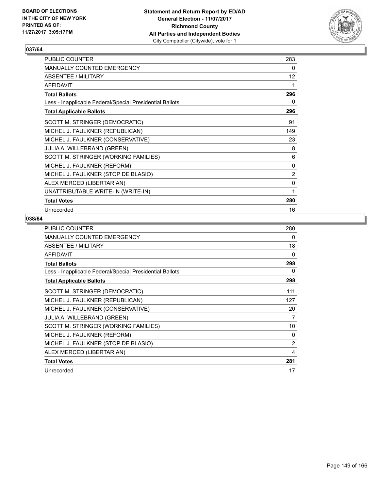

| PUBLIC COUNTER                                           | 283            |
|----------------------------------------------------------|----------------|
| <b>MANUALLY COUNTED EMERGENCY</b>                        | 0              |
| ABSENTEE / MILITARY                                      | 12             |
| <b>AFFIDAVIT</b>                                         | 1              |
| <b>Total Ballots</b>                                     | 296            |
| Less - Inapplicable Federal/Special Presidential Ballots | 0              |
| <b>Total Applicable Ballots</b>                          | 296            |
| SCOTT M. STRINGER (DEMOCRATIC)                           | 91             |
| MICHEL J. FAULKNER (REPUBLICAN)                          | 149            |
| MICHEL J. FAULKNER (CONSERVATIVE)                        | 23             |
| JULIA A. WILLEBRAND (GREEN)                              | 8              |
| SCOTT M. STRINGER (WORKING FAMILIES)                     | 6              |
| MICHEL J. FAULKNER (REFORM)                              | 0              |
| MICHEL J. FAULKNER (STOP DE BLASIO)                      | $\overline{2}$ |
| ALEX MERCED (LIBERTARIAN)                                | 0              |
| UNATTRIBUTABLE WRITE-IN (WRITE-IN)                       | 1              |
| <b>Total Votes</b>                                       | 280            |
| Unrecorded                                               | 16             |

| <b>PUBLIC COUNTER</b>                                    | 280 |
|----------------------------------------------------------|-----|
| <b>MANUALLY COUNTED EMERGENCY</b>                        | 0   |
| ABSENTEE / MILITARY                                      | 18  |
| <b>AFFIDAVIT</b>                                         | 0   |
| <b>Total Ballots</b>                                     | 298 |
| Less - Inapplicable Federal/Special Presidential Ballots | 0   |
| <b>Total Applicable Ballots</b>                          | 298 |
| SCOTT M. STRINGER (DEMOCRATIC)                           | 111 |
| MICHEL J. FAULKNER (REPUBLICAN)                          | 127 |
| MICHEL J. FAULKNER (CONSERVATIVE)                        | 20  |
| <b>JULIA A. WILLEBRAND (GREEN)</b>                       | 7   |
| SCOTT M. STRINGER (WORKING FAMILIES)                     | 10  |
| MICHEL J. FAULKNER (REFORM)                              | 0   |
| MICHEL J. FAULKNER (STOP DE BLASIO)                      | 2   |
| ALEX MERCED (LIBERTARIAN)                                | 4   |
| <b>Total Votes</b>                                       | 281 |
| Unrecorded                                               | 17  |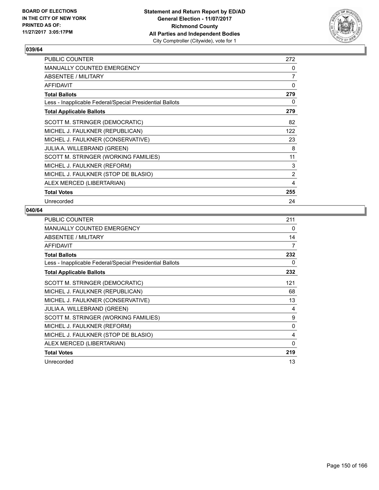

| <b>PUBLIC COUNTER</b>                                    | 272            |
|----------------------------------------------------------|----------------|
| <b>MANUALLY COUNTED EMERGENCY</b>                        | 0              |
| ABSENTEE / MILITARY                                      | $\overline{7}$ |
| <b>AFFIDAVIT</b>                                         | 0              |
| <b>Total Ballots</b>                                     | 279            |
| Less - Inapplicable Federal/Special Presidential Ballots | 0              |
| <b>Total Applicable Ballots</b>                          | 279            |
| SCOTT M. STRINGER (DEMOCRATIC)                           | 82             |
| MICHEL J. FAULKNER (REPUBLICAN)                          | 122            |
| MICHEL J. FAULKNER (CONSERVATIVE)                        | 23             |
| <b>JULIA A. WILLEBRAND (GREEN)</b>                       | 8              |
| SCOTT M. STRINGER (WORKING FAMILIES)                     | 11             |
| MICHEL J. FAULKNER (REFORM)                              | 3              |
| MICHEL J. FAULKNER (STOP DE BLASIO)                      | 2              |
| ALEX MERCED (LIBERTARIAN)                                | 4              |
| <b>Total Votes</b>                                       | 255            |
| Unrecorded                                               | 24             |

| <b>PUBLIC COUNTER</b>                                    | 211 |
|----------------------------------------------------------|-----|
| <b>MANUALLY COUNTED EMERGENCY</b>                        | 0   |
| ABSENTEE / MILITARY                                      | 14  |
| <b>AFFIDAVIT</b>                                         | 7   |
| <b>Total Ballots</b>                                     | 232 |
| Less - Inapplicable Federal/Special Presidential Ballots | 0   |
| <b>Total Applicable Ballots</b>                          | 232 |
| SCOTT M. STRINGER (DEMOCRATIC)                           | 121 |
| MICHEL J. FAULKNER (REPUBLICAN)                          | 68  |
| MICHEL J. FAULKNER (CONSERVATIVE)                        | 13  |
| <b>JULIA A. WILLEBRAND (GREEN)</b>                       | 4   |
| SCOTT M. STRINGER (WORKING FAMILIES)                     | 9   |
| MICHEL J. FAULKNER (REFORM)                              | 0   |
| MICHEL J. FAULKNER (STOP DE BLASIO)                      | 4   |
| ALEX MERCED (LIBERTARIAN)                                | 0   |
| <b>Total Votes</b>                                       | 219 |
| Unrecorded                                               | 13  |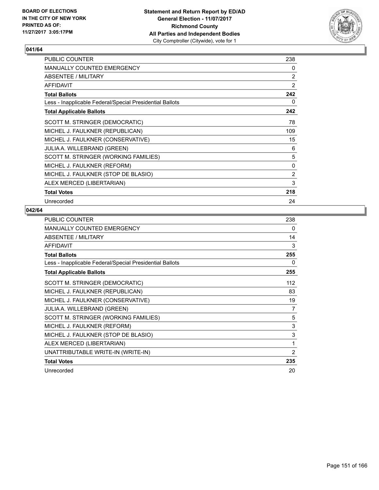

| <b>PUBLIC COUNTER</b>                                    | 238            |
|----------------------------------------------------------|----------------|
| <b>MANUALLY COUNTED EMERGENCY</b>                        | 0              |
| ABSENTEE / MILITARY                                      | 2              |
| <b>AFFIDAVIT</b>                                         | $\overline{2}$ |
| <b>Total Ballots</b>                                     | 242            |
| Less - Inapplicable Federal/Special Presidential Ballots | 0              |
| <b>Total Applicable Ballots</b>                          | 242            |
| SCOTT M. STRINGER (DEMOCRATIC)                           | 78             |
| MICHEL J. FAULKNER (REPUBLICAN)                          | 109            |
| MICHEL J. FAULKNER (CONSERVATIVE)                        | 15             |
| <b>JULIA A. WILLEBRAND (GREEN)</b>                       | 6              |
| SCOTT M. STRINGER (WORKING FAMILIES)                     | 5              |
| MICHEL J. FAULKNER (REFORM)                              | 0              |
| MICHEL J. FAULKNER (STOP DE BLASIO)                      | 2              |
| ALEX MERCED (LIBERTARIAN)                                | 3              |
| <b>Total Votes</b>                                       | 218            |
| Unrecorded                                               | 24             |

| PUBLIC COUNTER                                           | 238 |
|----------------------------------------------------------|-----|
| <b>MANUALLY COUNTED EMERGENCY</b>                        | 0   |
| <b>ABSENTEE / MILITARY</b>                               | 14  |
| <b>AFFIDAVIT</b>                                         | 3   |
| <b>Total Ballots</b>                                     | 255 |
| Less - Inapplicable Federal/Special Presidential Ballots | 0   |
| <b>Total Applicable Ballots</b>                          | 255 |
| SCOTT M. STRINGER (DEMOCRATIC)                           | 112 |
| MICHEL J. FAULKNER (REPUBLICAN)                          | 83  |
| MICHEL J. FAULKNER (CONSERVATIVE)                        | 19  |
| JULIA A. WILLEBRAND (GREEN)                              | 7   |
| SCOTT M. STRINGER (WORKING FAMILIES)                     | 5   |
| MICHEL J. FAULKNER (REFORM)                              | 3   |
| MICHEL J. FAULKNER (STOP DE BLASIO)                      | 3   |
| ALEX MERCED (LIBERTARIAN)                                | 1   |
| UNATTRIBUTABLE WRITE-IN (WRITE-IN)                       | 2   |
| <b>Total Votes</b>                                       | 235 |
| Unrecorded                                               | 20  |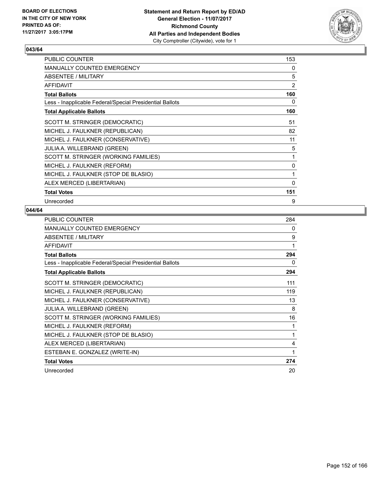

| PUBLIC COUNTER                                           | 153 |
|----------------------------------------------------------|-----|
| <b>MANUALLY COUNTED EMERGENCY</b>                        | 0   |
| <b>ABSENTEE / MILITARY</b>                               | 5   |
| <b>AFFIDAVIT</b>                                         | 2   |
| <b>Total Ballots</b>                                     | 160 |
| Less - Inapplicable Federal/Special Presidential Ballots | 0   |
| <b>Total Applicable Ballots</b>                          | 160 |
| SCOTT M. STRINGER (DEMOCRATIC)                           | 51  |
| MICHEL J. FAULKNER (REPUBLICAN)                          | 82  |
| MICHEL J. FAULKNER (CONSERVATIVE)                        | 11  |
| <b>JULIA A. WILLEBRAND (GREEN)</b>                       | 5   |
| SCOTT M. STRINGER (WORKING FAMILIES)                     | 1   |
| MICHEL J. FAULKNER (REFORM)                              | 0   |
| MICHEL J. FAULKNER (STOP DE BLASIO)                      | 1   |
| ALEX MERCED (LIBERTARIAN)                                | 0   |
| <b>Total Votes</b>                                       | 151 |
| Unrecorded                                               | 9   |

| PUBLIC COUNTER                                           | 284 |
|----------------------------------------------------------|-----|
| MANUALLY COUNTED EMERGENCY                               | 0   |
| <b>ABSENTEE / MILITARY</b>                               | 9   |
| <b>AFFIDAVIT</b>                                         | 1   |
| <b>Total Ballots</b>                                     | 294 |
| Less - Inapplicable Federal/Special Presidential Ballots | 0   |
| <b>Total Applicable Ballots</b>                          | 294 |
| SCOTT M. STRINGER (DEMOCRATIC)                           | 111 |
| MICHEL J. FAULKNER (REPUBLICAN)                          | 119 |
| MICHEL J. FAULKNER (CONSERVATIVE)                        | 13  |
| <b>JULIA A. WILLEBRAND (GREEN)</b>                       | 8   |
| SCOTT M. STRINGER (WORKING FAMILIES)                     | 16  |
| MICHEL J. FAULKNER (REFORM)                              | 1   |
| MICHEL J. FAULKNER (STOP DE BLASIO)                      | 1   |
| ALEX MERCED (LIBERTARIAN)                                | 4   |
| ESTEBAN E. GONZALEZ (WRITE-IN)                           | 1   |
| <b>Total Votes</b>                                       | 274 |
| Unrecorded                                               | 20  |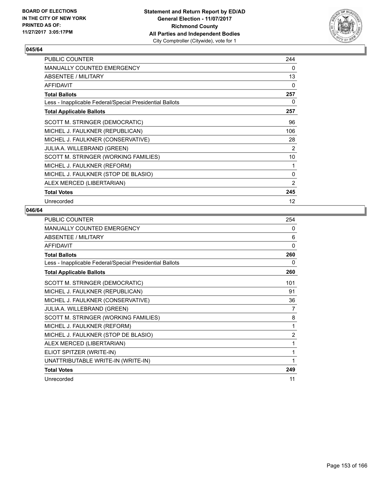

| PUBLIC COUNTER                                           | 244               |
|----------------------------------------------------------|-------------------|
| <b>MANUALLY COUNTED EMERGENCY</b>                        | 0                 |
| <b>ABSENTEE / MILITARY</b>                               | 13                |
| <b>AFFIDAVIT</b>                                         | 0                 |
| <b>Total Ballots</b>                                     | 257               |
| Less - Inapplicable Federal/Special Presidential Ballots | 0                 |
| <b>Total Applicable Ballots</b>                          | 257               |
| SCOTT M. STRINGER (DEMOCRATIC)                           | 96                |
| MICHEL J. FAULKNER (REPUBLICAN)                          | 106               |
| MICHEL J. FAULKNER (CONSERVATIVE)                        | 28                |
| <b>JULIA A. WILLEBRAND (GREEN)</b>                       | 2                 |
| SCOTT M. STRINGER (WORKING FAMILIES)                     | 10                |
| MICHEL J. FAULKNER (REFORM)                              | 1                 |
| MICHEL J. FAULKNER (STOP DE BLASIO)                      | 0                 |
| ALEX MERCED (LIBERTARIAN)                                | 2                 |
| <b>Total Votes</b>                                       | 245               |
| Unrecorded                                               | $12 \overline{ }$ |

| <b>PUBLIC COUNTER</b>                                    | 254            |
|----------------------------------------------------------|----------------|
| MANUALLY COUNTED EMERGENCY                               | 0              |
| ABSENTEE / MILITARY                                      | 6              |
| <b>AFFIDAVIT</b>                                         | $\mathbf{0}$   |
| <b>Total Ballots</b>                                     | 260            |
| Less - Inapplicable Federal/Special Presidential Ballots | 0              |
| <b>Total Applicable Ballots</b>                          | 260            |
| SCOTT M. STRINGER (DEMOCRATIC)                           | 101            |
| MICHEL J. FAULKNER (REPUBLICAN)                          | 91             |
| MICHEL J. FAULKNER (CONSERVATIVE)                        | 36             |
| JULIA A. WILLEBRAND (GREEN)                              | $\overline{7}$ |
| SCOTT M. STRINGER (WORKING FAMILIES)                     | 8              |
| MICHEL J. FAULKNER (REFORM)                              | 1              |
| MICHEL J. FAULKNER (STOP DE BLASIO)                      | 2              |
| ALEX MERCED (LIBERTARIAN)                                | 1              |
| ELIOT SPITZER (WRITE-IN)                                 | 1              |
| UNATTRIBUTABLE WRITE-IN (WRITE-IN)                       | 1              |
| <b>Total Votes</b>                                       | 249            |
| Unrecorded                                               | 11             |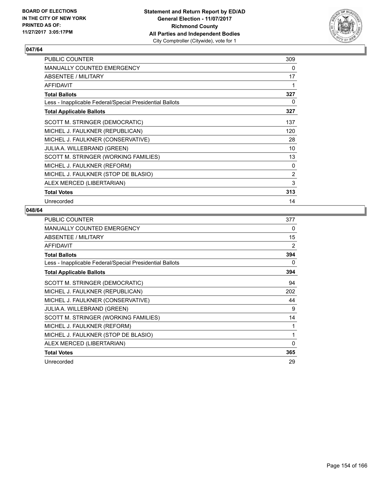

| PUBLIC COUNTER                                           | 309 |
|----------------------------------------------------------|-----|
| <b>MANUALLY COUNTED EMERGENCY</b>                        | 0   |
| <b>ABSENTEE / MILITARY</b>                               | 17  |
| <b>AFFIDAVIT</b>                                         | 1   |
| <b>Total Ballots</b>                                     | 327 |
| Less - Inapplicable Federal/Special Presidential Ballots | 0   |
| <b>Total Applicable Ballots</b>                          | 327 |
| SCOTT M. STRINGER (DEMOCRATIC)                           | 137 |
| MICHEL J. FAULKNER (REPUBLICAN)                          | 120 |
| MICHEL J. FAULKNER (CONSERVATIVE)                        | 28  |
| <b>JULIA A. WILLEBRAND (GREEN)</b>                       | 10  |
| SCOTT M. STRINGER (WORKING FAMILIES)                     | 13  |
| MICHEL J. FAULKNER (REFORM)                              | 0   |
| MICHEL J. FAULKNER (STOP DE BLASIO)                      | 2   |
| ALEX MERCED (LIBERTARIAN)                                | 3   |
| <b>Total Votes</b>                                       | 313 |
| Unrecorded                                               | 14  |

| <b>PUBLIC COUNTER</b>                                    | 377 |
|----------------------------------------------------------|-----|
| <b>MANUALLY COUNTED EMERGENCY</b>                        | 0   |
| ABSENTEE / MILITARY                                      | 15  |
| <b>AFFIDAVIT</b>                                         | 2   |
| <b>Total Ballots</b>                                     | 394 |
| Less - Inapplicable Federal/Special Presidential Ballots | 0   |
| <b>Total Applicable Ballots</b>                          | 394 |
| SCOTT M. STRINGER (DEMOCRATIC)                           | 94  |
| MICHEL J. FAULKNER (REPUBLICAN)                          | 202 |
| MICHEL J. FAULKNER (CONSERVATIVE)                        | 44  |
| JULIA A. WILLEBRAND (GREEN)                              | 9   |
| SCOTT M. STRINGER (WORKING FAMILIES)                     | 14  |
| MICHEL J. FAULKNER (REFORM)                              | 1   |
| MICHEL J. FAULKNER (STOP DE BLASIO)                      | 1   |
| ALEX MERCED (LIBERTARIAN)                                | 0   |
| <b>Total Votes</b>                                       | 365 |
| Unrecorded                                               | 29  |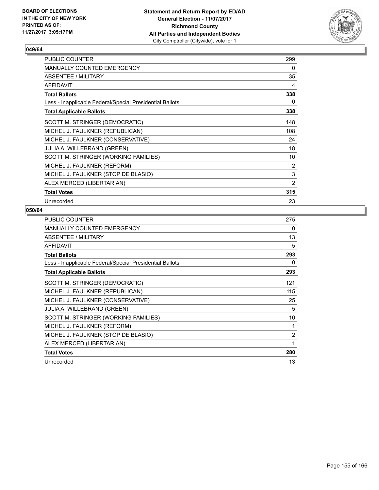

| <b>PUBLIC COUNTER</b>                                    | 299 |
|----------------------------------------------------------|-----|
| <b>MANUALLY COUNTED EMERGENCY</b>                        | 0   |
| ABSENTEE / MILITARY                                      | 35  |
| <b>AFFIDAVIT</b>                                         | 4   |
| <b>Total Ballots</b>                                     | 338 |
| Less - Inapplicable Federal/Special Presidential Ballots | 0   |
| <b>Total Applicable Ballots</b>                          | 338 |
| SCOTT M. STRINGER (DEMOCRATIC)                           | 148 |
| MICHEL J. FAULKNER (REPUBLICAN)                          | 108 |
| MICHEL J. FAULKNER (CONSERVATIVE)                        | 24  |
| <b>JULIA A. WILLEBRAND (GREEN)</b>                       | 18  |
| SCOTT M. STRINGER (WORKING FAMILIES)                     | 10  |
| MICHEL J. FAULKNER (REFORM)                              | 2   |
| MICHEL J. FAULKNER (STOP DE BLASIO)                      | 3   |
| ALEX MERCED (LIBERTARIAN)                                | 2   |
| <b>Total Votes</b>                                       | 315 |
| Unrecorded                                               | 23  |

| <b>PUBLIC COUNTER</b>                                    | 275 |
|----------------------------------------------------------|-----|
| <b>MANUALLY COUNTED EMERGENCY</b>                        | 0   |
| ABSENTEE / MILITARY                                      | 13  |
| AFFIDAVIT                                                | 5   |
| <b>Total Ballots</b>                                     | 293 |
| Less - Inapplicable Federal/Special Presidential Ballots | 0   |
| <b>Total Applicable Ballots</b>                          | 293 |
| SCOTT M. STRINGER (DEMOCRATIC)                           | 121 |
| MICHEL J. FAULKNER (REPUBLICAN)                          | 115 |
| MICHEL J. FAULKNER (CONSERVATIVE)                        | 25  |
| <b>JULIA A. WILLEBRAND (GREEN)</b>                       | 5   |
| SCOTT M. STRINGER (WORKING FAMILIES)                     | 10  |
| MICHEL J. FAULKNER (REFORM)                              | 1   |
| MICHEL J. FAULKNER (STOP DE BLASIO)                      | 2   |
| ALEX MERCED (LIBERTARIAN)                                | 1   |
| <b>Total Votes</b>                                       | 280 |
| Unrecorded                                               | 13  |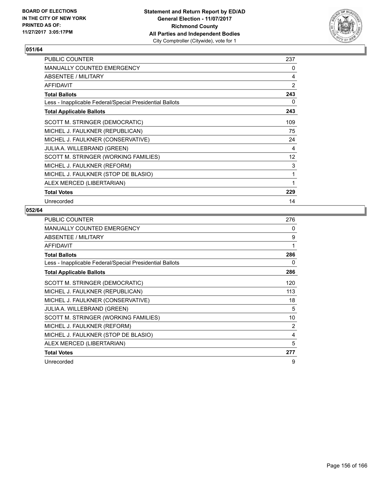

| <b>PUBLIC COUNTER</b>                                    | 237 |
|----------------------------------------------------------|-----|
| <b>MANUALLY COUNTED EMERGENCY</b>                        | 0   |
| ABSENTEE / MILITARY                                      | 4   |
| <b>AFFIDAVIT</b>                                         | 2   |
| <b>Total Ballots</b>                                     | 243 |
| Less - Inapplicable Federal/Special Presidential Ballots | 0   |
| <b>Total Applicable Ballots</b>                          | 243 |
| SCOTT M. STRINGER (DEMOCRATIC)                           | 109 |
| MICHEL J. FAULKNER (REPUBLICAN)                          | 75  |
| MICHEL J. FAULKNER (CONSERVATIVE)                        | 24  |
| <b>JULIA A. WILLEBRAND (GREEN)</b>                       | 4   |
| SCOTT M. STRINGER (WORKING FAMILIES)                     | 12  |
| MICHEL J. FAULKNER (REFORM)                              | 3   |
| MICHEL J. FAULKNER (STOP DE BLASIO)                      | 1   |
| ALEX MERCED (LIBERTARIAN)                                | 1   |
| <b>Total Votes</b>                                       | 229 |
| Unrecorded                                               | 14  |

| <b>PUBLIC COUNTER</b>                                    | 276 |
|----------------------------------------------------------|-----|
| <b>MANUALLY COUNTED EMERGENCY</b>                        | 0   |
| ABSENTEE / MILITARY                                      | 9   |
| <b>AFFIDAVIT</b>                                         | 1   |
| <b>Total Ballots</b>                                     | 286 |
| Less - Inapplicable Federal/Special Presidential Ballots | 0   |
| <b>Total Applicable Ballots</b>                          | 286 |
| SCOTT M. STRINGER (DEMOCRATIC)                           | 120 |
| MICHEL J. FAULKNER (REPUBLICAN)                          | 113 |
| MICHEL J. FAULKNER (CONSERVATIVE)                        | 18  |
| <b>JULIA A. WILLEBRAND (GREEN)</b>                       | 5   |
| SCOTT M. STRINGER (WORKING FAMILIES)                     | 10  |
| MICHEL J. FAULKNER (REFORM)                              | 2   |
| MICHEL J. FAULKNER (STOP DE BLASIO)                      | 4   |
| ALEX MERCED (LIBERTARIAN)                                | 5   |
| <b>Total Votes</b>                                       | 277 |
| Unrecorded                                               | 9   |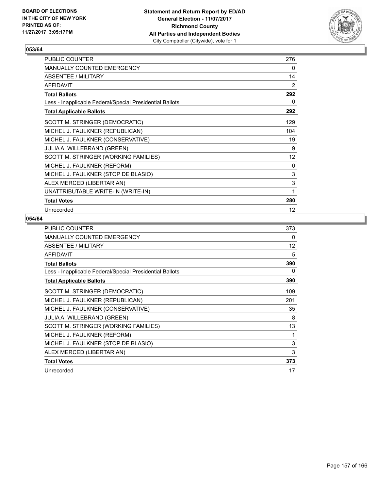

| PUBLIC COUNTER                                           | 276 |
|----------------------------------------------------------|-----|
| MANUALLY COUNTED EMERGENCY                               | 0   |
| ABSENTEE / MILITARY                                      | 14  |
| <b>AFFIDAVIT</b>                                         | 2   |
| <b>Total Ballots</b>                                     | 292 |
| Less - Inapplicable Federal/Special Presidential Ballots | 0   |
| <b>Total Applicable Ballots</b>                          | 292 |
| SCOTT M. STRINGER (DEMOCRATIC)                           | 129 |
| MICHEL J. FAULKNER (REPUBLICAN)                          | 104 |
| MICHEL J. FAULKNER (CONSERVATIVE)                        | 19  |
| JULIA A. WILLEBRAND (GREEN)                              | 9   |
| SCOTT M. STRINGER (WORKING FAMILIES)                     | 12  |
| MICHEL J. FAULKNER (REFORM)                              | 0   |
| MICHEL J. FAULKNER (STOP DE BLASIO)                      | 3   |
| ALEX MERCED (LIBERTARIAN)                                | 3   |
| UNATTRIBUTABLE WRITE-IN (WRITE-IN)                       | 1   |
| <b>Total Votes</b>                                       | 280 |
| Unrecorded                                               | 12  |

| <b>PUBLIC COUNTER</b>                                    | 373 |
|----------------------------------------------------------|-----|
| <b>MANUALLY COUNTED EMERGENCY</b>                        | 0   |
| ABSENTEE / MILITARY                                      | 12  |
| <b>AFFIDAVIT</b>                                         | 5   |
| <b>Total Ballots</b>                                     | 390 |
| Less - Inapplicable Federal/Special Presidential Ballots | 0   |
| <b>Total Applicable Ballots</b>                          | 390 |
| SCOTT M. STRINGER (DEMOCRATIC)                           | 109 |
| MICHEL J. FAULKNER (REPUBLICAN)                          | 201 |
| MICHEL J. FAULKNER (CONSERVATIVE)                        | 35  |
| <b>JULIA A. WILLEBRAND (GREEN)</b>                       | 8   |
| SCOTT M. STRINGER (WORKING FAMILIES)                     | 13  |
| MICHEL J. FAULKNER (REFORM)                              | 1   |
| MICHEL J. FAULKNER (STOP DE BLASIO)                      | 3   |
| ALEX MERCED (LIBERTARIAN)                                | 3   |
| <b>Total Votes</b>                                       | 373 |
| Unrecorded                                               | 17  |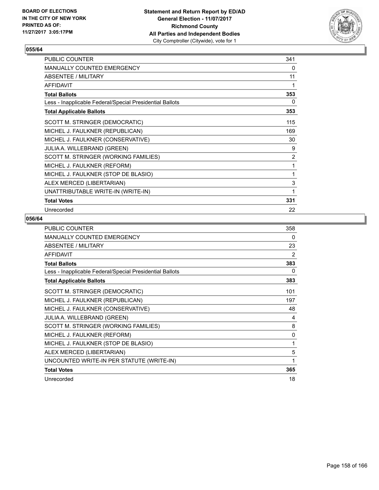

| PUBLIC COUNTER                                           | 341            |
|----------------------------------------------------------|----------------|
| MANUALLY COUNTED EMERGENCY                               | 0              |
| ABSENTEE / MILITARY                                      | 11             |
| <b>AFFIDAVIT</b>                                         | 1              |
| <b>Total Ballots</b>                                     | 353            |
| Less - Inapplicable Federal/Special Presidential Ballots | 0              |
| <b>Total Applicable Ballots</b>                          | 353            |
| SCOTT M. STRINGER (DEMOCRATIC)                           | 115            |
| MICHEL J. FAULKNER (REPUBLICAN)                          | 169            |
| MICHEL J. FAULKNER (CONSERVATIVE)                        | 30             |
| JULIA A. WILLEBRAND (GREEN)                              | 9              |
| SCOTT M. STRINGER (WORKING FAMILIES)                     | $\overline{2}$ |
| MICHEL J. FAULKNER (REFORM)                              | 1              |
| MICHEL J. FAULKNER (STOP DE BLASIO)                      | 1              |
| ALEX MERCED (LIBERTARIAN)                                | 3              |
| UNATTRIBUTABLE WRITE-IN (WRITE-IN)                       | 1              |
| <b>Total Votes</b>                                       | 331            |
| Unrecorded                                               | 22             |

| PUBLIC COUNTER                                           | 358          |
|----------------------------------------------------------|--------------|
| MANUALLY COUNTED EMERGENCY                               | 0            |
| <b>ABSENTEE / MILITARY</b>                               | 23           |
| <b>AFFIDAVIT</b>                                         | 2            |
| <b>Total Ballots</b>                                     | 383          |
| Less - Inapplicable Federal/Special Presidential Ballots | 0            |
| <b>Total Applicable Ballots</b>                          | 383          |
| SCOTT M. STRINGER (DEMOCRATIC)                           | 101          |
| MICHEL J. FAULKNER (REPUBLICAN)                          | 197          |
| MICHEL J. FAULKNER (CONSERVATIVE)                        | 48           |
| <b>JULIA A. WILLEBRAND (GREEN)</b>                       | 4            |
| SCOTT M. STRINGER (WORKING FAMILIES)                     | 8            |
| MICHEL J. FAULKNER (REFORM)                              | 0            |
| MICHEL J. FAULKNER (STOP DE BLASIO)                      | 1            |
| ALEX MERCED (LIBERTARIAN)                                | 5            |
| UNCOUNTED WRITE-IN PER STATUTE (WRITE-IN)                | $\mathbf{1}$ |
| <b>Total Votes</b>                                       | 365          |
| Unrecorded                                               | 18           |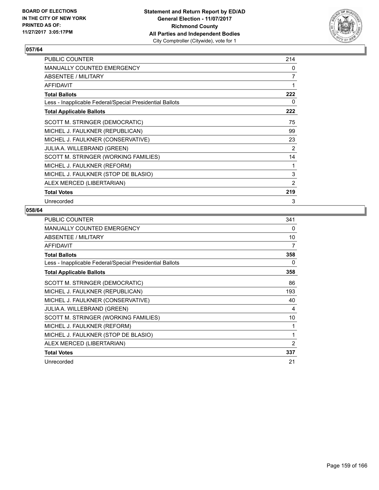

| PUBLIC COUNTER                                           | 214            |
|----------------------------------------------------------|----------------|
| <b>MANUALLY COUNTED EMERGENCY</b>                        | 0              |
| <b>ABSENTEE / MILITARY</b>                               | $\overline{7}$ |
| <b>AFFIDAVIT</b>                                         | 1              |
| <b>Total Ballots</b>                                     | 222            |
| Less - Inapplicable Federal/Special Presidential Ballots | 0              |
| <b>Total Applicable Ballots</b>                          | 222            |
| SCOTT M. STRINGER (DEMOCRATIC)                           | 75             |
| MICHEL J. FAULKNER (REPUBLICAN)                          | 99             |
| MICHEL J. FAULKNER (CONSERVATIVE)                        | 23             |
| <b>JULIA A. WILLEBRAND (GREEN)</b>                       | 2              |
| SCOTT M. STRINGER (WORKING FAMILIES)                     | 14             |
| MICHEL J. FAULKNER (REFORM)                              | 1              |
| MICHEL J. FAULKNER (STOP DE BLASIO)                      | 3              |
| ALEX MERCED (LIBERTARIAN)                                | $\overline{2}$ |
| <b>Total Votes</b>                                       | 219            |
| Unrecorded                                               | 3              |

| <b>PUBLIC COUNTER</b>                                    | 341 |
|----------------------------------------------------------|-----|
| <b>MANUALLY COUNTED EMERGENCY</b>                        | 0   |
| ABSENTEE / MILITARY                                      | 10  |
| <b>AFFIDAVIT</b>                                         | 7   |
| <b>Total Ballots</b>                                     | 358 |
| Less - Inapplicable Federal/Special Presidential Ballots | 0   |
| <b>Total Applicable Ballots</b>                          | 358 |
| SCOTT M. STRINGER (DEMOCRATIC)                           | 86  |
| MICHEL J. FAULKNER (REPUBLICAN)                          | 193 |
| MICHEL J. FAULKNER (CONSERVATIVE)                        | 40  |
| <b>JULIA A. WILLEBRAND (GREEN)</b>                       | 4   |
| SCOTT M. STRINGER (WORKING FAMILIES)                     | 10  |
| MICHEL J. FAULKNER (REFORM)                              | 1   |
| MICHEL J. FAULKNER (STOP DE BLASIO)                      | 1   |
| ALEX MERCED (LIBERTARIAN)                                | 2   |
| <b>Total Votes</b>                                       | 337 |
| Unrecorded                                               | 21  |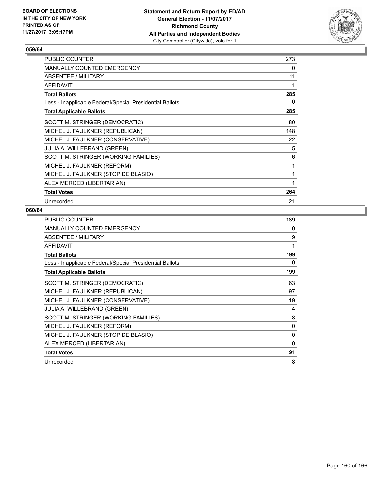

| <b>PUBLIC COUNTER</b>                                    | 273 |
|----------------------------------------------------------|-----|
| <b>MANUALLY COUNTED EMERGENCY</b>                        | 0   |
| ABSENTEE / MILITARY                                      | 11  |
| <b>AFFIDAVIT</b>                                         | 1   |
| <b>Total Ballots</b>                                     | 285 |
| Less - Inapplicable Federal/Special Presidential Ballots | 0   |
| <b>Total Applicable Ballots</b>                          | 285 |
| SCOTT M. STRINGER (DEMOCRATIC)                           | 80  |
| MICHEL J. FAULKNER (REPUBLICAN)                          | 148 |
| MICHEL J. FAULKNER (CONSERVATIVE)                        | 22  |
| <b>JULIA A. WILLEBRAND (GREEN)</b>                       | 5   |
| SCOTT M. STRINGER (WORKING FAMILIES)                     | 6   |
| MICHEL J. FAULKNER (REFORM)                              | 1   |
| MICHEL J. FAULKNER (STOP DE BLASIO)                      | 1   |
| ALEX MERCED (LIBERTARIAN)                                | 1   |
| <b>Total Votes</b>                                       | 264 |
| Unrecorded                                               | 21  |

| <b>PUBLIC COUNTER</b>                                    | 189      |
|----------------------------------------------------------|----------|
| <b>MANUALLY COUNTED EMERGENCY</b>                        | 0        |
| ABSENTEE / MILITARY                                      | 9        |
| <b>AFFIDAVIT</b>                                         | 1        |
| <b>Total Ballots</b>                                     | 199      |
| Less - Inapplicable Federal/Special Presidential Ballots | 0        |
| <b>Total Applicable Ballots</b>                          | 199      |
| SCOTT M. STRINGER (DEMOCRATIC)                           | 63       |
| MICHEL J. FAULKNER (REPUBLICAN)                          | 97       |
| MICHEL J. FAULKNER (CONSERVATIVE)                        | 19       |
| <b>JULIA A. WILLEBRAND (GREEN)</b>                       | 4        |
| SCOTT M. STRINGER (WORKING FAMILIES)                     | 8        |
| MICHEL J. FAULKNER (REFORM)                              | 0        |
| MICHEL J. FAULKNER (STOP DE BLASIO)                      | $\Omega$ |
| ALEX MERCED (LIBERTARIAN)                                | 0        |
| <b>Total Votes</b>                                       | 191      |
| Unrecorded                                               | 8        |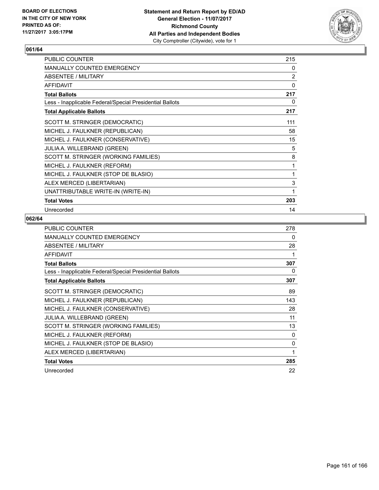

| PUBLIC COUNTER                                           | 215            |
|----------------------------------------------------------|----------------|
| <b>MANUALLY COUNTED EMERGENCY</b>                        | 0              |
| ABSENTEE / MILITARY                                      | $\overline{2}$ |
| <b>AFFIDAVIT</b>                                         | 0              |
| <b>Total Ballots</b>                                     | 217            |
| Less - Inapplicable Federal/Special Presidential Ballots | 0              |
| <b>Total Applicable Ballots</b>                          | 217            |
| SCOTT M. STRINGER (DEMOCRATIC)                           | 111            |
| MICHEL J. FAULKNER (REPUBLICAN)                          | 58             |
| MICHEL J. FAULKNER (CONSERVATIVE)                        | 15             |
| JULIA A. WILLEBRAND (GREEN)                              | 5              |
| SCOTT M. STRINGER (WORKING FAMILIES)                     | 8              |
| MICHEL J. FAULKNER (REFORM)                              | 1              |
| MICHEL J. FAULKNER (STOP DE BLASIO)                      | 1              |
| ALEX MERCED (LIBERTARIAN)                                | 3              |
| UNATTRIBUTABLE WRITE-IN (WRITE-IN)                       | 1              |
| <b>Total Votes</b>                                       | 203            |
| Unrecorded                                               | 14             |

| <b>PUBLIC COUNTER</b>                                    | 278      |
|----------------------------------------------------------|----------|
| <b>MANUALLY COUNTED EMERGENCY</b>                        | 0        |
| ABSENTEE / MILITARY                                      | 28       |
| <b>AFFIDAVIT</b>                                         | 1        |
| <b>Total Ballots</b>                                     | 307      |
| Less - Inapplicable Federal/Special Presidential Ballots | 0        |
| <b>Total Applicable Ballots</b>                          | 307      |
| SCOTT M. STRINGER (DEMOCRATIC)                           | 89       |
| MICHEL J. FAULKNER (REPUBLICAN)                          | 143      |
| MICHEL J. FAULKNER (CONSERVATIVE)                        | 28       |
| <b>JULIA A. WILLEBRAND (GREEN)</b>                       | 11       |
| SCOTT M. STRINGER (WORKING FAMILIES)                     | 13       |
| MICHEL J. FAULKNER (REFORM)                              | 0        |
| MICHEL J. FAULKNER (STOP DE BLASIO)                      | $\Omega$ |
| ALEX MERCED (LIBERTARIAN)                                | 1        |
| <b>Total Votes</b>                                       | 285      |
| Unrecorded                                               | 22       |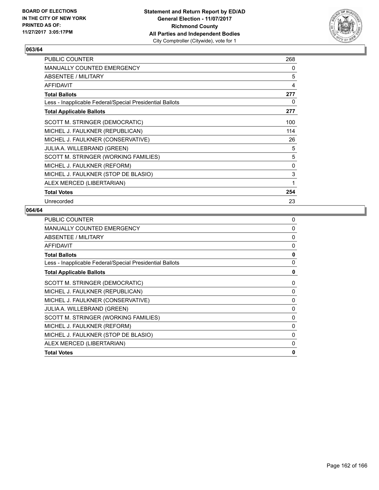

| <b>PUBLIC COUNTER</b>                                    | 268 |
|----------------------------------------------------------|-----|
| <b>MANUALLY COUNTED EMERGENCY</b>                        | 0   |
| ABSENTEE / MILITARY                                      | 5   |
| <b>AFFIDAVIT</b>                                         | 4   |
| <b>Total Ballots</b>                                     | 277 |
| Less - Inapplicable Federal/Special Presidential Ballots | 0   |
| <b>Total Applicable Ballots</b>                          | 277 |
| SCOTT M. STRINGER (DEMOCRATIC)                           | 100 |
| MICHEL J. FAULKNER (REPUBLICAN)                          | 114 |
| MICHEL J. FAULKNER (CONSERVATIVE)                        | 26  |
| <b>JULIA A. WILLEBRAND (GREEN)</b>                       | 5   |
| SCOTT M. STRINGER (WORKING FAMILIES)                     | 5   |
| MICHEL J. FAULKNER (REFORM)                              | 0   |
| MICHEL J. FAULKNER (STOP DE BLASIO)                      | 3   |
| ALEX MERCED (LIBERTARIAN)                                | 1   |
| <b>Total Votes</b>                                       | 254 |
| Unrecorded                                               | 23  |

| PUBLIC COUNTER                                           | 0 |
|----------------------------------------------------------|---|
| MANUALLY COUNTED EMERGENCY                               | 0 |
| ABSENTEE / MILITARY                                      | 0 |
| <b>AFFIDAVIT</b>                                         | 0 |
| <b>Total Ballots</b>                                     | 0 |
| Less - Inapplicable Federal/Special Presidential Ballots | 0 |
| <b>Total Applicable Ballots</b>                          | 0 |
| SCOTT M. STRINGER (DEMOCRATIC)                           | 0 |
| MICHEL J. FAULKNER (REPUBLICAN)                          | 0 |
| MICHEL J. FAULKNER (CONSERVATIVE)                        | 0 |
| <b>JULIA A. WILLEBRAND (GREEN)</b>                       | 0 |
| SCOTT M. STRINGER (WORKING FAMILIES)                     | 0 |
| MICHEL J. FAULKNER (REFORM)                              | 0 |
| MICHEL J. FAULKNER (STOP DE BLASIO)                      | 0 |
| ALEX MERCED (LIBERTARIAN)                                | 0 |
| <b>Total Votes</b>                                       | 0 |
|                                                          |   |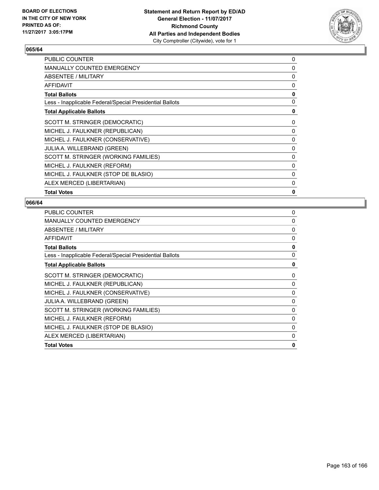

| <b>PUBLIC COUNTER</b>                                    | 0            |
|----------------------------------------------------------|--------------|
| <b>MANUALLY COUNTED EMERGENCY</b>                        | $\Omega$     |
| ABSENTEE / MILITARY                                      | 0            |
| <b>AFFIDAVIT</b>                                         | 0            |
| <b>Total Ballots</b>                                     | 0            |
| Less - Inapplicable Federal/Special Presidential Ballots | 0            |
| <b>Total Applicable Ballots</b>                          | 0            |
| SCOTT M. STRINGER (DEMOCRATIC)                           | 0            |
| MICHEL J. FAULKNER (REPUBLICAN)                          | 0            |
| MICHEL J. FAULKNER (CONSERVATIVE)                        | 0            |
| <b>JULIA A. WILLEBRAND (GREEN)</b>                       | 0            |
| SCOTT M. STRINGER (WORKING FAMILIES)                     | 0            |
| MICHEL J. FAULKNER (REFORM)                              | $\Omega$     |
| MICHEL J. FAULKNER (STOP DE BLASIO)                      | 0            |
| ALEX MERCED (LIBERTARIAN)                                | 0            |
| <b>Total Votes</b>                                       | $\mathbf{0}$ |
|                                                          |              |

| <b>PUBLIC COUNTER</b>                                    | 0            |
|----------------------------------------------------------|--------------|
| MANUALLY COUNTED EMERGENCY                               | 0            |
| ABSENTEE / MILITARY                                      | 0            |
| <b>AFFIDAVIT</b>                                         | 0            |
| <b>Total Ballots</b>                                     | 0            |
| Less - Inapplicable Federal/Special Presidential Ballots | $\mathbf{0}$ |
| <b>Total Applicable Ballots</b>                          | 0            |
| SCOTT M. STRINGER (DEMOCRATIC)                           | 0            |
| MICHEL J. FAULKNER (REPUBLICAN)                          | 0            |
| MICHEL J. FAULKNER (CONSERVATIVE)                        | $\Omega$     |
| JULIA A. WILLEBRAND (GREEN)                              | 0            |
| SCOTT M. STRINGER (WORKING FAMILIES)                     | 0            |
| MICHEL J. FAULKNER (REFORM)                              | 0            |
| MICHEL J. FAULKNER (STOP DE BLASIO)                      | $\Omega$     |
| ALEX MERCED (LIBERTARIAN)                                | 0            |
| <b>Total Votes</b>                                       | 0            |
|                                                          |              |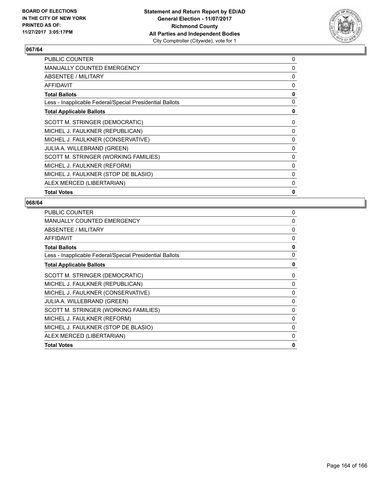

| <b>PUBLIC COUNTER</b>                                    | 0            |
|----------------------------------------------------------|--------------|
| <b>MANUALLY COUNTED EMERGENCY</b>                        | $\Omega$     |
| ABSENTEE / MILITARY                                      | 0            |
| <b>AFFIDAVIT</b>                                         | 0            |
| <b>Total Ballots</b>                                     | 0            |
| Less - Inapplicable Federal/Special Presidential Ballots | $\mathbf{0}$ |
| <b>Total Applicable Ballots</b>                          | 0            |
| SCOTT M. STRINGER (DEMOCRATIC)                           | 0            |
| MICHEL J. FAULKNER (REPUBLICAN)                          | 0            |
| MICHEL J. FAULKNER (CONSERVATIVE)                        | 0            |
| <b>JULIA A. WILLEBRAND (GREEN)</b>                       | 0            |
| SCOTT M. STRINGER (WORKING FAMILIES)                     | 0            |
| MICHEL J. FAULKNER (REFORM)                              | 0            |
| MICHEL J. FAULKNER (STOP DE BLASIO)                      | 0            |
| ALEX MERCED (LIBERTARIAN)                                | 0            |
| <b>Total Votes</b>                                       | $\mathbf{0}$ |
|                                                          |              |

| <b>PUBLIC COUNTER</b>                                    | 0            |
|----------------------------------------------------------|--------------|
| MANUALLY COUNTED EMERGENCY                               | $\Omega$     |
| ABSENTEE / MILITARY                                      | 0            |
| <b>AFFIDAVIT</b>                                         | 0            |
| <b>Total Ballots</b>                                     | 0            |
| Less - Inapplicable Federal/Special Presidential Ballots | $\mathbf{0}$ |
| <b>Total Applicable Ballots</b>                          | 0            |
| SCOTT M. STRINGER (DEMOCRATIC)                           | 0            |
| MICHEL J. FAULKNER (REPUBLICAN)                          | 0            |
| MICHEL J. FAULKNER (CONSERVATIVE)                        | $\Omega$     |
| JULIA A. WILLEBRAND (GREEN)                              | 0            |
| SCOTT M. STRINGER (WORKING FAMILIES)                     | 0            |
| MICHEL J. FAULKNER (REFORM)                              | 0            |
| MICHEL J. FAULKNER (STOP DE BLASIO)                      | 0            |
| ALEX MERCED (LIBERTARIAN)                                | 0            |
| <b>Total Votes</b>                                       | 0            |
|                                                          |              |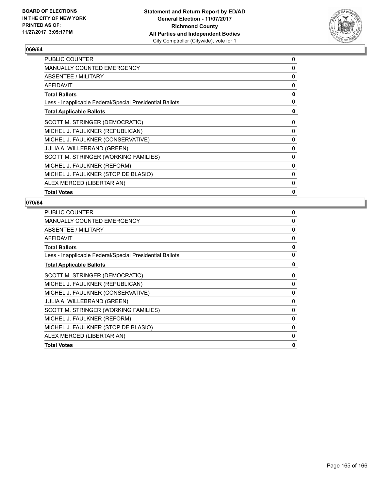

| <b>PUBLIC COUNTER</b>                                    | 0            |
|----------------------------------------------------------|--------------|
| <b>MANUALLY COUNTED EMERGENCY</b>                        | $\Omega$     |
| ABSENTEE / MILITARY                                      | 0            |
| <b>AFFIDAVIT</b>                                         | 0            |
| <b>Total Ballots</b>                                     | 0            |
| Less - Inapplicable Federal/Special Presidential Ballots | 0            |
| <b>Total Applicable Ballots</b>                          | 0            |
| SCOTT M. STRINGER (DEMOCRATIC)                           | 0            |
| MICHEL J. FAULKNER (REPUBLICAN)                          | 0            |
| MICHEL J. FAULKNER (CONSERVATIVE)                        | 0            |
| <b>JULIA A. WILLEBRAND (GREEN)</b>                       | 0            |
| SCOTT M. STRINGER (WORKING FAMILIES)                     | 0            |
| MICHEL J. FAULKNER (REFORM)                              | $\Omega$     |
| MICHEL J. FAULKNER (STOP DE BLASIO)                      | 0            |
| ALEX MERCED (LIBERTARIAN)                                | 0            |
| <b>Total Votes</b>                                       | $\mathbf{0}$ |
|                                                          |              |

| <b>PUBLIC COUNTER</b>                                    | 0            |
|----------------------------------------------------------|--------------|
| MANUALLY COUNTED EMERGENCY                               | $\Omega$     |
| ABSENTEE / MILITARY                                      | 0            |
| <b>AFFIDAVIT</b>                                         | 0            |
| <b>Total Ballots</b>                                     | 0            |
| Less - Inapplicable Federal/Special Presidential Ballots | $\mathbf{0}$ |
| <b>Total Applicable Ballots</b>                          | 0            |
| SCOTT M. STRINGER (DEMOCRATIC)                           | 0            |
| MICHEL J. FAULKNER (REPUBLICAN)                          | 0            |
| MICHEL J. FAULKNER (CONSERVATIVE)                        | $\Omega$     |
| JULIA A. WILLEBRAND (GREEN)                              | 0            |
| SCOTT M. STRINGER (WORKING FAMILIES)                     | 0            |
| MICHEL J. FAULKNER (REFORM)                              | 0            |
| MICHEL J. FAULKNER (STOP DE BLASIO)                      | 0            |
| ALEX MERCED (LIBERTARIAN)                                | 0            |
| <b>Total Votes</b>                                       | 0            |
|                                                          |              |